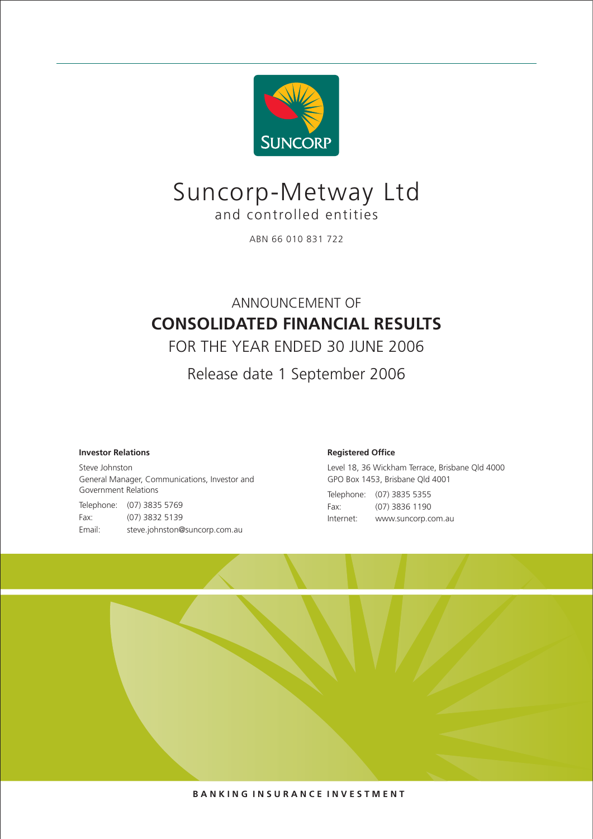

# Suncorp-Metway Ltd and controlled entities

ABN 66 010 831 722

## ANNOUNCEMENT OF **CONSOLIDATED FINANCIAL RESULTS**

FOR THE YEAR ENDED 30 JUNE 2006

Release date 1 September 2006

## **Investor Relations**

Steve Johnston General Manager, Communications, Investor and Government Relations Telephone: (07) 3835 5769

Fax: (07) 3832 5139 Email: steve.johnston@suncorp.com.au

## **Registered Office**

Level 18, 36 Wickham Terrace, Brisbane Qld 4000 GPO Box 1453, Brisbane Qld 4001 Telephone: (07) 3835 5355 Fax: (07) 3836 1190 Internet: www.suncorp.com.au

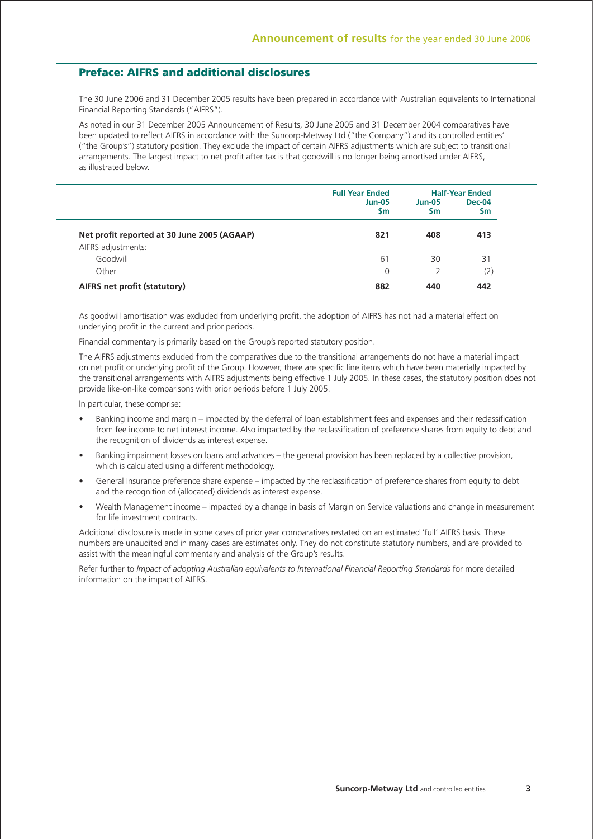## **Preface: AIFRS and additional disclosures**

The 30 June 2006 and 31 December 2005 results have been prepared in accordance with Australian equivalents to International Financial Reporting Standards ("AIFRS").

As noted in our 31 December 2005 Announcement of Results, 30 June 2005 and 31 December 2004 comparatives have been updated to reflect AIFRS in accordance with the Suncorp-Metway Ltd ("the Company") and its controlled entities' ("the Group's") statutory position. They exclude the impact of certain AIFRS adjustments which are subject to transitional arrangements. The largest impact to net profit after tax is that goodwill is no longer being amortised under AIFRS, as illustrated below.

|                                             | <b>Full Year Ended</b> | <b>Half-Year Ended</b> |                      |  |
|---------------------------------------------|------------------------|------------------------|----------------------|--|
|                                             | $Jun-05$<br><b>Sm</b>  | $Jun-05$<br><b>Sm</b>  | <b>Dec-04</b><br>\$m |  |
| Net profit reported at 30 June 2005 (AGAAP) | 821                    | 408                    | 413                  |  |
| AIFRS adjustments:                          |                        |                        |                      |  |
| Goodwill                                    | 61                     | 30                     | 31                   |  |
| Other                                       | $\Omega$               |                        | (2)                  |  |
| AIFRS net profit (statutory)                | 882                    | 440                    | 442                  |  |

As goodwill amortisation was excluded from underlying profit, the adoption of AIFRS has not had a material effect on underlying profit in the current and prior periods.

Financial commentary is primarily based on the Group's reported statutory position.

The AIFRS adjustments excluded from the comparatives due to the transitional arrangements do not have a material impact on net profit or underlying profit of the Group. However, there are specific line items which have been materially impacted by the transitional arrangements with AIFRS adjustments being effective 1 July 2005. In these cases, the statutory position does not provide like-on-like comparisons with prior periods before 1 July 2005.

In particular, these comprise:

- Banking income and margin impacted by the deferral of loan establishment fees and expenses and their reclassification from fee income to net interest income. Also impacted by the reclassification of preference shares from equity to debt and the recognition of dividends as interest expense.
- Banking impairment losses on loans and advances the general provision has been replaced by a collective provision, which is calculated using a different methodology.
- General Insurance preference share expense impacted by the reclassification of preference shares from equity to debt and the recognition of (allocated) dividends as interest expense.
- Wealth Management income impacted by a change in basis of Margin on Service valuations and change in measurement for life investment contracts.

Additional disclosure is made in some cases of prior year comparatives restated on an estimated 'full' AIFRS basis. These numbers are unaudited and in many cases are estimates only. They do not constitute statutory numbers, and are provided to assist with the meaningful commentary and analysis of the Group's results.

Refer further to *Impact of adopting Australian equivalents to International Financial Reporting Standards* for more detailed information on the impact of AIFRS.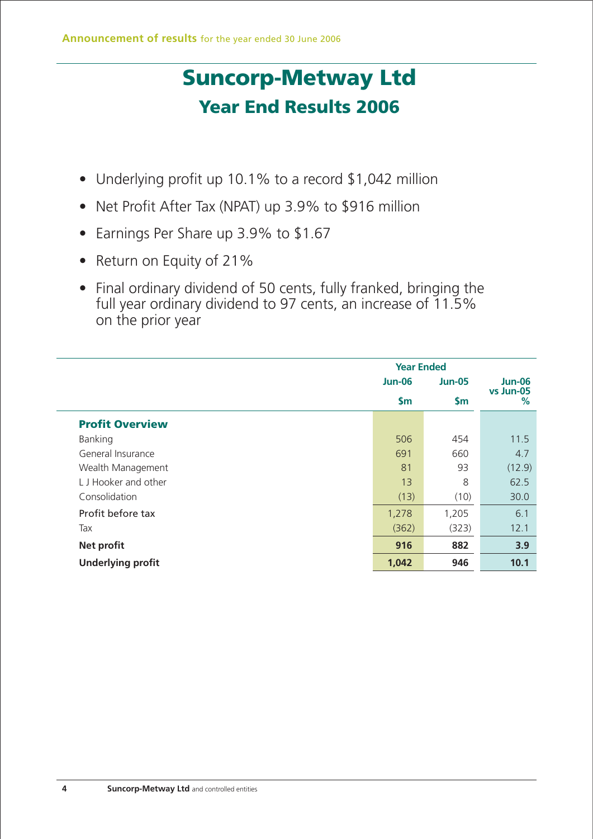# **Suncorp-Metway Ltd Year End Results 2006**

- Underlying profit up 10.1% to a record \$1,042 million
- Net Profit After Tax (NPAT) up 3.9% to \$916 million
- Earnings Per Share up 3.9% to \$1.67
- Return on Equity of 21%
- Final ordinary dividend of 50 cents, fully franked, bringing the full year ordinary dividend to 97 cents, an increase of 11.5% on the prior year

|                          |               | <b>Year Ended</b> |                |  |  |
|--------------------------|---------------|-------------------|----------------|--|--|
|                          | <b>Jun-06</b> | <b>Jun-05</b>     | <b>Jun-06</b>  |  |  |
|                          | \$m\$         | \$m\$             | vs Jun-05<br>% |  |  |
| <b>Profit Overview</b>   |               |                   |                |  |  |
| Banking                  | 506           | 454               | 11.5           |  |  |
| General Insurance        | 691           | 660               | 4.7            |  |  |
| Wealth Management        | 81            | 93                | (12.9)         |  |  |
| LJ Hooker and other      | 13            | 8                 | 62.5           |  |  |
| Consolidation            | (13)          | (10)              | 30.0           |  |  |
| Profit before tax        | 1,278         | 1,205             | 6.1            |  |  |
| Tax                      | (362)         | (323)             | 12.1           |  |  |
| <b>Net profit</b>        | 916           | 882               | 3.9            |  |  |
| <b>Underlying profit</b> | 1,042         | 946               | 10.1           |  |  |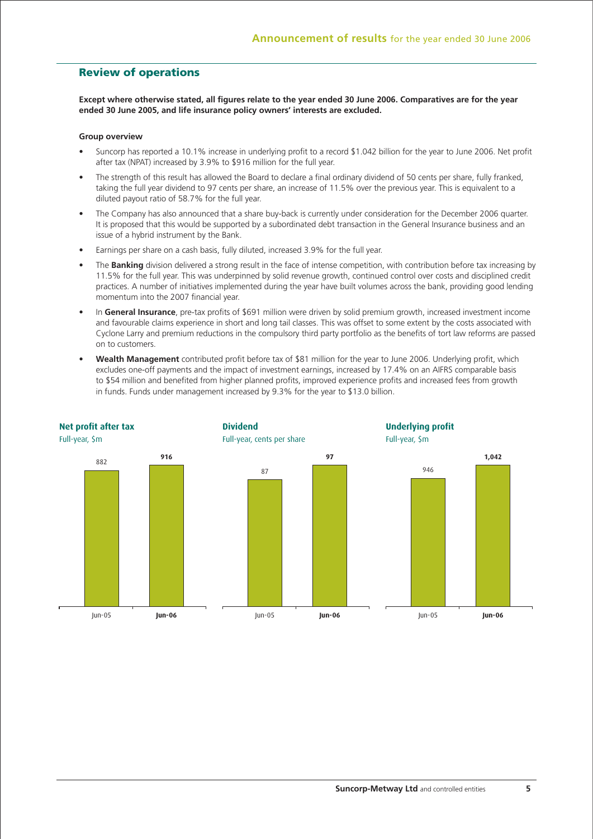## **Review of operations**

**Except where otherwise stated, all figures relate to the year ended 30 June 2006. Comparatives are for the year ended 30 June 2005, and life insurance policy owners' interests are excluded.**

#### **Group overview**

- Suncorp has reported a 10.1% increase in underlying profit to a record \$1.042 billion for the year to June 2006. Net profit after tax (NPAT) increased by 3.9% to \$916 million for the full year.
- The strength of this result has allowed the Board to declare a final ordinary dividend of 50 cents per share, fully franked, taking the full year dividend to 97 cents per share, an increase of 11.5% over the previous year. This is equivalent to a diluted payout ratio of 58.7% for the full year.
- The Company has also announced that a share buy-back is currently under consideration for the December 2006 quarter. It is proposed that this would be supported by a subordinated debt transaction in the General Insurance business and an issue of a hybrid instrument by the Bank.
- Earnings per share on a cash basis, fully diluted, increased 3.9% for the full year.
- The **Banking** division delivered a strong result in the face of intense competition, with contribution before tax increasing by 11.5% for the full year. This was underpinned by solid revenue growth, continued control over costs and disciplined credit practices. A number of initiatives implemented during the year have built volumes across the bank, providing good lending momentum into the 2007 financial year.
- In **General Insurance**, pre-tax profits of \$691 million were driven by solid premium growth, increased investment income and favourable claims experience in short and long tail classes. This was offset to some extent by the costs associated with Cyclone Larry and premium reductions in the compulsory third party portfolio as the benefits of tort law reforms are passed on to customers.
- **Wealth Management** contributed profit before tax of \$81 million for the year to June 2006. Underlying profit, which excludes one-off payments and the impact of investment earnings, increased by 17.4% on an AIFRS comparable basis to \$54 million and benefited from higher planned profits, improved experience profits and increased fees from growth in funds. Funds under management increased by 9.3% for the year to \$13.0 billion.

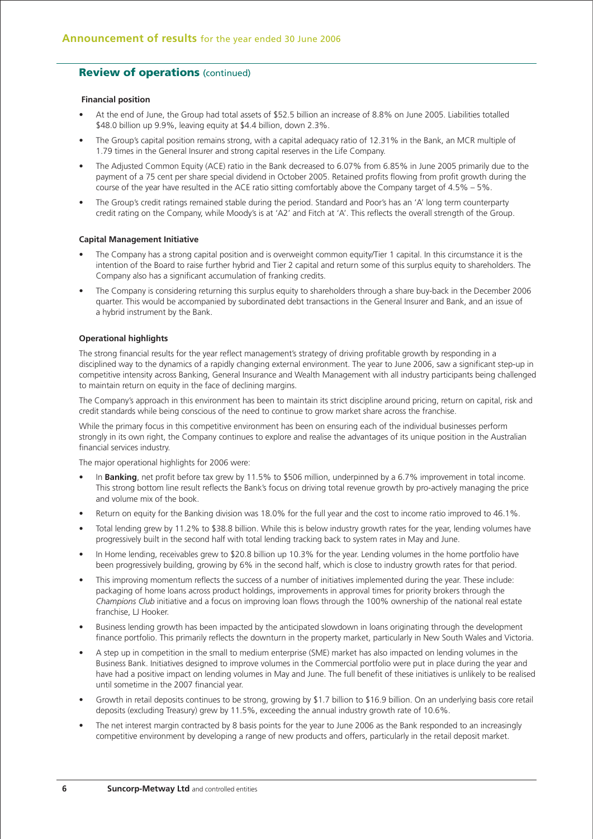#### **Financial position**

- At the end of June, the Group had total assets of \$52.5 billion an increase of 8.8% on June 2005. Liabilities totalled \$48.0 billion up 9.9%, leaving equity at \$4.4 billion, down 2.3%.
- The Group's capital position remains strong, with a capital adequacy ratio of 12.31% in the Bank, an MCR multiple of 1.79 times in the General Insurer and strong capital reserves in the Life Company.
- The Adjusted Common Equity (ACE) ratio in the Bank decreased to 6.07% from 6.85% in June 2005 primarily due to the payment of a 75 cent per share special dividend in October 2005. Retained profits flowing from profit growth during the course of the year have resulted in the ACE ratio sitting comfortably above the Company target of 4.5% – 5%.
- The Group's credit ratings remained stable during the period. Standard and Poor's has an 'A' long term counterparty credit rating on the Company, while Moody's is at 'A2' and Fitch at 'A'. This reflects the overall strength of the Group.

#### **Capital Management Initiative**

- The Company has a strong capital position and is overweight common equity/Tier 1 capital. In this circumstance it is the intention of the Board to raise further hybrid and Tier 2 capital and return some of this surplus equity to shareholders. The Company also has a significant accumulation of franking credits.
- The Company is considering returning this surplus equity to shareholders through a share buy-back in the December 2006 quarter. This would be accompanied by subordinated debt transactions in the General Insurer and Bank, and an issue of a hybrid instrument by the Bank.

#### **Operational highlights**

The strong financial results for the year reflect management's strategy of driving profitable growth by responding in a disciplined way to the dynamics of a rapidly changing external environment. The year to June 2006, saw a significant step-up in competitive intensity across Banking, General Insurance and Wealth Management with all industry participants being challenged to maintain return on equity in the face of declining margins.

The Company's approach in this environment has been to maintain its strict discipline around pricing, return on capital, risk and credit standards while being conscious of the need to continue to grow market share across the franchise.

While the primary focus in this competitive environment has been on ensuring each of the individual businesses perform strongly in its own right, the Company continues to explore and realise the advantages of its unique position in the Australian financial services industry.

The major operational highlights for 2006 were:

- In **Banking**, net profit before tax grew by 11.5% to \$506 million, underpinned by a 6.7% improvement in total income. This strong bottom line result reflects the Bank's focus on driving total revenue growth by pro-actively managing the price and volume mix of the book.
- Return on equity for the Banking division was 18.0% for the full year and the cost to income ratio improved to 46.1%.
- Total lending grew by 11.2% to \$38.8 billion. While this is below industry growth rates for the year, lending volumes have progressively built in the second half with total lending tracking back to system rates in May and June.
- In Home lending, receivables grew to \$20.8 billion up 10.3% for the year. Lending volumes in the home portfolio have been progressively building, growing by 6% in the second half, which is close to industry growth rates for that period.
- This improving momentum reflects the success of a number of initiatives implemented during the year. These include: packaging of home loans across product holdings, improvements in approval times for priority brokers through the *Champions Club* initiative and a focus on improving loan flows through the 100% ownership of the national real estate franchise, LJ Hooker.
- Business lending growth has been impacted by the anticipated slowdown in loans originating through the development finance portfolio. This primarily reflects the downturn in the property market, particularly in New South Wales and Victoria.
- A step up in competition in the small to medium enterprise (SME) market has also impacted on lending volumes in the Business Bank. Initiatives designed to improve volumes in the Commercial portfolio were put in place during the year and have had a positive impact on lending volumes in May and June. The full benefit of these initiatives is unlikely to be realised until sometime in the 2007 financial year.
- Growth in retail deposits continues to be strong, growing by \$1.7 billion to \$16.9 billion. On an underlying basis core retail deposits (excluding Treasury) grew by 11.5%, exceeding the annual industry growth rate of 10.6%.
- The net interest margin contracted by 8 basis points for the year to June 2006 as the Bank responded to an increasingly competitive environment by developing a range of new products and offers, particularly in the retail deposit market.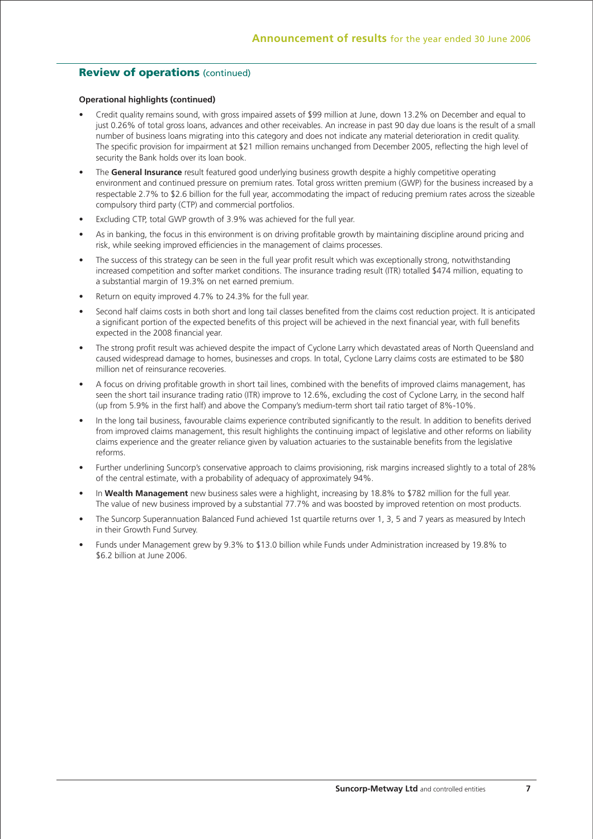#### **Operational highlights (continued)**

- Credit quality remains sound, with gross impaired assets of \$99 million at June, down 13.2% on December and equal to just 0.26% of total gross loans, advances and other receivables. An increase in past 90 day due loans is the result of a small number of business loans migrating into this category and does not indicate any material deterioration in credit quality. The specific provision for impairment at \$21 million remains unchanged from December 2005, reflecting the high level of security the Bank holds over its loan book.
- The **General Insurance** result featured good underlying business growth despite a highly competitive operating environment and continued pressure on premium rates. Total gross written premium (GWP) for the business increased by a respectable 2.7% to \$2.6 billion for the full year, accommodating the impact of reducing premium rates across the sizeable compulsory third party (CTP) and commercial portfolios.
- Excluding CTP, total GWP growth of 3.9% was achieved for the full year.
- As in banking, the focus in this environment is on driving profitable growth by maintaining discipline around pricing and risk, while seeking improved efficiencies in the management of claims processes.
- The success of this strategy can be seen in the full year profit result which was exceptionally strong, notwithstanding increased competition and softer market conditions. The insurance trading result (ITR) totalled \$474 million, equating to a substantial margin of 19.3% on net earned premium.
- Return on equity improved 4.7% to 24.3% for the full year.
- Second half claims costs in both short and long tail classes benefited from the claims cost reduction project. It is anticipated a significant portion of the expected benefits of this project will be achieved in the next financial year, with full benefits expected in the 2008 financial year.
- The strong profit result was achieved despite the impact of Cyclone Larry which devastated areas of North Queensland and caused widespread damage to homes, businesses and crops. In total, Cyclone Larry claims costs are estimated to be \$80 million net of reinsurance recoveries.
- A focus on driving profitable growth in short tail lines, combined with the benefits of improved claims management, has seen the short tail insurance trading ratio (ITR) improve to 12.6%, excluding the cost of Cyclone Larry, in the second half (up from 5.9% in the first half) and above the Company's medium-term short tail ratio target of 8%-10%.
- In the long tail business, favourable claims experience contributed significantly to the result. In addition to benefits derived from improved claims management, this result highlights the continuing impact of legislative and other reforms on liability claims experience and the greater reliance given by valuation actuaries to the sustainable benefits from the legislative reforms.
- Further underlining Suncorp's conservative approach to claims provisioning, risk margins increased slightly to a total of 28% of the central estimate, with a probability of adequacy of approximately 94%.
- In **Wealth Management** new business sales were a highlight, increasing by 18.8% to \$782 million for the full year. The value of new business improved by a substantial 77.7% and was boosted by improved retention on most products.
- The Suncorp Superannuation Balanced Fund achieved 1st quartile returns over 1, 3, 5 and 7 years as measured by Intech in their Growth Fund Survey.
- Funds under Management grew by 9.3% to \$13.0 billion while Funds under Administration increased by 19.8% to \$6.2 billion at June 2006.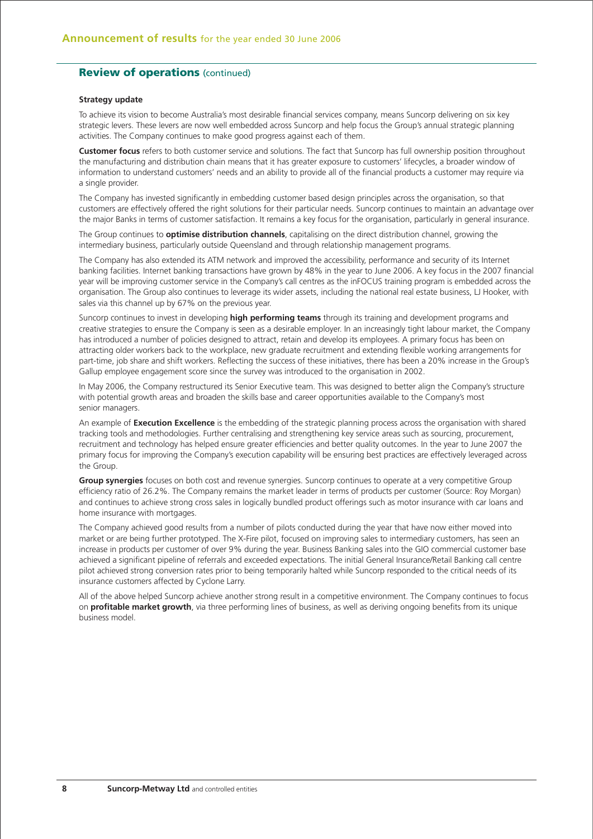#### **Strategy update**

To achieve its vision to become Australia's most desirable financial services company, means Suncorp delivering on six key strategic levers. These levers are now well embedded across Suncorp and help focus the Group's annual strategic planning activities. The Company continues to make good progress against each of them.

**Customer focus** refers to both customer service and solutions. The fact that Suncorp has full ownership position throughout the manufacturing and distribution chain means that it has greater exposure to customers' lifecycles, a broader window of information to understand customers' needs and an ability to provide all of the financial products a customer may require via a single provider.

The Company has invested significantly in embedding customer based design principles across the organisation, so that customers are effectively offered the right solutions for their particular needs. Suncorp continues to maintain an advantage over the major Banks in terms of customer satisfaction. It remains a key focus for the organisation, particularly in general insurance.

The Group continues to **optimise distribution channels**, capitalising on the direct distribution channel, growing the intermediary business, particularly outside Queensland and through relationship management programs.

The Company has also extended its ATM network and improved the accessibility, performance and security of its Internet banking facilities. Internet banking transactions have grown by 48% in the year to June 2006. A key focus in the 2007 financial year will be improving customer service in the Company's call centres as the inFOCUS training program is embedded across the organisation. The Group also continues to leverage its wider assets, including the national real estate business, LJ Hooker, with sales via this channel up by 67% on the previous year.

Suncorp continues to invest in developing **high performing teams** through its training and development programs and creative strategies to ensure the Company is seen as a desirable employer. In an increasingly tight labour market, the Company has introduced a number of policies designed to attract, retain and develop its employees. A primary focus has been on attracting older workers back to the workplace, new graduate recruitment and extending flexible working arrangements for part-time, job share and shift workers. Reflecting the success of these initiatives, there has been a 20% increase in the Group's Gallup employee engagement score since the survey was introduced to the organisation in 2002.

In May 2006, the Company restructured its Senior Executive team. This was designed to better align the Company's structure with potential growth areas and broaden the skills base and career opportunities available to the Company's most senior managers.

An example of **Execution Excellence** is the embedding of the strategic planning process across the organisation with shared tracking tools and methodologies. Further centralising and strengthening key service areas such as sourcing, procurement, recruitment and technology has helped ensure greater efficiencies and better quality outcomes. In the year to June 2007 the primary focus for improving the Company's execution capability will be ensuring best practices are effectively leveraged across the Group.

**Group synergies** focuses on both cost and revenue synergies. Suncorp continues to operate at a very competitive Group efficiency ratio of 26.2%. The Company remains the market leader in terms of products per customer (Source: Roy Morgan) and continues to achieve strong cross sales in logically bundled product offerings such as motor insurance with car loans and home insurance with mortgages.

The Company achieved good results from a number of pilots conducted during the year that have now either moved into market or are being further prototyped. The X-Fire pilot, focused on improving sales to intermediary customers, has seen an increase in products per customer of over 9% during the year. Business Banking sales into the GIO commercial customer base achieved a significant pipeline of referrals and exceeded expectations. The initial General Insurance/Retail Banking call centre pilot achieved strong conversion rates prior to being temporarily halted while Suncorp responded to the critical needs of its insurance customers affected by Cyclone Larry.

All of the above helped Suncorp achieve another strong result in a competitive environment. The Company continues to focus on **profitable market growth**, via three performing lines of business, as well as deriving ongoing benefits from its unique business model.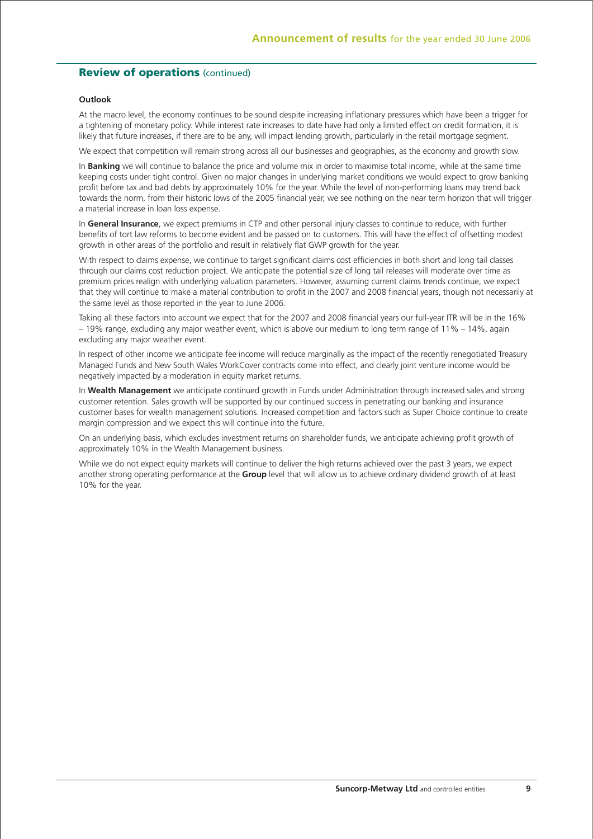#### **Outlook**

At the macro level, the economy continues to be sound despite increasing inflationary pressures which have been a trigger for a tightening of monetary policy. While interest rate increases to date have had only a limited effect on credit formation, it is likely that future increases, if there are to be any, will impact lending growth, particularly in the retail mortgage segment.

We expect that competition will remain strong across all our businesses and geographies, as the economy and growth slow.

In **Banking** we will continue to balance the price and volume mix in order to maximise total income, while at the same time keeping costs under tight control. Given no major changes in underlying market conditions we would expect to grow banking profit before tax and bad debts by approximately 10% for the year. While the level of non-performing loans may trend back towards the norm, from their historic lows of the 2005 financial year, we see nothing on the near term horizon that will trigger a material increase in loan loss expense.

In **General Insurance**, we expect premiums in CTP and other personal injury classes to continue to reduce, with further benefits of tort law reforms to become evident and be passed on to customers. This will have the effect of offsetting modest growth in other areas of the portfolio and result in relatively flat GWP growth for the year.

With respect to claims expense, we continue to target significant claims cost efficiencies in both short and long tail classes through our claims cost reduction project. We anticipate the potential size of long tail releases will moderate over time as premium prices realign with underlying valuation parameters. However, assuming current claims trends continue, we expect that they will continue to make a material contribution to profit in the 2007 and 2008 financial years, though not necessarily at the same level as those reported in the year to June 2006.

Taking all these factors into account we expect that for the 2007 and 2008 financial years our full-year ITR will be in the 16% – 19% range, excluding any major weather event, which is above our medium to long term range of 11% – 14%, again excluding any major weather event.

In respect of other income we anticipate fee income will reduce marginally as the impact of the recently renegotiated Treasury Managed Funds and New South Wales WorkCover contracts come into effect, and clearly joint venture income would be negatively impacted by a moderation in equity market returns.

In **Wealth Management** we anticipate continued growth in Funds under Administration through increased sales and strong customer retention. Sales growth will be supported by our continued success in penetrating our banking and insurance customer bases for wealth management solutions. Increased competition and factors such as Super Choice continue to create margin compression and we expect this will continue into the future.

On an underlying basis, which excludes investment returns on shareholder funds, we anticipate achieving profit growth of approximately 10% in the Wealth Management business.

While we do not expect equity markets will continue to deliver the high returns achieved over the past 3 years, we expect another strong operating performance at the **Group** level that will allow us to achieve ordinary dividend growth of at least 10% for the year.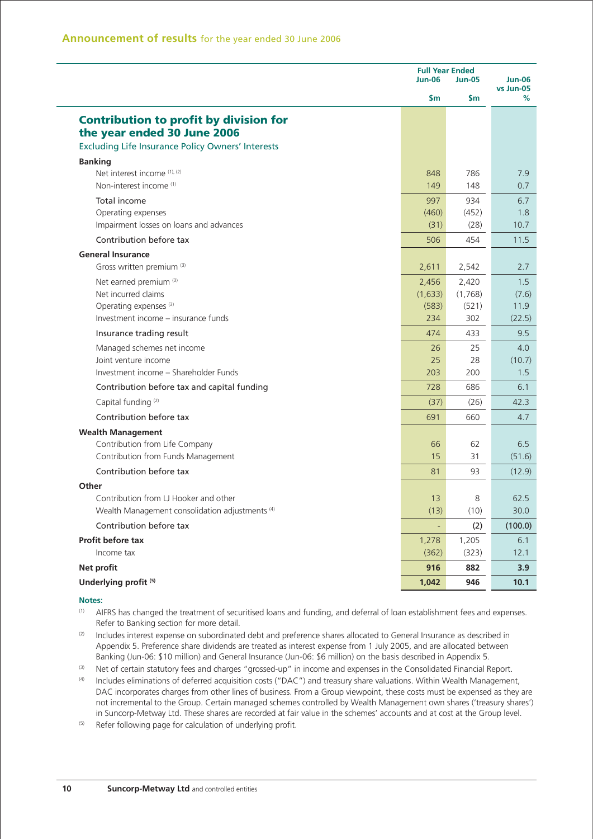| \$m<br>\$m<br>℅<br><b>Contribution to profit by division for</b><br>the year ended 30 June 2006<br><b>Excluding Life Insurance Policy Owners' Interests</b><br><b>Banking</b><br>Net interest income (1), (2)<br>848<br>786<br>7.9<br>Non-interest income <sup>(1)</sup><br>149<br>148<br>0.7<br>Total income<br>997<br>934<br>6.7<br>Operating expenses<br>(452)<br>(460)<br>1.8<br>Impairment losses on loans and advances<br>(31)<br>10.7<br>(28)<br>Contribution before tax<br>454<br>11.5<br>506<br><b>General Insurance</b><br>Gross written premium (3)<br>2,611<br>2,542<br>2.7<br>Net earned premium (3)<br>2,456<br>2,420<br>1.5<br>Net incurred claims<br>(1,633)<br>(1,768)<br>Operating expenses <sup>(3)</sup><br>(583)<br>(521)<br>11.9<br>Investment income - insurance funds<br>234<br>302<br>(22.5)<br>Insurance trading result<br>474<br>433<br>9.5<br>Managed schemes net income<br>25<br>4.0<br>26<br>Joint venture income<br>25<br>28<br>Investment income - Shareholder Funds<br>203<br>200<br>1.5<br>728<br>Contribution before tax and capital funding<br>686<br>6.1<br>Capital funding <sup>(2)</sup><br>42.3<br>(37)<br>(26)<br>Contribution before tax<br>660<br>691<br>4.7<br><b>Wealth Management</b><br>Contribution from Life Company<br>6.5<br>66<br>62<br>Contribution from Funds Management<br>15<br>31<br>Contribution before tax<br>93<br>81<br>Other<br>Contribution from LJ Hooker and other<br>8<br>62.5<br>13<br>(13)<br>(10)<br>Wealth Management consolidation adjustments <sup>(4)</sup><br>Contribution before tax<br>(2)<br>$\blacksquare$<br>Profit before tax<br>1,278<br>1,205<br>6.1<br>Income tax<br>(362)<br>(323)<br>12.1<br>Net profit<br>916<br>882<br>3.9<br>Underlying profit <sup>(5)</sup><br>1,042<br>946<br>10.1 | <b>Jun-06</b> | <b>Full Year Ended</b><br><b>Jun-05</b> |           |  |
|-------------------------------------------------------------------------------------------------------------------------------------------------------------------------------------------------------------------------------------------------------------------------------------------------------------------------------------------------------------------------------------------------------------------------------------------------------------------------------------------------------------------------------------------------------------------------------------------------------------------------------------------------------------------------------------------------------------------------------------------------------------------------------------------------------------------------------------------------------------------------------------------------------------------------------------------------------------------------------------------------------------------------------------------------------------------------------------------------------------------------------------------------------------------------------------------------------------------------------------------------------------------------------------------------------------------------------------------------------------------------------------------------------------------------------------------------------------------------------------------------------------------------------------------------------------------------------------------------------------------------------------------------------------------------------------------------------------------------------------------------------------------------------|---------------|-----------------------------------------|-----------|--|
|                                                                                                                                                                                                                                                                                                                                                                                                                                                                                                                                                                                                                                                                                                                                                                                                                                                                                                                                                                                                                                                                                                                                                                                                                                                                                                                                                                                                                                                                                                                                                                                                                                                                                                                                                                               |               |                                         | vs Jun-05 |  |
|                                                                                                                                                                                                                                                                                                                                                                                                                                                                                                                                                                                                                                                                                                                                                                                                                                                                                                                                                                                                                                                                                                                                                                                                                                                                                                                                                                                                                                                                                                                                                                                                                                                                                                                                                                               |               |                                         |           |  |
|                                                                                                                                                                                                                                                                                                                                                                                                                                                                                                                                                                                                                                                                                                                                                                                                                                                                                                                                                                                                                                                                                                                                                                                                                                                                                                                                                                                                                                                                                                                                                                                                                                                                                                                                                                               |               |                                         |           |  |
|                                                                                                                                                                                                                                                                                                                                                                                                                                                                                                                                                                                                                                                                                                                                                                                                                                                                                                                                                                                                                                                                                                                                                                                                                                                                                                                                                                                                                                                                                                                                                                                                                                                                                                                                                                               |               |                                         |           |  |
|                                                                                                                                                                                                                                                                                                                                                                                                                                                                                                                                                                                                                                                                                                                                                                                                                                                                                                                                                                                                                                                                                                                                                                                                                                                                                                                                                                                                                                                                                                                                                                                                                                                                                                                                                                               |               |                                         |           |  |
|                                                                                                                                                                                                                                                                                                                                                                                                                                                                                                                                                                                                                                                                                                                                                                                                                                                                                                                                                                                                                                                                                                                                                                                                                                                                                                                                                                                                                                                                                                                                                                                                                                                                                                                                                                               |               |                                         |           |  |
|                                                                                                                                                                                                                                                                                                                                                                                                                                                                                                                                                                                                                                                                                                                                                                                                                                                                                                                                                                                                                                                                                                                                                                                                                                                                                                                                                                                                                                                                                                                                                                                                                                                                                                                                                                               |               |                                         |           |  |
|                                                                                                                                                                                                                                                                                                                                                                                                                                                                                                                                                                                                                                                                                                                                                                                                                                                                                                                                                                                                                                                                                                                                                                                                                                                                                                                                                                                                                                                                                                                                                                                                                                                                                                                                                                               |               |                                         | (7.6)     |  |
|                                                                                                                                                                                                                                                                                                                                                                                                                                                                                                                                                                                                                                                                                                                                                                                                                                                                                                                                                                                                                                                                                                                                                                                                                                                                                                                                                                                                                                                                                                                                                                                                                                                                                                                                                                               |               |                                         |           |  |
|                                                                                                                                                                                                                                                                                                                                                                                                                                                                                                                                                                                                                                                                                                                                                                                                                                                                                                                                                                                                                                                                                                                                                                                                                                                                                                                                                                                                                                                                                                                                                                                                                                                                                                                                                                               |               |                                         |           |  |
|                                                                                                                                                                                                                                                                                                                                                                                                                                                                                                                                                                                                                                                                                                                                                                                                                                                                                                                                                                                                                                                                                                                                                                                                                                                                                                                                                                                                                                                                                                                                                                                                                                                                                                                                                                               |               |                                         | (10.7)    |  |
|                                                                                                                                                                                                                                                                                                                                                                                                                                                                                                                                                                                                                                                                                                                                                                                                                                                                                                                                                                                                                                                                                                                                                                                                                                                                                                                                                                                                                                                                                                                                                                                                                                                                                                                                                                               |               |                                         |           |  |
|                                                                                                                                                                                                                                                                                                                                                                                                                                                                                                                                                                                                                                                                                                                                                                                                                                                                                                                                                                                                                                                                                                                                                                                                                                                                                                                                                                                                                                                                                                                                                                                                                                                                                                                                                                               |               |                                         |           |  |
|                                                                                                                                                                                                                                                                                                                                                                                                                                                                                                                                                                                                                                                                                                                                                                                                                                                                                                                                                                                                                                                                                                                                                                                                                                                                                                                                                                                                                                                                                                                                                                                                                                                                                                                                                                               |               |                                         |           |  |
|                                                                                                                                                                                                                                                                                                                                                                                                                                                                                                                                                                                                                                                                                                                                                                                                                                                                                                                                                                                                                                                                                                                                                                                                                                                                                                                                                                                                                                                                                                                                                                                                                                                                                                                                                                               |               |                                         | (51.6)    |  |
|                                                                                                                                                                                                                                                                                                                                                                                                                                                                                                                                                                                                                                                                                                                                                                                                                                                                                                                                                                                                                                                                                                                                                                                                                                                                                                                                                                                                                                                                                                                                                                                                                                                                                                                                                                               |               |                                         | (12.9)    |  |
|                                                                                                                                                                                                                                                                                                                                                                                                                                                                                                                                                                                                                                                                                                                                                                                                                                                                                                                                                                                                                                                                                                                                                                                                                                                                                                                                                                                                                                                                                                                                                                                                                                                                                                                                                                               |               |                                         | 30.0      |  |
|                                                                                                                                                                                                                                                                                                                                                                                                                                                                                                                                                                                                                                                                                                                                                                                                                                                                                                                                                                                                                                                                                                                                                                                                                                                                                                                                                                                                                                                                                                                                                                                                                                                                                                                                                                               |               |                                         | (100.0)   |  |
|                                                                                                                                                                                                                                                                                                                                                                                                                                                                                                                                                                                                                                                                                                                                                                                                                                                                                                                                                                                                                                                                                                                                                                                                                                                                                                                                                                                                                                                                                                                                                                                                                                                                                                                                                                               |               |                                         |           |  |
|                                                                                                                                                                                                                                                                                                                                                                                                                                                                                                                                                                                                                                                                                                                                                                                                                                                                                                                                                                                                                                                                                                                                                                                                                                                                                                                                                                                                                                                                                                                                                                                                                                                                                                                                                                               |               |                                         |           |  |
|                                                                                                                                                                                                                                                                                                                                                                                                                                                                                                                                                                                                                                                                                                                                                                                                                                                                                                                                                                                                                                                                                                                                                                                                                                                                                                                                                                                                                                                                                                                                                                                                                                                                                                                                                                               |               |                                         |           |  |

- (1) AIFRS has changed the treatment of securitised loans and funding, and deferral of loan establishment fees and expenses. Refer to Banking section for more detail.
- (2) Includes interest expense on subordinated debt and preference shares allocated to General Insurance as described in Appendix 5. Preference share dividends are treated as interest expense from 1 July 2005, and are allocated between Banking (Jun-06: \$10 million) and General Insurance (Jun-06: \$6 million) on the basis described in Appendix 5.
- (3) Net of certain statutory fees and charges "grossed-up" in income and expenses in the Consolidated Financial Report.
- (4) Includes eliminations of deferred acquisition costs ("DAC") and treasury share valuations. Within Wealth Management, DAC incorporates charges from other lines of business. From a Group viewpoint, these costs must be expensed as they are not incremental to the Group. Certain managed schemes controlled by Wealth Management own shares ('treasury shares') in Suncorp-Metway Ltd. These shares are recorded at fair value in the schemes' accounts and at cost at the Group level.
- <sup>(5)</sup> Refer following page for calculation of underlying profit.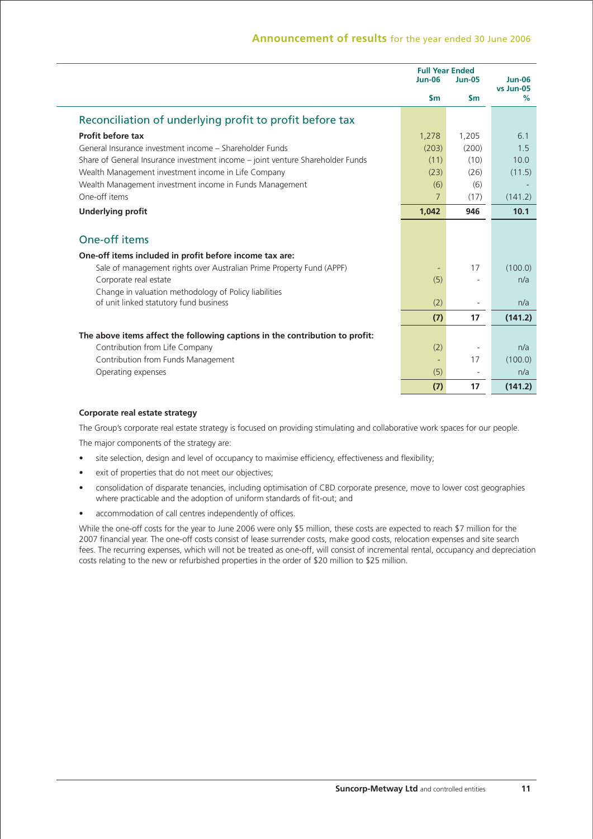|                                                                                | <b>Full Year Ended</b><br>$Jun-06$ | <b>Jun-05</b> | $Jun-06$<br>vs Jun-05 |
|--------------------------------------------------------------------------------|------------------------------------|---------------|-----------------------|
|                                                                                | $\mathsf{sm}$                      | $\mathsf{sm}$ | %                     |
| Reconciliation of underlying profit to profit before tax                       |                                    |               |                       |
| Profit before tax                                                              | 1,278                              | 1,205         | 6.1                   |
| General Insurance investment income - Shareholder Funds                        | (203)                              | (200)         | 1.5                   |
| Share of General Insurance investment income – joint venture Shareholder Funds | (11)                               | (10)          | 10.0                  |
| Wealth Management investment income in Life Company                            | (23)                               | (26)          | (11.5)                |
| Wealth Management investment income in Funds Management                        | (6)                                | (6)           |                       |
| One-off items                                                                  | $\overline{7}$                     | (17)          | (141.2)               |
| <b>Underlying profit</b>                                                       | 1,042                              | 946           | 10.1                  |
| One-off items                                                                  |                                    |               |                       |
| One-off items included in profit before income tax are:                        |                                    |               |                       |
| Sale of management rights over Australian Prime Property Fund (APPF)           |                                    | 17            | (100.0)               |
| Corporate real estate                                                          | (5)                                |               | n/a                   |
| Change in valuation methodology of Policy liabilities                          |                                    |               |                       |
| of unit linked statutory fund business                                         | (2)                                |               | n/a                   |
|                                                                                | (7)                                | 17            | (141.2)               |
| The above items affect the following captions in the contribution to profit:   |                                    |               |                       |
| Contribution from Life Company                                                 | (2)                                |               | n/a                   |
| Contribution from Funds Management                                             | ٠                                  | 17            | (100.0)               |
| Operating expenses                                                             | (5)                                |               | n/a                   |
|                                                                                | (7)                                | 17            | (141.2)               |

#### **Corporate real estate strategy**

The Group's corporate real estate strategy is focused on providing stimulating and collaborative work spaces for our people. The major components of the strategy are:

- site selection, design and level of occupancy to maximise efficiency, effectiveness and flexibility;
- exit of properties that do not meet our objectives;
- consolidation of disparate tenancies, including optimisation of CBD corporate presence, move to lower cost geographies where practicable and the adoption of uniform standards of fit-out; and
- accommodation of call centres independently of offices.

While the one-off costs for the year to June 2006 were only \$5 million, these costs are expected to reach \$7 million for the 2007 financial year. The one-off costs consist of lease surrender costs, make good costs, relocation expenses and site search fees. The recurring expenses, which will not be treated as one-off, will consist of incremental rental, occupancy and depreciation costs relating to the new or refurbished properties in the order of \$20 million to \$25 million.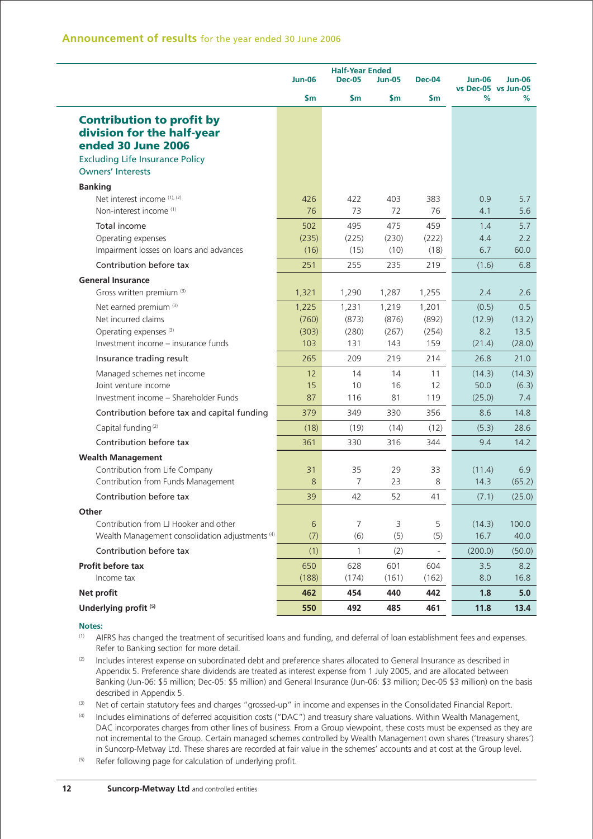|                                                                                                                                                            | <b>Half-Year Ended</b><br><b>Jun-06</b><br><b>Dec-05</b><br><b>Dec-04</b><br><b>Jun-05</b> |                                |                                |                                |                                  | Jun-06                          |
|------------------------------------------------------------------------------------------------------------------------------------------------------------|--------------------------------------------------------------------------------------------|--------------------------------|--------------------------------|--------------------------------|----------------------------------|---------------------------------|
|                                                                                                                                                            | \$m                                                                                        | \$m                            | \$m                            | <b>Sm</b>                      | vs Dec-05 vs Jun-05<br>%         | ℅                               |
| <b>Contribution to profit by</b><br>division for the half-year<br>ended 30 June 2006<br><b>Excluding Life Insurance Policy</b><br><b>Owners' Interests</b> |                                                                                            |                                |                                |                                |                                  |                                 |
| <b>Banking</b><br>Net interest income (1), (2)<br>Non-interest income (1)                                                                                  | 426<br>76                                                                                  | 422<br>73                      | 403<br>72                      | 383<br>76                      | 0.9<br>4.1                       | 5.7<br>5.6                      |
| Total income<br>Operating expenses<br>Impairment losses on loans and advances                                                                              | 502<br>(235)<br>(16)                                                                       | 495<br>(225)<br>(15)           | 475<br>(230)<br>(10)           | 459<br>(222)<br>(18)           | 1.4<br>4.4<br>6.7                | 5.7<br>2.2<br>60.0              |
| Contribution before tax                                                                                                                                    | 251                                                                                        | 255                            | 235                            | 219                            | (1.6)                            | 6.8                             |
| <b>General Insurance</b><br>Gross written premium (3)                                                                                                      | 1,321                                                                                      | 1,290                          | 1,287                          | 1,255                          | 2.4                              | 2.6                             |
| Net earned premium <sup>(3)</sup><br>Net incurred claims<br>Operating expenses <sup>(3)</sup><br>Investment income - insurance funds                       | 1,225<br>(760)<br>(303)<br>103                                                             | 1,231<br>(873)<br>(280)<br>131 | 1,219<br>(876)<br>(267)<br>143 | 1,201<br>(892)<br>(254)<br>159 | (0.5)<br>(12.9)<br>8.2<br>(21.4) | 0.5<br>(13.2)<br>13.5<br>(28.0) |
| Insurance trading result                                                                                                                                   | 265                                                                                        | 209                            | 219                            | 214                            | 26.8                             | 21.0                            |
| Managed schemes net income<br>Joint venture income<br>Investment income - Shareholder Funds                                                                | 12<br>15<br>87                                                                             | 14<br>10<br>116                | 14<br>16<br>81                 | 11<br>12<br>119                | (14.3)<br>50.0<br>(25.0)         | (14.3)<br>(6.3)<br>7.4          |
| Contribution before tax and capital funding                                                                                                                | 379                                                                                        | 349                            | 330                            | 356                            | 8.6                              | 14.8                            |
| Capital funding <sup>(2)</sup>                                                                                                                             | (18)                                                                                       | (19)                           | (14)                           | (12)                           | (5.3)                            | 28.6                            |
| Contribution before tax                                                                                                                                    | 361                                                                                        | 330                            | 316                            | 344                            | 9.4                              | 14.2                            |
| <b>Wealth Management</b><br>Contribution from Life Company<br>Contribution from Funds Management                                                           | 31<br>8                                                                                    | 35<br>7                        | 29<br>23                       | 33<br>8                        | (11.4)<br>14.3                   | 6.9<br>(65.2)                   |
| Contribution before tax                                                                                                                                    | 39                                                                                         | 42                             | 52                             | 41                             | (7.1)                            | (25.0)                          |
| Other<br>Contribution from LJ Hooker and other<br>Wealth Management consolidation adjustments <sup>(4)</sup>                                               | $6\,$<br>(7)                                                                               | 7<br>(6)                       | 3<br>(5)                       | 5<br>(5)                       | (14.3)<br>16.7                   | 100.0<br>40.0                   |
| Contribution before tax                                                                                                                                    | (1)                                                                                        | $\mathbf{1}$                   | (2)                            | $\blacksquare$                 | (200.0)                          | (50.0)                          |
| Profit before tax<br>Income tax                                                                                                                            | 650<br>(188)                                                                               | 628<br>(174)                   | 601<br>(161)                   | 604<br>(162)                   | 3.5<br>8.0                       | 8.2<br>16.8                     |
| Net profit                                                                                                                                                 | 462                                                                                        | 454                            | 440                            | 442                            | 1.8                              | 5.0                             |
| Underlying profit <sup>(5)</sup>                                                                                                                           | 550                                                                                        | 492                            | 485                            | 461                            | 11.8                             | 13.4                            |

(1) AIFRS has changed the treatment of securitised loans and funding, and deferral of loan establishment fees and expenses. Refer to Banking section for more detail.

(2) Includes interest expense on subordinated debt and preference shares allocated to General Insurance as described in Appendix 5. Preference share dividends are treated as interest expense from 1 July 2005, and are allocated between Banking (Jun-06: \$5 million; Dec-05: \$5 million) and General Insurance (Jun-06: \$3 million; Dec-05 \$3 million) on the basis described in Appendix 5.

(3) Net of certain statutory fees and charges "grossed-up" in income and expenses in the Consolidated Financial Report.

(4) Includes eliminations of deferred acquisition costs ("DAC") and treasury share valuations. Within Wealth Management, DAC incorporates charges from other lines of business. From a Group viewpoint, these costs must be expensed as they are not incremental to the Group. Certain managed schemes controlled by Wealth Management own shares ('treasury shares') in Suncorp-Metway Ltd. These shares are recorded at fair value in the schemes' accounts and at cost at the Group level.

 $(5)$  Refer following page for calculation of underlying profit.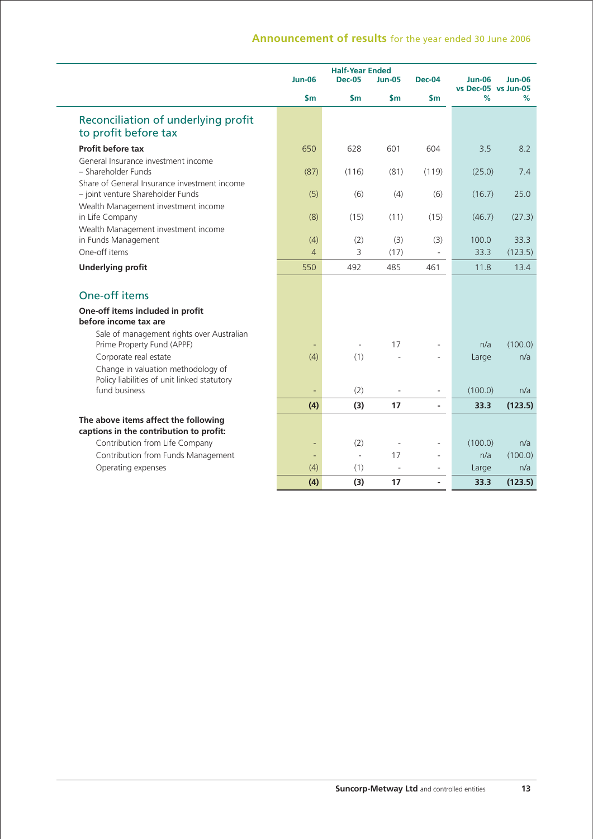|                                                                                                            | <b>Jun-06</b> | <b>Half-Year Ended</b><br><b>Dec-05</b> | <b>Jun-05</b>            | <b>Dec-04</b>            | <b>Jun-06</b><br>vs Dec-05 vs Jun-05 | Jun-06          |
|------------------------------------------------------------------------------------------------------------|---------------|-----------------------------------------|--------------------------|--------------------------|--------------------------------------|-----------------|
|                                                                                                            | \$m           | \$m                                     | $\mathsf{Sm}$            | $\mathsf{Sm}$            | %                                    | %               |
| Reconciliation of underlying profit<br>to profit before tax                                                |               |                                         |                          |                          |                                      |                 |
| Profit before tax                                                                                          | 650           | 628                                     | 601                      | 604                      | 3.5                                  | 8.2             |
| General Insurance investment income<br>- Shareholder Funds                                                 | (87)          | (116)                                   | (81)                     | (119)                    | (25.0)                               | 7.4             |
| Share of General Insurance investment income<br>- joint venture Shareholder Funds                          | (5)           | (6)                                     | (4)                      | (6)                      | (16.7)                               | 25.0            |
| Wealth Management investment income<br>in Life Company                                                     | (8)           | (15)                                    | (11)                     | (15)                     | (46.7)                               | (27.3)          |
| Wealth Management investment income<br>in Funds Management<br>One-off items                                | (4)<br>4      | (2)<br>3                                | (3)<br>(17)              | (3)                      | 100.0<br>33.3                        | 33.3<br>(123.5) |
| <b>Underlying profit</b>                                                                                   | 550           | 492                                     | 485                      | 461                      | 11.8                                 | 13.4            |
| One-off items                                                                                              |               |                                         |                          |                          |                                      |                 |
| One-off items included in profit<br>before income tax are                                                  |               |                                         |                          |                          |                                      |                 |
| Sale of management rights over Australian<br>Prime Property Fund (APPF)                                    |               | ÷,                                      | 17                       |                          | n/a                                  | (100.0)         |
| Corporate real estate<br>Change in valuation methodology of<br>Policy liabilities of unit linked statutory | (4)           | (1)                                     |                          |                          | Large                                | n/a             |
| fund business                                                                                              |               | (2)                                     | $\overline{\phantom{a}}$ | $\overline{\phantom{a}}$ | (100.0)                              | n/a             |
|                                                                                                            | (4)           | (3)                                     | 17                       | $\overline{a}$           | 33.3                                 | (123.5)         |
| The above items affect the following<br>captions in the contribution to profit:                            |               |                                         |                          |                          |                                      |                 |
| Contribution from Life Company                                                                             | ÷             | (2)                                     | $\overline{\phantom{a}}$ |                          | (100.0)                              | n/a             |
| Contribution from Funds Management                                                                         |               | L.                                      | 17                       | ÷                        | n/a                                  | (100.0)         |
| Operating expenses                                                                                         | (4)           | (1)                                     | $\sim$                   |                          | Large                                | n/a             |
|                                                                                                            | (4)           | (3)                                     | 17                       | $\overline{\phantom{a}}$ | 33.3                                 | (123.5)         |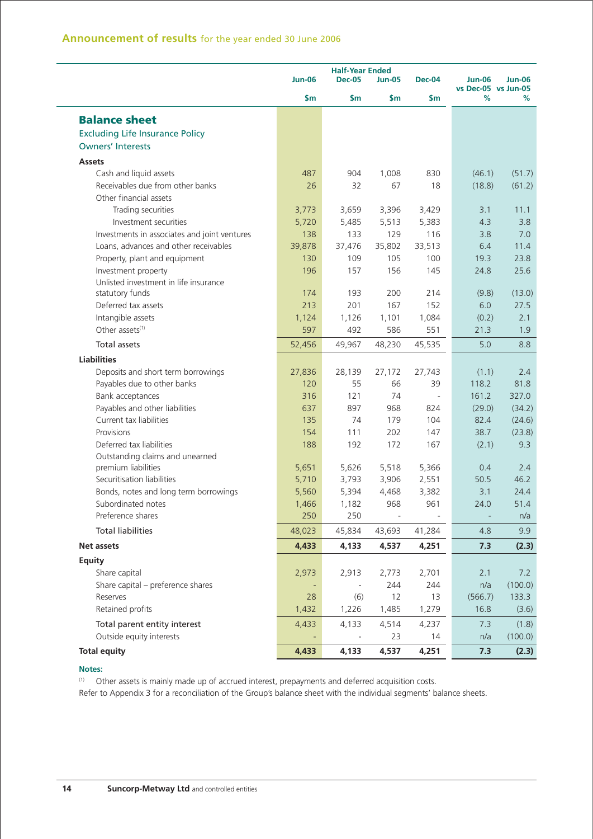|                                              | <b>Jun-06</b> | <b>Half-Year Ended</b><br><b>Dec-05</b><br><b>Jun-05</b><br>Dec-04 |                |                          |                          | <b>Jun-06</b> |
|----------------------------------------------|---------------|--------------------------------------------------------------------|----------------|--------------------------|--------------------------|---------------|
|                                              | \$m           | \$m                                                                | \$m            | \$m                      | vs Dec-05 vs Jun-05<br>℅ | %             |
| <b>Balance sheet</b>                         |               |                                                                    |                |                          |                          |               |
| <b>Excluding Life Insurance Policy</b>       |               |                                                                    |                |                          |                          |               |
| <b>Owners' Interests</b>                     |               |                                                                    |                |                          |                          |               |
| <b>Assets</b>                                |               |                                                                    |                |                          |                          |               |
| Cash and liquid assets                       | 487           | 904                                                                | 1,008          | 830                      | (46.1)                   | (51.7)        |
| Receivables due from other banks             | 26            | 32                                                                 | 67             | 18                       | (18.8)                   | (61.2)        |
| Other financial assets                       |               |                                                                    |                |                          |                          |               |
| Trading securities                           | 3,773         | 3,659                                                              | 3,396          | 3,429                    | 3.1                      | 11.1          |
| Investment securities                        | 5,720         | 5,485                                                              | 5,513          | 5,383                    | 4.3                      | 3.8           |
| Investments in associates and joint ventures | 138           | 133                                                                | 129            | 116                      | 3.8                      | 7.0           |
| Loans, advances and other receivables        | 39,878        | 37,476                                                             | 35,802         | 33,513                   | 6.4                      | 11.4          |
| Property, plant and equipment                | 130           | 109                                                                | 105            | 100                      | 19.3                     | 23.8          |
| Investment property                          | 196           | 157                                                                | 156            | 145                      | 24.8                     | 25.6          |
| Unlisted investment in life insurance        |               |                                                                    |                |                          |                          |               |
| statutory funds                              | 174           | 193                                                                | 200            | 214                      | (9.8)                    | (13.0)        |
| Deferred tax assets                          | 213           | 201                                                                | 167            | 152                      | 6.0                      | 27.5          |
| Intangible assets                            | 1,124         | 1,126                                                              | 1,101          | 1,084                    | (0.2)                    | 2.1           |
| Other assets <sup>(1)</sup>                  | 597           | 492                                                                | 586            | 551                      | 21.3                     | 1.9           |
| Total assets                                 | 52,456        | 49,967                                                             | 48,230         | 45,535                   | 5.0                      | 8.8           |
| <b>Liabilities</b>                           |               |                                                                    |                |                          |                          |               |
| Deposits and short term borrowings           | 27,836        | 28,139                                                             | 27,172         | 27,743                   | (1.1)                    | 2.4           |
| Payables due to other banks                  | 120           | 55                                                                 | 66             | 39                       | 118.2                    | 81.8          |
| Bank acceptances                             | 316           | 121                                                                | 74             | $\overline{\phantom{a}}$ | 161.2                    | 327.0         |
| Payables and other liabilities               | 637           | 897                                                                | 968            | 824                      | (29.0)                   | (34.2)        |
| Current tax liabilities                      | 135           | 74                                                                 | 179            | 104                      | 82.4                     | (24.6)        |
| Provisions                                   | 154           | 111                                                                | 202            | 147                      | 38.7                     | (23.8)        |
| Deferred tax liabilities                     | 188           | 192                                                                | 172            | 167                      | (2.1)                    | 9.3           |
| Outstanding claims and unearned              |               |                                                                    |                |                          |                          |               |
| premium liabilities                          | 5,651         | 5,626                                                              | 5,518          | 5,366                    | 0.4                      | 2.4           |
| Securitisation liabilities                   | 5,710         | 3,793                                                              | 3,906          | 2,551                    | 50.5                     | 46.2          |
| Bonds, notes and long term borrowings        | 5,560         | 5,394                                                              | 4,468          | 3,382                    | 3.1                      | 24.4          |
| Subordinated notes                           | 1,466         | 1,182                                                              | 968            | 961                      | 24.0                     | 51.4          |
| Preference shares                            | 250           | 250                                                                | $\blacksquare$ |                          | $\overline{\phantom{a}}$ | n/a           |
| <b>Total liabilities</b>                     | 48,023        | 45,834                                                             | 43,693         | 41,284                   | 4.8                      | 9.9           |
| Net assets                                   | 4,433         | 4,133                                                              | 4,537          | 4,251                    | 7.3                      | (2.3)         |
| <b>Equity</b>                                |               |                                                                    |                |                          |                          |               |
| Share capital                                | 2,973         | 2,913                                                              | 2,773          | 2,701                    | 2.1                      | 7.2           |
| Share capital - preference shares            |               | $\overline{\phantom{a}}$                                           | 244            | 244                      | n/a                      | (100.0)       |
| Reserves                                     | 28            | (6)                                                                | 12             | 13                       | (566.7)                  | 133.3         |
| Retained profits                             | 1,432         | 1,226                                                              | 1,485          | 1,279                    | 16.8                     | (3.6)         |
| Total parent entity interest                 | 4,433         | 4,133                                                              | 4,514          | 4,237                    | 7.3                      | (1.8)         |
| Outside equity interests                     |               | $\overline{\phantom{a}}$                                           | 23             | 14                       | n/a                      | (100.0)       |
| <b>Total equity</b>                          | 4,433         | 4,133                                                              | 4,537          | 4,251                    | 7.3                      | (2.3)         |

(1) Other assets is mainly made up of accrued interest, prepayments and deferred acquisition costs.

Refer to Appendix 3 for a reconciliation of the Group's balance sheet with the individual segments' balance sheets.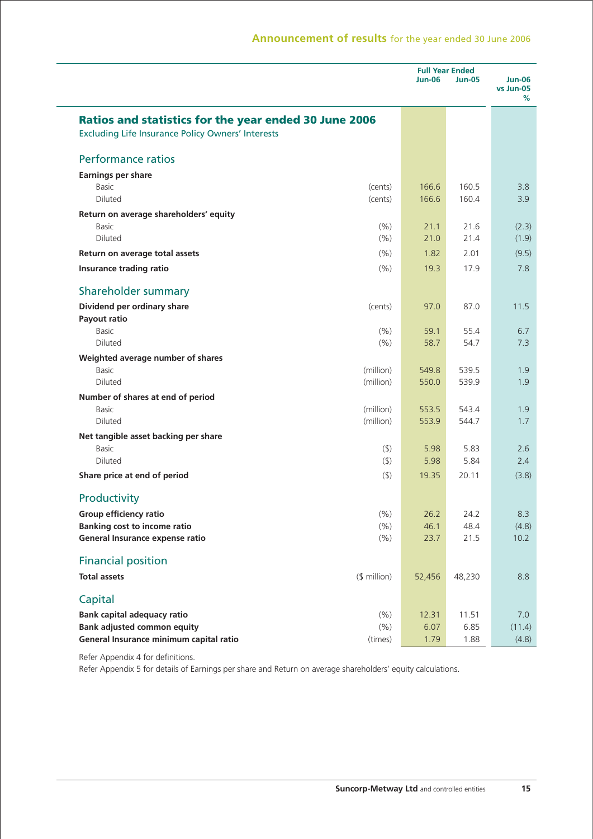|                                                                                                                          |              | <b>Jun-06</b> | <b>Full Year Ended</b><br><b>Jun-05</b> | Jun-06<br>vs Jun-05<br>% |
|--------------------------------------------------------------------------------------------------------------------------|--------------|---------------|-----------------------------------------|--------------------------|
| <b>Ratios and statistics for the year ended 30 June 2006</b><br><b>Excluding Life Insurance Policy Owners' Interests</b> |              |               |                                         |                          |
| <b>Performance ratios</b>                                                                                                |              |               |                                         |                          |
| <b>Earnings per share</b>                                                                                                |              |               |                                         |                          |
| Basic                                                                                                                    | (cents)      | 166.6         | 160.5                                   | 3.8                      |
| Diluted                                                                                                                  | (cents)      | 166.6         | 160.4                                   | 3.9                      |
| Return on average shareholders' equity                                                                                   |              |               |                                         |                          |
| <b>Basic</b>                                                                                                             | (% )         | 21.1          | 21.6                                    | (2.3)                    |
| Diluted                                                                                                                  | (% )         | 21.0          | 21.4                                    | (1.9)                    |
| Return on average total assets                                                                                           | (% )         | 1.82          | 2.01                                    | (9.5)                    |
| Insurance trading ratio                                                                                                  | (% )         | 19.3          | 17.9                                    | 7.8                      |
| Shareholder summary                                                                                                      |              |               |                                         |                          |
| Dividend per ordinary share                                                                                              | (cents)      | 97.0          | 87.0                                    | 11.5                     |
| Payout ratio                                                                                                             |              |               |                                         |                          |
| <b>Basic</b>                                                                                                             | (% )         | 59.1          | 55.4                                    | 6.7                      |
| Diluted                                                                                                                  | (% )         | 58.7          | 54.7                                    | 7.3                      |
| Weighted average number of shares                                                                                        |              |               |                                         |                          |
| <b>Basic</b>                                                                                                             | (million)    | 549.8         | 539.5                                   | 1.9                      |
| Diluted                                                                                                                  | (million)    | 550.0         | 539.9                                   | 1.9                      |
| Number of shares at end of period                                                                                        |              |               |                                         |                          |
| <b>Basic</b>                                                                                                             | (million)    | 553.5         | 543.4                                   | 1.9                      |
| Diluted                                                                                                                  | (million)    | 553.9         | 544.7                                   | 1.7                      |
| Net tangible asset backing per share                                                                                     |              |               |                                         |                          |
| <b>Basic</b><br>Diluted                                                                                                  | $($ \$)      | 5.98<br>5.98  | 5.83<br>5.84                            | 2.6<br>2.4               |
|                                                                                                                          | (5)          |               |                                         |                          |
| Share price at end of period                                                                                             | (5)          | 19.35         | 20.11                                   | (3.8)                    |
| Productivity                                                                                                             |              |               |                                         |                          |
| Group efficiency ratio                                                                                                   | (% )         | 26.2          | 24.2                                    | 8.3                      |
| <b>Banking cost to income ratio</b>                                                                                      | (% )         | 46.1          | 48.4                                    | (4.8)                    |
| General Insurance expense ratio                                                                                          | (% )         | 23.7          | 21.5                                    | 10.2                     |
| <b>Financial position</b>                                                                                                |              |               |                                         |                          |
| <b>Total assets</b>                                                                                                      | (\$ million) | 52,456        | 48,230                                  | 8.8                      |
| Capital                                                                                                                  |              |               |                                         |                          |
| <b>Bank capital adequacy ratio</b>                                                                                       | (% )         | 12.31         | 11.51                                   | 7.0                      |
| <b>Bank adjusted common equity</b>                                                                                       | (% )         | 6.07          | 6.85                                    | (11.4)                   |
| General Insurance minimum capital ratio                                                                                  | (times)      | 1.79          | 1.88                                    | (4.8)                    |

Refer Appendix 4 for definitions.

Refer Appendix 5 for details of Earnings per share and Return on average shareholders' equity calculations.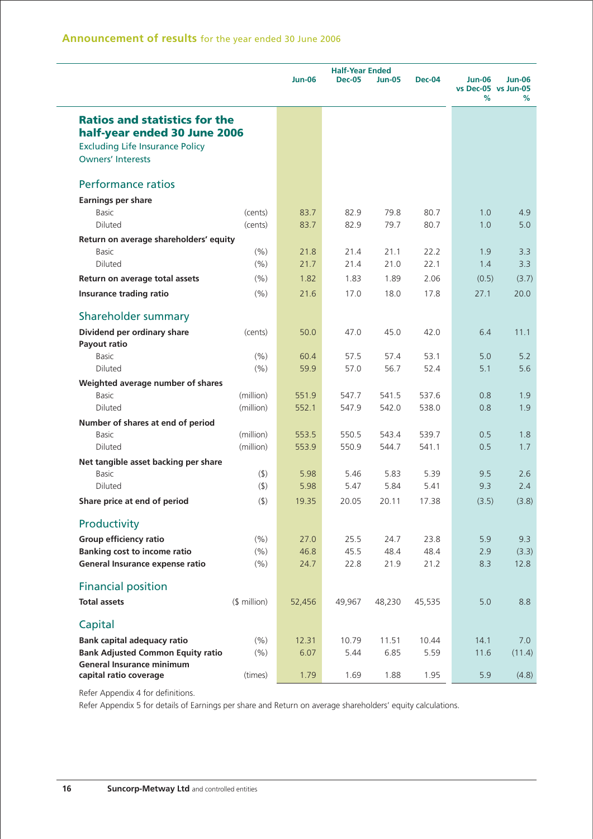|                                          |              | <b>Jun-06</b> | <b>Half-Year Ended</b><br><b>Dec-05</b><br><b>Jun-05</b><br><b>Dec-04</b> |        |        | <b>Jun-06</b>            | <b>Jun-06</b> |
|------------------------------------------|--------------|---------------|---------------------------------------------------------------------------|--------|--------|--------------------------|---------------|
|                                          |              |               |                                                                           |        |        | vs Dec-05 vs Jun-05<br>% | %             |
| <b>Ratios and statistics for the</b>     |              |               |                                                                           |        |        |                          |               |
| half-year ended 30 June 2006             |              |               |                                                                           |        |        |                          |               |
| <b>Excluding Life Insurance Policy</b>   |              |               |                                                                           |        |        |                          |               |
| <b>Owners' Interests</b>                 |              |               |                                                                           |        |        |                          |               |
| <b>Performance ratios</b>                |              |               |                                                                           |        |        |                          |               |
| <b>Earnings per share</b>                |              |               |                                                                           |        |        |                          |               |
| Basic                                    | (cents)      | 83.7          | 82.9                                                                      | 79.8   | 80.7   | 1.0                      | 4.9           |
| <b>Diluted</b>                           | (cents)      | 83.7          | 82.9                                                                      | 79.7   | 80.7   | 1.0                      | 5.0           |
| Return on average shareholders' equity   |              |               |                                                                           |        |        |                          |               |
| <b>Basic</b>                             | (% )         | 21.8          | 21.4                                                                      | 21.1   | 22.2   | 1.9                      | 3.3           |
| Diluted                                  | (% )         | 21.7          | 21.4                                                                      | 21.0   | 22.1   | 1.4                      | 3.3           |
| Return on average total assets           | (9/6)        | 1.82          | 1.83                                                                      | 1.89   | 2.06   | (0.5)                    | (3.7)         |
| Insurance trading ratio                  | (% )         | 21.6          | 17.0                                                                      | 18.0   | 17.8   | 27.1                     | 20.0          |
| Shareholder summary                      |              |               |                                                                           |        |        |                          |               |
| Dividend per ordinary share              | (cents)      | 50.0          | 47.0                                                                      | 45.0   | 42.0   | 6.4                      | 11.1          |
| Payout ratio                             |              |               |                                                                           |        |        |                          |               |
| Basic                                    | (%)          | 60.4          | 57.5                                                                      | 57.4   | 53.1   | 5.0                      | 5.2           |
| Diluted                                  | (%)          | 59.9          | 57.0                                                                      | 56.7   | 52.4   | 5.1                      | 5.6           |
| Weighted average number of shares        |              |               |                                                                           |        |        |                          |               |
| <b>Basic</b>                             | (million)    | 551.9         | 547.7                                                                     | 541.5  | 537.6  | 0.8                      | 1.9           |
| Diluted                                  | (million)    | 552.1         | 547.9                                                                     | 542.0  | 538.0  | 0.8                      | 1.9           |
| Number of shares at end of period        |              |               |                                                                           |        |        |                          |               |
| Basic                                    | (million)    | 553.5         | 550.5                                                                     | 543.4  | 539.7  | 0.5                      | 1.8           |
| Diluted                                  | (million)    | 553.9         | 550.9                                                                     | 544.7  | 541.1  | 0.5                      | 1.7           |
| Net tangible asset backing per share     |              |               |                                                                           |        |        |                          |               |
| Basic                                    | (4)          | 5.98          | 5.46                                                                      | 5.83   | 5.39   | 9.5                      | 2.6           |
| Diluted                                  | $($ \$)      | 5.98          | 5.47                                                                      | 5.84   | 5.41   | 9.3                      | 2.4           |
| Share price at end of period             | $($ \$)      | 19.35         | 20.05                                                                     | 20.11  | 17.38  | (3.5)                    | (3.8)         |
| Productivity                             |              |               |                                                                           |        |        |                          |               |
| Group efficiency ratio                   | (% )         | 27.0          | 25.5                                                                      | 24.7   | 23.8   | 5.9                      | 9.3           |
| <b>Banking cost to income ratio</b>      | (%)          | 46.8          | 45.5                                                                      | 48.4   | 48.4   | 2.9                      | (3.3)         |
| General Insurance expense ratio          | (% )         | 24.7          | 22.8                                                                      | 21.9   | 21.2   | 8.3                      | 12.8          |
| <b>Financial position</b>                |              |               |                                                                           |        |        |                          |               |
| <b>Total assets</b>                      | $$$ million) | 52,456        | 49,967                                                                    | 48,230 | 45,535 | 5.0                      | 8.8           |
| Capital                                  |              |               |                                                                           |        |        |                          |               |
| <b>Bank capital adequacy ratio</b>       | (% )         | 12.31         | 10.79                                                                     | 11.51  | 10.44  | 14.1                     | 7.0           |
| <b>Bank Adjusted Common Equity ratio</b> | (%)          | 6.07          | 5.44                                                                      | 6.85   | 5.59   | 11.6                     | (11.4)        |
| <b>General Insurance minimum</b>         |              |               |                                                                           |        |        |                          |               |
| capital ratio coverage                   | (times)      | 1.79          | 1.69                                                                      | 1.88   | 1.95   | 5.9                      | (4.8)         |

Refer Appendix 4 for definitions.

Refer Appendix 5 for details of Earnings per share and Return on average shareholders' equity calculations.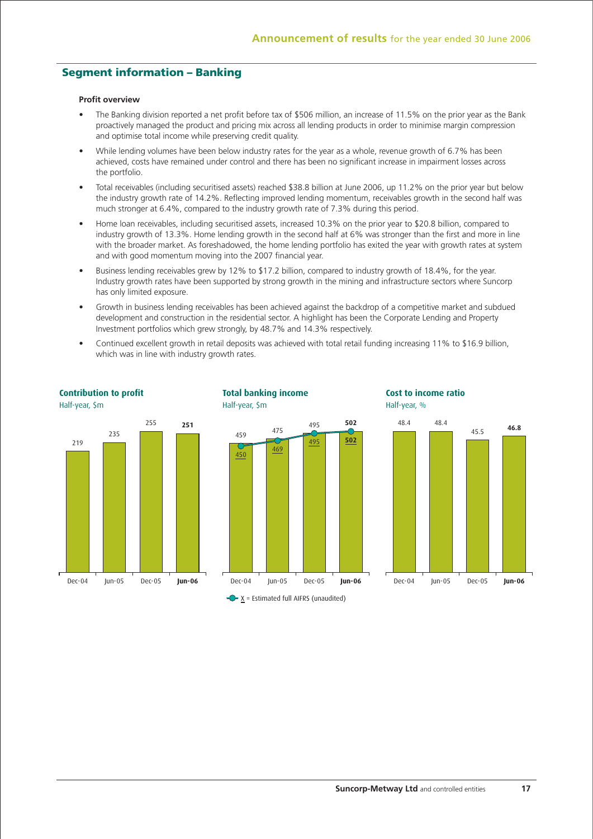## **Segment information – Banking**

#### **Profit overview**

- The Banking division reported a net profit before tax of \$506 million, an increase of 11.5% on the prior year as the Bank proactively managed the product and pricing mix across all lending products in order to minimise margin compression and optimise total income while preserving credit quality.
- While lending volumes have been below industry rates for the year as a whole, revenue growth of 6.7% has been achieved, costs have remained under control and there has been no significant increase in impairment losses across the portfolio.
- Total receivables (including securitised assets) reached \$38.8 billion at June 2006, up 11.2% on the prior year but below the industry growth rate of 14.2%. Reflecting improved lending momentum, receivables growth in the second half was much stronger at 6.4%, compared to the industry growth rate of 7.3% during this period.
- Home loan receivables, including securitised assets, increased 10.3% on the prior year to \$20.8 billion, compared to industry growth of 13.3%. Home lending growth in the second half at 6% was stronger than the first and more in line with the broader market. As foreshadowed, the home lending portfolio has exited the year with growth rates at system and with good momentum moving into the 2007 financial year.
- Business lending receivables grew by 12% to \$17.2 billion, compared to industry growth of 18.4%, for the year. Industry growth rates have been supported by strong growth in the mining and infrastructure sectors where Suncorp has only limited exposure.
- Growth in business lending receivables has been achieved against the backdrop of a competitive market and subdued development and construction in the residential sector. A highlight has been the Corporate Lending and Property Investment portfolios which grew strongly, by 48.7% and 14.3% respectively.
- Continued excellent growth in retail deposits was achieved with total retail funding increasing 11% to \$16.9 billion, which was in line with industry growth rates.

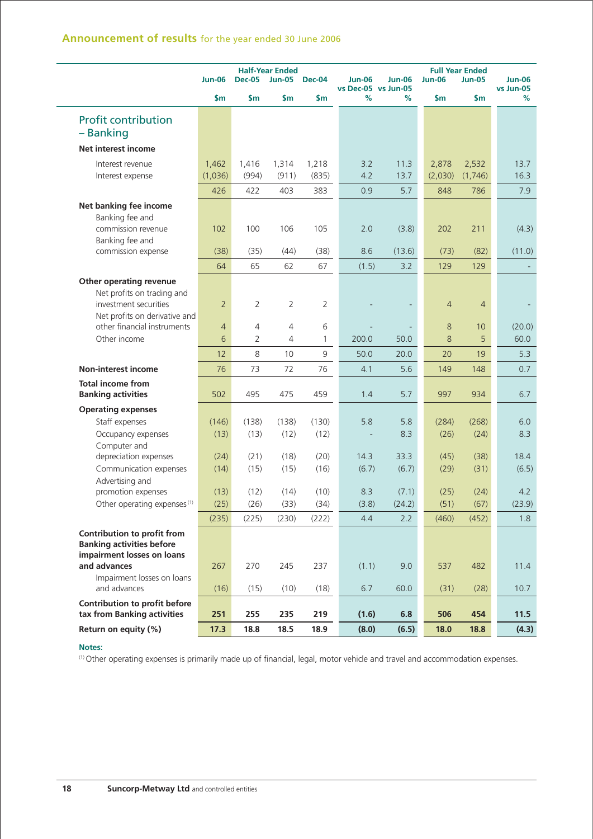|                                                                                               | <b>Jun-06</b>  | <b>Dec-05</b>  | <b>Half-Year Ended</b><br><b>Jun-05</b> | <b>Dec-04</b> | <b>Jun-06</b> | <b>Jun-06</b>            | <b>Jun-06</b>  | <b>Full Year Ended</b><br><b>Jun-05</b> | <b>Jun-06</b>  |
|-----------------------------------------------------------------------------------------------|----------------|----------------|-----------------------------------------|---------------|---------------|--------------------------|----------------|-----------------------------------------|----------------|
|                                                                                               | \$m\$          | \$m\$          | \$m                                     | \$m           | %             | vs Dec-05 vs Jun-05<br>% | \$m            | \$m                                     | vs Jun-05<br>% |
| <b>Profit contribution</b>                                                                    |                |                |                                         |               |               |                          |                |                                         |                |
| - Banking                                                                                     |                |                |                                         |               |               |                          |                |                                         |                |
| Net interest income                                                                           |                |                |                                         |               |               |                          |                |                                         |                |
| Interest revenue                                                                              | 1,462          | 1,416          | 1,314                                   | 1,218         | 3.2           | 11.3                     | 2,878          | 2,532                                   | 13.7           |
| Interest expense                                                                              | (1,036)        | (994)          | (911)                                   | (835)         | 4.2           | 13.7                     | (2,030)        | (1,746)                                 | 16.3           |
|                                                                                               | 426            | 422            | 403                                     | 383           | 0.9           | 5.7                      | 848            | 786                                     | 7.9            |
| Net banking fee income                                                                        |                |                |                                         |               |               |                          |                |                                         |                |
| Banking fee and                                                                               |                |                |                                         |               |               |                          |                |                                         |                |
| commission revenue                                                                            | 102            | 100            | 106                                     | 105           | 2.0           | (3.8)                    | 202            | 211                                     | (4.3)          |
| Banking fee and                                                                               |                |                |                                         |               |               |                          |                |                                         |                |
| commission expense                                                                            | (38)           | (35)           | (44)                                    | (38)          | 8.6           | (13.6)                   | (73)           | (82)                                    | (11.0)         |
|                                                                                               | 64             | 65             | 62                                      | 67            | (1.5)         | 3.2                      | 129            | 129                                     |                |
| Other operating revenue                                                                       |                |                |                                         |               |               |                          |                |                                         |                |
| Net profits on trading and                                                                    |                |                |                                         |               |               |                          |                |                                         |                |
| investment securities                                                                         | $\overline{2}$ | $\overline{2}$ | 2                                       | 2             |               |                          | $\overline{4}$ | $\overline{4}$                          |                |
| Net profits on derivative and<br>other financial instruments                                  | $\overline{4}$ | $\overline{4}$ | $\overline{4}$                          | 6             |               |                          | 8              | 10                                      | (20.0)         |
| Other income                                                                                  | 6              | $\overline{2}$ | 4                                       | 1             | 200.0         | 50.0                     | 8              | 5                                       | 60.0           |
|                                                                                               |                | 8              |                                         |               |               |                          |                |                                         |                |
|                                                                                               | 12             |                | 10                                      | 9             | 50.0          | 20.0                     | 20             | 19                                      | 5.3            |
| Non-interest income                                                                           | 76             | 73             | 72                                      | 76            | 4.1           | 5.6                      | 149            | 148                                     | 0.7            |
| <b>Total income from</b><br><b>Banking activities</b>                                         | 502            | 495            | 475                                     | 459           | 1.4           | 5.7                      | 997            | 934                                     | 6.7            |
| <b>Operating expenses</b>                                                                     |                |                |                                         |               |               |                          |                |                                         |                |
| Staff expenses                                                                                | (146)          | (138)          | (138)                                   | (130)         | 5.8           | 5.8                      | (284)          | (268)                                   | 6.0            |
| Occupancy expenses                                                                            | (13)           | (13)           | (12)                                    | (12)          |               | 8.3                      | (26)           | (24)                                    | 8.3            |
| Computer and                                                                                  |                |                |                                         |               |               |                          |                |                                         |                |
| depreciation expenses                                                                         | (24)           | (21)           | (18)                                    | (20)          | 14.3          | 33.3                     | (45)           | (38)                                    | 18.4           |
| Communication expenses<br>Advertising and                                                     | (14)           | (15)           | (15)                                    | (16)          | (6.7)         | (6.7)                    | (29)           | (31)                                    | (6.5)          |
| promotion expenses                                                                            | (13)           | (12)           | (14)                                    | (10)          | 8.3           | (7.1)                    | (25)           | (24)                                    | 4.2            |
| Other operating expenses <sup>(1)</sup>                                                       | (25)           | (26)           | (33)                                    | (34)          | (3.8)         | (24.2)                   | (51)           | (67)                                    | (23.9)         |
|                                                                                               | (235)          | (225)          | (230)                                   | (222)         | 4.4           | 2.2                      | (460)          | (452)                                   | 1.8            |
|                                                                                               |                |                |                                         |               |               |                          |                |                                         |                |
| Contribution to profit from<br><b>Banking activities before</b><br>impairment losses on loans |                |                |                                         |               |               |                          |                |                                         |                |
| and advances                                                                                  | 267            | 270            | 245                                     | 237           | (1.1)         | 9.0                      | 537            | 482                                     | 11.4           |
| Impairment losses on loans                                                                    |                |                |                                         |               |               |                          |                |                                         |                |
| and advances                                                                                  | (16)           | (15)           | (10)                                    | (18)          | 6.7           | 60.0                     | (31)           | (28)                                    | 10.7           |
| Contribution to profit before<br>tax from Banking activities                                  | 251            | 255            | 235                                     | 219           | (1.6)         | 6.8                      | 506            | 454                                     | 11.5           |
| Return on equity (%)                                                                          | 17.3           | 18.8           | 18.5                                    | 18.9          | (8.0)         | (6.5)                    | 18.0           | 18.8                                    | (4.3)          |
|                                                                                               |                |                |                                         |               |               |                          |                |                                         |                |

(1) Other operating expenses is primarily made up of financial, legal, motor vehicle and travel and accommodation expenses.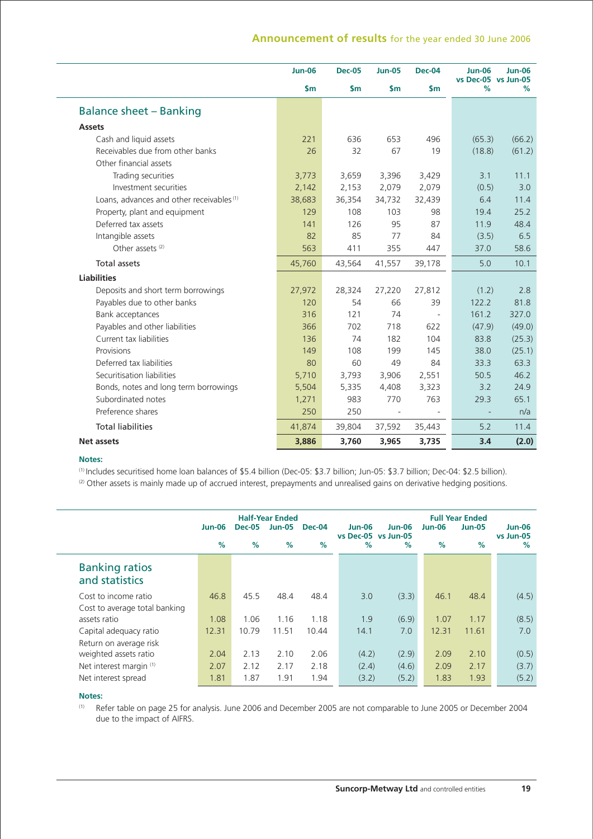| $\mathsf{Sm}$<br>$\mathsf{sm}$<br>$\mathsf{Sm}$<br>$\mathsf{sm}$<br>%<br><b>Balance sheet - Banking</b><br><b>Assets</b><br>Cash and liquid assets<br>221<br>636<br>653<br>(65.3)<br>496<br>Receivables due from other banks<br>26<br>32<br>67<br>19<br>(18.8)<br>Other financial assets<br>Trading securities<br>3,773<br>3,659<br>3,396<br>3,429<br>3.1<br>Investment securities<br>2,142<br>2,153<br>2,079<br>2,079<br>(0.5)<br>Loans, advances and other receivables <sup>(1)</sup><br>38,683<br>36,354<br>34,732<br>32,439<br>6.4<br>129<br>108<br>103<br>98<br>19.4<br>Property, plant and equipment<br>Deferred tax assets<br>126<br>95<br>87<br>11.9<br>141<br>Intangible assets<br>82<br>85<br>77<br>84<br>(3.5)<br>Other assets <sup>(2)</sup><br>563<br>411<br>355<br>37.0<br>447<br><b>Total assets</b><br>5.0<br>45,760<br>43,564<br>41,557<br>39,178<br><b>Liabilities</b><br>Deposits and short term borrowings<br>27,972<br>28,324<br>27,220<br>27,812<br>(1.2)<br>Payables due to other banks<br>120<br>54<br>66<br>122.2<br>39<br>161.2<br>Bank acceptances<br>316<br>121<br>74<br>Payables and other liabilities<br>702<br>718<br>622<br>(47.9)<br>366<br>Current tax liabilities<br>83.8<br>136<br>74<br>182<br>104<br>Provisions<br>108<br>199<br>38.0<br>149<br>145<br>Deferred tax liabilities<br>60<br>49<br>80<br>84<br>33.3<br>Securitisation liabilities<br>5,710<br>3,906<br>50.5<br>3,793<br>2,551<br>3.2<br>Bonds, notes and long term borrowings<br>5,504<br>5,335<br>4,408<br>3,323<br>Subordinated notes<br>983<br>770<br>763<br>29.3<br>1,271<br>250<br>Preference shares<br>250<br><b>Total liabilities</b><br>41,874<br>39,804<br>37,592<br>35,443<br>5.2<br><b>Net assets</b> | <b>Jun-06</b> | <b>Dec-05</b> | <b>Jun-05</b> | <b>Dec-04</b> | <b>Jun-06</b><br>vs Dec-05 vs Jun-05 | <b>Jun-06</b> |
|--------------------------------------------------------------------------------------------------------------------------------------------------------------------------------------------------------------------------------------------------------------------------------------------------------------------------------------------------------------------------------------------------------------------------------------------------------------------------------------------------------------------------------------------------------------------------------------------------------------------------------------------------------------------------------------------------------------------------------------------------------------------------------------------------------------------------------------------------------------------------------------------------------------------------------------------------------------------------------------------------------------------------------------------------------------------------------------------------------------------------------------------------------------------------------------------------------------------------------------------------------------------------------------------------------------------------------------------------------------------------------------------------------------------------------------------------------------------------------------------------------------------------------------------------------------------------------------------------------------------------------------------------------------------------------------------------------------------|---------------|---------------|---------------|---------------|--------------------------------------|---------------|
|                                                                                                                                                                                                                                                                                                                                                                                                                                                                                                                                                                                                                                                                                                                                                                                                                                                                                                                                                                                                                                                                                                                                                                                                                                                                                                                                                                                                                                                                                                                                                                                                                                                                                                                    |               |               |               |               |                                      | %             |
|                                                                                                                                                                                                                                                                                                                                                                                                                                                                                                                                                                                                                                                                                                                                                                                                                                                                                                                                                                                                                                                                                                                                                                                                                                                                                                                                                                                                                                                                                                                                                                                                                                                                                                                    |               |               |               |               |                                      |               |
|                                                                                                                                                                                                                                                                                                                                                                                                                                                                                                                                                                                                                                                                                                                                                                                                                                                                                                                                                                                                                                                                                                                                                                                                                                                                                                                                                                                                                                                                                                                                                                                                                                                                                                                    |               |               |               |               |                                      |               |
|                                                                                                                                                                                                                                                                                                                                                                                                                                                                                                                                                                                                                                                                                                                                                                                                                                                                                                                                                                                                                                                                                                                                                                                                                                                                                                                                                                                                                                                                                                                                                                                                                                                                                                                    |               |               |               |               |                                      | (66.2)        |
|                                                                                                                                                                                                                                                                                                                                                                                                                                                                                                                                                                                                                                                                                                                                                                                                                                                                                                                                                                                                                                                                                                                                                                                                                                                                                                                                                                                                                                                                                                                                                                                                                                                                                                                    |               |               |               |               |                                      | (61.2)        |
|                                                                                                                                                                                                                                                                                                                                                                                                                                                                                                                                                                                                                                                                                                                                                                                                                                                                                                                                                                                                                                                                                                                                                                                                                                                                                                                                                                                                                                                                                                                                                                                                                                                                                                                    |               |               |               |               |                                      |               |
|                                                                                                                                                                                                                                                                                                                                                                                                                                                                                                                                                                                                                                                                                                                                                                                                                                                                                                                                                                                                                                                                                                                                                                                                                                                                                                                                                                                                                                                                                                                                                                                                                                                                                                                    |               |               |               |               |                                      | 11.1          |
|                                                                                                                                                                                                                                                                                                                                                                                                                                                                                                                                                                                                                                                                                                                                                                                                                                                                                                                                                                                                                                                                                                                                                                                                                                                                                                                                                                                                                                                                                                                                                                                                                                                                                                                    |               |               |               |               |                                      | 3.0           |
|                                                                                                                                                                                                                                                                                                                                                                                                                                                                                                                                                                                                                                                                                                                                                                                                                                                                                                                                                                                                                                                                                                                                                                                                                                                                                                                                                                                                                                                                                                                                                                                                                                                                                                                    |               |               |               |               |                                      | 11.4          |
|                                                                                                                                                                                                                                                                                                                                                                                                                                                                                                                                                                                                                                                                                                                                                                                                                                                                                                                                                                                                                                                                                                                                                                                                                                                                                                                                                                                                                                                                                                                                                                                                                                                                                                                    |               |               |               |               |                                      | 25.2          |
|                                                                                                                                                                                                                                                                                                                                                                                                                                                                                                                                                                                                                                                                                                                                                                                                                                                                                                                                                                                                                                                                                                                                                                                                                                                                                                                                                                                                                                                                                                                                                                                                                                                                                                                    |               |               |               |               |                                      | 48.4          |
|                                                                                                                                                                                                                                                                                                                                                                                                                                                                                                                                                                                                                                                                                                                                                                                                                                                                                                                                                                                                                                                                                                                                                                                                                                                                                                                                                                                                                                                                                                                                                                                                                                                                                                                    |               |               |               |               |                                      | 6.5           |
|                                                                                                                                                                                                                                                                                                                                                                                                                                                                                                                                                                                                                                                                                                                                                                                                                                                                                                                                                                                                                                                                                                                                                                                                                                                                                                                                                                                                                                                                                                                                                                                                                                                                                                                    |               |               |               |               |                                      | 58.6          |
|                                                                                                                                                                                                                                                                                                                                                                                                                                                                                                                                                                                                                                                                                                                                                                                                                                                                                                                                                                                                                                                                                                                                                                                                                                                                                                                                                                                                                                                                                                                                                                                                                                                                                                                    |               |               |               |               |                                      | 10.1          |
|                                                                                                                                                                                                                                                                                                                                                                                                                                                                                                                                                                                                                                                                                                                                                                                                                                                                                                                                                                                                                                                                                                                                                                                                                                                                                                                                                                                                                                                                                                                                                                                                                                                                                                                    |               |               |               |               |                                      |               |
|                                                                                                                                                                                                                                                                                                                                                                                                                                                                                                                                                                                                                                                                                                                                                                                                                                                                                                                                                                                                                                                                                                                                                                                                                                                                                                                                                                                                                                                                                                                                                                                                                                                                                                                    |               |               |               |               |                                      | 2.8           |
|                                                                                                                                                                                                                                                                                                                                                                                                                                                                                                                                                                                                                                                                                                                                                                                                                                                                                                                                                                                                                                                                                                                                                                                                                                                                                                                                                                                                                                                                                                                                                                                                                                                                                                                    |               |               |               |               |                                      | 81.8          |
|                                                                                                                                                                                                                                                                                                                                                                                                                                                                                                                                                                                                                                                                                                                                                                                                                                                                                                                                                                                                                                                                                                                                                                                                                                                                                                                                                                                                                                                                                                                                                                                                                                                                                                                    |               |               |               |               |                                      | 327.0         |
|                                                                                                                                                                                                                                                                                                                                                                                                                                                                                                                                                                                                                                                                                                                                                                                                                                                                                                                                                                                                                                                                                                                                                                                                                                                                                                                                                                                                                                                                                                                                                                                                                                                                                                                    |               |               |               |               |                                      | (49.0)        |
|                                                                                                                                                                                                                                                                                                                                                                                                                                                                                                                                                                                                                                                                                                                                                                                                                                                                                                                                                                                                                                                                                                                                                                                                                                                                                                                                                                                                                                                                                                                                                                                                                                                                                                                    |               |               |               |               |                                      | (25.3)        |
|                                                                                                                                                                                                                                                                                                                                                                                                                                                                                                                                                                                                                                                                                                                                                                                                                                                                                                                                                                                                                                                                                                                                                                                                                                                                                                                                                                                                                                                                                                                                                                                                                                                                                                                    |               |               |               |               |                                      | (25.1)        |
|                                                                                                                                                                                                                                                                                                                                                                                                                                                                                                                                                                                                                                                                                                                                                                                                                                                                                                                                                                                                                                                                                                                                                                                                                                                                                                                                                                                                                                                                                                                                                                                                                                                                                                                    |               |               |               |               |                                      | 63.3          |
|                                                                                                                                                                                                                                                                                                                                                                                                                                                                                                                                                                                                                                                                                                                                                                                                                                                                                                                                                                                                                                                                                                                                                                                                                                                                                                                                                                                                                                                                                                                                                                                                                                                                                                                    |               |               |               |               |                                      | 46.2          |
|                                                                                                                                                                                                                                                                                                                                                                                                                                                                                                                                                                                                                                                                                                                                                                                                                                                                                                                                                                                                                                                                                                                                                                                                                                                                                                                                                                                                                                                                                                                                                                                                                                                                                                                    |               |               |               |               |                                      | 24.9          |
|                                                                                                                                                                                                                                                                                                                                                                                                                                                                                                                                                                                                                                                                                                                                                                                                                                                                                                                                                                                                                                                                                                                                                                                                                                                                                                                                                                                                                                                                                                                                                                                                                                                                                                                    |               |               |               |               |                                      | 65.1          |
|                                                                                                                                                                                                                                                                                                                                                                                                                                                                                                                                                                                                                                                                                                                                                                                                                                                                                                                                                                                                                                                                                                                                                                                                                                                                                                                                                                                                                                                                                                                                                                                                                                                                                                                    |               |               |               |               |                                      | n/a           |
|                                                                                                                                                                                                                                                                                                                                                                                                                                                                                                                                                                                                                                                                                                                                                                                                                                                                                                                                                                                                                                                                                                                                                                                                                                                                                                                                                                                                                                                                                                                                                                                                                                                                                                                    |               |               |               |               |                                      | 11.4          |
|                                                                                                                                                                                                                                                                                                                                                                                                                                                                                                                                                                                                                                                                                                                                                                                                                                                                                                                                                                                                                                                                                                                                                                                                                                                                                                                                                                                                                                                                                                                                                                                                                                                                                                                    | 3,886         | 3,760         | 3,965         | 3,735         | 3.4                                  | (2.0)         |

## **Notes:**

(1) Includes securitised home loan balances of \$5.4 billion (Dec-05: \$3.7 billion; Jun-05: \$3.7 billion; Dec-04: \$2.5 billion).

(2) Other assets is mainly made up of accrued interest, prepayments and unrealised gains on derivative hedging positions.

|                                         | <b>Jun-06</b><br>$\%$ | <b>Dec-05</b><br>$\%$ | <b>Half-Year Ended</b><br><b>Jun-05</b><br>% | <b>Dec-04</b><br>$\%$ | Jun-06<br>$\%$ | <b>Jun-06</b><br>vs Dec-05 vs Jun-05<br>$\%$ | <b>Jun-06</b><br>% | <b>Full Year Ended</b><br><b>Jun-05</b><br>% | $Jun-06$<br>vs Jun-05<br>$\%$ |
|-----------------------------------------|-----------------------|-----------------------|----------------------------------------------|-----------------------|----------------|----------------------------------------------|--------------------|----------------------------------------------|-------------------------------|
| <b>Banking ratios</b><br>and statistics |                       |                       |                                              |                       |                |                                              |                    |                                              |                               |
| Cost to income ratio                    | 46.8                  | 45.5                  | 48.4                                         | 48.4                  | 3.0            | (3.3)                                        | 46.1               | 48.4                                         | (4.5)                         |
| Cost to average total banking           |                       |                       |                                              |                       |                |                                              |                    |                                              |                               |
| assets ratio                            | 1.08                  | 1.06                  | 1.16                                         | 1.18                  | 1.9            | (6.9)                                        | 1.07               | 1.17                                         | (8.5)                         |
| Capital adequacy ratio                  | 12.31                 | 10.79                 | 11.51                                        | 10.44                 | 14.1           | 7.0                                          | 12.31              | 11.61                                        | 7.0                           |
| Return on average risk                  |                       |                       |                                              |                       |                |                                              |                    |                                              |                               |
| weighted assets ratio                   | 2.04                  | 2.13                  | 2.10                                         | 2.06                  | (4.2)          | (2.9)                                        | 2.09               | 2.10                                         | (0.5)                         |
| Net interest margin (1)                 | 2.07                  | 2.12                  | 2.17                                         | 2.18                  | (2.4)          | (4.6)                                        | 2.09               | 2.17                                         | (3.7)                         |
| Net interest spread                     | 1.81                  | 1.87                  | 1.91                                         | 1.94                  | (3.2)          | (5.2)                                        | 1.83               | 1.93                                         | (5.2)                         |

## **Notes:**

(1) Refer table on page 25 for analysis. June 2006 and December 2005 are not comparable to June 2005 or December 2004 due to the impact of AIFRS.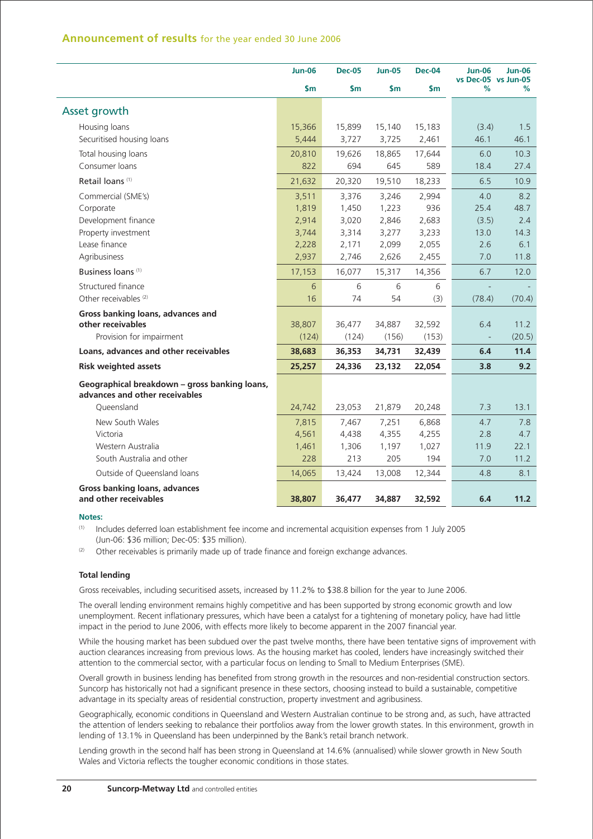|                                                                                 | <b>Jun-06</b> | <b>Dec-05</b> | <b>Jun-05</b> | Dec-04 | <b>Jun-06</b><br>vs Dec-05 vs Jun-05 | <b>Jun-06</b> |
|---------------------------------------------------------------------------------|---------------|---------------|---------------|--------|--------------------------------------|---------------|
|                                                                                 | \$m           | $\mathsf{sm}$ | $\mathsf{Sm}$ | \$m    | %                                    | %             |
| Asset growth                                                                    |               |               |               |        |                                      |               |
| Housing loans                                                                   | 15,366        | 15,899        | 15,140        | 15,183 | (3.4)                                | 1.5           |
| Securitised housing loans                                                       | 5,444         | 3,727         | 3,725         | 2,461  | 46.1                                 | 46.1          |
| Total housing loans                                                             | 20,810        | 19,626        | 18,865        | 17,644 | 6.0                                  | 10.3          |
| Consumer loans                                                                  | 822           | 694           | 645           | 589    | 18.4                                 | 27.4          |
| Retail loans <sup>(1)</sup>                                                     | 21,632        | 20,320        | 19,510        | 18,233 | 6.5                                  | 10.9          |
| Commercial (SME's)                                                              | 3,511         | 3,376         | 3,246         | 2,994  | 4.0                                  | 8.2           |
| Corporate                                                                       | 1,819         | 1,450         | 1,223         | 936    | 25.4                                 | 48.7          |
| Development finance                                                             | 2,914         | 3,020         | 2,846         | 2,683  | (3.5)                                | 2.4           |
| Property investment                                                             | 3,744         | 3,314         | 3,277         | 3,233  | 13.0                                 | 14.3          |
| Lease finance                                                                   | 2,228         | 2,171         | 2,099         | 2,055  | 2.6                                  | 6.1           |
| Agribusiness                                                                    | 2,937         | 2,746         | 2,626         | 2,455  | 7.0                                  | 11.8          |
| Business loans <sup>(1)</sup>                                                   | 17,153        | 16,077        | 15,317        | 14,356 | 6.7                                  | 12.0          |
| Structured finance                                                              | 6             | 6             | 6             | 6      |                                      |               |
| Other receivables <sup>(2)</sup>                                                | 16            | 74            | 54            | (3)    | (78.4)                               | (70.4)        |
| Gross banking loans, advances and                                               |               |               |               |        |                                      |               |
| other receivables                                                               | 38,807        | 36,477        | 34,887        | 32,592 | 6.4                                  | 11.2          |
| Provision for impairment                                                        | (124)         | (124)         | (156)         | (153)  |                                      | (20.5)        |
| Loans, advances and other receivables                                           | 38,683        | 36,353        | 34,731        | 32,439 | 6.4                                  | 11.4          |
| <b>Risk weighted assets</b>                                                     | 25,257        | 24,336        | 23,132        | 22,054 | 3.8                                  | 9.2           |
| Geographical breakdown - gross banking loans,<br>advances and other receivables |               |               |               |        |                                      |               |
| Queensland                                                                      | 24,742        | 23,053        | 21,879        | 20,248 | 7.3                                  | 13.1          |
| New South Wales                                                                 | 7,815         | 7,467         | 7,251         | 6,868  | 4.7                                  | 7.8           |
| Victoria                                                                        | 4,561         | 4,438         | 4,355         | 4,255  | 2.8                                  | 4.7           |
| Western Australia                                                               | 1,461         | 1,306         | 1,197         | 1,027  | 11.9                                 | 22.1          |
| South Australia and other                                                       | 228           | 213           | 205           | 194    | 7.0                                  | 11.2          |
| Outside of Queensland loans                                                     | 14,065        | 13,424        | 13,008        | 12,344 | 4.8                                  | 8.1           |
| Gross banking loans, advances                                                   |               |               |               |        |                                      |               |
| and other receivables                                                           | 38,807        | 36,477        | 34,887        | 32,592 | 6.4                                  | 11.2          |

(1) Includes deferred loan establishment fee income and incremental acquisition expenses from 1 July 2005 (Jun-06: \$36 million; Dec-05: \$35 million).

 $(2)$  Other receivables is primarily made up of trade finance and foreign exchange advances.

#### **Total lending**

Gross receivables, including securitised assets, increased by 11.2% to \$38.8 billion for the year to June 2006.

The overall lending environment remains highly competitive and has been supported by strong economic growth and low unemployment. Recent inflationary pressures, which have been a catalyst for a tightening of monetary policy, have had little impact in the period to June 2006, with effects more likely to become apparent in the 2007 financial year.

While the housing market has been subdued over the past twelve months, there have been tentative signs of improvement with auction clearances increasing from previous lows. As the housing market has cooled, lenders have increasingly switched their attention to the commercial sector, with a particular focus on lending to Small to Medium Enterprises (SME).

Overall growth in business lending has benefited from strong growth in the resources and non-residential construction sectors. Suncorp has historically not had a significant presence in these sectors, choosing instead to build a sustainable, competitive advantage in its specialty areas of residential construction, property investment and agribusiness.

Geographically, economic conditions in Queensland and Western Australian continue to be strong and, as such, have attracted the attention of lenders seeking to rebalance their portfolios away from the lower growth states. In this environment, growth in lending of 13.1% in Queensland has been underpinned by the Bank's retail branch network.

Lending growth in the second half has been strong in Queensland at 14.6% (annualised) while slower growth in New South Wales and Victoria reflects the tougher economic conditions in those states.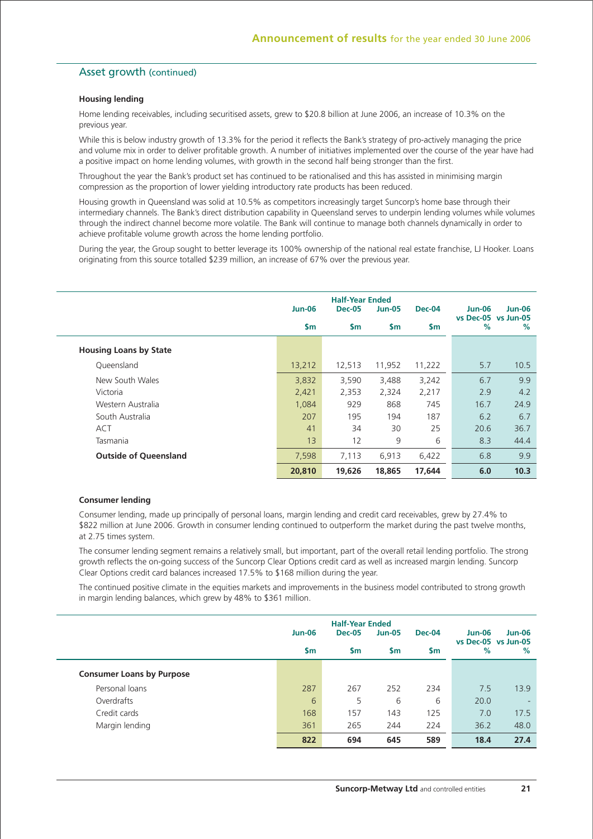## Asset growth (continued)

#### **Housing lending**

Home lending receivables, including securitised assets, grew to \$20.8 billion at June 2006, an increase of 10.3% on the previous year.

While this is below industry growth of 13.3% for the period it reflects the Bank's strategy of pro-actively managing the price and volume mix in order to deliver profitable growth. A number of initiatives implemented over the course of the year have had a positive impact on home lending volumes, with growth in the second half being stronger than the first.

Throughout the year the Bank's product set has continued to be rationalised and this has assisted in minimising margin compression as the proportion of lower yielding introductory rate products has been reduced.

Housing growth in Queensland was solid at 10.5% as competitors increasingly target Suncorp's home base through their intermediary channels. The Bank's direct distribution capability in Queensland serves to underpin lending volumes while volumes through the indirect channel become more volatile. The Bank will continue to manage both channels dynamically in order to achieve profitable volume growth across the home lending portfolio.

During the year, the Group sought to better leverage its 100% ownership of the national real estate franchise. U Hooker, Loans originating from this source totalled \$239 million, an increase of 67% over the previous year.

|                               | <b>Jun-06</b> | <b>Half-Year Ended</b><br><b>Dec-05</b> | <b>Jun-05</b> | <b>Dec-04</b> | <b>Jun-06</b>            | <b>Jun-06</b> |
|-------------------------------|---------------|-----------------------------------------|---------------|---------------|--------------------------|---------------|
|                               | \$m           | $\mathsf{sm}$                           | $\mathsf{Sm}$ | $\mathsf{sm}$ | vs Dec-05 vs Jun-05<br>% | $\%$          |
| <b>Housing Loans by State</b> |               |                                         |               |               |                          |               |
| Queensland                    | 13,212        | 12,513                                  | 11,952        | 11,222        | 5.7                      | 10.5          |
| New South Wales               | 3,832         | 3,590                                   | 3,488         | 3,242         | 6.7                      | 9.9           |
| Victoria                      | 2,421         | 2,353                                   | 2,324         | 2,217         | 2.9                      | 4.2           |
| Western Australia             | 1,084         | 929                                     | 868           | 745           | 16.7                     | 24.9          |
| South Australia               | 207           | 195                                     | 194           | 187           | 6.2                      | 6.7           |
| <b>ACT</b>                    | 41            | 34                                      | 30            | 25            | 20.6                     | 36.7          |
| Tasmania                      | 13            | 12                                      | 9             | 6             | 8.3                      | 44.4          |
| <b>Outside of Queensland</b>  | 7,598         | 7,113                                   | 6,913         | 6,422         | 6.8                      | 9.9           |
|                               | 20,810        | 19,626                                  | 18,865        | 17,644        | 6.0                      | 10.3          |

#### **Consumer lending**

Consumer lending, made up principally of personal loans, margin lending and credit card receivables, grew by 27.4% to \$822 million at June 2006. Growth in consumer lending continued to outperform the market during the past twelve months, at 2.75 times system.

The consumer lending segment remains a relatively small, but important, part of the overall retail lending portfolio. The strong growth reflects the on-going success of the Suncorp Clear Options credit card as well as increased margin lending. Suncorp Clear Options credit card balances increased 17.5% to \$168 million during the year.

The continued positive climate in the equities markets and improvements in the business model contributed to strong growth in margin lending balances, which grew by 48% to \$361 million.

|                                  |               | <b>Half-Year Ended</b> |               |        |                                      |               |
|----------------------------------|---------------|------------------------|---------------|--------|--------------------------------------|---------------|
|                                  | <b>Jun-06</b> | <b>Dec-05</b>          | <b>Jun-05</b> | Dec-04 | <b>Jun-06</b><br>vs Dec-05 vs Jun-05 | <b>Jun-06</b> |
|                                  | \$m           | $\mathsf{sm}$          | $\mathsf{sm}$ | \$m    | %                                    | %             |
| <b>Consumer Loans by Purpose</b> |               |                        |               |        |                                      |               |
| Personal loans                   | 287           | 267                    | 252           | 234    | 7.5                                  | 13.9          |
| Overdrafts                       | 6             | 5                      | 6             | 6      | 20.0                                 |               |
| Credit cards                     | 168           | 157                    | 143           | 125    | 7.0                                  | 17.5          |
| Margin lending                   | 361           | 265                    | 244           | 224    | 36.2                                 | 48.0          |
|                                  | 822           | 694                    | 645           | 589    | 18.4                                 | 27.4          |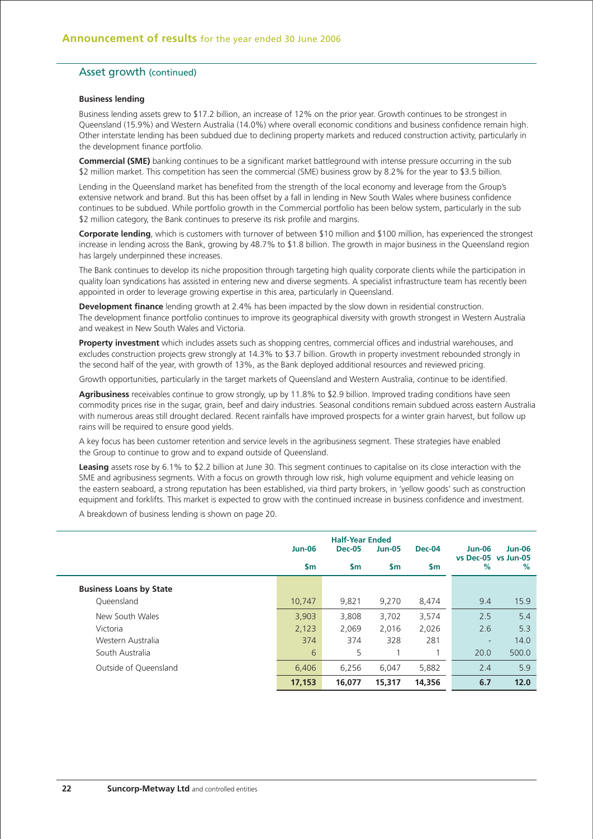## Asset growth (continued)

#### **Business lending**

Business lending assets grew to \$17.2 billion, an increase of 12% on the prior year. Growth continues to be strongest in Queensland (15.9%) and Western Australia (14.0%) where overall economic conditions and business confidence remain high. Other interstate lending has been subdued due to declining property markets and reduced construction activity, particularly in the development finance portfolio.

**Commercial (SME)** banking continues to be a significant market battleground with intense pressure occurring in the sub \$2 million market. This competition has seen the commercial (SME) business grow by 8.2% for the year to \$3.5 billion.

Lending in the Queensland market has benefited from the strength of the local economy and leverage from the Group's extensive network and brand. But this has been offset by a fall in lending in New South Wales where business confidence continues to be subdued. While portfolio growth in the Commercial portfolio has been below system, particularly in the sub \$2 million category, the Bank continues to preserve its risk profile and margins.

**Corporate lending**, which is customers with turnover of between \$10 million and \$100 million, has experienced the strongest increase in lending across the Bank, growing by 48.7% to \$1.8 billion. The growth in major business in the Queensland region has largely underpinned these increases.

The Bank continues to develop its niche proposition through targeting high quality corporate clients while the participation in quality loan syndications has assisted in entering new and diverse segments. A specialist infrastructure team has recently been appointed in order to leverage growing expertise in this area, particularly in Queensland.

**Development finance** lending growth at 2.4% has been impacted by the slow down in residential construction. The development finance portfolio continues to improve its geographical diversity with growth strongest in Western Australia and weakest in New South Wales and Victoria.

**Property investment** which includes assets such as shopping centres, commercial offices and industrial warehouses, and excludes construction projects grew strongly at 14.3% to \$3.7 billion. Growth in property investment rebounded strongly in the second half of the year, with growth of 13%, as the Bank deployed additional resources and reviewed pricing.

Growth opportunities, particularly in the target markets of Queensland and Western Australia, continue to be identified.

**Agribusiness** receivables continue to grow strongly, up by 11.8% to \$2.9 billion. Improved trading conditions have seen commodity prices rise in the sugar, grain, beef and dairy industries. Seasonal conditions remain subdued across eastern Australia with numerous areas still drought declared. Recent rainfalls have improved prospects for a winter grain harvest, but follow up rains will be required to ensure good yields.

A key focus has been customer retention and service levels in the agribusiness segment. These strategies have enabled the Group to continue to grow and to expand outside of Queensland.

**Leasing** assets rose by 6.1% to \$2.2 billion at June 30. This segment continues to capitalise on its close interaction with the SME and agribusiness segments. With a focus on growth through low risk, high volume equipment and vehicle leasing on the eastern seaboard, a strong reputation has been established, via third party brokers, in 'yellow goods' such as construction equipment and forklifts. This market is expected to grow with the continued increase in business confidence and investment.

A breakdown of business lending is shown on page 20.

|                                | <b>Jun-06</b> | <b>Half-Year Ended</b><br><b>Dec-05</b> | <b>Jun-05</b> | <b>Dec-04</b> | <b>Jun-06</b><br>vs Dec-05 vs Jun-05 | $Jun-06$ |
|--------------------------------|---------------|-----------------------------------------|---------------|---------------|--------------------------------------|----------|
|                                | <b>Sm</b>     | $\mathsf{sm}$                           | $\mathsf{sm}$ | $\mathsf{sm}$ | %                                    | %        |
| <b>Business Loans by State</b> |               |                                         |               |               |                                      |          |
| Queensland                     | 10.747        | 9,821                                   | 9.270         | 8,474         | 9.4                                  | 15.9     |
| New South Wales                | 3,903         | 3,808                                   | 3,702         | 3,574         | 2.5                                  | 5.4      |
| Victoria                       | 2,123         | 2.069                                   | 2.016         | 2,026         | 2.6                                  | 5.3      |
| Western Australia              | 374           | 374                                     | 328           | 281           | -                                    | 14.0     |
| South Australia                | 6             | 5                                       |               |               | 20.0                                 | 500.0    |
| Outside of Queensland          | 6,406         | 6.256                                   | 6.047         | 5,882         | 2.4                                  | 5.9      |
|                                | 17,153        | 16,077                                  | 15,317        | 14,356        | 6.7                                  | 12.0     |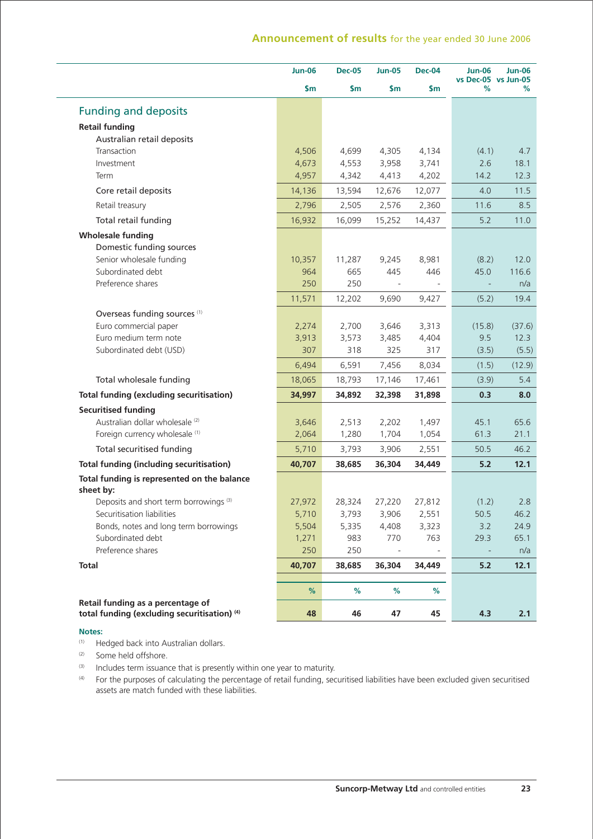|                                                                                              | <b>Jun-06</b> | <b>Dec-05</b> | <b>Jun-05</b>                   | <b>Dec-04</b> | <b>Jun-06</b><br>vs Dec-05 vs Jun-05 | <b>Jun-06</b> |
|----------------------------------------------------------------------------------------------|---------------|---------------|---------------------------------|---------------|--------------------------------------|---------------|
|                                                                                              | \$m           | \$m           | \$m                             | \$m           | ℅                                    | %             |
| <b>Funding and deposits</b>                                                                  |               |               |                                 |               |                                      |               |
| <b>Retail funding</b>                                                                        |               |               |                                 |               |                                      |               |
| Australian retail deposits                                                                   |               |               |                                 |               |                                      |               |
| Transaction                                                                                  | 4,506         | 4,699         | 4,305                           | 4,134         | (4.1)                                | 4.7           |
| Investment                                                                                   | 4,673         | 4,553         | 3,958                           | 3,741         | 2.6                                  | 18.1          |
| Term                                                                                         | 4,957         | 4,342         | 4,413                           | 4,202         | 14.2                                 | 12.3          |
| Core retail deposits                                                                         | 14,136        | 13,594        | 12,676                          | 12,077        | 4.0                                  | 11.5          |
| Retail treasury                                                                              | 2,796         | 2,505         | 2,576                           | 2,360         | 11.6                                 | 8.5           |
| Total retail funding                                                                         | 16,932        | 16,099        | 15,252                          | 14,437        | 5.2                                  | 11.0          |
| <b>Wholesale funding</b>                                                                     |               |               |                                 |               |                                      |               |
| Domestic funding sources                                                                     |               |               |                                 |               |                                      |               |
| Senior wholesale funding                                                                     | 10,357        | 11,287        | 9,245                           | 8,981         | (8.2)                                | 12.0          |
| Subordinated debt                                                                            | 964           | 665           | 445                             | 446           | 45.0                                 | 116.6         |
| Preference shares                                                                            | 250           | 250           |                                 |               |                                      | n/a           |
|                                                                                              | 11,571        | 12,202        | 9,690                           | 9,427         | (5.2)                                | 19.4          |
| Overseas funding sources (1)                                                                 |               |               |                                 |               |                                      |               |
| Euro commercial paper                                                                        | 2,274         | 2,700         | 3,646                           | 3,313         | (15.8)                               | (37.6)        |
| Euro medium term note<br>Subordinated debt (USD)                                             | 3,913<br>307  | 3,573<br>318  | 3,485<br>325                    | 4,404<br>317  | 9.5                                  | 12.3          |
|                                                                                              |               |               |                                 |               | (3.5)                                | (5.5)         |
|                                                                                              | 6,494         | 6,591         | 7,456                           | 8,034         | (1.5)                                | (12.9)        |
| Total wholesale funding                                                                      | 18,065        | 18,793        | 17,146                          | 17,461        | (3.9)                                | 5.4           |
| <b>Total funding (excluding securitisation)</b>                                              | 34,997        | 34,892        | 32,398                          | 31,898        | 0.3                                  | 8.0           |
| <b>Securitised funding</b>                                                                   |               |               |                                 |               |                                      |               |
| Australian dollar wholesale <sup>(2)</sup>                                                   | 3,646         | 2,513         | 2,202                           | 1,497         | 45.1                                 | 65.6          |
| Foreign currency wholesale (1)                                                               | 2,064         | 1,280         | 1,704                           | 1,054         | 61.3                                 | 21.1          |
| Total securitised funding                                                                    | 5,710         | 3,793         | 3,906                           | 2,551         | 50.5                                 | 46.2          |
| <b>Total funding (including securitisation)</b>                                              | 40,707        | 38,685        | 36,304                          | 34,449        | 5.2                                  | 12.1          |
| Total funding is represented on the balance<br>sheet by:                                     |               |               |                                 |               |                                      |               |
| Deposits and short term borrowings <sup>(3)</sup>                                            | 27,972        | 28,324        | 27,220                          | 27,812        | (1.2)                                | 2.8           |
| Securitisation liabilities                                                                   | 5,710         | 3,793         | 3,906                           | 2,551         | 50.5                                 | 46.2          |
| Bonds, notes and long term borrowings                                                        | 5,504         | 5,335         | 4,408                           | 3,323         | 3.2                                  | 24.9          |
| Subordinated debt<br>Preference shares                                                       | 1,271<br>250  | 983<br>250    | 770<br>$\overline{\phantom{a}}$ | 763           | 29.3                                 | 65.1<br>n/a   |
|                                                                                              |               |               |                                 |               |                                      |               |
| <b>Total</b>                                                                                 | 40,707        | 38,685        | 36,304                          | 34,449        | 5.2                                  | 12.1          |
|                                                                                              | %             | %             | $\%$                            | $\%$          |                                      |               |
| Retail funding as a percentage of<br>total funding (excluding securitisation) <sup>(4)</sup> | 48            | 46            | 47                              | 45            | 4.3                                  | 2.1           |
|                                                                                              |               |               |                                 |               |                                      |               |

#### **Notes:**

- (1) Hedged back into Australian dollars.
- (2) Some held offshore.
- (3) Includes term issuance that is presently within one year to maturity.
- (4) For the purposes of calculating the percentage of retail funding, securitised liabilities have been excluded given securitised assets are match funded with these liabilities.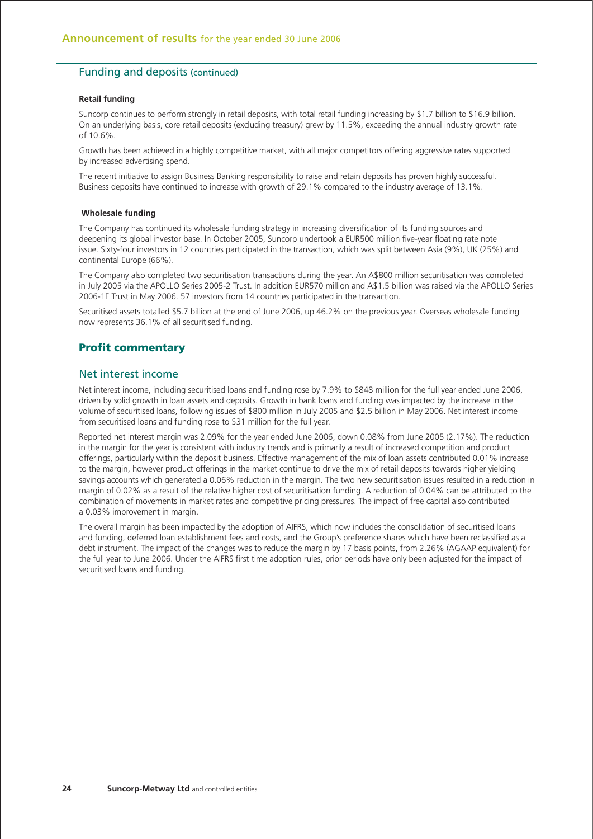## Funding and deposits (continued)

#### **Retail funding**

Suncorp continues to perform strongly in retail deposits, with total retail funding increasing by \$1.7 billion to \$16.9 billion. On an underlying basis, core retail deposits (excluding treasury) grew by 11.5%, exceeding the annual industry growth rate of 10.6%.

Growth has been achieved in a highly competitive market, with all major competitors offering aggressive rates supported by increased advertising spend.

The recent initiative to assign Business Banking responsibility to raise and retain deposits has proven highly successful. Business deposits have continued to increase with growth of 29.1% compared to the industry average of 13.1%.

#### **Wholesale funding**

The Company has continued its wholesale funding strategy in increasing diversification of its funding sources and deepening its global investor base. In October 2005, Suncorp undertook a EUR500 million five-year floating rate note issue. Sixty-four investors in 12 countries participated in the transaction, which was split between Asia (9%), UK (25%) and continental Europe (66%).

The Company also completed two securitisation transactions during the year. An A\$800 million securitisation was completed in July 2005 via the APOLLO Series 2005-2 Trust. In addition EUR570 million and A\$1.5 billion was raised via the APOLLO Series 2006-1E Trust in May 2006. 57 investors from 14 countries participated in the transaction.

Securitised assets totalled \$5.7 billion at the end of June 2006, up 46.2% on the previous year. Overseas wholesale funding now represents 36.1% of all securitised funding.

## **Profit commentary**

## Net interest income

Net interest income, including securitised loans and funding rose by 7.9% to \$848 million for the full year ended June 2006, driven by solid growth in loan assets and deposits. Growth in bank loans and funding was impacted by the increase in the volume of securitised loans, following issues of \$800 million in July 2005 and \$2.5 billion in May 2006. Net interest income from securitised loans and funding rose to \$31 million for the full year.

Reported net interest margin was 2.09% for the year ended June 2006, down 0.08% from June 2005 (2.17%). The reduction in the margin for the year is consistent with industry trends and is primarily a result of increased competition and product offerings, particularly within the deposit business. Effective management of the mix of loan assets contributed 0.01% increase to the margin, however product offerings in the market continue to drive the mix of retail deposits towards higher yielding savings accounts which generated a 0.06% reduction in the margin. The two new securitisation issues resulted in a reduction in margin of 0.02% as a result of the relative higher cost of securitisation funding. A reduction of 0.04% can be attributed to the combination of movements in market rates and competitive pricing pressures. The impact of free capital also contributed a 0.03% improvement in margin.

The overall margin has been impacted by the adoption of AIFRS, which now includes the consolidation of securitised loans and funding, deferred loan establishment fees and costs, and the Group's preference shares which have been reclassified as a debt instrument. The impact of the changes was to reduce the margin by 17 basis points, from 2.26% (AGAAP equivalent) for the full year to June 2006. Under the AIFRS first time adoption rules, prior periods have only been adjusted for the impact of securitised loans and funding.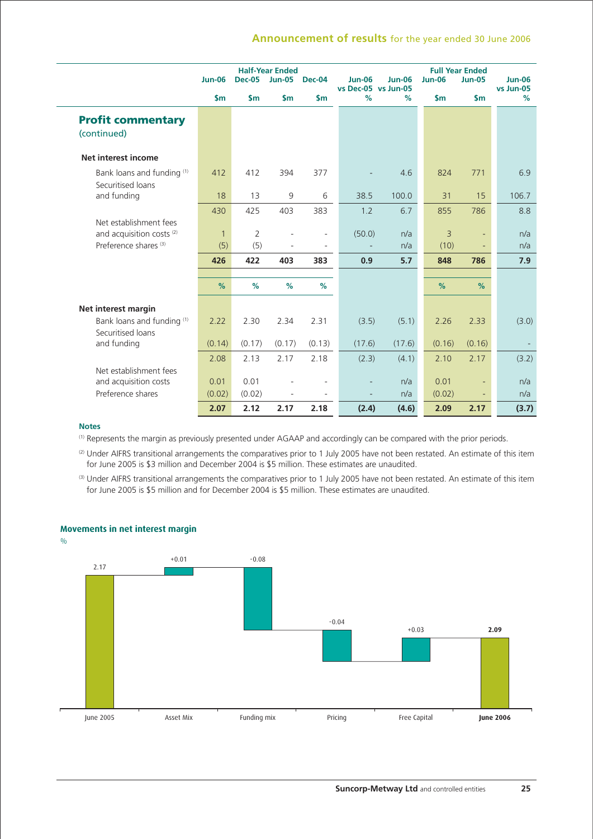|                                                                | <b>Jun-06</b>  | <b>Dec-05</b>  | <b>Half-Year Ended</b><br><b>Jun-05</b> | Dec-04                   | <b>Jun-06</b>            | <b>Jun-06</b> | <b>Jun-06</b>  | <b>Full Year Ended</b><br><b>Jun-05</b> | <b>Jun-06</b>  |
|----------------------------------------------------------------|----------------|----------------|-----------------------------------------|--------------------------|--------------------------|---------------|----------------|-----------------------------------------|----------------|
|                                                                | $\mathsf{S}$ m | $\mathsf{S}$ m | $\mathsf{Sm}$                           | $\mathsf{sm}$            | vs Dec-05 vs Jun-05<br>% | $\%$          | $\mathsf{sm}$  | $\mathsf{S}$ m                          | vs Jun-05<br>% |
| <b>Profit commentary</b>                                       |                |                |                                         |                          |                          |               |                |                                         |                |
| (continued)                                                    |                |                |                                         |                          |                          |               |                |                                         |                |
| Net interest income                                            |                |                |                                         |                          |                          |               |                |                                         |                |
| Bank loans and funding (1)                                     | 412            | 412            | 394                                     | 377                      |                          | 4.6           | 824            | 771                                     | 6.9            |
| Securitised loans<br>and funding                               | 18             | 13             | 9                                       | 6                        | 38.5                     | 100.0         | 31             | 15                                      | 106.7          |
|                                                                |                |                |                                         |                          |                          |               |                |                                         |                |
|                                                                | 430            | 425            | 403                                     | 383                      | 1.2                      | 6.7           | 855            | 786                                     | 8.8            |
| Net establishment fees<br>and acquisition costs <sup>(2)</sup> | $\mathbf{1}$   | 2              |                                         | $\overline{\phantom{a}}$ | (50.0)                   | n/a           | $\overline{3}$ | $\overline{\phantom{a}}$                | n/a            |
| Preference shares <sup>(3)</sup>                               | (5)            | (5)            |                                         |                          |                          | n/a           | (10)           | $\overline{\phantom{a}}$                | n/a            |
|                                                                | 426            | 422            | 403                                     | 383                      | 0.9                      | 5.7           | 848            | 786                                     | 7.9            |
|                                                                |                |                |                                         |                          |                          |               |                |                                         |                |
|                                                                | %              | %              | %                                       | %                        |                          |               | %              | %                                       |                |
| Net interest margin                                            |                |                |                                         |                          |                          |               |                |                                         |                |
| Bank loans and funding (1)                                     | 2.22           | 2.30           | 2.34                                    | 2.31                     | (3.5)                    | (5.1)         | 2.26           | 2.33                                    | (3.0)          |
| Securitised loans                                              |                |                |                                         |                          |                          |               |                |                                         |                |
| and funding                                                    | (0.14)         | (0.17)         | (0.17)                                  | (0.13)                   | (17.6)                   | (17.6)        | (0.16)         | (0.16)                                  |                |
|                                                                | 2.08           | 2.13           | 2.17                                    | 2.18                     | (2.3)                    | (4.1)         | 2.10           | 2.17                                    | (3.2)          |
| Net establishment fees                                         |                |                |                                         |                          |                          |               |                |                                         |                |
| and acquisition costs                                          | 0.01           | 0.01           |                                         |                          |                          | n/a           | 0.01           |                                         | n/a            |
| Preference shares                                              | (0.02)         | (0.02)         | $\overline{\phantom{a}}$                | -                        | $\overline{\phantom{a}}$ | n/a           | (0.02)         | $\overline{\phantom{a}}$                | n/a            |
|                                                                | 2.07           | 2.12           | 2.17                                    | 2.18                     | (2.4)                    | (4.6)         | 2.09           | 2.17                                    | (3.7)          |

#### **Notes**

(1) Represents the margin as previously presented under AGAAP and accordingly can be compared with the prior periods.

<sup>(2)</sup> Under AIFRS transitional arrangements the comparatives prior to 1 July 2005 have not been restated. An estimate of this item for June 2005 is \$3 million and December 2004 is \$5 million. These estimates are unaudited.

(3) Under AIFRS transitional arrangements the comparatives prior to 1 July 2005 have not been restated. An estimate of this item for June 2005 is \$5 million and for December 2004 is \$5 million. These estimates are unaudited.

## **Movements in net interest margin**

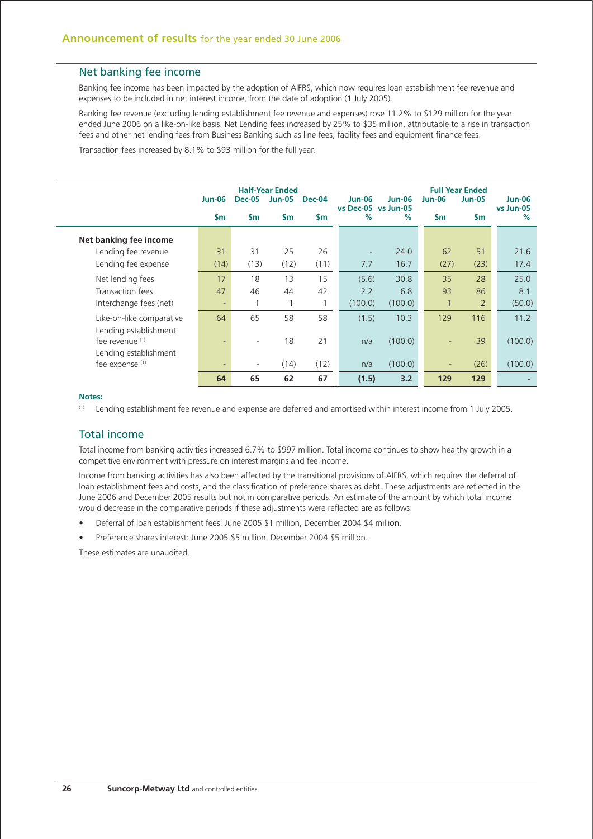## Net banking fee income

Banking fee income has been impacted by the adoption of AIFRS, which now requires loan establishment fee revenue and expenses to be included in net interest income, from the date of adoption (1 July 2005).

Banking fee revenue (excluding lending establishment fee revenue and expenses) rose 11.2% to \$129 million for the year ended June 2006 on a like-on-like basis. Net Lending fees increased by 25% to \$35 million, attributable to a rise in transaction fees and other net lending fees from Business Banking such as line fees, facility fees and equipment finance fees.

Transaction fees increased by 8.1% to \$93 million for the full year.

|                                          | <b>Jun-06</b><br>$\mathsf{sm}$ | <b>Dec-05</b><br><b>Sm</b> | <b>Half-Year Ended</b><br><b>Jun-05</b><br><b>Sm</b> | Dec-04<br><b>Sm</b> | <b>Jun-06</b><br>vs Dec-05 vs Jun-05<br>$\%$ | $Jun-06$<br>$\%$ | <b>Jun-06</b><br>$\mathsf{Sm}$ | <b>Full Year Ended</b><br><b>Jun-05</b><br>$\mathsf{sm}$ | <b>Jun-06</b><br>vs Jun-05<br>% |
|------------------------------------------|--------------------------------|----------------------------|------------------------------------------------------|---------------------|----------------------------------------------|------------------|--------------------------------|----------------------------------------------------------|---------------------------------|
| Net banking fee income                   |                                |                            |                                                      |                     |                                              |                  |                                |                                                          |                                 |
| Lending fee revenue                      | 31                             | 31                         | 25                                                   | 26                  | $\overline{\phantom{a}}$                     | 24.0             | 62                             | 51                                                       | 21.6                            |
| Lending fee expense                      | (14)                           | (13)                       | (12)                                                 | (11)                | 7.7                                          | 16.7             | (27)                           | (23)                                                     | 17.4                            |
| Net lending fees                         | 17                             | 18                         | 13                                                   | 15                  | (5.6)                                        | 30.8             | 35                             | 28                                                       | 25.0                            |
| Transaction fees                         | 47                             | 46                         | 44                                                   | 42                  | 2.2                                          | 6.8              | 93                             | 86                                                       | 8.1                             |
| Interchange fees (net)                   | ٠                              |                            | 1                                                    |                     | (100.0)                                      | (100.0)          | $\mathbf{1}$                   | $\overline{2}$                                           | (50.0)                          |
| Like-on-like comparative                 | 64                             | 65                         | 58                                                   | 58                  | (1.5)                                        | 10.3             | 129                            | 116                                                      | 11.2                            |
| Lending establishment<br>fee revenue (1) | ٠                              | ٠                          | 18                                                   | 21                  | n/a                                          | (100.0)          | $\overline{\phantom{0}}$       | 39                                                       | (100.0)                         |
| Lending establishment<br>fee expense (1) | ٠                              | $\overline{\phantom{a}}$   | (14)                                                 | (12)                | n/a                                          | (100.0)          |                                | (26)                                                     | (100.0)                         |
|                                          | 64                             | 65                         | 62                                                   | 67                  | (1.5)                                        | 3.2              | 129                            | 129                                                      |                                 |

#### **Notes:**

(1) Lending establishment fee revenue and expense are deferred and amortised within interest income from 1 July 2005.

## Total income

Total income from banking activities increased 6.7% to \$997 million. Total income continues to show healthy growth in a competitive environment with pressure on interest margins and fee income.

Income from banking activities has also been affected by the transitional provisions of AIFRS, which requires the deferral of loan establishment fees and costs, and the classification of preference shares as debt. These adjustments are reflected in the June 2006 and December 2005 results but not in comparative periods. An estimate of the amount by which total income would decrease in the comparative periods if these adjustments were reflected are as follows:

- Deferral of loan establishment fees: June 2005 \$1 million, December 2004 \$4 million.
- Preference shares interest: June 2005 \$5 million, December 2004 \$5 million.

These estimates are unaudited.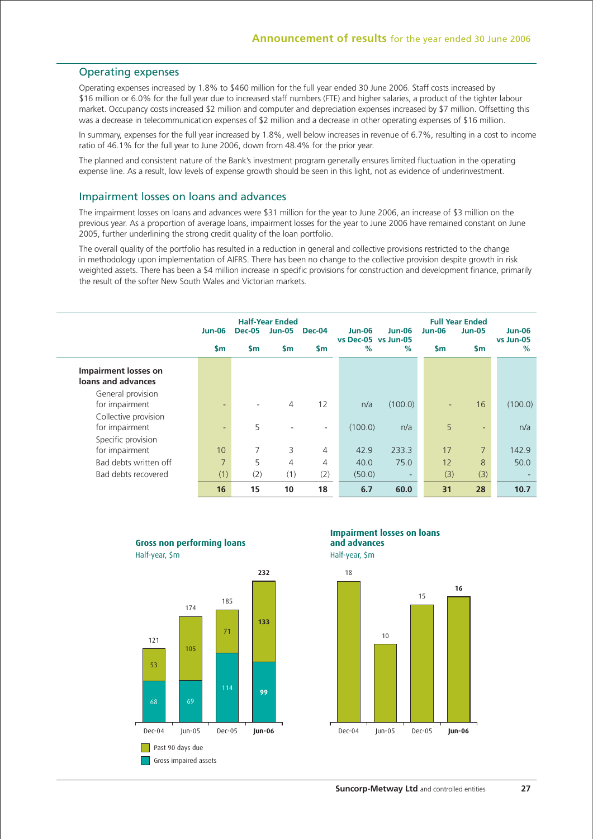## Operating expenses

Operating expenses increased by 1.8% to \$460 million for the full year ended 30 June 2006. Staff costs increased by \$16 million or 6.0% for the full year due to increased staff numbers (FTE) and higher salaries, a product of the tighter labour market. Occupancy costs increased \$2 million and computer and depreciation expenses increased by \$7 million. Offsetting this was a decrease in telecommunication expenses of \$2 million and a decrease in other operating expenses of \$16 million.

In summary, expenses for the full year increased by 1.8%, well below increases in revenue of 6.7%, resulting in a cost to income ratio of 46.1% for the full year to June 2006, down from 48.4% for the prior year.

The planned and consistent nature of the Bank's investment program generally ensures limited fluctuation in the operating expense line. As a result, low levels of expense growth should be seen in this light, not as evidence of underinvestment.

## Impairment losses on loans and advances

The impairment losses on loans and advances were \$31 million for the year to June 2006, an increase of \$3 million on the previous year. As a proportion of average loans, impairment losses for the year to June 2006 have remained constant on June 2005, further underlining the strong credit quality of the loan portfolio.

The overall quality of the portfolio has resulted in a reduction in general and collective provisions restricted to the change in methodology upon implementation of AIFRS. There has been no change to the collective provision despite growth in risk weighted assets. There has been a \$4 million increase in specific provisions for construction and development finance, primarily the result of the softer New South Wales and Victorian markets.

|                             | <b>Jun-06</b>            | <b>Dec-05</b> | <b>Half-Year Ended</b><br><b>Jun-05</b> | Dec-04                   | <b>Jun-06</b>            | $Jun-06$                 | $Jun-06$      | <b>Full Year Ended</b><br><b>Jun-05</b> | <b>Jun-06</b>  |
|-----------------------------|--------------------------|---------------|-----------------------------------------|--------------------------|--------------------------|--------------------------|---------------|-----------------------------------------|----------------|
|                             | $\mathsf{sm}$            | $\mathsf{sm}$ | <b>Sm</b>                               | <b>Sm</b>                | vs Dec-05 vs Jun-05<br>% | $\%$                     | $\mathsf{Sm}$ | $\mathsf{sm}$                           | vs Jun-05<br>% |
| <b>Impairment losses on</b> |                          |               |                                         |                          |                          |                          |               |                                         |                |
| loans and advances          |                          |               |                                         |                          |                          |                          |               |                                         |                |
| General provision           |                          |               |                                         |                          |                          |                          |               |                                         |                |
| for impairment              | $\overline{\phantom{0}}$ |               | $\overline{4}$                          | 12                       | n/a                      | (100.0)                  | ٠             | 16                                      | (100.0)        |
| Collective provision        |                          |               |                                         |                          |                          |                          |               |                                         |                |
| for impairment              | ٠                        | 5             | ٠                                       | $\overline{\phantom{a}}$ | (100.0)                  | n/a                      | 5             | $\overline{\phantom{a}}$                | n/a            |
| Specific provision          |                          |               |                                         |                          |                          |                          |               |                                         |                |
| for impairment              | 10                       | 7             | 3                                       | 4                        | 42.9                     | 233.3                    | 17            | $\overline{7}$                          | 142.9          |
| Bad debts written off       | $\overline{7}$           | 5             | 4                                       | 4                        | 40.0                     | 75.0                     | 12            | 8                                       | 50.0           |
| Bad debts recovered         | (1)                      | (2)           | (1)                                     | (2)                      | (50.0)                   | $\overline{\phantom{0}}$ | (3)           | (3)                                     |                |
|                             | 16                       | 15            | 10                                      | 18                       | 6.7                      | 60.0                     | 31            | 28                                      | 10.7           |



**and advances Impairment losses on loans**

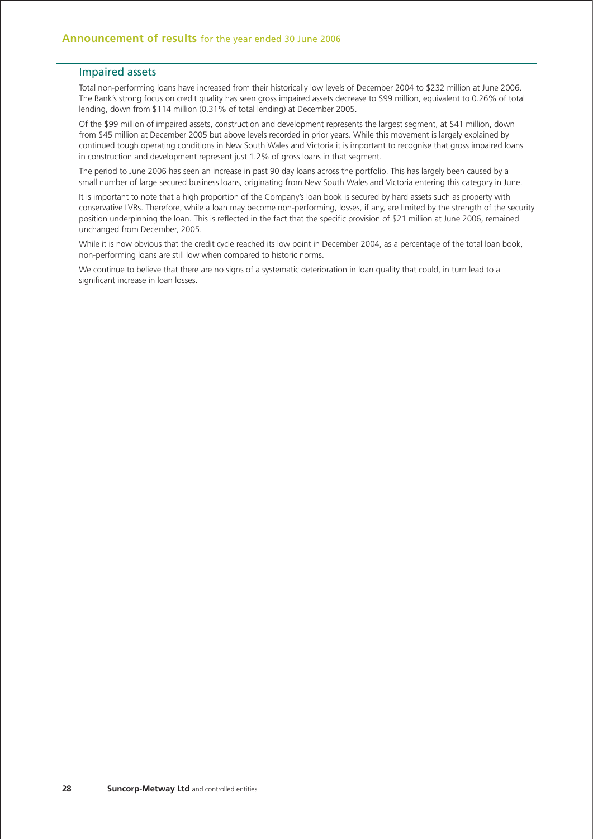## Impaired assets

Total non-performing loans have increased from their historically low levels of December 2004 to \$232 million at June 2006. The Bank's strong focus on credit quality has seen gross impaired assets decrease to \$99 million, equivalent to 0.26% of total lending, down from \$114 million (0.31% of total lending) at December 2005.

Of the \$99 million of impaired assets, construction and development represents the largest segment, at \$41 million, down from \$45 million at December 2005 but above levels recorded in prior years. While this movement is largely explained by continued tough operating conditions in New South Wales and Victoria it is important to recognise that gross impaired loans in construction and development represent just 1.2% of gross loans in that segment.

The period to June 2006 has seen an increase in past 90 day loans across the portfolio. This has largely been caused by a small number of large secured business loans, originating from New South Wales and Victoria entering this category in June.

It is important to note that a high proportion of the Company's loan book is secured by hard assets such as property with conservative LVRs. Therefore, while a loan may become non-performing, losses, if any, are limited by the strength of the security position underpinning the loan. This is reflected in the fact that the specific provision of \$21 million at June 2006, remained unchanged from December, 2005.

While it is now obvious that the credit cycle reached its low point in December 2004, as a percentage of the total loan book, non-performing loans are still low when compared to historic norms.

We continue to believe that there are no signs of a systematic deterioration in loan quality that could, in turn lead to a significant increase in loan losses.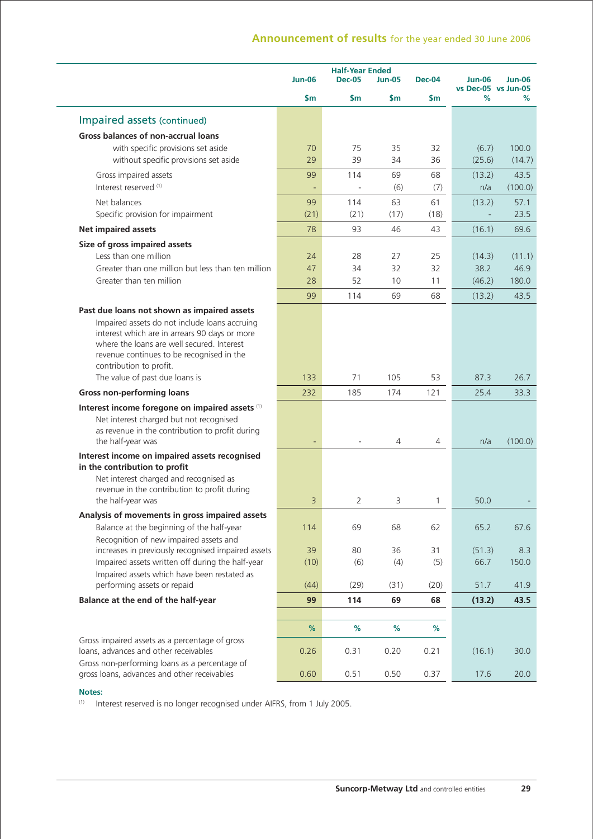|                                                                                                                                                                                                                                                                     | <b>Jun-06</b>            | <b>Half-Year Ended</b><br><b>Dec-05</b> | Jun-05 | <b>Dec-04</b> | <b>Jun-06</b><br>vs Dec-05 vs Jun-05 | $Jun-06$ |
|---------------------------------------------------------------------------------------------------------------------------------------------------------------------------------------------------------------------------------------------------------------------|--------------------------|-----------------------------------------|--------|---------------|--------------------------------------|----------|
|                                                                                                                                                                                                                                                                     | $\mathsf{sm}$            | \$m                                     | \$m    | \$m           | %                                    | %        |
| Impaired assets (continued)                                                                                                                                                                                                                                         |                          |                                         |        |               |                                      |          |
| Gross balances of non-accrual loans                                                                                                                                                                                                                                 |                          |                                         |        |               |                                      |          |
| with specific provisions set aside                                                                                                                                                                                                                                  | 70                       | 75                                      | 35     | 32            | (6.7)                                | 100.0    |
| without specific provisions set aside                                                                                                                                                                                                                               | 29                       | 39                                      | 34     | 36            | (25.6)                               | (14.7)   |
| Gross impaired assets                                                                                                                                                                                                                                               | 99                       | 114                                     | 69     | 68            | (13.2)                               | 43.5     |
| Interest reserved (1)                                                                                                                                                                                                                                               |                          |                                         | (6)    | (7)           | n/a                                  | (100.0)  |
| Net balances                                                                                                                                                                                                                                                        | 99                       | 114                                     | 63     | 61            | (13.2)                               | 57.1     |
| Specific provision for impairment                                                                                                                                                                                                                                   | (21)                     | (21)                                    | (17)   | (18)          |                                      | 23.5     |
| <b>Net impaired assets</b>                                                                                                                                                                                                                                          | 78                       | 93                                      | 46     | 43            | (16.1)                               | 69.6     |
| Size of gross impaired assets                                                                                                                                                                                                                                       |                          |                                         |        |               |                                      |          |
| Less than one million                                                                                                                                                                                                                                               | 24                       | 28                                      | 27     | 25            | (14.3)                               | (11.1)   |
| Greater than one million but less than ten million                                                                                                                                                                                                                  | 47                       | 34                                      | 32     | 32            | 38.2                                 | 46.9     |
| Greater than ten million                                                                                                                                                                                                                                            | 28                       | 52                                      | 10     | 11            | (46.2)                               | 180.0    |
|                                                                                                                                                                                                                                                                     | 99                       | 114                                     | 69     | 68            | (13.2)                               | 43.5     |
| Past due loans not shown as impaired assets<br>Impaired assets do not include loans accruing<br>interest which are in arrears 90 days or more<br>where the loans are well secured. Interest<br>revenue continues to be recognised in the<br>contribution to profit. |                          |                                         |        |               |                                      |          |
| The value of past due loans is                                                                                                                                                                                                                                      | 133                      | 71                                      | 105    | 53            | 87.3                                 | 26.7     |
| <b>Gross non-performing loans</b>                                                                                                                                                                                                                                   | 232                      | 185                                     | 174    | 121           | 25.4                                 | 33.3     |
| Interest income foregone on impaired assets (1)                                                                                                                                                                                                                     |                          |                                         |        |               |                                      |          |
| Net interest charged but not recognised<br>as revenue in the contribution to profit during<br>the half-year was                                                                                                                                                     | $\overline{\phantom{a}}$ |                                         | 4      | 4             | n/a                                  | (100.0)  |
| Interest income on impaired assets recognised<br>in the contribution to profit                                                                                                                                                                                      |                          |                                         |        |               |                                      |          |
| Net interest charged and recognised as<br>revenue in the contribution to profit during<br>the half-year was                                                                                                                                                         | 3                        | 2                                       | 3      | 1             | 50.0                                 |          |
| Analysis of movements in gross impaired assets<br>Balance at the beginning of the half-year                                                                                                                                                                         | 114                      | 69                                      | 68     | 62            | 65.2                                 | 67.6     |
| Recognition of new impaired assets and                                                                                                                                                                                                                              |                          |                                         |        |               |                                      |          |
| increases in previously recognised impaired assets                                                                                                                                                                                                                  | 39                       | 80                                      | 36     | 31            | (51.3)                               | 8.3      |
| Impaired assets written off during the half-year<br>Impaired assets which have been restated as                                                                                                                                                                     | (10)                     | (6)                                     | (4)    | (5)           | 66.7                                 | 150.0    |
| performing assets or repaid                                                                                                                                                                                                                                         | (44)                     | (29)                                    | (31)   | (20)          | 51.7                                 | 41.9     |
| Balance at the end of the half-year                                                                                                                                                                                                                                 | 99                       | 114                                     | 69     | 68            | (13.2)                               | 43.5     |
|                                                                                                                                                                                                                                                                     |                          |                                         |        |               |                                      |          |
|                                                                                                                                                                                                                                                                     | %                        | $\%$                                    | $\%$   | %             |                                      |          |
| Gross impaired assets as a percentage of gross<br>loans, advances and other receivables                                                                                                                                                                             | 0.26                     | 0.31                                    | 0.20   | 0.21          | (16.1)                               | 30.0     |
| Gross non-performing loans as a percentage of<br>gross loans, advances and other receivables                                                                                                                                                                        | 0.60                     | 0.51                                    | 0.50   | 0.37          | 17.6                                 | 20.0     |

## **Notes:**

(1) Interest reserved is no longer recognised under AIFRS, from 1 July 2005.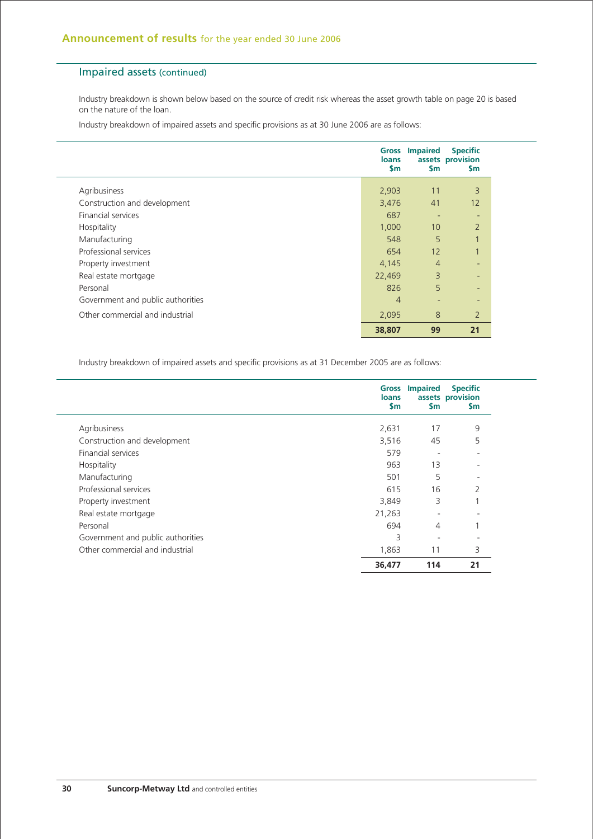## Impaired assets (continued)

Industry breakdown is shown below based on the source of credit risk whereas the asset growth table on page 20 is based on the nature of the loan.

Industry breakdown of impaired assets and specific provisions as at 30 June 2006 are as follows:

|                                   | Gross<br><b>loans</b><br>$\mathsf{sm}$ | <b>Impaired</b><br>\$m   | <b>Specific</b><br>assets provision<br>\$m |
|-----------------------------------|----------------------------------------|--------------------------|--------------------------------------------|
| Agribusiness                      | 2,903                                  | 11                       | 3                                          |
| Construction and development      | 3,476                                  | 41                       | 12                                         |
| <b>Financial services</b>         | 687                                    | $\overline{\phantom{0}}$ | ٠                                          |
| Hospitality                       | 1,000                                  | 10 <sup>°</sup>          | $\overline{2}$                             |
| Manufacturing                     | 548                                    | 5                        | $\mathbf{1}$                               |
| Professional services             | 654                                    | 12                       | $\mathbf{1}$                               |
| Property investment               | 4,145                                  | $\overline{4}$           | ٠                                          |
| Real estate mortgage              | 22,469                                 | 3                        | $\overline{\phantom{a}}$                   |
| Personal                          | 826                                    | 5                        | ٠                                          |
| Government and public authorities | $\overline{4}$                         | $\overline{\phantom{0}}$ | ٠                                          |
| Other commercial and industrial   | 2,095                                  | 8                        | $\overline{2}$                             |
|                                   | 38,807                                 | 99                       | 21                                         |

Industry breakdown of impaired assets and specific provisions as at 31 December 2005 are as follows:

|                                   | <b>loans</b><br><b>Sm</b> | <b>Gross Impaired</b><br>\$m | <b>Specific</b><br>assets provision<br><b>Sm</b> |
|-----------------------------------|---------------------------|------------------------------|--------------------------------------------------|
| Agribusiness                      | 2,631                     | 17                           | 9                                                |
| Construction and development      | 3,516                     | 45                           | 5                                                |
| <b>Financial services</b>         | 579                       |                              |                                                  |
| Hospitality                       | 963                       | 13                           |                                                  |
| Manufacturing                     | 501                       | 5                            |                                                  |
| Professional services             | 615                       | 16                           | $\mathcal{P}$                                    |
| Property investment               | 3,849                     | 3                            |                                                  |
| Real estate mortgage              | 21,263                    | ٠                            |                                                  |
| Personal                          | 694                       | 4                            |                                                  |
| Government and public authorities | 3                         |                              |                                                  |
| Other commercial and industrial   | 1,863                     | 11                           | 3                                                |
|                                   | 36,477                    | 114                          | 21                                               |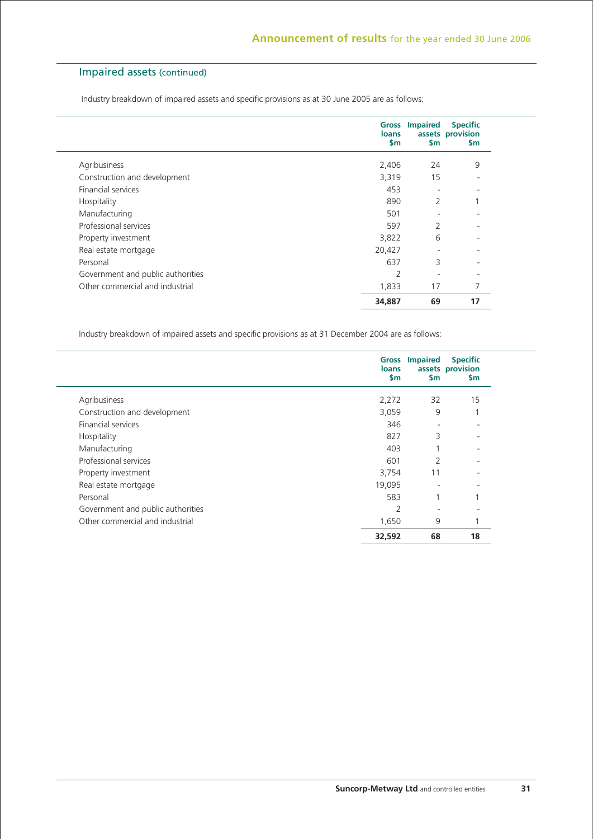## Impaired assets (continued)

Industry breakdown of impaired assets and specific provisions as at 30 June 2005 are as follows:

|                                   | loans<br>$\mathsf{sm}$ | <b>Gross Impaired</b><br>\$m | <b>Specific</b><br>assets provision<br><b>Sm</b> |
|-----------------------------------|------------------------|------------------------------|--------------------------------------------------|
| Agribusiness                      | 2,406                  | 24                           | 9                                                |
| Construction and development      | 3,319                  | 15                           |                                                  |
| <b>Financial services</b>         | 453                    | $\overline{\phantom{0}}$     |                                                  |
| Hospitality                       | 890                    | 2                            |                                                  |
| Manufacturing                     | 501                    | $\overline{\phantom{0}}$     |                                                  |
| Professional services             | 597                    | 2                            |                                                  |
| Property investment               | 3,822                  | 6                            |                                                  |
| Real estate mortgage              | 20,427                 | ٠                            |                                                  |
| Personal                          | 637                    | 3                            |                                                  |
| Government and public authorities | $\overline{2}$         | $\overline{\phantom{0}}$     |                                                  |
| Other commercial and industrial   | 1,833                  | 17                           | 7                                                |
|                                   | 34,887                 | 69                           | 17                                               |

Industry breakdown of impaired assets and specific provisions as at 31 December 2004 are as follows:

|                                   | <b>loans</b><br><b>Sm</b> | <b>Gross Impaired</b><br>\$m | <b>Specific</b><br>assets provision<br>$\mathsf{Sm}$ |
|-----------------------------------|---------------------------|------------------------------|------------------------------------------------------|
| Agribusiness                      | 2,272                     | 32                           | 15                                                   |
| Construction and development      | 3,059                     | 9                            | $\overline{ }$                                       |
| Financial services                | 346                       | $\overline{\phantom{a}}$     |                                                      |
| Hospitality                       | 827                       | 3                            |                                                      |
| Manufacturing                     | 403                       |                              |                                                      |
| Professional services             | 601                       | 2                            |                                                      |
| Property investment               | 3,754                     | 11                           |                                                      |
| Real estate mortgage              | 19,095                    | $\overline{\phantom{a}}$     |                                                      |
| Personal                          | 583                       |                              |                                                      |
| Government and public authorities | 2                         | ٠                            |                                                      |
| Other commercial and industrial   | 1,650                     | 9                            |                                                      |
|                                   | 32,592                    | 68                           | 18                                                   |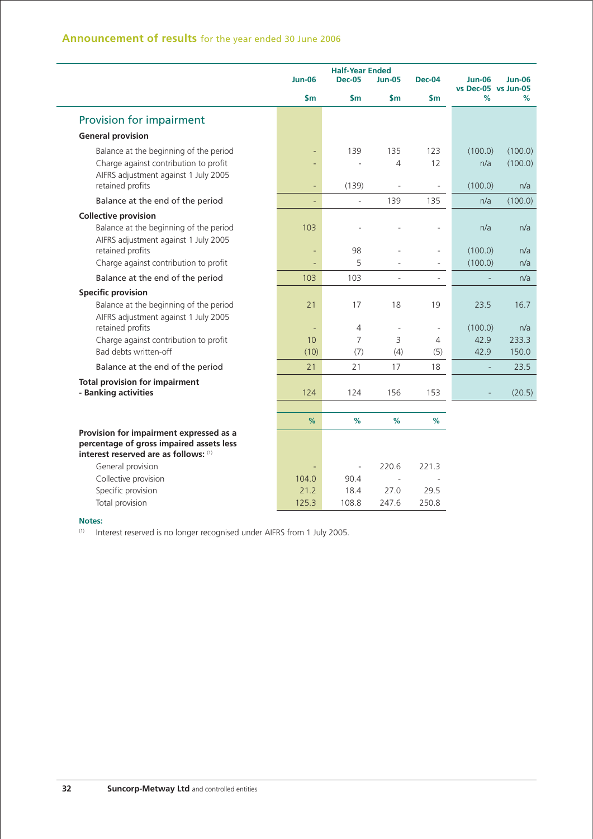|                                                                |                          | <b>Half-Year Ended</b> |                          |                          |                                      |                |
|----------------------------------------------------------------|--------------------------|------------------------|--------------------------|--------------------------|--------------------------------------|----------------|
|                                                                | <b>Jun-06</b>            | <b>Dec-05</b>          | <b>Jun-05</b>            | <b>Dec-04</b>            | <b>Jun-06</b><br>vs Dec-05 vs Jun-05 | <b>Jun-06</b>  |
|                                                                | $\mathsf{sm}$            | \$m                    | \$m                      | \$m                      | %                                    | %              |
| Provision for impairment                                       |                          |                        |                          |                          |                                      |                |
| <b>General provision</b>                                       |                          |                        |                          |                          |                                      |                |
| Balance at the beginning of the period                         |                          | 139                    | 135                      | 123                      | (100.0)                              | (100.0)        |
| Charge against contribution to profit                          |                          |                        | 4                        | 12                       | n/a                                  | (100.0)        |
| AIFRS adjustment against 1 July 2005                           |                          |                        |                          |                          |                                      |                |
| retained profits                                               |                          | (139)                  |                          | $\overline{a}$           | (100.0)                              | n/a            |
| Balance at the end of the period                               | ÷,                       | $\Box$                 | 139                      | 135                      | n/a                                  | (100.0)        |
| <b>Collective provision</b>                                    |                          |                        |                          |                          |                                      |                |
| Balance at the beginning of the period                         | 103                      |                        |                          |                          | n/a                                  | n/a            |
| AIFRS adjustment against 1 July 2005<br>retained profits       |                          | 98                     |                          | ÷,                       | (100.0)                              | n/a            |
| Charge against contribution to profit                          | $\overline{\phantom{a}}$ | 5                      |                          | ÷,                       | (100.0)                              | n/a            |
| Balance at the end of the period                               | 103                      | 103                    | $\sim$                   | $\blacksquare$           |                                      | n/a            |
| <b>Specific provision</b>                                      |                          |                        |                          |                          |                                      |                |
| Balance at the beginning of the period                         | 21                       | 17                     | 18                       | 19                       | 23.5                                 | 16.7           |
| AIFRS adjustment against 1 July 2005                           |                          |                        |                          |                          |                                      |                |
| retained profits                                               | $\overline{\phantom{a}}$ | 4                      | $\overline{\phantom{a}}$ | $\overline{\phantom{a}}$ | (100.0)                              | n/a            |
| Charge against contribution to profit<br>Bad debts written-off | 10<br>(10)               | $\overline{7}$<br>(7)  | 3<br>(4)                 | 4<br>(5)                 | 42.9<br>42.9                         | 233.3<br>150.0 |
| Balance at the end of the period                               | 21                       | 21                     | 17                       | 18                       | L,                                   | 23.5           |
|                                                                |                          |                        |                          |                          |                                      |                |
| <b>Total provision for impairment</b><br>- Banking activities  | 124                      | 124                    | 156                      | 153                      |                                      | (20.5)         |
|                                                                |                          |                        |                          |                          |                                      |                |
|                                                                | %                        | %                      | $\frac{9}{6}$            | %                        |                                      |                |
| Provision for impairment expressed as a                        |                          |                        |                          |                          |                                      |                |
| percentage of gross impaired assets less                       |                          |                        |                          |                          |                                      |                |
| interest reserved are as follows: (1)                          |                          |                        |                          |                          |                                      |                |
| General provision                                              |                          | $\blacksquare$         | 220.6                    | 221.3                    |                                      |                |
| Collective provision                                           | 104.0                    | 90.4                   | $\sim$                   |                          |                                      |                |
| Specific provision                                             | 21.2                     | 18.4                   | 27.0                     | 29.5                     |                                      |                |
| Total provision                                                | 125.3                    | 108.8                  | 247.6                    | 250.8                    |                                      |                |

(1) Interest reserved is no longer recognised under AIFRS from 1 July 2005.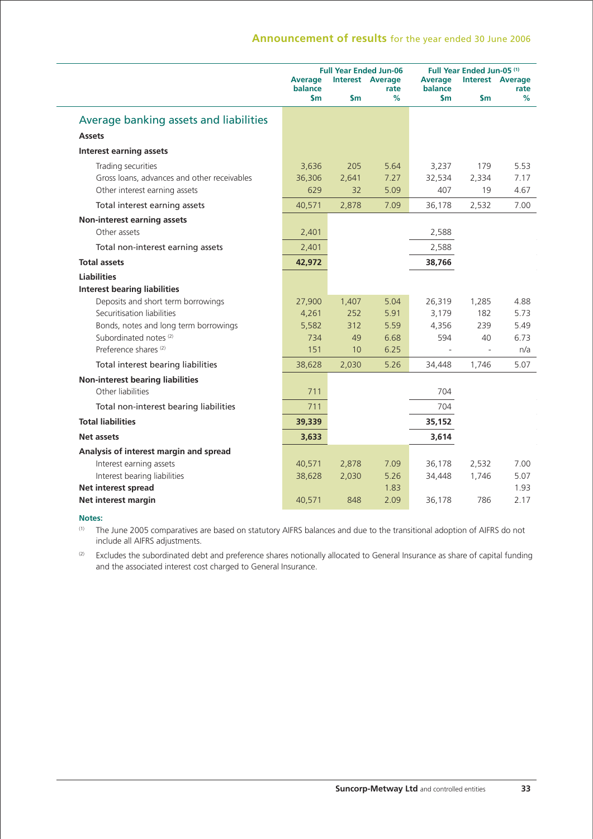|                                             | <b>Average</b><br>balance<br>$\mathsf{Sm}$ | $\mathsf{sm}$ | <b>Full Year Ended Jun-06</b><br><b>Interest Average</b><br>rate<br>% | <b>Average</b><br>balance<br>\$m | Full Year Ended Jun-05 <sup>(1)</sup><br>$\mathsf{Sm}$ | <b>Interest Average</b><br>rate<br>% |
|---------------------------------------------|--------------------------------------------|---------------|-----------------------------------------------------------------------|----------------------------------|--------------------------------------------------------|--------------------------------------|
| Average banking assets and liabilities      |                                            |               |                                                                       |                                  |                                                        |                                      |
| <b>Assets</b>                               |                                            |               |                                                                       |                                  |                                                        |                                      |
| <b>Interest earning assets</b>              |                                            |               |                                                                       |                                  |                                                        |                                      |
| Trading securities                          | 3,636                                      | 205           | 5.64                                                                  | 3,237                            | 179                                                    | 5.53                                 |
| Gross loans, advances and other receivables | 36,306                                     | 2,641         | 7.27                                                                  | 32,534                           | 2,334                                                  | 7.17                                 |
| Other interest earning assets               | 629                                        | 32            | 5.09                                                                  | 407                              | 19                                                     | 4.67                                 |
| Total interest earning assets               | 40,571                                     | 2,878         | 7.09                                                                  | 36,178                           | 2,532                                                  | 7.00                                 |
| Non-interest earning assets                 |                                            |               |                                                                       |                                  |                                                        |                                      |
| Other assets                                | 2,401                                      |               |                                                                       | 2,588                            |                                                        |                                      |
| Total non-interest earning assets           | 2,401                                      |               |                                                                       | 2,588                            |                                                        |                                      |
| <b>Total assets</b>                         | 42,972                                     |               |                                                                       | 38,766                           |                                                        |                                      |
| <b>Liabilities</b>                          |                                            |               |                                                                       |                                  |                                                        |                                      |
| <b>Interest bearing liabilities</b>         |                                            |               |                                                                       |                                  |                                                        |                                      |
| Deposits and short term borrowings          | 27,900                                     | 1,407         | 5.04                                                                  | 26,319                           | 1,285                                                  | 4.88                                 |
| Securitisation liabilities                  | 4,261                                      | 252           | 5.91                                                                  | 3,179                            | 182                                                    | 5.73                                 |
| Bonds, notes and long term borrowings       | 5,582                                      | 312           | 5.59                                                                  | 4,356                            | 239                                                    | 5.49                                 |
| Subordinated notes <sup>(2)</sup>           | 734                                        | 49            | 6.68                                                                  | 594                              | 40                                                     | 6.73                                 |
| Preference shares <sup>(2)</sup>            | 151                                        | 10            | 6.25                                                                  |                                  |                                                        | n/a                                  |
| Total interest bearing liabilities          | 38,628                                     | 2,030         | 5.26                                                                  | 34,448                           | 1,746                                                  | 5.07                                 |
| <b>Non-interest bearing liabilities</b>     |                                            |               |                                                                       |                                  |                                                        |                                      |
| Other liabilities                           | 711                                        |               |                                                                       | 704                              |                                                        |                                      |
| Total non-interest bearing liabilities      | 711                                        |               |                                                                       | 704                              |                                                        |                                      |
| <b>Total liabilities</b>                    | 39,339                                     |               |                                                                       | 35,152                           |                                                        |                                      |
| Net assets                                  | 3,633                                      |               |                                                                       | 3,614                            |                                                        |                                      |
| Analysis of interest margin and spread      |                                            |               |                                                                       |                                  |                                                        |                                      |
| Interest earning assets                     | 40,571                                     | 2,878         | 7.09                                                                  | 36,178                           | 2,532                                                  | 7.00                                 |
| Interest bearing liabilities                | 38,628                                     | 2,030         | 5.26                                                                  | 34,448                           | 1,746                                                  | 5.07                                 |
| Net interest spread                         |                                            |               | 1.83                                                                  |                                  |                                                        | 1.93                                 |
| Net interest margin                         | 40,571                                     | 848           | 2.09                                                                  | 36,178                           | 786                                                    | 2.17                                 |

### **Notes:**

(1) The June 2005 comparatives are based on statutory AIFRS balances and due to the transitional adoption of AIFRS do not include all AIFRS adjustments.

(2) Excludes the subordinated debt and preference shares notionally allocated to General Insurance as share of capital funding and the associated interest cost charged to General Insurance.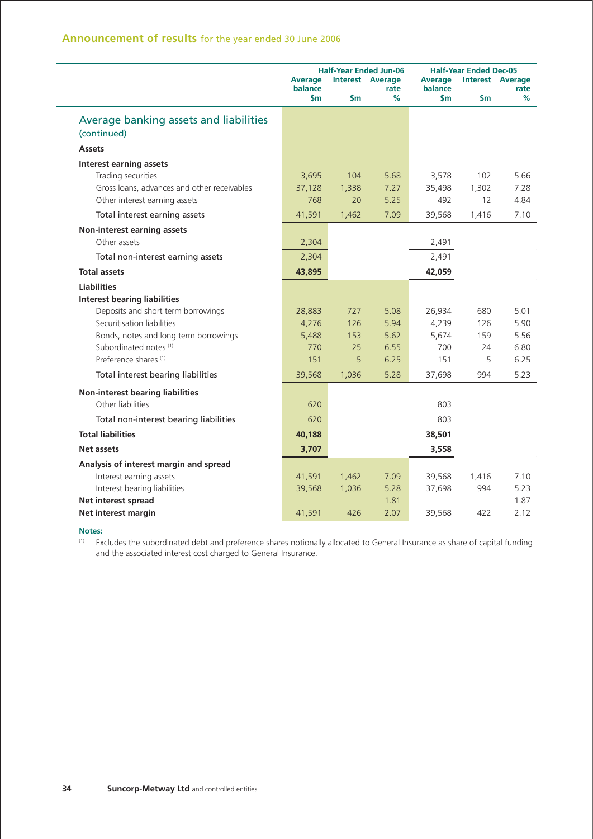|                                                                                                                                                                        | <b>Average</b><br>balance<br>\$m | $\mathsf{sm}$      | <b>Half-Year Ended Jun-06</b><br><b>Interest Average</b><br>rate<br>% | <b>Average</b><br>balance<br>\$m | <b>Half-Year Ended Dec-05</b><br>\$m | <b>Interest Average</b><br>rate<br>℅ |
|------------------------------------------------------------------------------------------------------------------------------------------------------------------------|----------------------------------|--------------------|-----------------------------------------------------------------------|----------------------------------|--------------------------------------|--------------------------------------|
| Average banking assets and liabilities<br>(continued)                                                                                                                  |                                  |                    |                                                                       |                                  |                                      |                                      |
| <b>Assets</b>                                                                                                                                                          |                                  |                    |                                                                       |                                  |                                      |                                      |
| <b>Interest earning assets</b><br>Trading securities<br>Gross loans, advances and other receivables<br>Other interest earning assets                                   | 3,695<br>37,128<br>768           | 104<br>1,338<br>20 | 5.68<br>7.27<br>5.25                                                  | 3,578<br>35,498<br>492           | 102<br>1,302<br>12                   | 5.66<br>7.28<br>4.84                 |
| Total interest earning assets                                                                                                                                          | 41,591                           | 1,462              | 7.09                                                                  | 39,568                           | 1,416                                | 7.10                                 |
| <b>Non-interest earning assets</b><br>Other assets                                                                                                                     | 2,304                            |                    |                                                                       | 2,491                            |                                      |                                      |
| Total non-interest earning assets                                                                                                                                      | 2,304                            |                    |                                                                       | 2,491                            |                                      |                                      |
| <b>Total assets</b>                                                                                                                                                    | 43,895                           |                    |                                                                       | 42,059                           |                                      |                                      |
| <b>Liabilities</b><br><b>Interest bearing liabilities</b><br>Deposits and short term borrowings<br>Securitisation liabilities<br>Bonds, notes and long term borrowings | 28,883<br>4,276<br>5,488         | 727<br>126<br>153  | 5.08<br>5.94<br>5.62                                                  | 26,934<br>4,239<br>5,674         | 680<br>126<br>159                    | 5.01<br>5.90<br>5.56                 |
| Subordinated notes <sup>(1)</sup><br>Preference shares <sup>(1)</sup>                                                                                                  | 770<br>151                       | 25<br>5            | 6.55<br>6.25                                                          | 700<br>151                       | 24<br>5                              | 6.80<br>6.25                         |
| Total interest bearing liabilities                                                                                                                                     | 39,568                           | 1,036              | 5.28                                                                  | 37,698                           | 994                                  | 5.23                                 |
| <b>Non-interest bearing liabilities</b><br>Other liabilities<br>Total non-interest bearing liabilities                                                                 | 620<br>620                       |                    |                                                                       | 803<br>803                       |                                      |                                      |
| <b>Total liabilities</b>                                                                                                                                               | 40,188                           |                    |                                                                       | 38,501                           |                                      |                                      |
| Net assets                                                                                                                                                             | 3,707                            |                    |                                                                       |                                  |                                      |                                      |
| Analysis of interest margin and spread<br>Interest earning assets                                                                                                      | 41,591                           | 1,462              | 7.09                                                                  | 3,558<br>39,568                  | 1,416                                | 7.10<br>5.23                         |
| Interest bearing liabilities<br>Net interest spread<br>Net interest margin                                                                                             | 39,568<br>41,591                 | 1,036<br>426       | 5.28<br>1.81<br>2.07                                                  | 37,698<br>39,568                 | 994<br>422                           | 1.87<br>2.12                         |

(1) Excludes the subordinated debt and preference shares notionally allocated to General Insurance as share of capital funding and the associated interest cost charged to General Insurance.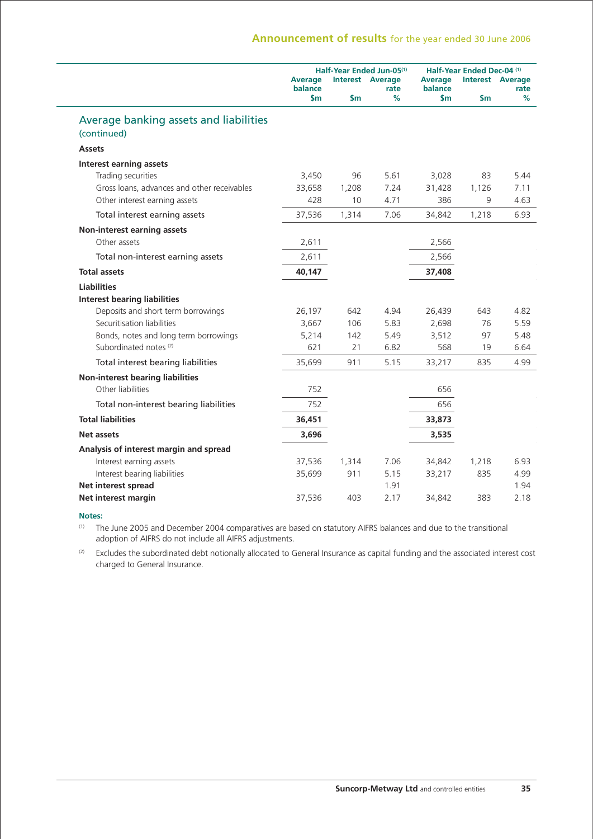|                                                       |                           | Half-Year Ended Jun-05 <sup>(1)</sup> |                                 |                           | Half-Year Ended Dec-04 (1) |                                 |  |
|-------------------------------------------------------|---------------------------|---------------------------------------|---------------------------------|---------------------------|----------------------------|---------------------------------|--|
|                                                       | <b>Average</b><br>balance |                                       | <b>Interest Average</b><br>rate | <b>Average</b><br>balance |                            | <b>Interest Average</b><br>rate |  |
|                                                       | $\mathsf{sm}$             | \$m                                   | %                               | $\mathsf{sm}$             | \$m                        | %                               |  |
| Average banking assets and liabilities<br>(continued) |                           |                                       |                                 |                           |                            |                                 |  |
| <b>Assets</b>                                         |                           |                                       |                                 |                           |                            |                                 |  |
| <b>Interest earning assets</b>                        |                           |                                       |                                 |                           |                            |                                 |  |
| Trading securities                                    | 3,450                     | 96                                    | 5.61                            | 3,028                     | 83                         | 5.44                            |  |
| Gross loans, advances and other receivables           | 33,658                    | 1,208                                 | 7.24                            | 31,428                    | 1,126                      | 7.11                            |  |
| Other interest earning assets                         | 428                       | 10                                    | 4.71                            | 386                       | 9                          | 4.63                            |  |
| Total interest earning assets                         | 37,536                    | 1,314                                 | 7.06                            | 34,842                    | 1,218                      | 6.93                            |  |
| Non-interest earning assets                           |                           |                                       |                                 |                           |                            |                                 |  |
| Other assets                                          | 2,611                     |                                       |                                 | 2,566                     |                            |                                 |  |
| Total non-interest earning assets                     | 2,611                     |                                       |                                 | 2,566                     |                            |                                 |  |
| <b>Total assets</b>                                   | 40,147                    |                                       |                                 | 37,408                    |                            |                                 |  |
| <b>Liabilities</b>                                    |                           |                                       |                                 |                           |                            |                                 |  |
| <b>Interest bearing liabilities</b>                   |                           |                                       |                                 |                           |                            |                                 |  |
| Deposits and short term borrowings                    | 26,197                    | 642                                   | 4.94                            | 26,439                    | 643                        | 4.82                            |  |
| Securitisation liabilities                            | 3,667                     | 106                                   | 5.83                            | 2,698                     | 76                         | 5.59                            |  |
| Bonds, notes and long term borrowings                 | 5,214                     | 142                                   | 5.49                            | 3,512                     | 97                         | 5.48                            |  |
| Subordinated notes <sup>(2)</sup>                     | 621                       | 21                                    | 6.82                            | 568                       | 19                         | 6.64                            |  |
| Total interest bearing liabilities                    | 35,699                    | 911                                   | 5.15                            | 33,217                    | 835                        | 4.99                            |  |
| <b>Non-interest bearing liabilities</b>               |                           |                                       |                                 |                           |                            |                                 |  |
| Other liabilities                                     | 752                       |                                       |                                 | 656                       |                            |                                 |  |
| Total non-interest bearing liabilities                | 752                       |                                       |                                 | 656                       |                            |                                 |  |
| <b>Total liabilities</b>                              | 36,451                    |                                       |                                 | 33,873                    |                            |                                 |  |
| Net assets                                            | 3,696                     |                                       |                                 | 3,535                     |                            |                                 |  |
| Analysis of interest margin and spread                |                           |                                       |                                 |                           |                            |                                 |  |
| Interest earning assets                               | 37,536                    | 1,314                                 | 7.06                            | 34,842                    | 1,218                      | 6.93                            |  |
| Interest bearing liabilities                          | 35,699                    | 911                                   | 5.15                            | 33,217                    | 835                        | 4.99                            |  |
| Net interest spread                                   |                           |                                       | 1.91                            |                           |                            | 1.94                            |  |
| Net interest margin                                   | 37,536                    | 403                                   | 2.17                            | 34,842                    | 383                        | 2.18                            |  |

#### **Notes:**

(1) The June 2005 and December 2004 comparatives are based on statutory AIFRS balances and due to the transitional adoption of AIFRS do not include all AIFRS adjustments.

(2) Excludes the subordinated debt notionally allocated to General Insurance as capital funding and the associated interest cost charged to General Insurance.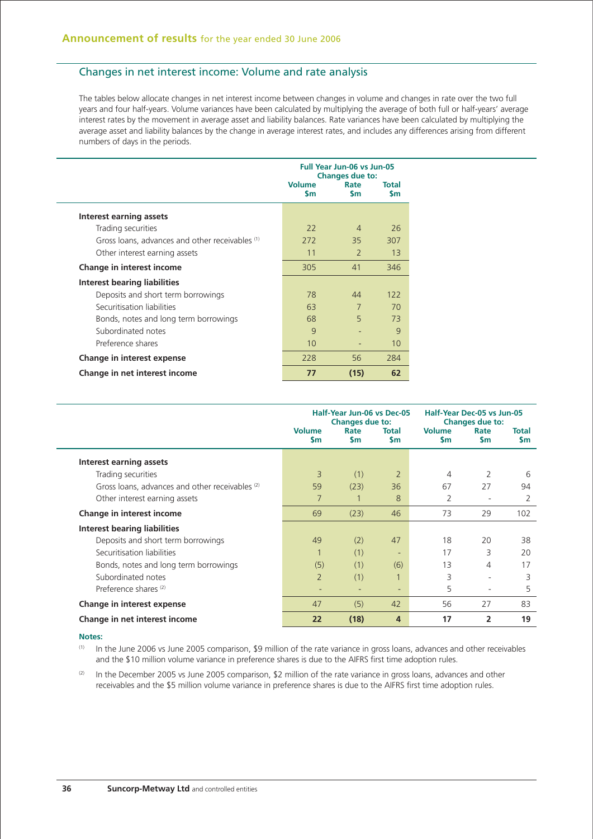## Changes in net interest income: Volume and rate analysis

The tables below allocate changes in net interest income between changes in volume and changes in rate over the two full years and four half-years. Volume variances have been calculated by multiplying the average of both full or half-years' average interest rates by the movement in average asset and liability balances. Rate variances have been calculated by multiplying the average asset and liability balances by the change in average interest rates, and includes any differences arising from different numbers of days in the periods.

|                                                 | <b>Full Year Jun-06 vs Jun-05</b><br><b>Changes due to:</b> |                   |                    |  |
|-------------------------------------------------|-------------------------------------------------------------|-------------------|--------------------|--|
|                                                 | <b>Volume</b><br><b>S</b> m                                 | Rate<br><b>Sm</b> | Total<br><b>Sm</b> |  |
| Interest earning assets                         |                                                             |                   |                    |  |
| Trading securities                              | 22                                                          | $\Delta$          | 26                 |  |
| Gross loans, advances and other receivables (1) | 272                                                         | 35                | 307                |  |
| Other interest earning assets                   | 11                                                          | $\mathcal{P}$     | 13                 |  |
| Change in interest income                       | 305                                                         | 41                | 346                |  |
| Interest bearing liabilities                    |                                                             |                   |                    |  |
| Deposits and short term borrowings              | 78                                                          | 44                | 122                |  |
| Securitisation liabilities                      | 63                                                          | 7                 | 70                 |  |
| Bonds, notes and long term borrowings           | 68                                                          | 5                 | 73                 |  |
| Subordinated notes                              | 9                                                           |                   | 9                  |  |
| Preference shares                               | 10                                                          |                   | 10                 |  |
| Change in interest expense                      | 228                                                         | 56                | 284                |  |
| Change in net interest income                   | 77                                                          | (15)              | 62                 |  |

|                                                 | Half-Year Jun-06 vs Dec-05<br>Changes due to: |                   |                           |                                | Half-Year Dec-05 vs Jun-05<br><b>Changes due to:</b> |                           |  |  |
|-------------------------------------------------|-----------------------------------------------|-------------------|---------------------------|--------------------------------|------------------------------------------------------|---------------------------|--|--|
|                                                 | <b>Volume</b><br>\$m                          | Rate<br><b>Sm</b> | <b>Total</b><br><b>Sm</b> | <b>Volume</b><br>$\mathsf{Sm}$ | Rate<br><b>Sm</b>                                    | <b>Total</b><br><b>Sm</b> |  |  |
| Interest earning assets                         |                                               |                   |                           |                                |                                                      |                           |  |  |
| Trading securities                              | 3                                             | (1)               | $\overline{2}$            | 4                              | 2                                                    | 6                         |  |  |
| Gross loans, advances and other receivables (2) | 59                                            | (23)              | 36                        | 67                             | 27                                                   | 94                        |  |  |
| Other interest earning assets                   | 7                                             |                   | 8                         | 2                              | ٠                                                    | 2                         |  |  |
| Change in interest income                       | 69                                            | (23)              | 46                        | 73                             | 29                                                   | 102                       |  |  |
| Interest bearing liabilities                    |                                               |                   |                           |                                |                                                      |                           |  |  |
| Deposits and short term borrowings              | 49                                            | (2)               | 47                        | 18                             | 20                                                   | 38                        |  |  |
| Securitisation liabilities                      |                                               | (1)               | ٠                         | 17                             | 3                                                    | 20                        |  |  |
| Bonds, notes and long term borrowings           | (5)                                           | (1)               | (6)                       | 13                             | 4                                                    | 17                        |  |  |
| Subordinated notes                              | $\overline{2}$                                | (1)               |                           | 3                              | ۰                                                    | 3                         |  |  |
| Preference shares <sup>(2)</sup>                | -                                             | ۰                 | ۰                         | 5                              | $\overline{\phantom{a}}$                             | 5                         |  |  |
| Change in interest expense                      | 47                                            | (5)               | 42                        | 56                             | 27                                                   | 83                        |  |  |
| Change in net interest income                   | 22                                            | (18)              | 4                         | 17                             | $\overline{2}$                                       | 19                        |  |  |

#### **Notes:**

(1) In the June 2006 vs June 2005 comparison, \$9 million of the rate variance in gross loans, advances and other receivables and the \$10 million volume variance in preference shares is due to the AIFRS first time adoption rules.

 $(2)$  In the December 2005 vs June 2005 comparison, \$2 million of the rate variance in gross loans, advances and other receivables and the \$5 million volume variance in preference shares is due to the AIFRS first time adoption rules.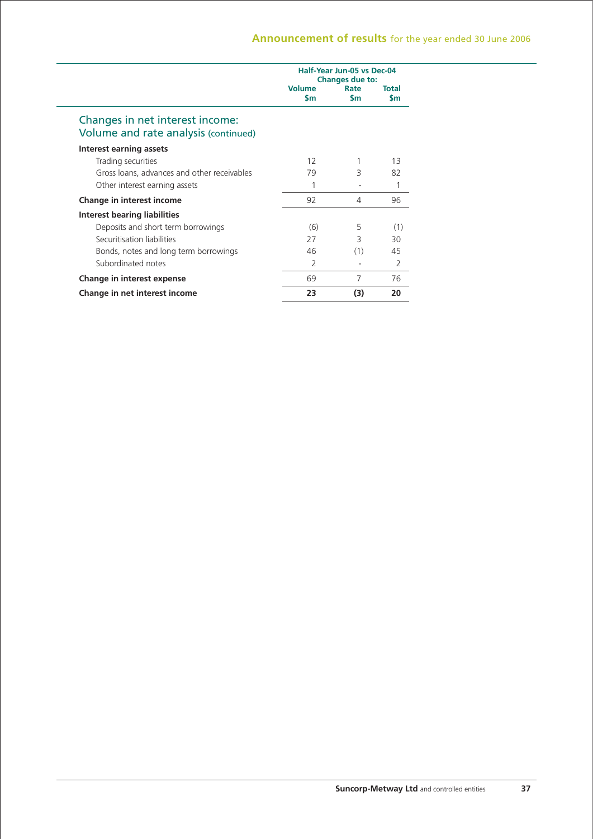|                                                                         |                            | Half-Year Jun-05 vs Dec-04<br><b>Changes due to:</b> |                     |
|-------------------------------------------------------------------------|----------------------------|------------------------------------------------------|---------------------|
|                                                                         | <b>Volume</b><br><b>Sm</b> | Rate<br><b>Sm</b>                                    | Total<br><b>S</b> m |
| Changes in net interest income:<br>Volume and rate analysis (continued) |                            |                                                      |                     |
| Interest earning assets                                                 |                            |                                                      |                     |
| Trading securities                                                      | 12                         |                                                      | 13                  |
| Gross loans, advances and other receivables                             | 79                         | 3                                                    | 82                  |
| Other interest earning assets                                           | 1                          |                                                      |                     |
| Change in interest income                                               | 92                         | 4                                                    | 96                  |
| Interest bearing liabilities                                            |                            |                                                      |                     |
| Deposits and short term borrowings                                      | (6)                        | 5                                                    | (1)                 |
| Securitisation liabilities                                              | 27                         | 3                                                    | 30                  |
| Bonds, notes and long term borrowings                                   | 46                         | (1)                                                  | 45                  |
| Subordinated notes                                                      | 2                          |                                                      | 2                   |
| Change in interest expense                                              | 69                         | 7                                                    | 76                  |
| Change in net interest income                                           | 23                         | (3)                                                  | 20                  |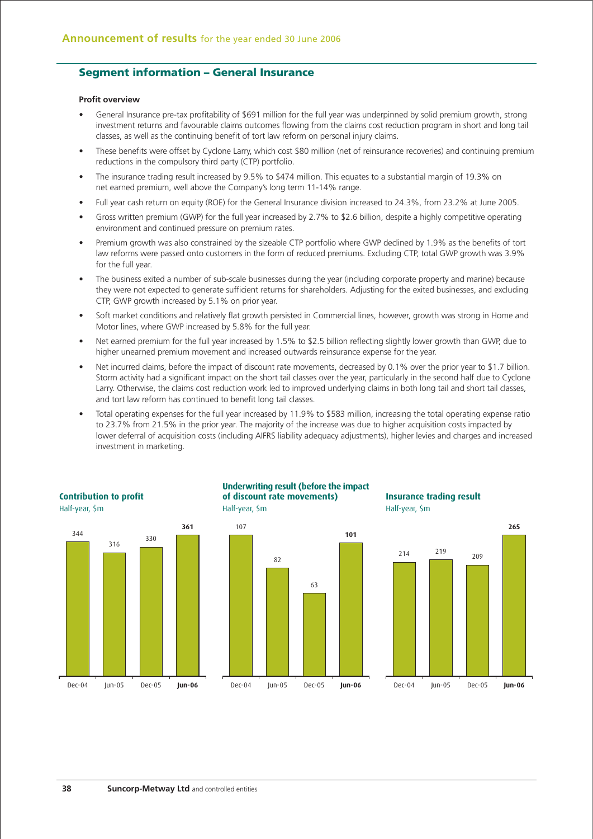## **Segment information – General Insurance**

#### **Profit overview**

- General Insurance pre-tax profitability of \$691 million for the full year was underpinned by solid premium growth, strong investment returns and favourable claims outcomes flowing from the claims cost reduction program in short and long tail classes, as well as the continuing benefit of tort law reform on personal injury claims.
- These benefits were offset by Cyclone Larry, which cost \$80 million (net of reinsurance recoveries) and continuing premium reductions in the compulsory third party (CTP) portfolio.
- The insurance trading result increased by 9.5% to \$474 million. This equates to a substantial margin of 19.3% on net earned premium, well above the Company's long term 11-14% range.
- Full year cash return on equity (ROE) for the General Insurance division increased to 24.3%, from 23.2% at June 2005.
- Gross written premium (GWP) for the full year increased by 2.7% to \$2.6 billion, despite a highly competitive operating environment and continued pressure on premium rates.
- Premium growth was also constrained by the sizeable CTP portfolio where GWP declined by 1.9% as the benefits of tort law reforms were passed onto customers in the form of reduced premiums. Excluding CTP, total GWP growth was 3.9% for the full year.
- The business exited a number of sub-scale businesses during the year (including corporate property and marine) because they were not expected to generate sufficient returns for shareholders. Adjusting for the exited businesses, and excluding CTP, GWP growth increased by 5.1% on prior year.
- Soft market conditions and relatively flat growth persisted in Commercial lines, however, growth was strong in Home and Motor lines, where GWP increased by 5.8% for the full year.
- Net earned premium for the full year increased by 1.5% to \$2.5 billion reflecting slightly lower growth than GWP, due to higher unearned premium movement and increased outwards reinsurance expense for the year.
- Net incurred claims, before the impact of discount rate movements, decreased by 0.1% over the prior year to \$1.7 billion. Storm activity had a significant impact on the short tail classes over the year, particularly in the second half due to Cyclone Larry. Otherwise, the claims cost reduction work led to improved underlying claims in both long tail and short tail classes, and tort law reform has continued to benefit long tail classes.
- Total operating expenses for the full year increased by 11.9% to \$583 million, increasing the total operating expense ratio to 23.7% from 21.5% in the prior year. The majority of the increase was due to higher acquisition costs impacted by lower deferral of acquisition costs (including AIFRS liability adequacy adjustments), higher levies and charges and increased investment in marketing.



#### **of discount rate movements)** Half-year, \$m **Underwriting result (before the impact**

63

**101**

82

107

Dec-04 Jun-05 **Jun-06** Dec-05

# **Insurance trading result** Half-year, \$m

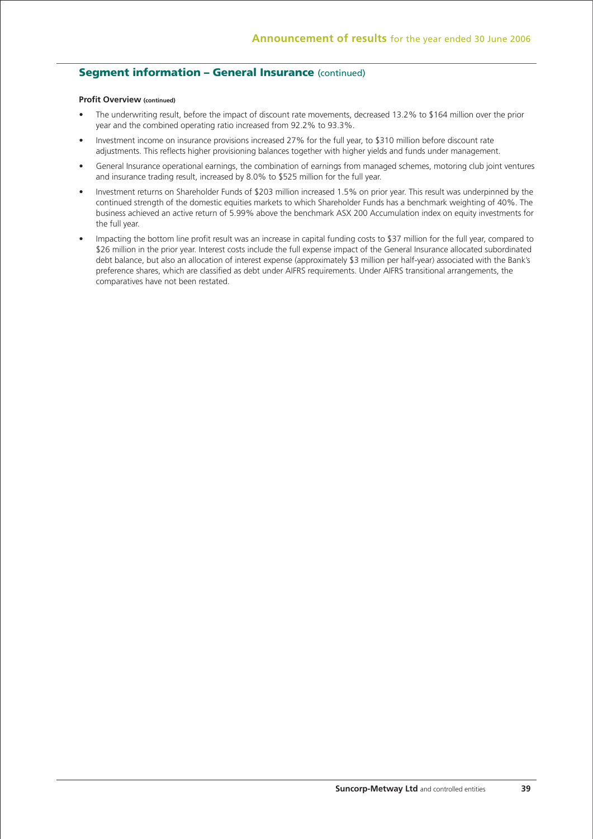# **Segment information – General Insurance (continued)**

### **Profit Overview (continued)**

- The underwriting result, before the impact of discount rate movements, decreased 13.2% to \$164 million over the prior year and the combined operating ratio increased from 92.2% to 93.3%.
- Investment income on insurance provisions increased 27% for the full year, to \$310 million before discount rate adjustments. This reflects higher provisioning balances together with higher yields and funds under management.
- General Insurance operational earnings, the combination of earnings from managed schemes, motoring club joint ventures and insurance trading result, increased by 8.0% to \$525 million for the full year.
- Investment returns on Shareholder Funds of \$203 million increased 1.5% on prior year. This result was underpinned by the continued strength of the domestic equities markets to which Shareholder Funds has a benchmark weighting of 40%. The business achieved an active return of 5.99% above the benchmark ASX 200 Accumulation index on equity investments for the full year.
- Impacting the bottom line profit result was an increase in capital funding costs to \$37 million for the full year, compared to \$26 million in the prior year. Interest costs include the full expense impact of the General Insurance allocated subordinated debt balance, but also an allocation of interest expense (approximately \$3 million per half-year) associated with the Bank's preference shares, which are classified as debt under AIFRS requirements. Under AIFRS transitional arrangements, the comparatives have not been restated.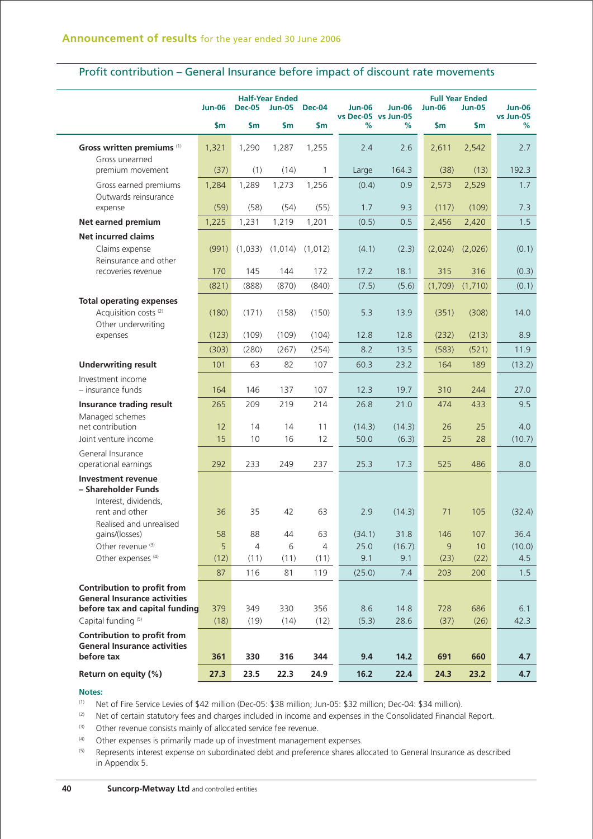| Profit contribution – General Insurance before impact of discount rate movements |  |  |
|----------------------------------------------------------------------------------|--|--|
|----------------------------------------------------------------------------------|--|--|

|                                                                    | <b>Jun-06</b> | <b>Dec-05</b>  | <b>Half-Year Ended</b><br><b>Jun-05</b> | <b>Dec-04</b>  | <b>Jun-06</b> | <b>Jun-06</b><br>vs Dec-05 vs Jun-05 | <b>Jun-06</b> | <b>Full Year Ended</b><br><b>Jun-05</b> | <b>Jun-06</b><br>vs Jun-05 |
|--------------------------------------------------------------------|---------------|----------------|-----------------------------------------|----------------|---------------|--------------------------------------|---------------|-----------------------------------------|----------------------------|
|                                                                    | $\mathsf{Sm}$ | $\mathsf{S}$ m | \$m\$                                   | $\mathsf{Sm}$  | %             | ℅                                    | \$m           | \$m                                     | %                          |
| Gross written premiums (1)<br>Gross unearned                       | 1,321         | 1,290          | 1,287                                   | 1,255          | 2.4           | 2.6                                  | 2,611         | 2,542                                   | 2.7                        |
| premium movement                                                   | (37)          | (1)            | (14)                                    | $\mathbf{1}$   | Large         | 164.3                                | (38)          | (13)                                    | 192.3                      |
| Gross earned premiums                                              | 1,284         | 1,289          | 1,273                                   | 1,256          | (0.4)         | 0.9                                  | 2,573         | 2,529                                   | 1.7                        |
| Outwards reinsurance<br>expense                                    | (59)          | (58)           | (54)                                    | (55)           | 1.7           | 9.3                                  | (117)         | (109)                                   | 7.3                        |
| Net earned premium                                                 | 1,225         | 1,231          | 1,219                                   | 1,201          | (0.5)         | 0.5                                  | 2,456         | 2,420                                   | 1.5                        |
| <b>Net incurred claims</b>                                         |               |                |                                         |                |               |                                      |               |                                         |                            |
| Claims expense                                                     | (991)         | (1,033)        | (1,014)                                 | (1,012)        | (4.1)         | (2.3)                                | (2,024)       | (2,026)                                 | (0.1)                      |
| Reinsurance and other<br>recoveries revenue                        | 170           | 145            | 144                                     | 172            | 17.2          | 18.1                                 | 315           | 316                                     | (0.3)                      |
|                                                                    | (821)         | (888)          | (870)                                   | (840)          | (7.5)         | (5.6)                                | (1,709)       | (1,710)                                 | (0.1)                      |
| <b>Total operating expenses</b>                                    |               |                |                                         |                |               |                                      |               |                                         |                            |
| Acquisition costs <sup>(2)</sup>                                   | (180)         | (171)          | (158)                                   | (150)          | 5.3           | 13.9                                 | (351)         | (308)                                   | 14.0                       |
| Other underwriting<br>expenses                                     | (123)         | (109)          | (109)                                   | (104)          | 12.8          | 12.8                                 | (232)         | (213)                                   | 8.9                        |
|                                                                    | (303)         | (280)          | (267)                                   | (254)          | 8.2           | 13.5                                 | (583)         | (521)                                   | 11.9                       |
| <b>Underwriting result</b>                                         | 101           | 63             | 82                                      | 107            | 60.3          | 23.2                                 | 164           | 189                                     | (13.2)                     |
| Investment income                                                  |               |                |                                         |                |               |                                      |               |                                         |                            |
| - insurance funds                                                  | 164           | 146            | 137                                     | 107            | 12.3          | 19.7                                 | 310           | 244                                     | 27.0                       |
| Insurance trading result                                           | 265           | 209            | 219                                     | 214            | 26.8          | 21.0                                 | 474           | 433                                     | 9.5                        |
| Managed schemes                                                    |               |                |                                         |                |               |                                      |               |                                         |                            |
| net contribution                                                   | 12            | 14             | 14                                      | 11             | (14.3)        | (14.3)                               | 26            | 25                                      | 4.0                        |
| Joint venture income                                               | 15            | 10             | 16                                      | 12             | 50.0          | (6.3)                                | 25            | 28                                      | (10.7)                     |
| General Insurance<br>operational earnings                          | 292           | 233            | 249                                     | 237            | 25.3          | 17.3                                 | 525           | 486                                     | 8.0                        |
| <b>Investment revenue</b>                                          |               |                |                                         |                |               |                                      |               |                                         |                            |
| - Shareholder Funds                                                |               |                |                                         |                |               |                                      |               |                                         |                            |
| Interest, dividends,                                               |               |                |                                         |                |               |                                      |               |                                         |                            |
| rent and other                                                     | 36            | 35             | 42                                      | 63             | 2.9           | (14.3)                               | 71            | 105                                     | (32.4)                     |
| Realised and unrealised<br>gains/(losses)                          | 58            | 88             | 44                                      | 63             | (34.1)        | 31.8                                 | 146           | 107                                     | 36.4                       |
| Other revenue <sup>(3)</sup>                                       | 5             | $\overline{4}$ | 6                                       | $\overline{4}$ | 25.0          | (16.7)                               | 9             | 10                                      | (10.0)                     |
| Other expenses <sup>(4)</sup>                                      | (12)          | (11)           | (11)                                    | (11)           | 9.1           | 9.1                                  | (23)          | (22)                                    | 4.5                        |
|                                                                    | 87            | 116            | 81                                      | 119            | (25.0)        | 7.4                                  | 203           | 200                                     | 1.5                        |
| Contribution to profit from                                        |               |                |                                         |                |               |                                      |               |                                         |                            |
| <b>General Insurance activities</b>                                |               |                |                                         |                |               |                                      |               |                                         |                            |
| before tax and capital funding                                     | 379           | 349            | 330                                     | 356            | 8.6           | 14.8                                 | 728           | 686                                     | 6.1                        |
| Capital funding <sup>(5)</sup>                                     | (18)          | (19)           | (14)                                    | (12)           | (5.3)         | 28.6                                 | (37)          | (26)                                    | 42.3                       |
| Contribution to profit from<br><b>General Insurance activities</b> |               |                |                                         |                |               |                                      |               |                                         |                            |
|                                                                    |               |                |                                         |                |               |                                      |               |                                         |                            |
| before tax                                                         | 361           | 330            | 316                                     | 344            | 9.4           | 14.2                                 | 691           | 660                                     | 4.7                        |

## **Notes:**

(1) Net of Fire Service Levies of \$42 million (Dec-05: \$38 million; Jun-05: \$32 million; Dec-04: \$34 million).

(2) Net of certain statutory fees and charges included in income and expenses in the Consolidated Financial Report.

(3) Other revenue consists mainly of allocated service fee revenue.

(4) Other expenses is primarily made up of investment management expenses.

(5) Represents interest expense on subordinated debt and preference shares allocated to General Insurance as described in Appendix 5.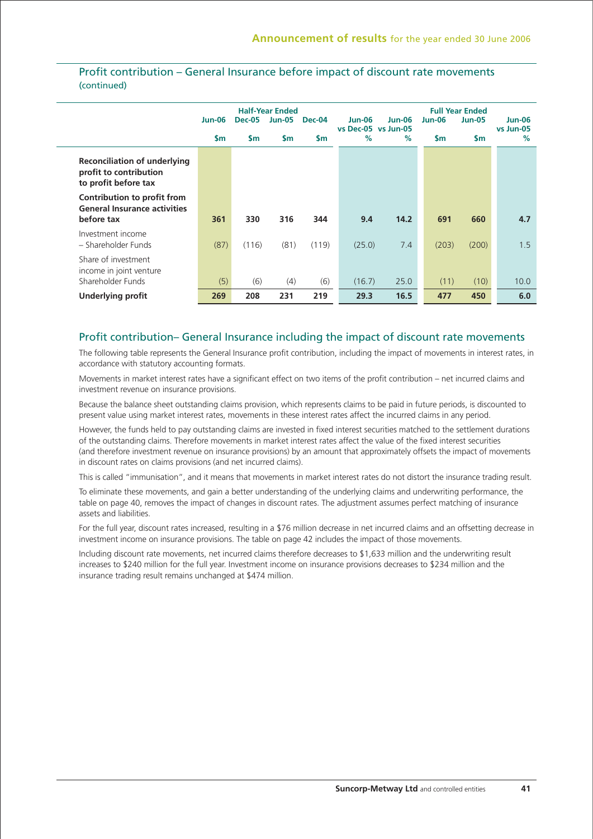|                                                                                       | <b>Jun-06</b><br>$\mathsf{sm}$ | <b>Dec-05</b><br>$\mathsf{Sm}$ | <b>Half-Year Ended</b><br><b>Jun-05</b><br>$\mathsf{sm}$ | Dec-04<br>$\mathsf{sm}$ | Jun-06<br>$\%$ | <b>Jun-06</b><br>vs Dec-05 vs Jun-05<br>$\%$ | <b>Jun-06</b><br>$\mathsf{sm}$ | <b>Full Year Ended</b><br><b>Jun-05</b><br>$\mathsf{sm}$ | Jun-06<br>vs Jun-05<br>$\%$ |
|---------------------------------------------------------------------------------------|--------------------------------|--------------------------------|----------------------------------------------------------|-------------------------|----------------|----------------------------------------------|--------------------------------|----------------------------------------------------------|-----------------------------|
| <b>Reconciliation of underlying</b><br>profit to contribution<br>to profit before tax |                                |                                |                                                          |                         |                |                                              |                                |                                                          |                             |
| Contribution to profit from<br><b>General Insurance activities</b><br>before tax      | 361                            | 330                            | 316                                                      | 344                     | 9.4            | 14.2                                         | 691                            | 660                                                      | 4.7                         |
| Investment income<br>- Shareholder Funds                                              | (87)                           | (116)                          | (81)                                                     | (119)                   | (25.0)         | 7.4                                          | (203)                          | (200)                                                    | 1.5                         |
| Share of investment<br>income in joint venture<br>Shareholder Funds                   | (5)                            | (6)                            | (4)                                                      | (6)                     | (16.7)         | 25.0                                         | (11)                           | (10)                                                     | 10.0                        |
| <b>Underlying profit</b>                                                              | 269                            | 208                            | 231                                                      | 219                     | 29.3           | 16.5                                         | 477                            | 450                                                      | 6.0                         |

# Profit contribution – General Insurance before impact of discount rate movements (continued)

## Profit contribution– General Insurance including the impact of discount rate movements

The following table represents the General Insurance profit contribution, including the impact of movements in interest rates, in accordance with statutory accounting formats.

Movements in market interest rates have a significant effect on two items of the profit contribution – net incurred claims and investment revenue on insurance provisions.

Because the balance sheet outstanding claims provision, which represents claims to be paid in future periods, is discounted to present value using market interest rates, movements in these interest rates affect the incurred claims in any period.

However, the funds held to pay outstanding claims are invested in fixed interest securities matched to the settlement durations of the outstanding claims. Therefore movements in market interest rates affect the value of the fixed interest securities (and therefore investment revenue on insurance provisions) by an amount that approximately offsets the impact of movements in discount rates on claims provisions (and net incurred claims).

This is called "immunisation", and it means that movements in market interest rates do not distort the insurance trading result.

To eliminate these movements, and gain a better understanding of the underlying claims and underwriting performance, the table on page 40, removes the impact of changes in discount rates. The adjustment assumes perfect matching of insurance assets and liabilities.

For the full year, discount rates increased, resulting in a \$76 million decrease in net incurred claims and an offsetting decrease in investment income on insurance provisions. The table on page 42 includes the impact of those movements.

Including discount rate movements, net incurred claims therefore decreases to \$1,633 million and the underwriting result increases to \$240 million for the full year. Investment income on insurance provisions decreases to \$234 million and the insurance trading result remains unchanged at \$474 million.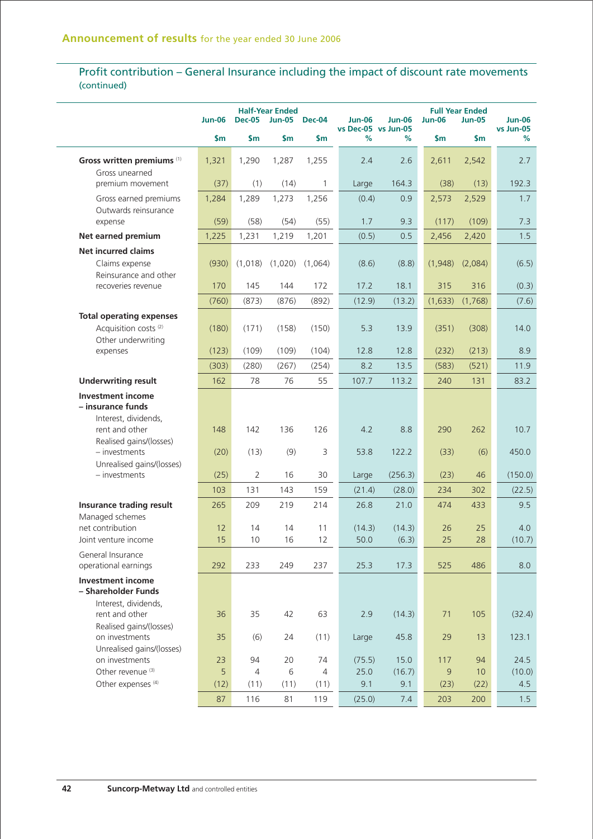# Profit contribution – General Insurance including the impact of discount rate movements (continued)

|                                               | <b>Jun-06</b>  | <b>Dec-05</b>  | <b>Half-Year Ended</b><br><b>Jun-05</b> | <b>Dec-04</b> | <b>Jun-06</b> | <b>Jun-06</b>            | <b>Jun-06</b> | <b>Full Year Ended</b><br><b>Jun-05</b> | <b>Jun-06</b><br>vs Jun-05 |
|-----------------------------------------------|----------------|----------------|-----------------------------------------|---------------|---------------|--------------------------|---------------|-----------------------------------------|----------------------------|
|                                               | $\mathsf{S}$ m | \$m            | $\mathsf{S}$ m                          | \$m           | %             | vs Dec-05 vs Jun-05<br>% | \$m           | $\mathsf{Sm}$                           | %                          |
| Gross written premiums (1)                    | 1,321          | 1,290          | 1,287                                   | 1,255         | 2.4           | 2.6                      | 2,611         | 2,542                                   | 2.7                        |
| Gross unearned                                |                |                |                                         |               |               |                          |               |                                         |                            |
| premium movement                              | (37)           | (1)            | (14)                                    | $\mathbf{1}$  | Large         | 164.3                    | (38)          | (13)                                    | 192.3                      |
| Gross earned premiums<br>Outwards reinsurance | 1,284          | 1,289          | 1,273                                   | 1,256         | (0.4)         | 0.9                      | 2,573         | 2,529                                   | 1.7                        |
| expense                                       | (59)           | (58)           | (54)                                    | (55)          | 1.7           | 9.3                      | (117)         | (109)                                   | 7.3                        |
| Net earned premium                            | 1,225          | 1,231          | 1,219                                   | 1,201         | (0.5)         | 0.5                      | 2,456         | 2,420                                   | 1.5                        |
| <b>Net incurred claims</b>                    |                |                |                                         |               |               |                          |               |                                         |                            |
| Claims expense                                | (930)          | (1,018)        | (1,020)                                 | (1,064)       | (8.6)         | (8.8)                    | (1,948)       | (2,084)                                 | (6.5)                      |
| Reinsurance and other                         |                |                |                                         |               |               |                          |               |                                         |                            |
| recoveries revenue                            | 170            | 145            | 144                                     | 172           | 17.2          | 18.1                     | 315           | 316                                     | (0.3)                      |
|                                               | (760)          | (873)          | (876)                                   | (892)         | (12.9)        | (13.2)                   | (1,633)       | (1,768)                                 | (7.6)                      |
| <b>Total operating expenses</b>               |                |                |                                         |               |               |                          |               |                                         |                            |
| Acquisition costs <sup>(2)</sup>              | (180)          | (171)          | (158)                                   | (150)         | 5.3           | 13.9                     | (351)         | (308)                                   | 14.0                       |
| Other underwriting                            |                |                |                                         |               |               |                          |               |                                         |                            |
| expenses                                      | (123)          | (109)          | (109)                                   | (104)         | 12.8          | 12.8                     | (232)         | (213)                                   | 8.9                        |
|                                               | (303)          | (280)          | (267)                                   | (254)         | 8.2           | 13.5                     | (583)         | (521)                                   | 11.9                       |
| <b>Underwriting result</b>                    | 162            | 78             | 76                                      | 55            | 107.7         | 113.2                    | 240           | 131                                     | 83.2                       |
| <b>Investment income</b>                      |                |                |                                         |               |               |                          |               |                                         |                            |
| - insurance funds<br>Interest, dividends,     |                |                |                                         |               |               |                          |               |                                         |                            |
| rent and other                                | 148            | 142            | 136                                     | 126           | 4.2           | 8.8                      | 290           | 262                                     | 10.7                       |
| Realised gains/(losses)                       |                |                |                                         |               |               |                          |               |                                         |                            |
| $-$ investments                               | (20)           | (13)           | (9)                                     | 3             | 53.8          | 122.2                    | (33)          | (6)                                     | 450.0                      |
| Unrealised gains/(losses)                     |                |                |                                         |               |               |                          |               |                                         |                            |
| $-$ investments                               | (25)           | $\overline{2}$ | 16                                      | 30            | Large         | (256.3)                  | (23)          | 46                                      | (150.0)                    |
|                                               | 103            | 131            | 143                                     | 159           | (21.4)        | (28.0)                   | 234           | 302                                     | (22.5)                     |
| Insurance trading result                      | 265            | 209            | 219                                     | 214           | 26.8          | 21.0                     | 474           | 433                                     | 9.5                        |
| Managed schemes<br>net contribution           | 12             | 14             | 14                                      | 11            | (14.3)        | (14.3)                   | 26            | 25                                      | 4.0                        |
| Joint venture income                          | 15             | 10             | 16                                      | 12            | 50.0          | (6.3)                    | 25            | 28                                      | (10.7)                     |
| General Insurance                             |                |                |                                         |               |               |                          |               |                                         |                            |
| operational earnings                          | 292            | 233            | 249                                     | 237           | 25.3          | 17.3                     | 525           | 486                                     | 8.0                        |
| <b>Investment income</b>                      |                |                |                                         |               |               |                          |               |                                         |                            |
| - Shareholder Funds                           |                |                |                                         |               |               |                          |               |                                         |                            |
| Interest, dividends,<br>rent and other        | 36             | 35             | 42                                      | 63            | 2.9           | (14.3)                   | 71            | 105                                     | (32.4)                     |
| Realised gains/(losses)                       |                |                |                                         |               |               |                          |               |                                         |                            |
| on investments                                | 35             | (6)            | 24                                      | (11)          | Large         | 45.8                     | 29            | 13                                      | 123.1                      |
| Unrealised gains/(losses)                     |                |                |                                         |               |               |                          |               |                                         |                            |
| on investments                                | 23             | 94             | 20                                      | 74            | (75.5)        | 15.0                     | 117           | 94                                      | 24.5                       |
| Other revenue <sup>(3)</sup>                  | 5              | $\overline{4}$ | 6                                       | 4             | 25.0          | (16.7)                   | 9             | 10                                      | (10.0)                     |
| Other expenses <sup>(4)</sup>                 | (12)           | (11)           | (11)                                    | (11)          | 9.1           | 9.1                      | (23)          | (22)                                    | 4.5                        |
|                                               | 87             | 116            | 81                                      | 119           | (25.0)        | 7.4                      | 203           | 200                                     | 1.5                        |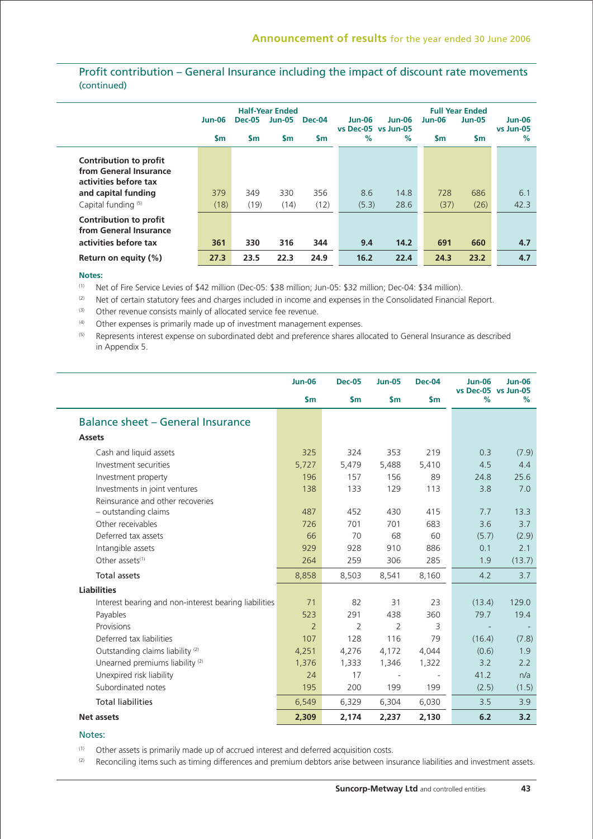# Profit contribution – General Insurance including the impact of discount rate movements (continued)

|                                                                                                  | Jun-06<br>$\mathsf{sm}$ | <b>Dec-05</b><br>$\mathsf{sm}$ | <b>Half-Year Ended</b><br><b>Jun-05</b><br><b>Sm</b> | <b>Dec-04</b><br><b>Sm</b> | Jun-06<br>vs Dec-05 vs Jun-05<br>% | $Jun-06$<br>$\%$ | <b>Jun-06</b><br>$\mathsf{Sm}$ | <b>Full Year Ended</b><br><b>Jun-05</b><br>$\mathsf{sm}$ | <b>Jun-06</b><br>vs Jun-05<br>$\frac{9}{6}$ |
|--------------------------------------------------------------------------------------------------|-------------------------|--------------------------------|------------------------------------------------------|----------------------------|------------------------------------|------------------|--------------------------------|----------------------------------------------------------|---------------------------------------------|
| Contribution to profit<br>from General Insurance<br>activities before tax<br>and capital funding | 379                     | 349                            | 330                                                  | 356                        | 8.6                                | 14.8             | 728                            | 686                                                      | 6.1                                         |
| Capital funding (5)<br>Contribution to profit<br>from General Insurance<br>activities before tax | (18)<br>361             | (19)<br>330                    | (14)<br>316                                          | (12)<br>344                | (5.3)<br>9.4                       | 28.6<br>14.2     | (37)<br>691                    | (26)<br>660                                              | 42.3<br>4.7                                 |
| Return on equity $(\%)$                                                                          | 27.3                    | 23.5                           | 22.3                                                 | 24.9                       | 16.2                               | 22.4             | 24.3                           | 23.2                                                     | 4.7                                         |

#### **Notes:**

(1) Net of Fire Service Levies of \$42 million (Dec-05: \$38 million; Jun-05: \$32 million; Dec-04: \$34 million).

(2) Net of certain statutory fees and charges included in income and expenses in the Consolidated Financial Report.

(3) Other revenue consists mainly of allocated service fee revenue.

 $(4)$  Other expenses is primarily made up of investment management expenses.

(5) Represents interest expense on subordinated debt and preference shares allocated to General Insurance as described in Appendix 5.

|                                                       | <b>Jun-06</b>  | <b>Dec-05</b> | <b>Jun-05</b>  | <b>Dec-04</b> | <b>Jun-06</b><br>vs Dec-05 vs Jun-05 | <b>Jun-06</b> |
|-------------------------------------------------------|----------------|---------------|----------------|---------------|--------------------------------------|---------------|
|                                                       | $\mathsf{S}$ m | $\mathsf{Sm}$ | $\mathsf{sm}$  | $\mathsf{Sm}$ | %                                    | %             |
| Balance sheet – General Insurance                     |                |               |                |               |                                      |               |
| <b>Assets</b>                                         |                |               |                |               |                                      |               |
| Cash and liquid assets                                | 325            | 324           | 353            | 219           | 0.3                                  | (7.9)         |
| Investment securities                                 | 5,727          | 5,479         | 5,488          | 5,410         | 4.5                                  | 4.4           |
| Investment property                                   | 196            | 157           | 156            | 89            | 24.8                                 | 25.6          |
| Investments in joint ventures                         | 138            | 133           | 129            | 113           | 3.8                                  | 7.0           |
| Reinsurance and other recoveries                      |                |               |                |               |                                      |               |
| - outstanding claims                                  | 487            | 452           | 430            | 415           | 7.7                                  | 13.3          |
| Other receivables                                     | 726            | 701           | 701            | 683           | 3.6                                  | 3.7           |
| Deferred tax assets                                   | 66             | 70            | 68             | 60            | (5.7)                                | (2.9)         |
| Intangible assets                                     | 929            | 928           | 910            | 886           | 0.1                                  | 2.1           |
| Other assets <sup>(1)</sup>                           | 264            | 259           | 306            | 285           | 1.9                                  | (13.7)        |
| Total assets                                          | 8,858          | 8,503         | 8,541          | 8,160         | 4.2                                  | 3.7           |
| <b>Liabilities</b>                                    |                |               |                |               |                                      |               |
| Interest bearing and non-interest bearing liabilities | 71             | 82            | 31             | 23            | (13.4)                               | 129.0         |
| Payables                                              | 523            | 291           | 438            | 360           | 79.7                                 | 19.4          |
| Provisions                                            | $\overline{2}$ | 2             | $\overline{2}$ | 3             |                                      |               |
| Deferred tax liabilities                              | 107            | 128           | 116            | 79            | (16.4)                               | (7.8)         |
| Outstanding claims liability <sup>(2)</sup>           | 4,251          | 4,276         | 4,172          | 4,044         | (0.6)                                | 1.9           |
| Unearned premiums liability <sup>(2)</sup>            | 1,376          | 1,333         | 1,346          | 1,322         | 3.2                                  | 2.2           |
| Unexpired risk liability                              | 24             | 17            | $\sim$         |               | 41.2                                 | n/a           |
| Subordinated notes                                    | 195            | 200           | 199            | 199           | (2.5)                                | (1.5)         |
| <b>Total liabilities</b>                              | 6,549          | 6,329         | 6,304          | 6,030         | 3.5                                  | 3.9           |
| <b>Net assets</b>                                     | 2,309          | 2,174         | 2,237          | 2,130         | 6.2                                  | 3.2           |

### Notes:

(1) Other assets is primarily made up of accrued interest and deferred acquisition costs.

(2) Reconciling items such as timing differences and premium debtors arise between insurance liabilities and investment assets.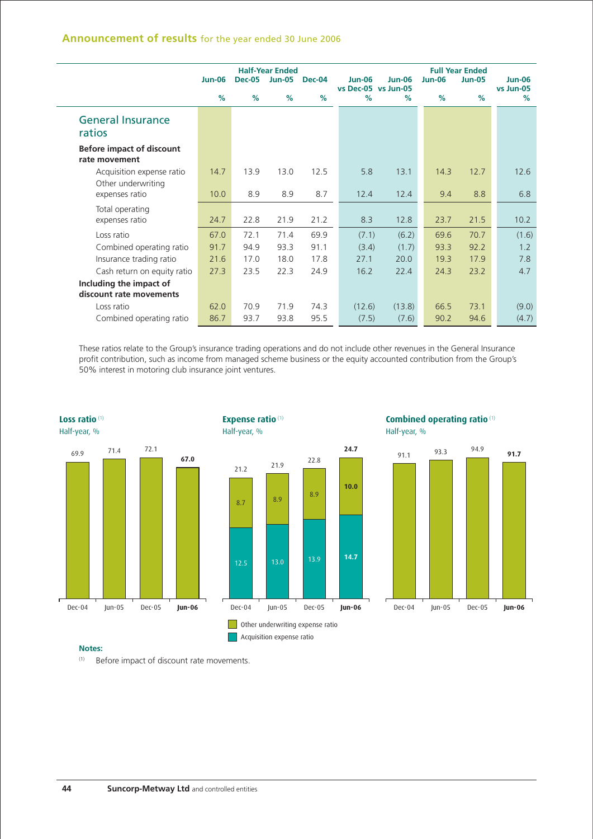# **Announcement of results** for the year ended 30 June 2006

|                                                   |               |               | <b>Half-Year Ended</b> |        |               |                                      |               | <b>Full Year Ended</b> |                            |
|---------------------------------------------------|---------------|---------------|------------------------|--------|---------------|--------------------------------------|---------------|------------------------|----------------------------|
|                                                   | <b>Jun-06</b> | <b>Dec-05</b> | <b>Jun-05</b>          | Dec-04 | <b>Jun-06</b> | <b>Jun-06</b><br>vs Dec-05 vs Jun-05 | <b>Jun-06</b> | <b>Jun-05</b>          | <b>Jun-06</b><br>vs Jun-05 |
|                                                   | %             | %             | %                      | %      | $\%$          | $\%$                                 | %             | %                      | $\%$                       |
| <b>General Insurance</b><br>ratios                |               |               |                        |        |               |                                      |               |                        |                            |
| <b>Before impact of discount</b><br>rate movement |               |               |                        |        |               |                                      |               |                        |                            |
| Acquisition expense ratio                         | 14.7          | 13.9          | 13.0                   | 12.5   | 5.8           | 13.1                                 | 14.3          | 12.7                   | 12.6                       |
| Other underwriting<br>expenses ratio              | 10.0          | 8.9           | 8.9                    | 8.7    | 12.4          | 12.4                                 | 9.4           | 8.8                    | 6.8                        |
| Total operating                                   |               |               |                        |        |               |                                      |               |                        |                            |
| expenses ratio                                    | 24.7          | 22.8          | 21.9                   | 21.2   | 8.3           | 12.8                                 | 23.7          | 21.5                   | 10.2                       |
| Loss ratio                                        | 67.0          | 72.1          | 71.4                   | 69.9   | (7.1)         | (6.2)                                | 69.6          | 70.7                   | (1.6)                      |
| Combined operating ratio                          | 91.7          | 94.9          | 93.3                   | 91.1   | (3.4)         | (1.7)                                | 93.3          | 92.2                   | 1.2                        |
| Insurance trading ratio                           | 21.6          | 17.0          | 18.0                   | 17.8   | 27.1          | 20.0                                 | 19.3          | 17.9                   | 7.8                        |
| Cash return on equity ratio                       | 27.3          | 23.5          | 22.3                   | 24.9   | 16.2          | 22.4                                 | 24.3          | 23.2                   | 4.7                        |
| Including the impact of                           |               |               |                        |        |               |                                      |               |                        |                            |
| discount rate movements                           |               |               |                        |        |               |                                      |               |                        |                            |
| Loss ratio                                        | 62.0          | 70.9          | 71.9                   | 74.3   | (12.6)        | (13.8)                               | 66.5          | 73.1                   | (9.0)                      |
| Combined operating ratio                          | 86.7          | 93.7          | 93.8                   | 95.5   | (7.5)         | (7.6)                                | 90.2          | 94.6                   | (4.7)                      |

These ratios relate to the Group's insurance trading operations and do not include other revenues in the General Insurance profit contribution, such as income from managed scheme business or the equity accounted contribution from the Group's 50% interest in motoring club insurance joint ventures.

**24.7**

**10.0**







#### **Notes:**

(1) Before impact of discount rate movements.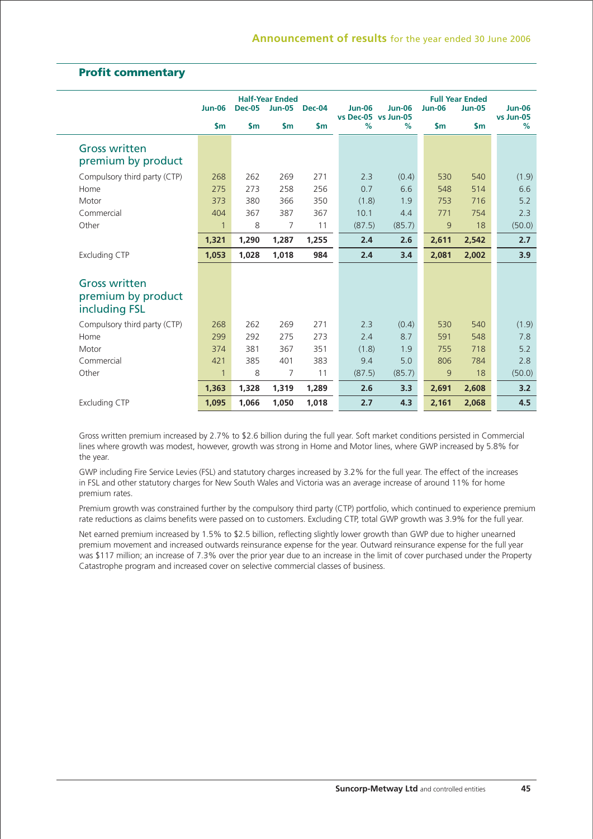# **Profit commentary**

|                                                             | <b>Jun-06</b> | <b>Dec-05</b> | <b>Half-Year Ended</b><br><b>Jun-05</b> | Dec-04        | <b>Jun-06</b>               | <b>Jun-06</b> | <b>Jun-06</b> | <b>Full Year Ended</b><br><b>Jun-05</b> | <b>Jun-06</b>     |
|-------------------------------------------------------------|---------------|---------------|-----------------------------------------|---------------|-----------------------------|---------------|---------------|-----------------------------------------|-------------------|
|                                                             | \$m           | $\mathsf{sm}$ | $\mathsf{Sm}$                           | $\mathsf{sm}$ | vs Dec-05 vs Jun-05<br>$\%$ | $\%$          | $\mathsf{Sm}$ | $\mathsf{Sm}$                           | vs Jun-05<br>$\%$ |
| <b>Gross written</b><br>premium by product                  |               |               |                                         |               |                             |               |               |                                         |                   |
| Compulsory third party (CTP)                                | 268           | 262           | 269                                     | 271           | 2.3                         | (0.4)         | 530           | 540                                     | (1.9)             |
| Home                                                        | 275           | 273           | 258                                     | 256           | 0.7                         | 6.6           | 548           | 514                                     | 6.6               |
| Motor                                                       | 373           | 380           | 366                                     | 350           | (1.8)                       | 1.9           | 753           | 716                                     | 5.2               |
| Commercial                                                  | 404           | 367           | 387                                     | 367           | 10.1                        | 4.4           | 771           | 754                                     | 2.3               |
| Other                                                       | $\mathbf{1}$  | 8             | 7                                       | 11            | (87.5)                      | (85.7)        | 9             | 18                                      | (50.0)            |
|                                                             | 1,321         | 1,290         | 1,287                                   | 1,255         | 2.4                         | 2.6           | 2,611         | 2,542                                   | 2.7               |
| <b>Excluding CTP</b>                                        | 1.053         | 1,028         | 1,018                                   | 984           | 2.4                         | 3.4           | 2,081         | 2,002                                   | 3.9               |
|                                                             |               |               |                                         |               |                             |               |               |                                         |                   |
| <b>Gross written</b><br>premium by product<br>including FSL |               |               |                                         |               |                             |               |               |                                         |                   |
| Compulsory third party (CTP)                                | 268           | 262           | 269                                     | 271           | 2.3                         | (0.4)         | 530           | 540                                     | (1.9)             |
| Home                                                        | 299           | 292           | 275                                     | 273           | 2.4                         | 8.7           | 591           | 548                                     | 7.8               |
| Motor                                                       | 374           | 381           | 367                                     | 351           | (1.8)                       | 1.9           | 755           | 718                                     | 5.2               |
| Commercial                                                  | 421           | 385           | 401                                     | 383           | 9.4                         | 5.0           | 806           | 784                                     | 2.8               |
| Other                                                       | $\mathbf{1}$  | 8             | 7                                       | 11            | (87.5)                      | (85.7)        | 9             | 18                                      | (50.0)            |
|                                                             | 1,363         | 1,328         | 1,319                                   | 1,289         | 2.6                         | 3.3           | 2,691         | 2,608                                   | 3.2               |
| <b>Excluding CTP</b>                                        | 1,095         | 1,066         | 1,050                                   | 1,018         | 2.7                         | 4.3           | 2,161         | 2,068                                   | 4.5               |

Gross written premium increased by 2.7% to \$2.6 billion during the full year. Soft market conditions persisted in Commercial lines where growth was modest, however, growth was strong in Home and Motor lines, where GWP increased by 5.8% for the year.

GWP including Fire Service Levies (FSL) and statutory charges increased by 3.2% for the full year. The effect of the increases in FSL and other statutory charges for New South Wales and Victoria was an average increase of around 11% for home premium rates.

Premium growth was constrained further by the compulsory third party (CTP) portfolio, which continued to experience premium rate reductions as claims benefits were passed on to customers. Excluding CTP, total GWP growth was 3.9% for the full year.

Net earned premium increased by 1.5% to \$2.5 billion, reflecting slightly lower growth than GWP due to higher unearned premium movement and increased outwards reinsurance expense for the year. Outward reinsurance expense for the full year was \$117 million; an increase of 7.3% over the prior year due to an increase in the limit of cover purchased under the Property Catastrophe program and increased cover on selective commercial classes of business.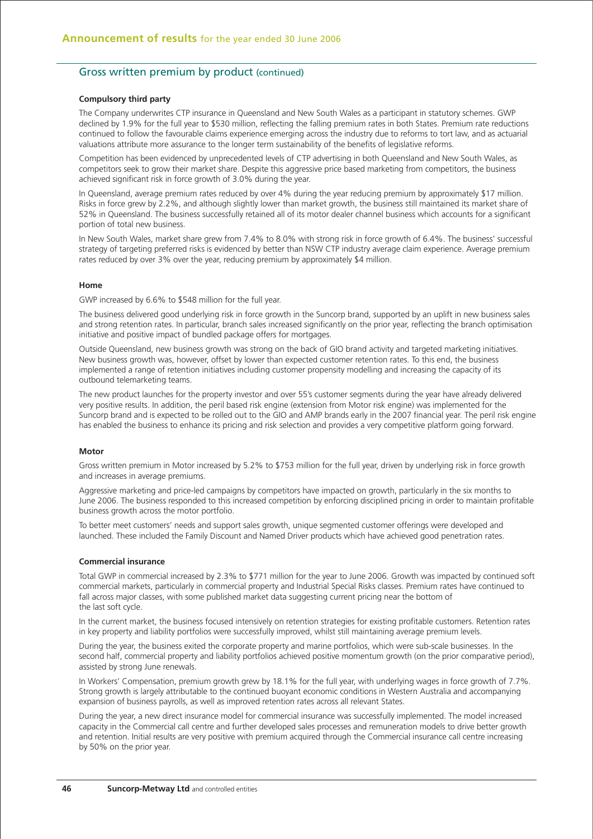## Gross written premium by product (continued)

### **Compulsory third party**

The Company underwrites CTP insurance in Queensland and New South Wales as a participant in statutory schemes. GWP declined by 1.9% for the full year to \$530 million, reflecting the falling premium rates in both States. Premium rate reductions continued to follow the favourable claims experience emerging across the industry due to reforms to tort law, and as actuarial valuations attribute more assurance to the longer term sustainability of the benefits of legislative reforms.

Competition has been evidenced by unprecedented levels of CTP advertising in both Queensland and New South Wales, as competitors seek to grow their market share. Despite this aggressive price based marketing from competitors, the business achieved significant risk in force growth of 3.0% during the year.

In Queensland, average premium rates reduced by over 4% during the year reducing premium by approximately \$17 million. Risks in force grew by 2.2%, and although slightly lower than market growth, the business still maintained its market share of 52% in Queensland. The business successfully retained all of its motor dealer channel business which accounts for a significant portion of total new business.

In New South Wales, market share grew from 7.4% to 8.0% with strong risk in force growth of 6.4%. The business' successful strategy of targeting preferred risks is evidenced by better than NSW CTP industry average claim experience. Average premium rates reduced by over 3% over the year, reducing premium by approximately \$4 million.

#### **Home**

GWP increased by 6.6% to \$548 million for the full year.

The business delivered good underlying risk in force growth in the Suncorp brand, supported by an uplift in new business sales and strong retention rates. In particular, branch sales increased significantly on the prior year, reflecting the branch optimisation initiative and positive impact of bundled package offers for mortgages.

Outside Queensland, new business growth was strong on the back of GIO brand activity and targeted marketing initiatives. New business growth was, however, offset by lower than expected customer retention rates. To this end, the business implemented a range of retention initiatives including customer propensity modelling and increasing the capacity of its outbound telemarketing teams.

The new product launches for the property investor and over 55's customer segments during the year have already delivered very positive results. In addition, the peril based risk engine (extension from Motor risk engine) was implemented for the Suncorp brand and is expected to be rolled out to the GIO and AMP brands early in the 2007 financial year. The peril risk engine has enabled the business to enhance its pricing and risk selection and provides a very competitive platform going forward.

#### **Motor**

Gross written premium in Motor increased by 5.2% to \$753 million for the full year, driven by underlying risk in force growth and increases in average premiums.

Aggressive marketing and price-led campaigns by competitors have impacted on growth, particularly in the six months to June 2006. The business responded to this increased competition by enforcing disciplined pricing in order to maintain profitable business growth across the motor portfolio.

To better meet customers' needs and support sales growth, unique segmented customer offerings were developed and launched. These included the Family Discount and Named Driver products which have achieved good penetration rates.

#### **Commercial insurance**

Total GWP in commercial increased by 2.3% to \$771 million for the year to June 2006. Growth was impacted by continued soft commercial markets, particularly in commercial property and Industrial Special Risks classes. Premium rates have continued to fall across major classes, with some published market data suggesting current pricing near the bottom of the last soft cycle.

In the current market, the business focused intensively on retention strategies for existing profitable customers. Retention rates in key property and liability portfolios were successfully improved, whilst still maintaining average premium levels.

During the year, the business exited the corporate property and marine portfolios, which were sub-scale businesses. In the second half, commercial property and liability portfolios achieved positive momentum growth (on the prior comparative period), assisted by strong June renewals.

In Workers' Compensation, premium growth grew by 18.1% for the full year, with underlying wages in force growth of 7.7%. Strong growth is largely attributable to the continued buoyant economic conditions in Western Australia and accompanying expansion of business payrolls, as well as improved retention rates across all relevant States.

During the year, a new direct insurance model for commercial insurance was successfully implemented. The model increased capacity in the Commercial call centre and further developed sales processes and remuneration models to drive better growth and retention. Initial results are very positive with premium acquired through the Commercial insurance call centre increasing by 50% on the prior year.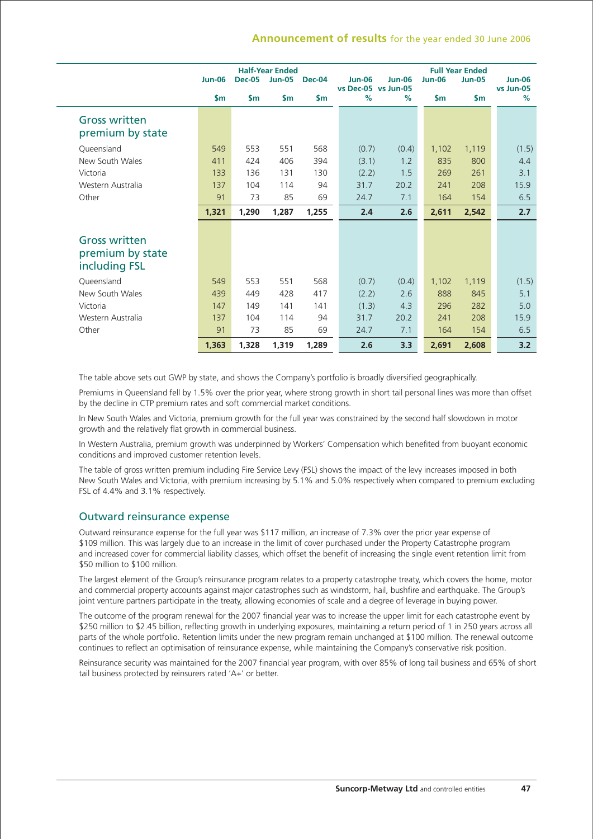## **Announcement of results** for the year ended 30 June 2006

|                                                           | <b>Half-Year Ended</b><br><b>Jun-06</b><br><b>Dec-05</b><br><b>Jun-05</b><br>Dec-04 |               |               | <b>Jun-06</b> | <b>Jun-06</b>               | <b>Full Year Ended</b><br><b>Jun-06</b> | <b>Jun-06</b> |               |                   |
|-----------------------------------------------------------|-------------------------------------------------------------------------------------|---------------|---------------|---------------|-----------------------------|-----------------------------------------|---------------|---------------|-------------------|
|                                                           | $\mathsf{Sm}$                                                                       | $\mathsf{sm}$ | $\mathsf{sm}$ | $\mathsf{sm}$ | vs Dec-05 vs Jun-05<br>$\%$ | $\%$                                    | $\mathsf{sm}$ | $\mathsf{sm}$ | vs Jun-05<br>$\%$ |
| <b>Gross written</b><br>premium by state                  |                                                                                     |               |               |               |                             |                                         |               |               |                   |
| Queensland                                                | 549                                                                                 | 553           | 551           | 568           | (0.7)                       | (0.4)                                   | 1,102         | 1,119         | (1.5)             |
| New South Wales                                           | 411                                                                                 | 424           | 406           | 394           | (3.1)                       | 1.2                                     | 835           | 800           | 4.4               |
| Victoria                                                  | 133                                                                                 | 136           | 131           | 130           | (2.2)                       | 1.5                                     | 269           | 261           | 3.1               |
| Western Australia                                         | 137                                                                                 | 104           | 114           | 94            | 31.7                        | 20.2                                    | 241           | 208           | 15.9              |
| Other                                                     | 91                                                                                  | 73            | 85            | 69            | 24.7                        | 7.1                                     | 164           | 154           | 6.5               |
|                                                           | 1,321                                                                               | 1,290         | 1,287         | 1,255         | 2.4                         | 2.6                                     | 2,611         | 2,542         | 2.7               |
| <b>Gross written</b><br>premium by state<br>including FSL |                                                                                     |               |               |               |                             |                                         |               |               |                   |
| Queensland                                                | 549                                                                                 | 553           | 551           | 568           | (0.7)                       | (0.4)                                   | 1,102         | 1,119         | (1.5)             |
| New South Wales                                           | 439                                                                                 | 449           | 428           | 417           | (2.2)                       | 2.6                                     | 888           | 845           | 5.1               |
| Victoria                                                  | 147                                                                                 | 149           | 141           | 141           | (1.3)                       | 4.3                                     | 296           | 282           | 5.0               |
| Western Australia                                         | 137                                                                                 | 104           | 114           | 94            | 31.7                        | 20.2                                    | 241           | 208           | 15.9              |
| Other                                                     | 91                                                                                  | 73            | 85            | 69            | 24.7                        | 7.1                                     | 164           | 154           | 6.5               |
|                                                           | 1,363                                                                               | 1,328         | 1,319         | 1,289         | 2.6                         | 3.3                                     | 2,691         | 2,608         | 3.2               |

The table above sets out GWP by state, and shows the Company's portfolio is broadly diversified geographically.

Premiums in Queensland fell by 1.5% over the prior year, where strong growth in short tail personal lines was more than offset by the decline in CTP premium rates and soft commercial market conditions.

In New South Wales and Victoria, premium growth for the full year was constrained by the second half slowdown in motor growth and the relatively flat growth in commercial business.

In Western Australia, premium growth was underpinned by Workers' Compensation which benefited from buoyant economic conditions and improved customer retention levels.

The table of gross written premium including Fire Service Levy (FSL) shows the impact of the levy increases imposed in both New South Wales and Victoria, with premium increasing by 5.1% and 5.0% respectively when compared to premium excluding FSL of 4.4% and 3.1% respectively.

## Outward reinsurance expense

Outward reinsurance expense for the full year was \$117 million, an increase of 7.3% over the prior year expense of \$109 million. This was largely due to an increase in the limit of cover purchased under the Property Catastrophe program and increased cover for commercial liability classes, which offset the benefit of increasing the single event retention limit from \$50 million to \$100 million.

The largest element of the Group's reinsurance program relates to a property catastrophe treaty, which covers the home, motor and commercial property accounts against major catastrophes such as windstorm, hail, bushfire and earthquake. The Group's joint venture partners participate in the treaty, allowing economies of scale and a degree of leverage in buying power.

The outcome of the program renewal for the 2007 financial year was to increase the upper limit for each catastrophe event by \$250 million to \$2.45 billion, reflecting growth in underlying exposures, maintaining a return period of 1 in 250 years across all parts of the whole portfolio. Retention limits under the new program remain unchanged at \$100 million. The renewal outcome continues to reflect an optimisation of reinsurance expense, while maintaining the Company's conservative risk position.

Reinsurance security was maintained for the 2007 financial year program, with over 85% of long tail business and 65% of short tail business protected by reinsurers rated 'A+' or better.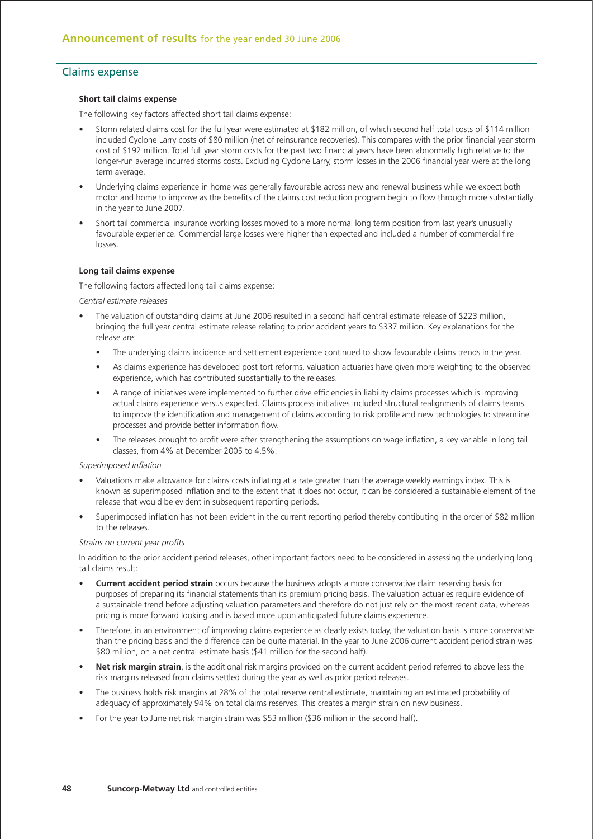## Claims expense

### **Short tail claims expense**

The following key factors affected short tail claims expense:

- Storm related claims cost for the full year were estimated at \$182 million, of which second half total costs of \$114 million included Cyclone Larry costs of \$80 million (net of reinsurance recoveries). This compares with the prior financial year storm cost of \$192 million. Total full year storm costs for the past two financial years have been abnormally high relative to the longer-run average incurred storms costs. Excluding Cyclone Larry, storm losses in the 2006 financial year were at the long term average
- Underlying claims experience in home was generally favourable across new and renewal business while we expect both motor and home to improve as the benefits of the claims cost reduction program begin to flow through more substantially in the year to June 2007.
- Short tail commercial insurance working losses moved to a more normal long term position from last year's unusually favourable experience. Commercial large losses were higher than expected and included a number of commercial fire losses.

#### **Long tail claims expense**

The following factors affected long tail claims expense:

*Central estimate releases*

- The valuation of outstanding claims at June 2006 resulted in a second half central estimate release of \$223 million, bringing the full year central estimate release relating to prior accident years to \$337 million. Key explanations for the release are:
	- The underlying claims incidence and settlement experience continued to show favourable claims trends in the year.
	- As claims experience has developed post tort reforms, valuation actuaries have given more weighting to the observed experience, which has contributed substantially to the releases.
	- A range of initiatives were implemented to further drive efficiencies in liability claims processes which is improving actual claims experience versus expected. Claims process initiatives included structural realignments of claims teams to improve the identification and management of claims according to risk profile and new technologies to streamline processes and provide better information flow.
	- The releases brought to profit were after strengthening the assumptions on wage inflation, a key variable in long tail classes, from 4% at December 2005 to 4.5%.

#### *Superimposed inflation*

- Valuations make allowance for claims costs inflating at a rate greater than the average weekly earnings index. This is known as superimposed inflation and to the extent that it does not occur, it can be considered a sustainable element of the release that would be evident in subsequent reporting periods.
- Superimposed inflation has not been evident in the current reporting period thereby contibuting in the order of \$82 million to the releases.

#### *Strains on current year profits*

In addition to the prior accident period releases, other important factors need to be considered in assessing the underlying long tail claims result:

- **Current accident period strain** occurs because the business adopts a more conservative claim reserving basis for purposes of preparing its financial statements than its premium pricing basis. The valuation actuaries require evidence of a sustainable trend before adjusting valuation parameters and therefore do not just rely on the most recent data, whereas pricing is more forward looking and is based more upon anticipated future claims experience.
- Therefore, in an environment of improving claims experience as clearly exists today, the valuation basis is more conservative than the pricing basis and the difference can be quite material. In the year to June 2006 current accident period strain was \$80 million, on a net central estimate basis (\$41 million for the second half).
- **Net risk margin strain**, is the additional risk margins provided on the current accident period referred to above less the risk margins released from claims settled during the year as well as prior period releases.
- The business holds risk margins at 28% of the total reserve central estimate, maintaining an estimated probability of adequacy of approximately 94% on total claims reserves. This creates a margin strain on new business.
- For the year to June net risk margin strain was \$53 million (\$36 million in the second half).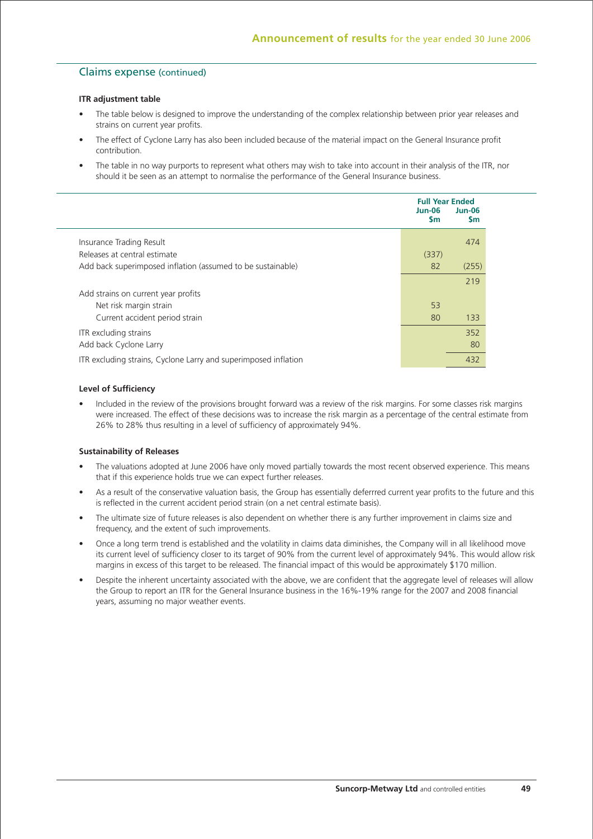## Claims expense (continued)

### **ITR adjustment table**

- The table below is designed to improve the understanding of the complex relationship between prior year releases and strains on current year profits.
- The effect of Cyclone Larry has also been included because of the material impact on the General Insurance profit contribution.
- The table in no way purports to represent what others may wish to take into account in their analysis of the ITR, nor should it be seen as an attempt to normalise the performance of the General Insurance business.

|                                                                 | <b>Full Year Ended</b><br>Jun-06<br><b>Sm</b> | $Jun-06$<br><b>Sm</b> |
|-----------------------------------------------------------------|-----------------------------------------------|-----------------------|
| Insurance Trading Result                                        |                                               | 474                   |
| Releases at central estimate                                    | (337)                                         |                       |
| Add back superimposed inflation (assumed to be sustainable)     | 82                                            | (255)                 |
|                                                                 |                                               | 219                   |
| Add strains on current year profits                             |                                               |                       |
| Net risk margin strain                                          | 53                                            |                       |
| Current accident period strain                                  | 80                                            | 133                   |
| ITR excluding strains                                           |                                               | 352                   |
| Add back Cyclone Larry                                          |                                               | 80                    |
| ITR excluding strains, Cyclone Larry and superimposed inflation |                                               | 432                   |

### **Level of Sufficiency**

• Included in the review of the provisions brought forward was a review of the risk margins. For some classes risk margins were increased. The effect of these decisions was to increase the risk margin as a percentage of the central estimate from 26% to 28% thus resulting in a level of sufficiency of approximately 94%.

## **Sustainability of Releases**

- The valuations adopted at June 2006 have only moved partially towards the most recent observed experience. This means that if this experience holds true we can expect further releases.
- As a result of the conservative valuation basis, the Group has essentially deferrred current year profits to the future and this is reflected in the current accident period strain (on a net central estimate basis).
- The ultimate size of future releases is also dependent on whether there is any further improvement in claims size and frequency, and the extent of such improvements.
- Once a long term trend is established and the volatility in claims data diminishes, the Company will in all likelihood move its current level of sufficiency closer to its target of 90% from the current level of approximately 94%. This would allow risk margins in excess of this target to be released. The financial impact of this would be approximately \$170 million.
- Despite the inherent uncertainty associated with the above, we are confident that the aggregate level of releases will allow the Group to report an ITR for the General Insurance business in the 16%-19% range for the 2007 and 2008 financial years, assuming no major weather events.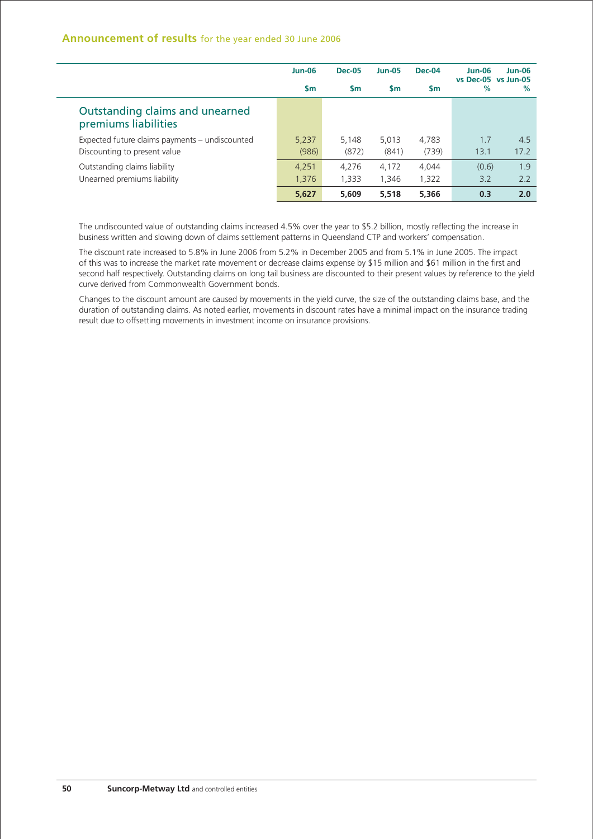|                                                         | $Jun-06$  | <b>Dec-05</b> | <b>Jun-05</b> | Dec-04 | <b>Jun-06</b><br>vs Dec-05 vs Jun-05 | $Jun-06$ |
|---------------------------------------------------------|-----------|---------------|---------------|--------|--------------------------------------|----------|
|                                                         | <b>Sm</b> | Sm.           | <b>Sm</b>     | Sm     | %                                    | %        |
| Outstanding claims and unearned<br>premiums liabilities |           |               |               |        |                                      |          |
| Expected future claims payments – undiscounted          | 5,237     | 5.148         | 5.013         | 4,783  | 1.7                                  | 4.5      |
| Discounting to present value                            | (986)     | (872)         | (841)         | (739)  | 13.1                                 | 17.2     |
| Outstanding claims liability                            | 4,251     | 4.276         | 4.172         | 4.044  | (0.6)                                | 1.9      |
| Unearned premiums liability                             | 1,376     | 1,333         | 1,346         | 1,322  | 3.2                                  | 2.2      |
|                                                         | 5,627     | 5,609         | 5.518         | 5,366  | 0.3                                  | 2.0      |

The undiscounted value of outstanding claims increased 4.5% over the year to \$5.2 billion, mostly reflecting the increase in business written and slowing down of claims settlement patterns in Queensland CTP and workers' compensation.

The discount rate increased to 5.8% in June 2006 from 5.2% in December 2005 and from 5.1% in June 2005. The impact of this was to increase the market rate movement or decrease claims expense by \$15 million and \$61 million in the first and second half respectively. Outstanding claims on long tail business are discounted to their present values by reference to the yield curve derived from Commonwealth Government bonds.

Changes to the discount amount are caused by movements in the yield curve, the size of the outstanding claims base, and the duration of outstanding claims. As noted earlier, movements in discount rates have a minimal impact on the insurance trading result due to offsetting movements in investment income on insurance provisions.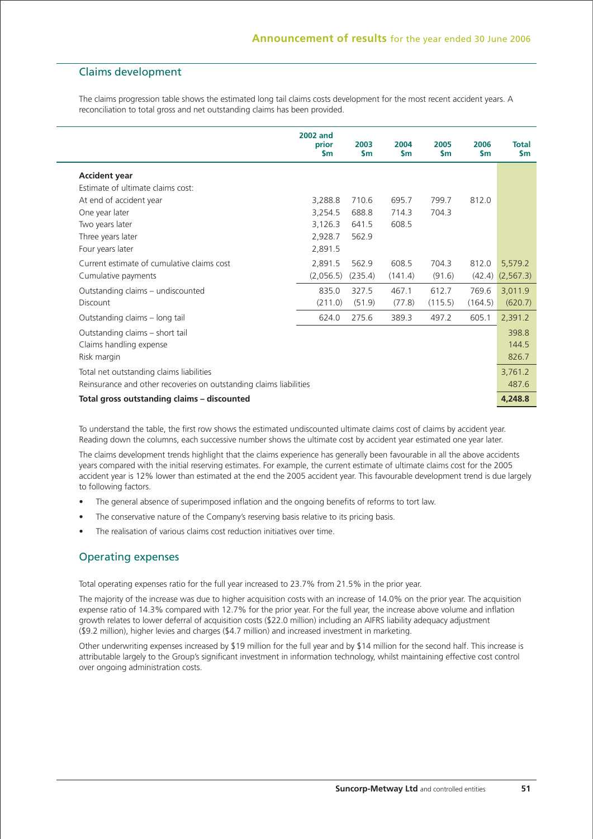# Claims development

The claims progression table shows the estimated long tail claims costs development for the most recent accident years. A reconciliation to total gross and net outstanding claims has been provided.

|                                                                    | <b>2002 and</b><br>prior<br><b>Sm</b> | 2003<br>\$m | 2004<br>$\mathsf{sm}$ | 2005<br>\$m | 2006<br>$\mathsf{sm}$ | <b>Total</b><br>\$m |
|--------------------------------------------------------------------|---------------------------------------|-------------|-----------------------|-------------|-----------------------|---------------------|
| <b>Accident year</b>                                               |                                       |             |                       |             |                       |                     |
| Estimate of ultimate claims cost:                                  |                                       |             |                       |             |                       |                     |
| At end of accident year                                            | 3,288.8                               | 710.6       | 695.7                 | 799.7       | 812.0                 |                     |
| One year later                                                     | 3,254.5                               | 688.8       | 714.3                 | 704.3       |                       |                     |
| Two years later                                                    | 3,126.3                               | 641.5       | 608.5                 |             |                       |                     |
| Three years later                                                  | 2,928.7                               | 562.9       |                       |             |                       |                     |
| Four years later                                                   | 2,891.5                               |             |                       |             |                       |                     |
| Current estimate of cumulative claims cost                         | 2,891.5                               | 562.9       | 608.5                 | 704.3       | 812.0                 | 5,579.2             |
| Cumulative payments                                                | (2,056.5)                             | (235.4)     | (141.4)               | (91.6)      | (42.4)                | (2, 567.3)          |
| Outstanding claims - undiscounted                                  | 835.0                                 | 327.5       | 467.1                 | 612.7       | 769.6                 | 3,011.9             |
| Discount                                                           | (211.0)                               | (51.9)      | (77.8)                | (115.5)     | (164.5)               | (620.7)             |
| Outstanding claims - long tail                                     | 624.0                                 | 275.6       | 389.3                 | 497.2       | 605.1                 | 2,391.2             |
| Outstanding claims - short tail                                    |                                       |             |                       |             |                       | 398.8               |
| Claims handling expense                                            |                                       |             |                       |             |                       | 144.5               |
| Risk margin                                                        |                                       |             |                       |             |                       | 826.7               |
| Total net outstanding claims liabilities                           |                                       |             |                       |             |                       | 3,761.2             |
| Reinsurance and other recoveries on outstanding claims liabilities |                                       |             |                       |             |                       | 487.6               |
| Total gross outstanding claims - discounted                        |                                       |             |                       |             |                       | 4,248.8             |

To understand the table, the first row shows the estimated undiscounted ultimate claims cost of claims by accident year. Reading down the columns, each successive number shows the ultimate cost by accident year estimated one year later.

The claims development trends highlight that the claims experience has generally been favourable in all the above accidents years compared with the initial reserving estimates. For example, the current estimate of ultimate claims cost for the 2005 accident year is 12% lower than estimated at the end the 2005 accident year. This favourable development trend is due largely to following factors.

- The general absence of superimposed inflation and the ongoing benefits of reforms to tort law.
- The conservative nature of the Company's reserving basis relative to its pricing basis.
- The realisation of various claims cost reduction initiatives over time.

# Operating expenses

Total operating expenses ratio for the full year increased to 23.7% from 21.5% in the prior year.

The majority of the increase was due to higher acquisition costs with an increase of 14.0% on the prior year. The acquisition expense ratio of 14.3% compared with 12.7% for the prior year. For the full year, the increase above volume and inflation growth relates to lower deferral of acquisition costs (\$22.0 million) including an AIFRS liability adequacy adjustment (\$9.2 million), higher levies and charges (\$4.7 million) and increased investment in marketing.

Other underwriting expenses increased by \$19 million for the full year and by \$14 million for the second half. This increase is attributable largely to the Group's significant investment in information technology, whilst maintaining effective cost control over ongoing administration costs.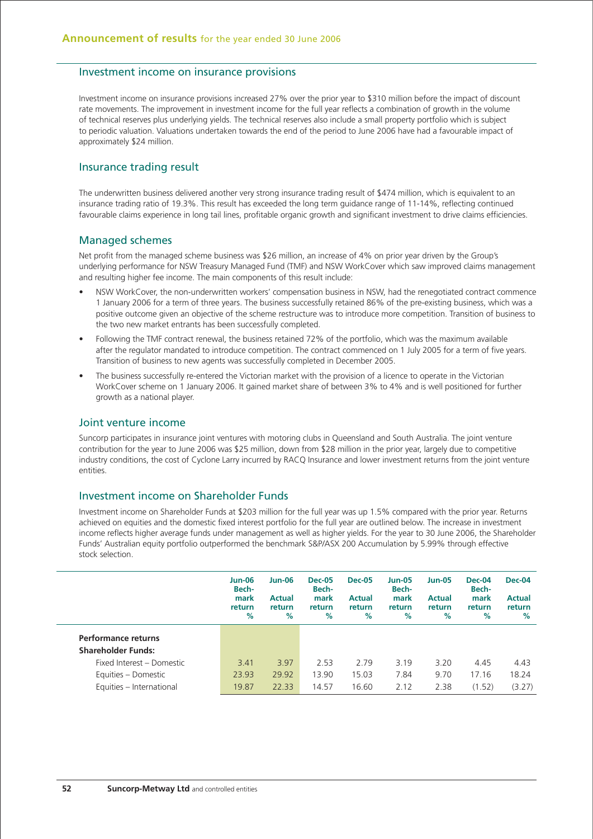## Investment income on insurance provisions

Investment income on insurance provisions increased 27% over the prior year to \$310 million before the impact of discount rate movements. The improvement in investment income for the full year reflects a combination of growth in the volume of technical reserves plus underlying yields. The technical reserves also include a small property portfolio which is subject to periodic valuation. Valuations undertaken towards the end of the period to June 2006 have had a favourable impact of approximately \$24 million.

## Insurance trading result

The underwritten business delivered another very strong insurance trading result of \$474 million, which is equivalent to an insurance trading ratio of 19.3%. This result has exceeded the long term guidance range of 11-14%, reflecting continued favourable claims experience in long tail lines, profitable organic growth and significant investment to drive claims efficiencies.

### Managed schemes

Net profit from the managed scheme business was \$26 million, an increase of 4% on prior year driven by the Group's underlying performance for NSW Treasury Managed Fund (TMF) and NSW WorkCover which saw improved claims management and resulting higher fee income. The main components of this result include:

- NSW WorkCover, the non-underwritten workers' compensation business in NSW, had the renegotiated contract commence 1 January 2006 for a term of three years. The business successfully retained 86% of the pre-existing business, which was a positive outcome given an objective of the scheme restructure was to introduce more competition. Transition of business to the two new market entrants has been successfully completed.
- Following the TMF contract renewal, the business retained 72% of the portfolio, which was the maximum available after the regulator mandated to introduce competition. The contract commenced on 1 July 2005 for a term of five years. Transition of business to new agents was successfully completed in December 2005.
- The business successfully re-entered the Victorian market with the provision of a licence to operate in the Victorian WorkCover scheme on 1 January 2006. It gained market share of between 3% to 4% and is well positioned for further growth as a national player.

## Joint venture income

Suncorp participates in insurance joint ventures with motoring clubs in Queensland and South Australia. The joint venture contribution for the year to June 2006 was \$25 million, down from \$28 million in the prior year, largely due to competitive industry conditions, the cost of Cyclone Larry incurred by RACQ Insurance and lower investment returns from the joint venture entities.

## Investment income on Shareholder Funds

Investment income on Shareholder Funds at \$203 million for the full year was up 1.5% compared with the prior year. Returns achieved on equities and the domestic fixed interest portfolio for the full year are outlined below. The increase in investment income reflects higher average funds under management as well as higher yields. For the year to 30 June 2006, the Shareholder Funds' Australian equity portfolio outperformed the benchmark S&P/ASX 200 Accumulation by 5.99% through effective stock selection.

|                            | <b>Jun-06</b><br>Bech-<br>mark<br>return<br>% | <b>Jun-06</b><br><b>Actual</b><br>return<br>% | <b>Dec-05</b><br>Bech-<br>mark<br>return<br>$\%$ | <b>Dec-05</b><br><b>Actual</b><br>return<br>% | <b>Jun-05</b><br>Bech-<br>mark<br>return<br>% | <b>Jun-05</b><br><b>Actual</b><br>return<br>% | <b>Dec-04</b><br>Bech-<br>mark<br>return<br>% | Dec-04<br><b>Actual</b><br>return<br>$\%$ |
|----------------------------|-----------------------------------------------|-----------------------------------------------|--------------------------------------------------|-----------------------------------------------|-----------------------------------------------|-----------------------------------------------|-----------------------------------------------|-------------------------------------------|
| <b>Performance returns</b> |                                               |                                               |                                                  |                                               |                                               |                                               |                                               |                                           |
| <b>Shareholder Funds:</b>  |                                               |                                               |                                                  |                                               |                                               |                                               |                                               |                                           |
| Fixed Interest - Domestic  | 3.41                                          | 3.97                                          | 2.53                                             | 2.79                                          | 3.19                                          | 3.20                                          | 4.45                                          | 4.43                                      |
| Equities - Domestic        | 23.93                                         | 29.92                                         | 13.90                                            | 15.03                                         | 7.84                                          | 9.70                                          | 17.16                                         | 18.24                                     |
| Equities - International   | 19.87                                         | 22.33                                         | 14.57                                            | 16.60                                         | 2.12                                          | 2.38                                          | (1.52)                                        | (3.27)                                    |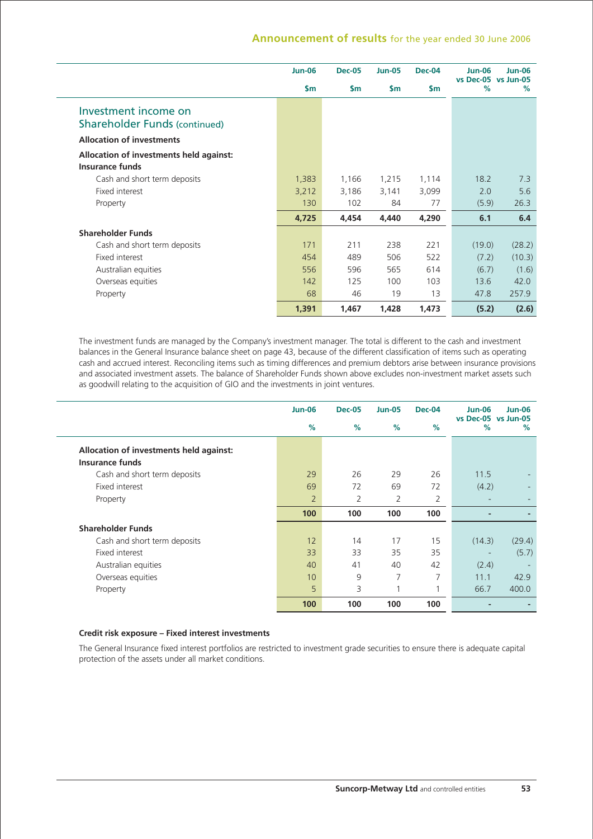|                                                              | <b>Jun-06</b> | <b>Dec-05</b> | <b>Jun-05</b> | <b>Dec-04</b> | <b>Jun-06</b><br>vs Dec-05 vs Jun-05 | <b>Jun-06</b> |
|--------------------------------------------------------------|---------------|---------------|---------------|---------------|--------------------------------------|---------------|
|                                                              | $\mathsf{sm}$ | $\mathsf{sm}$ | $\mathsf{Sm}$ | <b>Sm</b>     | %                                    | %             |
| Investment income on<br><b>Shareholder Funds (continued)</b> |               |               |               |               |                                      |               |
| <b>Allocation of investments</b>                             |               |               |               |               |                                      |               |
| Allocation of investments held against:                      |               |               |               |               |                                      |               |
| <b>Insurance funds</b>                                       |               |               |               |               |                                      |               |
| Cash and short term deposits                                 | 1,383         | 1,166         | 1,215         | 1,114         | 18.2                                 | 7.3           |
| Fixed interest                                               | 3,212         | 3,186         | 3,141         | 3,099         | 2.0                                  | 5.6           |
| Property                                                     | 130           | 102           | 84            | 77            | (5.9)                                | 26.3          |
|                                                              | 4,725         | 4,454         | 4,440         | 4,290         | 6.1                                  | 6.4           |
| <b>Shareholder Funds</b>                                     |               |               |               |               |                                      |               |
| Cash and short term deposits                                 | 171           | 211           | 238           | 221           | (19.0)                               | (28.2)        |
| Fixed interest                                               | 454           | 489           | 506           | 522           | (7.2)                                | (10.3)        |
| Australian equities                                          | 556           | 596           | 565           | 614           | (6.7)                                | (1.6)         |
| Overseas equities                                            | 142           | 125           | 100           | 103           | 13.6                                 | 42.0          |
| Property                                                     | 68            | 46            | 19            | 13            | 47.8                                 | 257.9         |
|                                                              | 1,391         | 1,467         | 1,428         | 1,473         | (5.2)                                | (2.6)         |

The investment funds are managed by the Company's investment manager. The total is different to the cash and investment balances in the General Insurance balance sheet on page 43, because of the different classification of items such as operating cash and accrued interest. Reconciling items such as timing differences and premium debtors arise between insurance provisions and associated investment assets. The balance of Shareholder Funds shown above excludes non-investment market assets such as goodwill relating to the acquisition of GIO and the investments in joint ventures.

|                                         | <b>Jun-06</b>  | <b>Dec-05</b> | <b>Jun-05</b> | <b>Dec-04</b> | $Jun-06$<br>vs Dec-05 vs Jun-05 | <b>Jun-06</b> |
|-----------------------------------------|----------------|---------------|---------------|---------------|---------------------------------|---------------|
|                                         | %              | %             | %             | $\%$          | %                               | %             |
| Allocation of investments held against: |                |               |               |               |                                 |               |
| <b>Insurance funds</b>                  |                |               |               |               |                                 |               |
| Cash and short term deposits            | 29             | 26            | 29            | 26            | 11.5                            |               |
| Fixed interest                          | 69             | 72            | 69            | 72            | (4.2)                           |               |
| Property                                | $\overline{2}$ | 2             | 2             | 2             |                                 |               |
|                                         | 100            | 100           | 100           | 100           | $\overline{\phantom{0}}$        |               |
| <b>Shareholder Funds</b>                |                |               |               |               |                                 |               |
| Cash and short term deposits            | 12             | 14            | 17            | 15            | (14.3)                          | (29.4)        |
| Fixed interest                          | 33             | 33            | 35            | 35            | ٠                               | (5.7)         |
| Australian equities                     | 40             | 41            | 40            | 42            | (2.4)                           |               |
| Overseas equities                       | 10             | 9             | 7             | 7             | 11.1                            | 42.9          |
| Property                                | 5              | 3             |               |               | 66.7                            | 400.0         |
|                                         | 100            | 100           | 100           | 100           |                                 |               |

### **Credit risk exposure – Fixed interest investments**

The General Insurance fixed interest portfolios are restricted to investment grade securities to ensure there is adequate capital protection of the assets under all market conditions.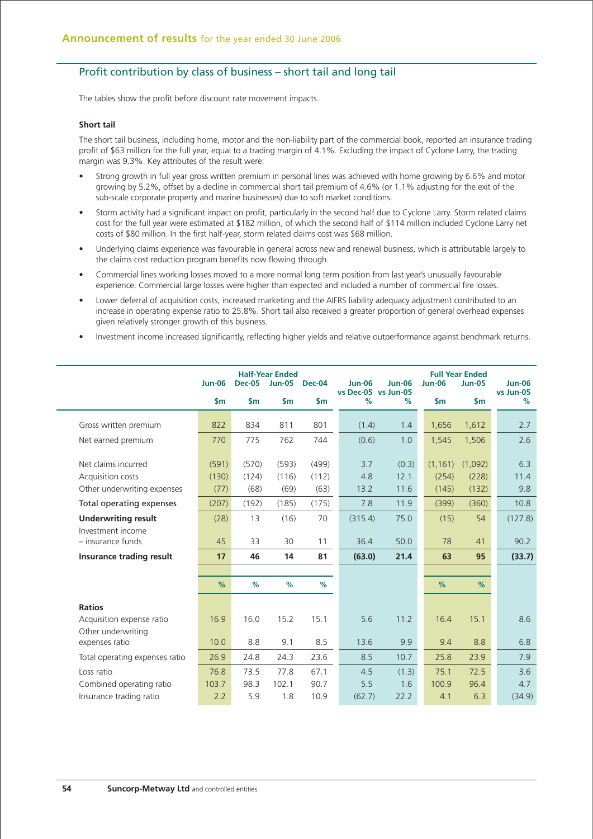## Profit contribution by class of business – short tail and long tail

The tables show the profit before discount rate movement impacts.

### **Short tail**

The short tail business, including home, motor and the non-liability part of the commercial book, reported an insurance trading profit of \$63 million for the full year, equal to a trading margin of 4.1%. Excluding the impact of Cyclone Larry, the trading margin was 9.3%. Key attributes of the result were:

- Strong growth in full year gross written premium in personal lines was achieved with home growing by 6.6% and motor growing by 5.2%, offset by a decline in commercial short tail premium of 4.6% (or 1.1% adjusting for the exit of the sub-scale corporate property and marine businesses) due to soft market conditions.
- Storm activity had a significant impact on profit, particularly in the second half due to Cyclone Larry. Storm related claims cost for the full year were estimated at \$182 million, of which the second half of \$114 million included Cyclone Larry net costs of \$80 million. In the first half-year, storm related claims cost was \$68 million.
- Underlying claims experience was favourable in general across new and renewal business, which is attributable largely to the claims cost reduction program benefits now flowing through.
- Commercial lines working losses moved to a more normal long term position from last year's unusually favourable experience. Commercial large losses were higher than expected and included a number of commercial fire losses.
- Lower deferral of acquisition costs, increased marketing and the AIFRS liability adequacy adjustment contributed to an increase in operating expense ratio to 25.8%. Short tail also received a greater proportion of general overhead expenses given relatively stronger growth of this business.
- Investment income increased significantly, reflecting higher yields and relative outperformance against benchmark returns.

|                                                                        | <b>Jun-06</b> | <b>Dec-05</b> | <b>Half-Year Ended</b><br><b>Jun-05</b> | <b>Dec-04</b> | <b>Jun-06</b>   | <b>Jun-06</b>               | <b>Jun-06</b>  | <b>Full Year Ended</b><br><b>Jun-05</b> | $Jun-06$        |
|------------------------------------------------------------------------|---------------|---------------|-----------------------------------------|---------------|-----------------|-----------------------------|----------------|-----------------------------------------|-----------------|
|                                                                        | $\mathsf{Sm}$ | \$m           | $\mathsf{sm}$                           | $\mathsf{sm}$ | %               | vs Dec-05 vs Jun-05<br>$\%$ | \$m            | $\mathsf{sm}$                           | vs Jun-05<br>%  |
| Gross written premium                                                  | 822           | 834           | 811                                     | 801           | (1.4)           | 1.4                         | 1,656          | 1,612                                   | 2.7             |
| Net earned premium                                                     | 770           | 775           | 762                                     | 744           | (0.6)           | 1.0                         | 1,545          | 1,506                                   | 2.6             |
| Net claims incurred                                                    | (591)         | (570)         | (593)                                   | (499)         | 3.7             | (0.3)                       | (1, 161)       | (1,092)                                 | 6.3             |
| Acquisition costs<br>Other underwriting expenses                       | (130)<br>(77) | (124)<br>(68) | (116)<br>(69)                           | (112)<br>(63) | 4.8<br>13.2     | 12.1<br>11.6                | (254)<br>(145) | (228)<br>(132)                          | 11.4<br>9.8     |
| Total operating expenses                                               | (207)         | (192)         | (185)                                   | (175)         | 7.8             | 11.9                        | (399)          | (360)                                   | 10.8            |
| <b>Underwriting result</b><br>Investment income<br>$-$ insurance funds | (28)<br>45    | 13<br>33      | (16)<br>30                              | 70<br>11      | (315.4)<br>36.4 | 75.0<br>50.0                | (15)<br>78     | 54<br>41                                | (127.8)<br>90.2 |
| Insurance trading result                                               | 17            | 46            | 14                                      | 81            | (63.0)          | 21.4                        | 63             | 95                                      | (33.7)          |
|                                                                        |               |               |                                         |               |                 |                             |                |                                         |                 |
|                                                                        | %             | %             | %                                       | %             |                 |                             | %              | %                                       |                 |
| <b>Ratios</b>                                                          |               |               |                                         |               |                 |                             |                |                                         |                 |
| Acquisition expense ratio                                              | 16.9          | 16.0          | 15.2                                    | 15.1          | 5.6             | 11.2                        | 16.4           | 15.1                                    | 8.6             |
| Other underwriting<br>expenses ratio                                   | 10.0          | 8.8           | 9.1                                     | 8.5           | 13.6            | 9.9                         | 9.4            | 8.8                                     | 6.8             |
| Total operating expenses ratio                                         | 26.9          | 24.8          | 24.3                                    | 23.6          | 8.5             | 10.7                        | 25.8           | 23.9                                    | 7.9             |
| Loss ratio                                                             | 76.8          | 73.5          | 77.8                                    | 67.1          | 4.5             | (1.3)                       | 75.1           | 72.5                                    | 3.6             |
| Combined operating ratio<br>Insurance trading ratio                    | 103.7<br>2.2  | 98.3<br>5.9   | 102.1<br>1.8                            | 90.7<br>10.9  | 5.5<br>(62.7)   | 1.6<br>22.2                 | 100.9<br>4.1   | 96.4<br>6.3                             | 4.7<br>(34.9)   |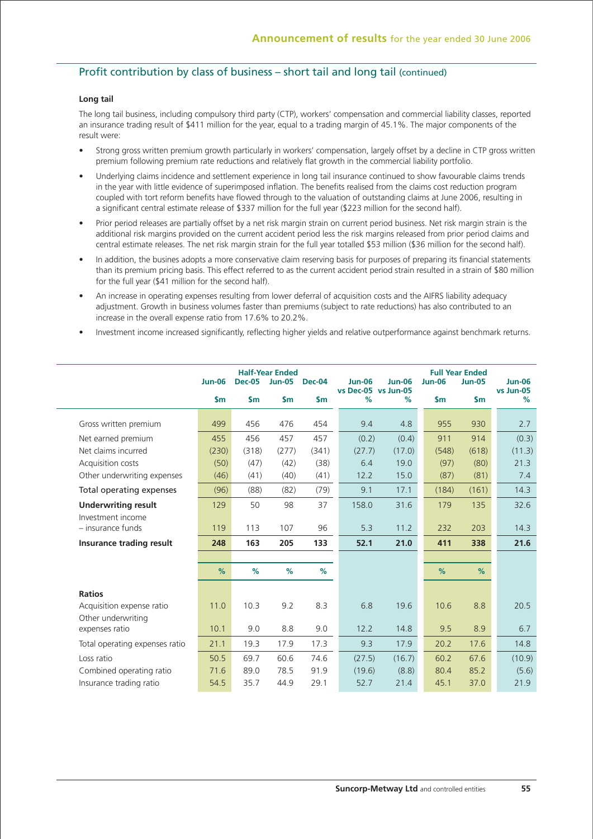# Profit contribution by class of business – short tail and long tail (continued)

## **Long tail**

The long tail business, including compulsory third party (CTP), workers' compensation and commercial liability classes, reported an insurance trading result of \$411 million for the year, equal to a trading margin of 45.1%. The major components of the result were:

- Strong gross written premium growth particularly in workers' compensation, largely offset by a decline in CTP gross written premium following premium rate reductions and relatively flat growth in the commercial liability portfolio.
- Underlying claims incidence and settlement experience in long tail insurance continued to show favourable claims trends in the year with little evidence of superimposed inflation. The benefits realised from the claims cost reduction program coupled with tort reform benefits have flowed through to the valuation of outstanding claims at June 2006, resulting in a significant central estimate release of \$337 million for the full year (\$223 million for the second half).
- Prior period releases are partially offset by a net risk margin strain on current period business. Net risk margin strain is the additional risk margins provided on the current accident period less the risk margins released from prior period claims and central estimate releases. The net risk margin strain for the full year totalled \$53 million (\$36 million for the second half).
- In addition, the busines adopts a more conservative claim reserving basis for purposes of preparing its financial statements than its premium pricing basis. This effect referred to as the current accident period strain resulted in a strain of \$80 million for the full year (\$41 million for the second half).
- An increase in operating expenses resulting from lower deferral of acquisition costs and the AIFRS liability adequacy adjustment. Growth in business volumes faster than premiums (subject to rate reductions) has also contributed to an increase in the overall expense ratio from 17.6% to 20.2%.
- Investment income increased significantly, reflecting higher yields and relative outperformance against benchmark returns.

|                                        | <b>Jun-06</b> | <b>Dec-05</b> | <b>Half-Year Ended</b><br><b>Jun-05</b> | <b>Dec-04</b> | <b>Jun-06</b>            | <b>Jun-06</b> | <b>Jun-06</b> | <b>Full Year Ended</b><br><b>Jun-05</b> | $Jun-06$       |
|----------------------------------------|---------------|---------------|-----------------------------------------|---------------|--------------------------|---------------|---------------|-----------------------------------------|----------------|
|                                        | $\mathsf{sm}$ | $\mathsf{sm}$ | $\mathsf{sm}$                           | $\mathsf{sm}$ | vs Dec-05 vs Jun-05<br>% | $\%$          | $\mathsf{sm}$ | $\mathsf{sm}$                           | vs Jun-05<br>% |
| Gross written premium                  | 499           | 456           | 476                                     | 454           | 9.4                      | 4.8           | 955           | 930                                     | 2.7            |
| Net earned premium                     | 455           | 456           | 457                                     | 457           | (0.2)                    | (0.4)         | 911           | 914                                     | (0.3)          |
| Net claims incurred                    | (230)         | (318)         | (277)                                   | (341)         | (27.7)                   | (17.0)        | (548)         | (618)                                   | (11.3)         |
| Acquisition costs                      | (50)          | (47)          | (42)                                    | (38)          | 6.4                      | 19.0          | (97)          | (80)                                    | 21.3           |
| Other underwriting expenses            | (46)          | (41)          | (40)                                    | (41)          | 12.2                     | 15.0          | (87)          | (81)                                    | 7.4            |
| Total operating expenses               | (96)          | (88)          | (82)                                    | (79)          | 9.1                      | 17.1          | (184)         | (161)                                   | 14.3           |
| <b>Underwriting result</b>             | 129           | 50            | 98                                      | 37            | 158.0                    | 31.6          | 179           | 135                                     | 32.6           |
| Investment income<br>- insurance funds | 119           | 113           | 107                                     | 96            | 5.3                      | 11.2          | 232           | 203                                     | 14.3           |
| Insurance trading result               | 248           | 163           | 205                                     | 133           | 52.1                     | 21.0          | 411           | 338                                     | 21.6           |
|                                        |               |               |                                         |               |                          |               |               |                                         |                |
|                                        | %             | %             | %                                       | %             |                          |               | %             | %                                       |                |
| <b>Ratios</b>                          |               |               |                                         |               |                          |               |               |                                         |                |
| Acquisition expense ratio              | 11.0          | 10.3          | 9.2                                     | 8.3           | 6.8                      | 19.6          | 10.6          | 8.8                                     | 20.5           |
| Other underwriting<br>expenses ratio   | 10.1          | 9.0           | 8.8                                     | 9.0           | 12.2                     | 14.8          | 9.5           | 8.9                                     | 6.7            |
| Total operating expenses ratio         | 21.1          | 19.3          | 17.9                                    | 17.3          | 9.3                      | 17.9          | 20.2          | 17.6                                    | 14.8           |
| Loss ratio                             | 50.5          | 69.7          | 60.6                                    | 74.6          | (27.5)                   | (16.7)        | 60.2          | 67.6                                    | (10.9)         |
| Combined operating ratio               | 71.6          | 89.0          | 78.5                                    | 91.9          | (19.6)                   | (8.8)         | 80.4          | 85.2                                    | (5.6)          |
| Insurance trading ratio                | 54.5          | 35.7          | 44.9                                    | 29.1          | 52.7                     | 21.4          | 45.1          | 37.0                                    | 21.9           |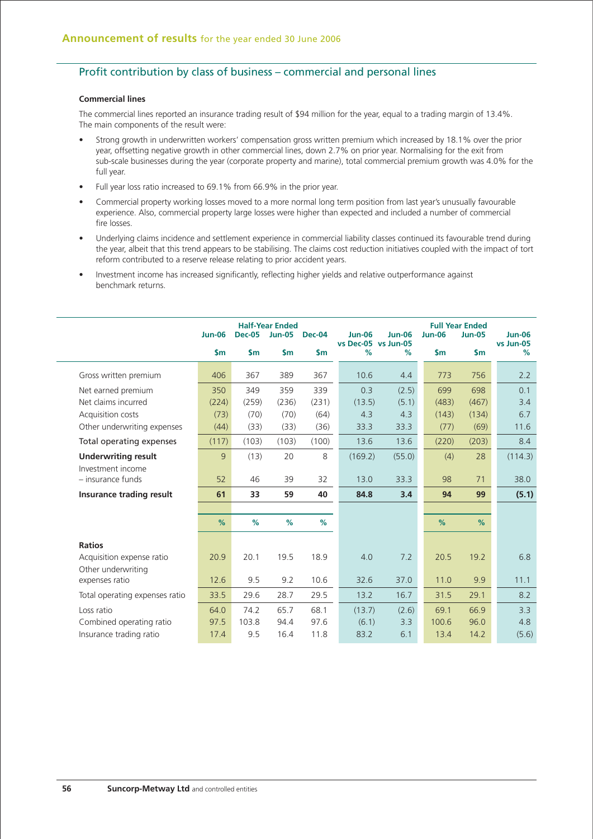# Profit contribution by class of business – commercial and personal lines

## **Commercial lines**

The commercial lines reported an insurance trading result of \$94 million for the year, equal to a trading margin of 13.4%. The main components of the result were:

- Strong growth in underwritten workers' compensation gross written premium which increased by 18.1% over the prior year, offsetting negative growth in other commercial lines, down 2.7% on prior year. Normalising for the exit from sub-scale businesses during the year (corporate property and marine), total commercial premium growth was 4.0% for the full year.
- Full year loss ratio increased to 69.1% from 66.9% in the prior year.
- Commercial property working losses moved to a more normal long term position from last year's unusually favourable experience. Also, commercial property large losses were higher than expected and included a number of commercial fire losses.
- Underlying claims incidence and settlement experience in commercial liability classes continued its favourable trend during the year, albeit that this trend appears to be stabilising. The claims cost reduction initiatives coupled with the impact of tort reform contributed to a reserve release relating to prior accident years.
- Investment income has increased significantly, reflecting higher yields and relative outperformance against benchmark returns.

|                                          | <b>Jun-06</b> | <b>Dec-05</b> | <b>Half-Year Ended</b><br><b>Jun-05</b> | <b>Dec-04</b> | <b>Jun-06</b> | <b>Jun-06</b>            | <b>Jun-06</b> | <b>Full Year Ended</b><br><b>Jun-05</b> | <b>Jun-06</b>  |
|------------------------------------------|---------------|---------------|-----------------------------------------|---------------|---------------|--------------------------|---------------|-----------------------------------------|----------------|
|                                          | $\mathsf{sm}$ | $\mathsf{Sm}$ | $\mathsf{sm}$                           | $\mathsf{sm}$ | $\%$          | vs Dec-05 vs Jun-05<br>% | $\mathsf{Sm}$ | $\mathsf{sm}$                           | vs Jun-05<br>% |
| Gross written premium                    | 406           | 367           | 389                                     | 367           | 10.6          | 4.4                      | 773           | 756                                     | 2.2            |
| Net earned premium                       | 350           | 349           | 359                                     | 339           | 0.3           | (2.5)                    | 699           | 698                                     | 0.1            |
| Net claims incurred                      | (224)         | (259)         | (236)                                   | (231)         | (13.5)        | (5.1)                    | (483)         | (467)                                   | 3.4            |
| Acquisition costs                        | (73)          | (70)          | (70)                                    | (64)          | 4.3           | 4.3                      | (143)         | (134)                                   | 6.7            |
| Other underwriting expenses              | (44)          | (33)          | (33)                                    | (36)          | 33.3          | 33.3                     | (77)          | (69)                                    | 11.6           |
| Total operating expenses                 | (117)         | (103)         | (103)                                   | (100)         | 13.6          | 13.6                     | (220)         | (203)                                   | 8.4            |
| <b>Underwriting result</b>               | 9             | (13)          | 20                                      | 8             | (169.2)       | (55.0)                   | (4)           | 28                                      | (114.3)        |
| Investment income<br>$-$ insurance funds | 52            | 46            | 39                                      | 32            | 13.0          | 33.3                     | 98            | 71                                      | 38.0           |
| Insurance trading result                 | 61            | 33            | 59                                      | 40            | 84.8          | 3.4                      | 94            | 99                                      | (5.1)          |
|                                          |               |               |                                         |               |               |                          |               |                                         |                |
|                                          | %             | %             | %                                       | %             |               |                          | %             | %                                       |                |
| <b>Ratios</b>                            |               |               |                                         |               |               |                          |               |                                         |                |
| Acquisition expense ratio                | 20.9          | 20.1          | 19.5                                    | 18.9          | 4.0           | 7.2                      | 20.5          | 19.2                                    | 6.8            |
| Other underwriting                       |               |               |                                         |               |               |                          |               |                                         |                |
| expenses ratio                           | 12.6          | 9.5           | 9.2                                     | 10.6          | 32.6          | 37.0                     | 11.0          | 9.9                                     | 11.1           |
| Total operating expenses ratio           | 33.5          | 29.6          | 28.7                                    | 29.5          | 13.2          | 16.7                     | 31.5          | 29.1                                    | 8.2            |
| Loss ratio                               | 64.0          | 74.2          | 65.7                                    | 68.1          | (13.7)        | (2.6)                    | 69.1          | 66.9                                    | 3.3            |
| Combined operating ratio                 | 97.5          | 103.8         | 94.4                                    | 97.6          | (6.1)         | 3.3                      | 100.6         | 96.0                                    | 4.8            |
| Insurance trading ratio                  | 17.4          | 9.5           | 16.4                                    | 11.8          | 83.2          | 6.1                      | 13.4          | 14.2                                    | (5.6)          |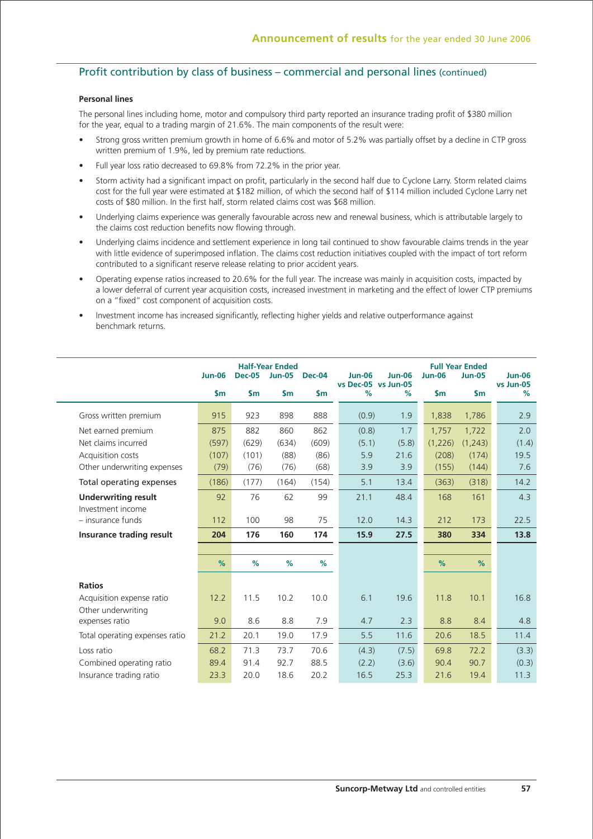# Profit contribution by class of business – commercial and personal lines (continued)

### **Personal lines**

The personal lines including home, motor and compulsory third party reported an insurance trading profit of \$380 million for the year, equal to a trading margin of 21.6%. The main components of the result were:

- Strong gross written premium growth in home of 6.6% and motor of 5.2% was partially offset by a decline in CTP gross written premium of 1.9%, led by premium rate reductions.
- Full year loss ratio decreased to 69.8% from 72.2% in the prior year.
- Storm activity had a significant impact on profit, particularly in the second half due to Cyclone Larry. Storm related claims cost for the full year were estimated at \$182 million, of which the second half of \$114 million included Cyclone Larry net costs of \$80 million. In the first half, storm related claims cost was \$68 million.
- Underlying claims experience was generally favourable across new and renewal business, which is attributable largely to the claims cost reduction benefits now flowing through.
- Underlying claims incidence and settlement experience in long tail continued to show favourable claims trends in the year with little evidence of superimposed inflation. The claims cost reduction initiatives coupled with the impact of tort reform contributed to a significant reserve release relating to prior accident years.
- Operating expense ratios increased to 20.6% for the full year. The increase was mainly in acquisition costs, impacted by a lower deferral of current year acquisition costs, increased investment in marketing and the effect of lower CTP premiums on a "fixed" cost component of acquisition costs.
- Investment income has increased significantly, reflecting higher yields and relative outperformance against benchmark returns.

|                                                 | <b>Jun-06</b>  | <b>Dec-05</b>  | <b>Half-Year Ended</b><br><b>Jun-05</b> | <b>Dec-04</b> | <b>Jun-06</b>               | <b>Jun-06</b> | <b>Jun-06</b> | <b>Full Year Ended</b><br><b>Jun-05</b> | <b>Jun-06</b>  |
|-------------------------------------------------|----------------|----------------|-----------------------------------------|---------------|-----------------------------|---------------|---------------|-----------------------------------------|----------------|
|                                                 | $\mathsf{S}$ m | $\mathsf{S}$ m | $\mathsf{sm}$                           | $\mathsf{sm}$ | vs Dec-05 vs Jun-05<br>$\%$ | %             | $\mathsf{sm}$ | $\mathsf{sm}$                           | vs Jun-05<br>% |
| Gross written premium                           | 915            | 923            | 898                                     | 888           | (0.9)                       | 1.9           | 1,838         | 1,786                                   | 2.9            |
| Net earned premium                              | 875            | 882            | 860                                     | 862           | (0.8)                       | 1.7           | 1,757         | 1,722                                   | 2.0            |
| Net claims incurred                             | (597)          | (629)          | (634)                                   | (609)         | (5.1)                       | (5.8)         | (1,226)       | (1,243)                                 | (1.4)          |
| Acquisition costs                               | (107)          | (101)          | (88)                                    | (86)          | 5.9                         | 21.6          | (208)         | (174)                                   | 19.5           |
| Other underwriting expenses                     | (79)           | (76)           | (76)                                    | (68)          | 3.9                         | 3.9           | (155)         | (144)                                   | 7.6            |
| Total operating expenses                        | (186)          | (177)          | (164)                                   | (154)         | 5.1                         | 13.4          | (363)         | (318)                                   | 14.2           |
| <b>Underwriting result</b><br>Investment income | 92             | 76             | 62                                      | 99            | 21.1                        | 48.4          | 168           | 161                                     | 4.3            |
| - insurance funds                               | 112            | 100            | 98                                      | 75            | 12.0                        | 14.3          | 212           | 173                                     | 22.5           |
| Insurance trading result                        | 204            | 176            | 160                                     | 174           | 15.9                        | 27.5          | 380           | 334                                     | 13.8           |
|                                                 |                |                |                                         |               |                             |               |               |                                         |                |
|                                                 | %              | %              | %                                       | %             |                             |               | %             | %                                       |                |
| <b>Ratios</b>                                   |                |                |                                         |               |                             |               |               |                                         |                |
| Acquisition expense ratio<br>Other underwriting | 12.2           | 11.5           | 10.2                                    | 10.0          | 6.1                         | 19.6          | 11.8          | 10.1                                    | 16.8           |
| expenses ratio                                  | 9.0            | 8.6            | 8.8                                     | 7.9           | 4.7                         | 2.3           | 8.8           | 8.4                                     | 4.8            |
| Total operating expenses ratio                  | 21.2           | 20.1           | 19.0                                    | 17.9          | 5.5                         | 11.6          | 20.6          | 18.5                                    | 11.4           |
| Loss ratio                                      | 68.2           | 71.3           | 73.7                                    | 70.6          | (4.3)                       | (7.5)         | 69.8          | 72.2                                    | (3.3)          |
| Combined operating ratio                        | 89.4           | 91.4           | 92.7                                    | 88.5          | (2.2)                       | (3.6)         | 90.4          | 90.7                                    | (0.3)          |
| Insurance trading ratio                         | 23.3           | 20.0           | 18.6                                    | 20.2          | 16.5                        | 25.3          | 21.6          | 19.4                                    | 11.3           |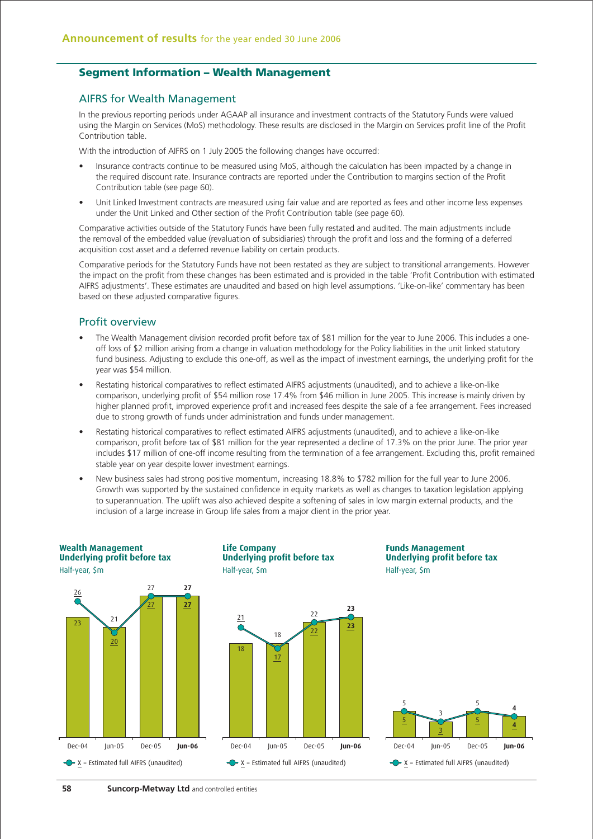## **Segment Information – Wealth Management**

## AIFRS for Wealth Management

In the previous reporting periods under AGAAP all insurance and investment contracts of the Statutory Funds were valued using the Margin on Services (MoS) methodology. These results are disclosed in the Margin on Services profit line of the Profit Contribution table.

With the introduction of AIFRS on 1 July 2005 the following changes have occurred:

- Insurance contracts continue to be measured using MoS, although the calculation has been impacted by a change in the required discount rate. Insurance contracts are reported under the Contribution to margins section of the Profit Contribution table (see page 60).
- Unit Linked Investment contracts are measured using fair value and are reported as fees and other income less expenses under the Unit Linked and Other section of the Profit Contribution table (see page 60).

Comparative activities outside of the Statutory Funds have been fully restated and audited. The main adjustments include the removal of the embedded value (revaluation of subsidiaries) through the profit and loss and the forming of a deferred acquisition cost asset and a deferred revenue liability on certain products.

Comparative periods for the Statutory Funds have not been restated as they are subject to transitional arrangements. However the impact on the profit from these changes has been estimated and is provided in the table 'Profit Contribution with estimated AIFRS adjustments'. These estimates are unaudited and based on high level assumptions. 'Like-on-like' commentary has been based on these adjusted comparative figures.

## Profit overview

- The Wealth Management division recorded profit before tax of \$81 million for the year to June 2006. This includes a oneoff loss of \$2 million arising from a change in valuation methodology for the Policy liabilities in the unit linked statutory fund business. Adjusting to exclude this one-off, as well as the impact of investment earnings, the underlying profit for the year was \$54 million.
- Restating historical comparatives to reflect estimated AIFRS adjustments (unaudited), and to achieve a like-on-like comparison, underlying profit of \$54 million rose 17.4% from \$46 million in June 2005. This increase is mainly driven by higher planned profit, improved experience profit and increased fees despite the sale of a fee arrangement. Fees increased due to strong growth of funds under administration and funds under management.
- Restating historical comparatives to reflect estimated AIFRS adjustments (unaudited), and to achieve a like-on-like comparison, profit before tax of \$81 million for the year represented a decline of 17.3% on the prior June. The prior year includes \$17 million of one-off income resulting from the termination of a fee arrangement. Excluding this, profit remained stable year on year despite lower investment earnings.
- New business sales had strong positive momentum, increasing 18.8% to \$782 million for the full year to June 2006. Growth was supported by the sustained confidence in equity markets as well as changes to taxation legislation applying to superannuation. The uplift was also achieved despite a softening of sales in low margin external products, and the inclusion of a large increase in Group life sales from a major client in the prior year.

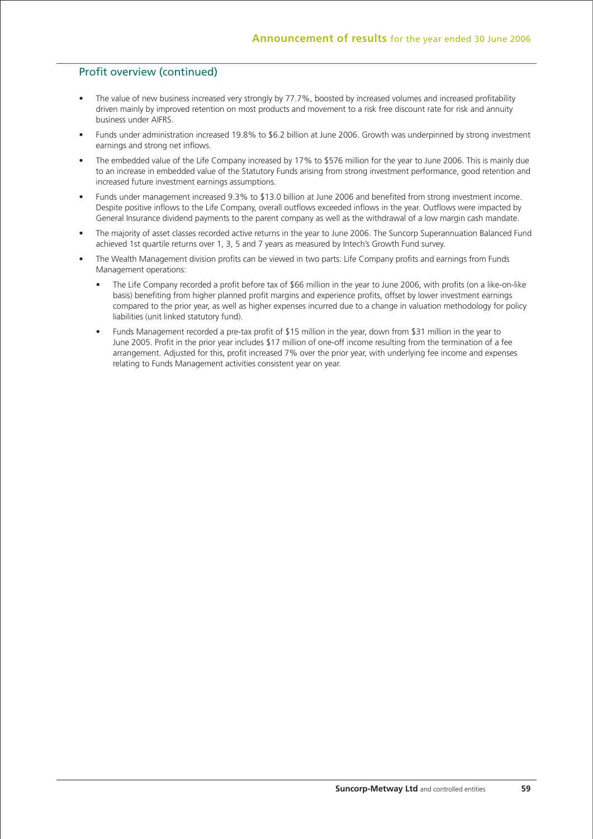# Profit overview (continued)

- The value of new business increased very strongly by 77.7%, boosted by increased volumes and increased profitability driven mainly by improved retention on most products and movement to a risk free discount rate for risk and annuity business under AIFRS.
- Funds under administration increased 19.8% to \$6.2 billion at June 2006. Growth was underpinned by strong investment earnings and strong net inflows.
- The embedded value of the Life Company increased by 17% to \$576 million for the year to June 2006. This is mainly due to an increase in embedded value of the Statutory Funds arising from strong investment performance, good retention and increased future investment earnings assumptions.
- Funds under management increased 9.3% to \$13.0 billion at June 2006 and benefited from strong investment income. Despite positive inflows to the Life Company, overall outflows exceeded inflows in the year. Outflows were impacted by General Insurance dividend payments to the parent company as well as the withdrawal of a low margin cash mandate.
- The majority of asset classes recorded active returns in the year to June 2006. The Suncorp Superannuation Balanced Fund achieved 1st quartile returns over 1, 3, 5 and 7 years as measured by Intech's Growth Fund survey.
- The Wealth Management division profits can be viewed in two parts: Life Company profits and earnings from Funds Management operations:
	- The Life Company recorded a profit before tax of \$66 million in the year to June 2006, with profits (on a like-on-like basis) benefiting from higher planned profit margins and experience profits, offset by lower investment earnings compared to the prior year, as well as higher expenses incurred due to a change in valuation methodology for policy liabilities (unit linked statutory fund).
	- Funds Management recorded a pre-tax profit of \$15 million in the year, down from \$31 million in the year to June 2005. Profit in the prior year includes \$17 million of one-off income resulting from the termination of a fee arrangement. Adjusted for this, profit increased 7% over the prior year, with underlying fee income and expenses relating to Funds Management activities consistent year on year.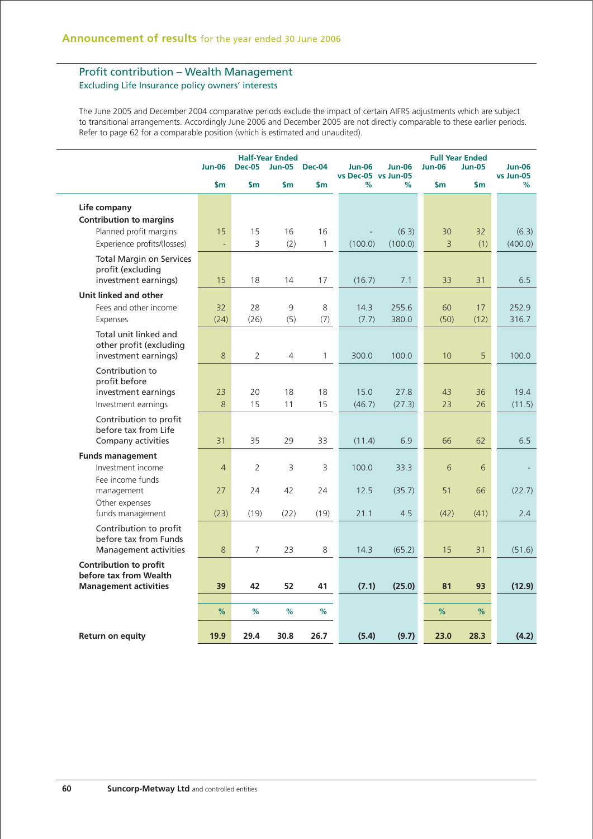# Profit contribution – Wealth Management Excluding Life Insurance policy owners' interests

The June 2005 and December 2004 comparative periods exclude the impact of certain AIFRS adjustments which are subject to transitional arrangements. Accordingly June 2006 and December 2005 are not directly comparable to these earlier periods. Refer to page 62 for a comparable position (which is estimated and unaudited).

|                                                                                  | <b>Jun-06</b>  | <b>Half-Year Ended</b><br><b>Dec-04</b><br><b>Dec-05</b><br><b>Jun-05</b> |               | <b>Jun-06</b><br><b>Jun-06</b><br>vs Dec-05 vs Jun-05 |                | <b>Full Year Ended</b><br><b>Jun-06</b> | <b>Jun-06</b><br><b>Jun-05</b><br>vs Jun-05 |               |                |
|----------------------------------------------------------------------------------|----------------|---------------------------------------------------------------------------|---------------|-------------------------------------------------------|----------------|-----------------------------------------|---------------------------------------------|---------------|----------------|
|                                                                                  | $\mathsf{sm}$  | $\mathsf{Sm}$                                                             | $\mathsf{sm}$ | \$m                                                   | $\frac{9}{6}$  | $\%$                                    | $\mathsf{Sm}$                               | $\mathsf{Sm}$ | $\%$           |
| Life company<br><b>Contribution to margins</b>                                   |                |                                                                           |               |                                                       |                |                                         |                                             |               |                |
| Planned profit margins                                                           | 15             | 15                                                                        | 16            | 16                                                    |                | (6.3)                                   | 30                                          | 32            | (6.3)          |
| Experience profits/(losses)                                                      | ÷,             | 3                                                                         | (2)           | $\mathbf{1}$                                          | (100.0)        | (100.0)                                 | 3                                           | (1)           | (400.0)        |
| <b>Total Margin on Services</b><br>profit (excluding<br>investment earnings)     | 15             | 18                                                                        | 14            | 17                                                    | (16.7)         | 7.1                                     | 33                                          | 31            | 6.5            |
| Unit linked and other                                                            |                |                                                                           |               |                                                       |                |                                         |                                             |               |                |
| Fees and other income                                                            | 32             | 28                                                                        | 9             | 8                                                     | 14.3           | 255.6                                   | 60                                          | 17            | 252.9          |
| Expenses                                                                         | (24)           | (26)                                                                      | (5)           | (7)                                                   | (7.7)          | 380.0                                   | (50)                                        | (12)          | 316.7          |
| Total unit linked and<br>other profit (excluding<br>investment earnings)         | 8              | 2                                                                         | 4             | $\mathbf{1}$                                          | 300.0          | 100.0                                   | 10                                          | 5             | 100.0          |
| Contribution to<br>profit before<br>investment earnings<br>Investment earnings   | 23<br>8        | 20<br>15                                                                  | 18<br>11      | 18<br>15                                              | 15.0<br>(46.7) | 27.8<br>(27.3)                          | 43<br>23                                    | 36<br>26      | 19.4<br>(11.5) |
| Contribution to profit<br>before tax from Life<br>Company activities             | 31             | 35                                                                        | 29            | 33                                                    | (11.4)         | 6.9                                     | 66                                          | 62            | 6.5            |
| <b>Funds management</b>                                                          |                |                                                                           |               |                                                       |                |                                         |                                             |               |                |
| Investment income                                                                | $\overline{4}$ | 2                                                                         | 3             | 3                                                     | 100.0          | 33.3                                    | 6                                           | 6             |                |
| Fee income funds<br>management                                                   | 27             | 24                                                                        | 42            | 24                                                    | 12.5           | (35.7)                                  | 51                                          | 66            | (22.7)         |
| Other expenses<br>funds management                                               | (23)           | (19)                                                                      | (22)          | (19)                                                  | 21.1           | 4.5                                     | (42)                                        | (41)          | 2.4            |
| Contribution to profit<br>before tax from Funds<br>Management activities         | 8              | $\overline{7}$                                                            | 23            | 8                                                     | 14.3           | (65.2)                                  | 15                                          | 31            | (51.6)         |
| Contribution to profit<br>before tax from Wealth<br><b>Management activities</b> | 39             | 42                                                                        | 52            | 41                                                    | (7.1)          | (25.0)                                  | 81                                          | 93            | (12.9)         |
|                                                                                  |                |                                                                           |               |                                                       |                |                                         |                                             |               |                |
|                                                                                  | %              | %                                                                         | %             | %                                                     |                |                                         | %                                           | %             |                |
| <b>Return on equity</b>                                                          | 19.9           | 29.4                                                                      | 30.8          | 26.7                                                  | (5.4)          | (9.7)                                   | 23.0                                        | 28.3          | (4.2)          |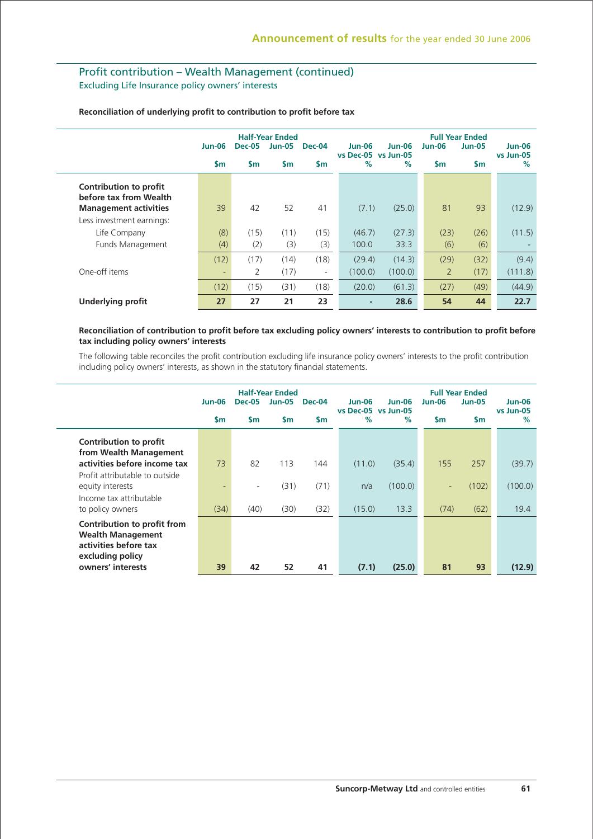# Profit contribution – Wealth Management (continued) Excluding Life Insurance policy owners' interests

|                                                                                  | <b>Jun-06</b> | <b>Dec-05</b> | <b>Half-Year Ended</b><br><b>Jun-05</b> | <b>Dec-04</b> | <b>Jun-06</b><br>vs Dec-05 vs Jun-05 | $Jun-06$ | $Jun-06$       | <b>Full Year Ended</b><br><b>Jun-05</b> | <b>Jun-06</b><br>vs Jun-05 |
|----------------------------------------------------------------------------------|---------------|---------------|-----------------------------------------|---------------|--------------------------------------|----------|----------------|-----------------------------------------|----------------------------|
|                                                                                  | \$m           | $\mathsf{sm}$ | \$m                                     | <b>Sm</b>     | %                                    | $\%$     | $\mathsf{sm}$  | $\mathsf{Sm}$                           | $\%$                       |
| Contribution to profit<br>before tax from Wealth<br><b>Management activities</b> | 39            | 42            | 52                                      | 41            | (7.1)                                | (25.0)   | 81             | 93                                      | (12.9)                     |
| Less investment earnings:                                                        |               |               |                                         |               |                                      |          |                |                                         |                            |
| Life Company                                                                     | (8)           | (15)          | (11)                                    | (15)          | (46.7)                               | (27.3)   | (23)           | (26)                                    | (11.5)                     |
| Funds Management                                                                 | (4)           | (2)           | (3)                                     | (3)           | 100.0                                | 33.3     | (6)            | (6)                                     |                            |
|                                                                                  | (12)          | (17)          | (14)                                    | (18)          | (29.4)                               | (14.3)   | (29)           | (32)                                    | (9.4)                      |
| One-off items                                                                    | ٠             | 2             | (17)                                    | ٠             | (100.0)                              | (100.0)  | $\overline{2}$ | (17)                                    | (111.8)                    |
|                                                                                  | (12)          | (15)          | (31)                                    | (18)          | (20.0)                               | (61.3)   | (27)           | (49)                                    | (44.9)                     |
| <b>Underlying profit</b>                                                         | 27            | 27            | 21                                      | 23            | -                                    | 28.6     | 54             | 44                                      | 22.7                       |

### **Reconciliation of underlying profit to contribution to profit before tax**

### **Reconciliation of contribution to profit before tax excluding policy owners' interests to contribution to profit before tax including policy owners' interests**

The following table reconciles the profit contribution excluding life insurance policy owners' interests to the profit contribution including policy owners' interests, as shown in the statutory financial statements.

|                                                                                                      | <b>Jun-06</b> | <b>Dec-05</b>            | <b>Half-Year Ended</b><br><b>Jun-05</b> | Dec-04        | Jun-06<br>vs Dec-05 vs Jun-05 | $Jun-06$ | <b>Jun-06</b> | <b>Full Year Ended</b><br><b>Jun-05</b> | <b>Jun-06</b><br>vs Jun-05 |
|------------------------------------------------------------------------------------------------------|---------------|--------------------------|-----------------------------------------|---------------|-------------------------------|----------|---------------|-----------------------------------------|----------------------------|
|                                                                                                      | <b>Sm</b>     | $\mathsf{Sm}$            | \$m                                     | $\mathsf{sm}$ | %                             | $\%$     | <b>Sm</b>     | $\mathsf{sm}$                           | $\frac{9}{6}$              |
| Contribution to profit<br>from Wealth Management                                                     |               |                          |                                         |               |                               |          |               |                                         |                            |
| activities before income tax                                                                         | 73            | 82                       | 113                                     | 144           | (11.0)                        | (35.4)   | 155           | 257                                     | (39.7)                     |
| Profit attributable to outside<br>equity interests                                                   | ٠             | $\overline{\phantom{a}}$ | (31)                                    | (71)          | n/a                           | (100.0)  | ٠             | (102)                                   | (100.0)                    |
| Income tax attributable<br>to policy owners                                                          | (34)          | (40)                     | (30)                                    | (32)          | (15.0)                        | 13.3     | (74)          | (62)                                    | 19.4                       |
| Contribution to profit from<br><b>Wealth Management</b><br>activities before tax<br>excluding policy |               |                          |                                         |               |                               |          |               |                                         |                            |
| owners' interests                                                                                    | 39            | 42                       | 52                                      | 41            | (7.1)                         | (25.0)   | 81            | 93                                      | (12.9)                     |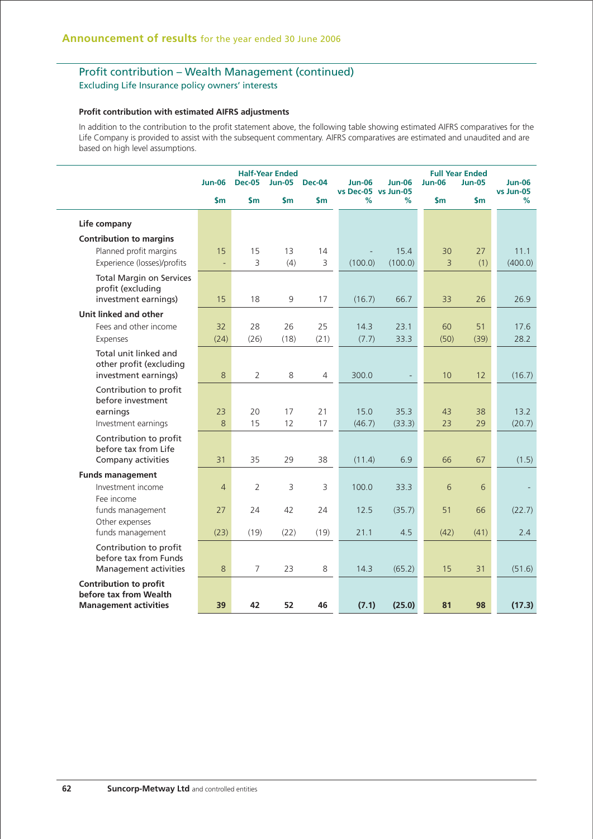# Profit contribution – Wealth Management (continued)

Excluding Life Insurance policy owners' interests

### **Profit contribution with estimated AIFRS adjustments**

In addition to the contribution to the profit statement above, the following table showing estimated AIFRS comparatives for the Life Company is provided to assist with the subsequent commentary. AIFRS comparatives are estimated and unaudited and are based on high level assumptions.

|                                                                                         | <b>Jun-06</b>  | <b>Dec-05</b>  | <b>Half-Year Ended</b><br><b>Jun-05</b> | <b>Dec-04</b>      | <b>Jun-06</b><br>vs Dec-05 vs Jun-05 | <b>Jun-06</b>   | <b>Jun-06</b> | <b>Full Year Ended</b><br><b>Jun-05</b> | <b>Jun-06</b><br>vs Jun-05 |
|-----------------------------------------------------------------------------------------|----------------|----------------|-----------------------------------------|--------------------|--------------------------------------|-----------------|---------------|-----------------------------------------|----------------------------|
|                                                                                         | $\mathsf{sm}$  | \$m            | \$m                                     | \$m                | %                                    | %               | \$m           | $\mathsf{sm}$                           | %                          |
| Life company                                                                            |                |                |                                         |                    |                                      |                 |               |                                         |                            |
| <b>Contribution to margins</b><br>Planned profit margins<br>Experience (losses)/profits | 15<br>÷,       | 15<br>3        | 13<br>(4)                               | 14<br>$\mathsf{3}$ | (100.0)                              | 15.4<br>(100.0) | 30<br>3       | 27<br>(1)                               | 11.1<br>(400.0)            |
| <b>Total Margin on Services</b><br>profit (excluding<br>investment earnings)            | 15             | 18             | 9                                       | 17                 | (16.7)                               | 66.7            | 33            | 26                                      | 26.9                       |
| Unit linked and other<br>Fees and other income                                          | 32             | 28             | 26                                      | 25                 | 14.3                                 | 23.1            | 60            | 51                                      | 17.6                       |
| Expenses                                                                                | (24)           | (26)           | (18)                                    | (21)               | (7.7)                                | 33.3            | (50)          | (39)                                    | 28.2                       |
| Total unit linked and<br>other profit (excluding<br>investment earnings)                | 8              | $\overline{2}$ | 8                                       | 4                  | 300.0                                |                 | 10            | 12                                      | (16.7)                     |
| Contribution to profit<br>before investment<br>earnings<br>Investment earnings          | 23<br>8        | 20<br>15       | 17<br>12                                | 21<br>17           | 15.0<br>(46.7)                       | 35.3<br>(33.3)  | 43<br>23      | 38<br>29                                | 13.2<br>(20.7)             |
| Contribution to profit<br>before tax from Life<br>Company activities                    | 31             | 35             | 29                                      | 38                 | (11.4)                               | 6.9             | 66            | 67                                      | (1.5)                      |
| <b>Funds management</b><br>Investment income                                            | $\overline{4}$ | $\overline{2}$ | 3                                       | 3                  | 100.0                                | 33.3            | 6             | 6                                       |                            |
| Fee income<br>funds management                                                          | 27             | 24             | 42                                      | 24                 | 12.5                                 | (35.7)          | 51            | 66                                      | (22.7)                     |
| Other expenses<br>funds management                                                      | (23)           | (19)           | (22)                                    | (19)               | 21.1                                 | 4.5             | (42)          | (41)                                    | 2.4                        |
| Contribution to profit<br>before tax from Funds<br>Management activities                | 8              | $\overline{7}$ | 23                                      | 8                  | 14.3                                 | (65.2)          | 15            | 31                                      | (51.6)                     |
| <b>Contribution to profit</b><br>before tax from Wealth<br><b>Management activities</b> | 39             | 42             | 52                                      | 46                 | (7.1)                                | (25.0)          | 81            | 98                                      | (17.3)                     |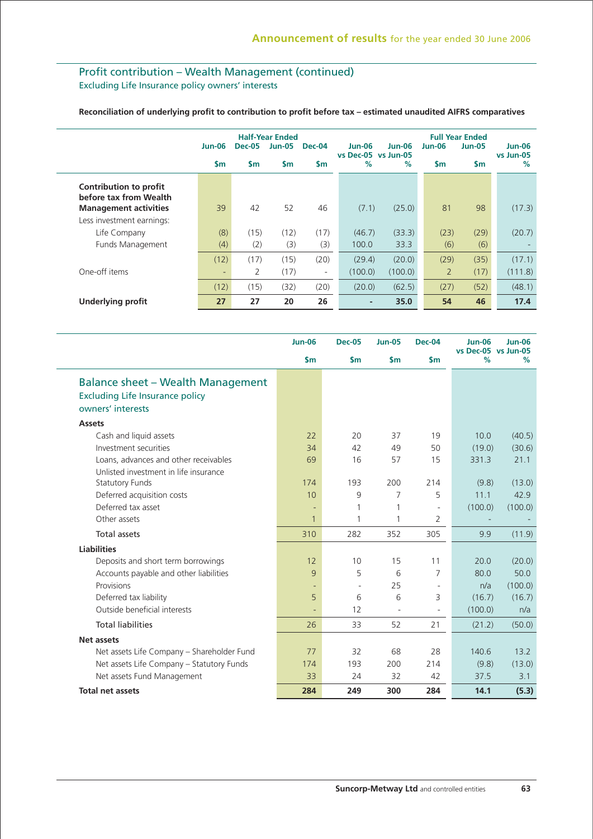# Profit contribution – Wealth Management (continued) Excluding Life Insurance policy owners' interests

### **Reconciliation of underlying profit to contribution to profit before tax – estimated unaudited AIFRS comparatives**

|                                                                                  | <b>Jun-06</b> | <b>Dec-05</b> | <b>Half-Year Ended</b><br><b>Jun-05</b> | <b>Dec-04</b>            | <b>Jun-06</b><br>vs Dec-05 vs Jun-05 | <b>Jun-06</b> | <b>Jun-06</b>  | <b>Full Year Ended</b><br><b>Jun-05</b> | <b>Jun-06</b><br>vs Jun-05 |
|----------------------------------------------------------------------------------|---------------|---------------|-----------------------------------------|--------------------------|--------------------------------------|---------------|----------------|-----------------------------------------|----------------------------|
|                                                                                  | $\mathsf{sm}$ | $\mathsf{sm}$ | \$m                                     | \$m                      | %                                    | $\%$          | $\mathsf{Sm}$  | $\mathsf{sm}$                           | $\frac{9}{6}$              |
| Contribution to profit<br>before tax from Wealth<br><b>Management activities</b> | 39            | 42            | 52                                      | 46                       | (7.1)                                | (25.0)        | 81             | 98                                      | (17.3)                     |
| Less investment earnings:                                                        |               |               |                                         |                          |                                      |               |                |                                         |                            |
| Life Company                                                                     | (8)           | (15)          | (12)                                    | (17)                     | (46.7)                               | (33.3)        | (23)           | (29)                                    | (20.7)                     |
| Funds Management                                                                 | (4)           | (2)           | (3)                                     | (3)                      | 100.0                                | 33.3          | (6)            | (6)                                     |                            |
|                                                                                  | (12)          | (17)          | (15)                                    | (20)                     | (29.4)                               | (20.0)        | (29)           | (35)                                    | (17.1)                     |
| One-off items                                                                    | ٠             | 2             | (17)                                    | $\overline{\phantom{m}}$ | (100.0)                              | (100.0)       | $\overline{2}$ | (17)                                    | (111.8)                    |
|                                                                                  | (12)          | (15)          | (32)                                    | (20)                     | (20.0)                               | (62.5)        | (27)           | (52)                                    | (48.1)                     |
| <b>Underlying profit</b>                                                         | 27            | 27            | 20                                      | 26                       | $\overline{\phantom{a}}$             | 35.0          | 54             | 46                                      | 17.4                       |

|                                                                                                         | <b>Jun-06</b> | <b>Dec-05</b>            | <b>Jun-05</b> | <b>Dec-04</b>            | <b>Jun-06</b><br>vs Dec-05 vs Jun-05 | <b>Jun-06</b> |
|---------------------------------------------------------------------------------------------------------|---------------|--------------------------|---------------|--------------------------|--------------------------------------|---------------|
|                                                                                                         | $\mathsf{Sm}$ | $\mathsf{sm}$            | $\mathsf{Sm}$ | $\mathsf{sm}$            | $\%$                                 | %             |
| <b>Balance sheet - Wealth Management</b><br><b>Excluding Life Insurance policy</b><br>owners' interests |               |                          |               |                          |                                      |               |
| <b>Assets</b>                                                                                           |               |                          |               |                          |                                      |               |
| Cash and liquid assets                                                                                  | 22            | 20                       | 37            | 19                       | 10.0                                 | (40.5)        |
| Investment securities                                                                                   | 34            | 42                       | 49            | 50                       | (19.0)                               | (30.6)        |
| Loans, advances and other receivables                                                                   | 69            | 16                       | 57            | 15                       | 331.3                                | 21.1          |
| Unlisted investment in life insurance<br><b>Statutory Funds</b>                                         | 174           | 193                      | 200           | 214                      | (9.8)                                | (13.0)        |
| Deferred acquisition costs                                                                              | 10            | 9                        | 7             | 5                        | 11.1                                 | 42.9          |
| Deferred tax asset                                                                                      | ٠             | 1                        | 1             | $\sim$                   | (100.0)                              | (100.0)       |
| Other assets                                                                                            | $\mathbf{1}$  | 1                        | 1             | 2                        |                                      |               |
| <b>Total assets</b>                                                                                     | 310           | 282                      | 352           | 305                      | 9.9                                  | (11.9)        |
| <b>Liabilities</b>                                                                                      |               |                          |               |                          |                                      |               |
| Deposits and short term borrowings                                                                      | 12            | 10                       | 15            | 11                       | 20.0                                 | (20.0)        |
| Accounts payable and other liabilities                                                                  | 9             | 5                        | 6             | 7                        | 80.0                                 | 50.0          |
| Provisions                                                                                              |               | $\overline{\phantom{a}}$ | 25            |                          | n/a                                  | (100.0)       |
| Deferred tax liability                                                                                  | 5             | 6                        | 6             | 3                        | (16.7)                               | (16.7)        |
| Outside beneficial interests                                                                            | $\equiv$      | 12                       | $\sim$        | $\overline{\phantom{a}}$ | (100.0)                              | n/a           |
| <b>Total liabilities</b>                                                                                | 26            | 33                       | 52            | 21                       | (21.2)                               | (50.0)        |
| Net assets                                                                                              |               |                          |               |                          |                                      |               |
| Net assets Life Company - Shareholder Fund                                                              | 77            | 32                       | 68            | 28                       | 140.6                                | 13.2          |
| Net assets Life Company - Statutory Funds                                                               | 174           | 193                      | 200           | 214                      | (9.8)                                | (13.0)        |
| Net assets Fund Management                                                                              | 33            | 24                       | 32            | 42                       | 37.5                                 | 3.1           |
| <b>Total net assets</b>                                                                                 | 284           | 249                      | 300           | 284                      | 14.1                                 | (5.3)         |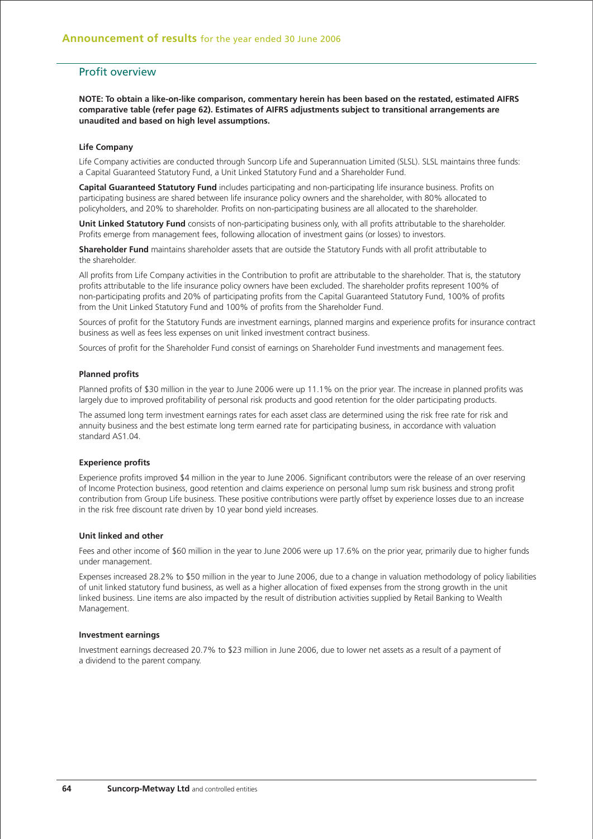## Profit overview

**NOTE: To obtain a like-on-like comparison, commentary herein has been based on the restated, estimated AIFRS comparative table (refer page 62). Estimates of AIFRS adjustments subject to transitional arrangements are unaudited and based on high level assumptions.**

### **Life Company**

Life Company activities are conducted through Suncorp Life and Superannuation Limited (SLSL). SLSL maintains three funds: a Capital Guaranteed Statutory Fund, a Unit Linked Statutory Fund and a Shareholder Fund.

**Capital Guaranteed Statutory Fund** includes participating and non-participating life insurance business. Profits on participating business are shared between life insurance policy owners and the shareholder, with 80% allocated to policyholders, and 20% to shareholder. Profits on non-participating business are all allocated to the shareholder.

**Unit Linked Statutory Fund** consists of non-participating business only, with all profits attributable to the shareholder. Profits emerge from management fees, following allocation of investment gains (or losses) to investors.

**Shareholder Fund** maintains shareholder assets that are outside the Statutory Funds with all profit attributable to the shareholder.

All profits from Life Company activities in the Contribution to profit are attributable to the shareholder. That is, the statutory profits attributable to the life insurance policy owners have been excluded. The shareholder profits represent 100% of non-participating profits and 20% of participating profits from the Capital Guaranteed Statutory Fund, 100% of profits from the Unit Linked Statutory Fund and 100% of profits from the Shareholder Fund.

Sources of profit for the Statutory Funds are investment earnings, planned margins and experience profits for insurance contract business as well as fees less expenses on unit linked investment contract business.

Sources of profit for the Shareholder Fund consist of earnings on Shareholder Fund investments and management fees.

### **Planned profits**

Planned profits of \$30 million in the year to June 2006 were up 11.1% on the prior year. The increase in planned profits was largely due to improved profitability of personal risk products and good retention for the older participating products.

The assumed long term investment earnings rates for each asset class are determined using the risk free rate for risk and annuity business and the best estimate long term earned rate for participating business, in accordance with valuation standard AS1.04.

### **Experience profits**

Experience profits improved \$4 million in the year to June 2006. Significant contributors were the release of an over reserving of Income Protection business, good retention and claims experience on personal lump sum risk business and strong profit contribution from Group Life business. These positive contributions were partly offset by experience losses due to an increase in the risk free discount rate driven by 10 year bond yield increases.

### **Unit linked and other**

Fees and other income of \$60 million in the year to June 2006 were up 17.6% on the prior year, primarily due to higher funds under management.

Expenses increased 28.2% to \$50 million in the year to June 2006, due to a change in valuation methodology of policy liabilities of unit linked statutory fund business, as well as a higher allocation of fixed expenses from the strong growth in the unit linked business. Line items are also impacted by the result of distribution activities supplied by Retail Banking to Wealth Management.

### **Investment earnings**

Investment earnings decreased 20.7% to \$23 million in June 2006, due to lower net assets as a result of a payment of a dividend to the parent company.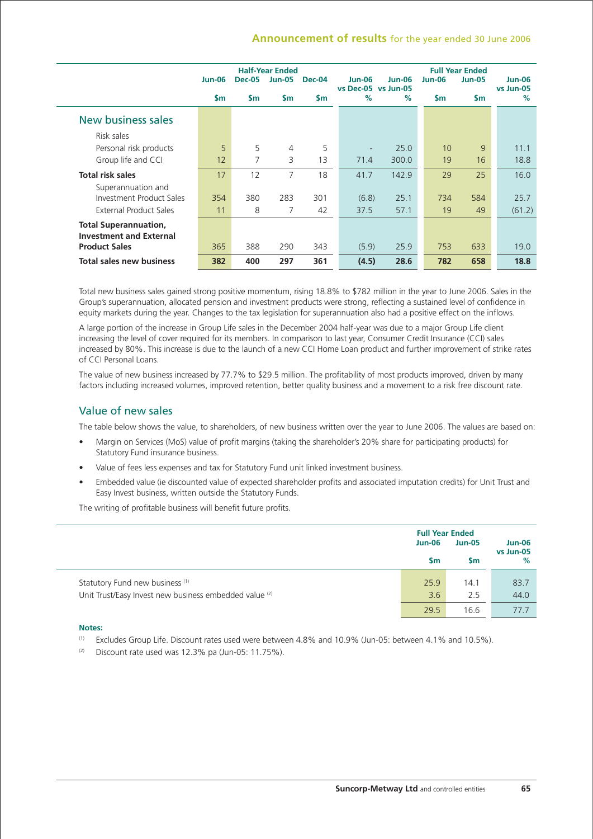## **Announcement of results** for the year ended 30 June 2006

|                                                                |               |               | <b>Half-Year Ended</b> |               |                               |          |               | <b>Full Year Ended</b> |                            |
|----------------------------------------------------------------|---------------|---------------|------------------------|---------------|-------------------------------|----------|---------------|------------------------|----------------------------|
|                                                                | <b>Jun-06</b> | <b>Dec-05</b> | <b>Jun-05</b>          | <b>Dec-04</b> | Jun-06<br>vs Dec-05 vs Jun-05 | $Jun-06$ | <b>Jun-06</b> | <b>Jun-05</b>          | <b>Jun-06</b><br>vs Jun-05 |
|                                                                | $\mathsf{sm}$ | $\mathsf{sm}$ | \$m                    | \$m           | $\%$                          | $\%$     | $\mathsf{Sm}$ | <b>Sm</b>              | $\%$                       |
| New business sales                                             |               |               |                        |               |                               |          |               |                        |                            |
| Risk sales                                                     |               |               |                        |               |                               |          |               |                        |                            |
| Personal risk products                                         | 5             | 5             | $\overline{4}$         | 5             | ٠                             | 25.0     | 10            | 9                      | 11.1                       |
| Group life and CCI                                             | 12            | 7             | 3                      | 13            | 71.4                          | 300.0    | 19            | 16                     | 18.8                       |
| <b>Total risk sales</b>                                        | 17            | 12            | 7                      | 18            | 41.7                          | 142.9    | 29            | 25                     | 16.0                       |
| Superannuation and                                             |               |               |                        |               |                               |          |               |                        |                            |
| Investment Product Sales                                       | 354           | 380           | 283                    | 301           | (6.8)                         | 25.1     | 734           | 584                    | 25.7                       |
| External Product Sales                                         | 11            | 8             | 7                      | 42            | 37.5                          | 57.1     | 19            | 49                     | (61.2)                     |
| <b>Total Superannuation,</b><br><b>Investment and External</b> |               |               |                        |               |                               |          |               |                        |                            |
| <b>Product Sales</b>                                           | 365           | 388           | 290                    | 343           | (5.9)                         | 25.9     | 753           | 633                    | 19.0                       |
| <b>Total sales new business</b>                                | 382           | 400           | 297                    | 361           | (4.5)                         | 28.6     | 782           | 658                    | 18.8                       |

Total new business sales gained strong positive momentum, rising 18.8% to \$782 million in the year to June 2006. Sales in the Group's superannuation, allocated pension and investment products were strong, reflecting a sustained level of confidence in equity markets during the year. Changes to the tax legislation for superannuation also had a positive effect on the inflows.

A large portion of the increase in Group Life sales in the December 2004 half-year was due to a major Group Life client increasing the level of cover required for its members. In comparison to last year, Consumer Credit Insurance (CCI) sales increased by 80%. This increase is due to the launch of a new CCI Home Loan product and further improvement of strike rates of CCI Personal Loans.

The value of new business increased by 77.7% to \$29.5 million. The profitability of most products improved, driven by many factors including increased volumes, improved retention, better quality business and a movement to a risk free discount rate.

## Value of new sales

The table below shows the value, to shareholders, of new business written over the year to June 2006. The values are based on:

- Margin on Services (MoS) value of profit margins (taking the shareholder's 20% share for participating products) for Statutory Fund insurance business.
- Value of fees less expenses and tax for Statutory Fund unit linked investment business.
- Embedded value (ie discounted value of expected shareholder profits and associated imputation credits) for Unit Trust and Easy Invest business, written outside the Statutory Funds.

The writing of profitable business will benefit future profits.

|                                                                                                      | <b>Full Year Ended</b><br><b>Jun-06</b><br>$\mathsf{Sm}$ | <b>Jun-05</b><br><b>Sm</b> | <b>Jun-06</b><br>vs Jun-05<br>$\%$ |
|------------------------------------------------------------------------------------------------------|----------------------------------------------------------|----------------------------|------------------------------------|
| Statutory Fund new business <sup>(1)</sup><br>Unit Trust/Easy Invest new business embedded value (2) | 25.9<br>3.6                                              | 14.1<br>2.5                | 83.7<br>44.0                       |
|                                                                                                      | 29.5                                                     | 16.6                       | 777                                |

### **Notes:**

- (1) Excludes Group Life. Discount rates used were between 4.8% and 10.9% (Jun-05: between 4.1% and 10.5%).
- $(2)$  Discount rate used was 12.3% pa (Jun-05: 11.75%).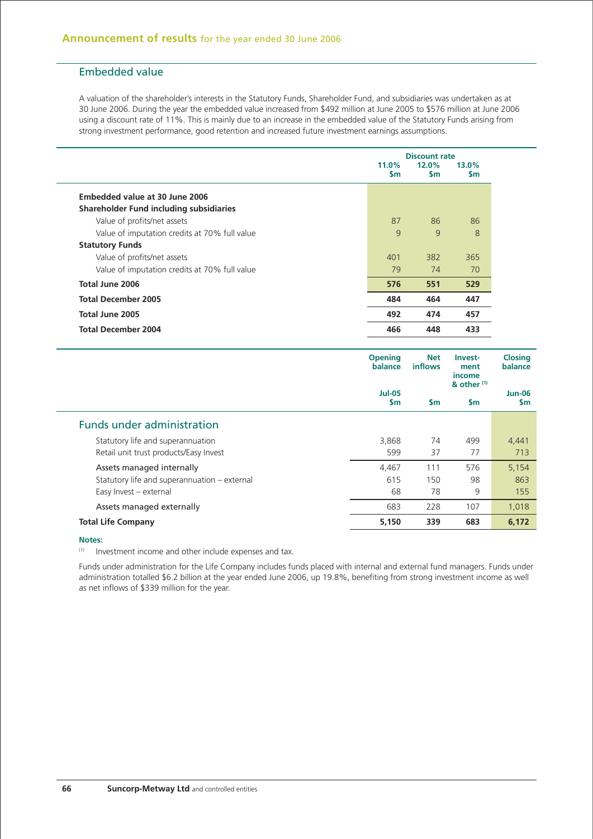# Embedded value

A valuation of the shareholder's interests in the Statutory Funds, Shareholder Fund, and subsidiaries was undertaken as at 30 June 2006. During the year the embedded value increased from \$492 million at June 2005 to \$576 million at June 2006 using a discount rate of 11%. This is mainly due to an increase in the embedded value of the Statutory Funds arising from strong investment performance, good retention and increased future investment earnings assumptions.

|                                               |                        | <b>Discount rate</b> |                    |  |  |
|-----------------------------------------------|------------------------|----------------------|--------------------|--|--|
|                                               | $11.0\%$<br><b>S</b> m | 12.0%<br><b>Sm</b>   | 13.0%<br><b>Sm</b> |  |  |
| Embedded value at 30 June 2006                |                        |                      |                    |  |  |
| Shareholder Fund including subsidiaries       |                        |                      |                    |  |  |
| Value of profits/net assets                   | 87                     | 86                   | 86                 |  |  |
| Value of imputation credits at 70% full value | 9                      | $\mathsf{q}$         | 8                  |  |  |
| <b>Statutory Funds</b>                        |                        |                      |                    |  |  |
| Value of profits/net assets                   | 401                    | 382                  | 365                |  |  |
| Value of imputation credits at 70% full value | 79                     | 74                   | 70                 |  |  |
| Total June 2006                               | 576                    | 551                  | 529                |  |  |
| <b>Total December 2005</b>                    | 484                    | 464                  | 447                |  |  |
| Total June 2005                               | 492                    | 474                  | 457                |  |  |
| <b>Total December 2004</b>                    | 466                    | 448                  | 433                |  |  |

|                                              | <b>Opening</b><br>balance<br><b>Jul-05</b><br>$\mathsf{Sm}$ | <b>Net</b><br><b>inflows</b> | Invest-<br>ment<br>income<br>$8$ other $(1)$ | <b>Closing</b><br>balance |
|----------------------------------------------|-------------------------------------------------------------|------------------------------|----------------------------------------------|---------------------------|
|                                              |                                                             | <b>Sm</b>                    | <b>Sm</b>                                    | <b>Jun-06</b><br>\$m      |
| <b>Funds under administration</b>            |                                                             |                              |                                              |                           |
| Statutory life and superannuation            | 3,868                                                       | 74                           | 499                                          | 4,441                     |
| Retail unit trust products/Easy Invest       | 599                                                         | 37                           | 77                                           | 713                       |
| Assets managed internally                    | 4.467                                                       | 111                          | 576                                          | 5,154                     |
| Statutory life and superannuation - external | 615                                                         | 150                          | 98                                           | 863                       |
| Easy Invest - external                       | 68                                                          | 78                           | 9                                            | 155                       |
| Assets managed externally                    | 683                                                         | 228                          | 107                                          | 1,018                     |
| <b>Total Life Company</b>                    | 5,150                                                       | 339                          | 683                                          | 6,172                     |

### **Notes:**

(1) Investment income and other include expenses and tax.

Funds under administration for the Life Company includes funds placed with internal and external fund managers. Funds under administration totalled \$6.2 billion at the year ended June 2006, up 19.8%, benefiting from strong investment income as well as net inflows of \$339 million for the year.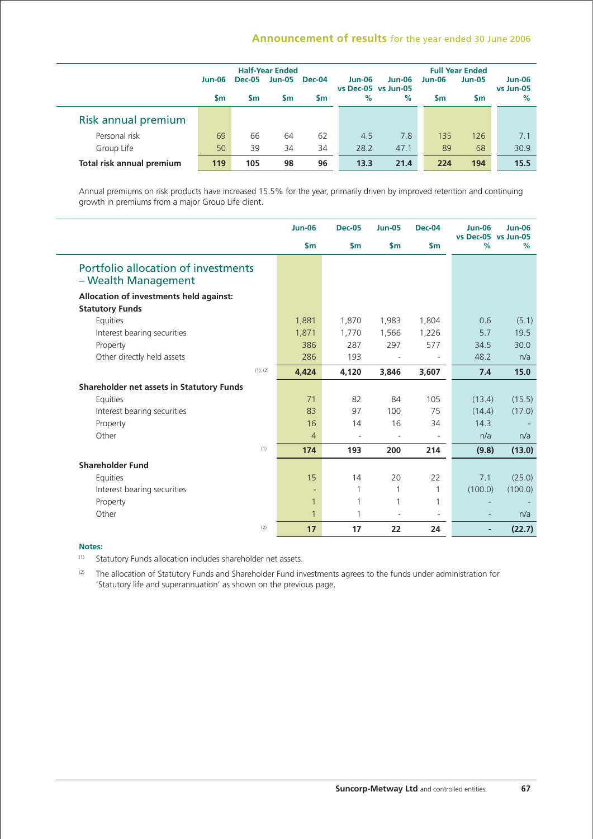# **Announcement of results** for the year ended 30 June 2006

|                           |               |               | <b>Half-Year Ended</b> |           |                                      |               |        | <b>Full Year Ended</b> |                     |
|---------------------------|---------------|---------------|------------------------|-----------|--------------------------------------|---------------|--------|------------------------|---------------------|
|                           | <b>Jun-06</b> | <b>Dec-05</b> | <b>Jun-05</b>          | Dec-04    | <b>Jun-06</b><br>vs Dec-05 vs Jun-05 | <b>Jun-06</b> | Jun-06 | <b>Jun-05</b>          | Jun-06<br>vs Jun-05 |
|                           | <b>Sm</b>     | <b>Sm</b>     | Sm                     | <b>Sm</b> | $\%$                                 | $\%$          | Sm     | <b>Sm</b>              | $\%$                |
| Risk annual premium       |               |               |                        |           |                                      |               |        |                        |                     |
| Personal risk             | 69            | 66            | 64                     | 62        | 4.5                                  | 7.8           | 135    | 126                    | 7.1                 |
| Group Life                | 50            | 39            | 34                     | 34        | 28.2                                 | 47.1          | 89     | 68                     | 30.9                |
| Total risk annual premium | 119           | 105           | 98                     | 96        | 13.3                                 | 21.4          | 224    | 194                    | 15.5                |

Annual premiums on risk products have increased 15.5% for the year, primarily driven by improved retention and continuing growth in premiums from a major Group Life client.

|                                                            | <b>Jun-06</b>  | <b>Dec-05</b>            | <b>Jun-05</b>            | <b>Dec-04</b> | <b>Jun-06</b>  | <b>Jun-06</b><br>vs Dec-05 vs Jun-05 |
|------------------------------------------------------------|----------------|--------------------------|--------------------------|---------------|----------------|--------------------------------------|
|                                                            | $\mathsf{Sm}$  | $\mathsf{Sm}$            | $\mathsf{sm}$            | $\mathsf{sm}$ | %              | %                                    |
| Portfolio allocation of investments<br>- Wealth Management |                |                          |                          |               |                |                                      |
| Allocation of investments held against:                    |                |                          |                          |               |                |                                      |
| <b>Statutory Funds</b>                                     |                |                          |                          |               |                |                                      |
| Equities                                                   | 1,881          | 1,870                    | 1,983                    | 1,804         | 0.6            | (5.1)                                |
| Interest bearing securities                                | 1,871          | 1,770                    | 1,566                    | 1,226         | 5.7            | 19.5                                 |
| Property                                                   | 386            | 287                      | 297                      | 577           | 34.5           | 30.0                                 |
| Other directly held assets                                 | 286            | 193                      | $\overline{\phantom{a}}$ |               | 48.2           | n/a                                  |
| (1), (2)                                                   | 4,424          | 4,120                    | 3,846                    | 3,607         | 7.4            | 15.0                                 |
| Shareholder net assets in Statutory Funds                  |                |                          |                          |               |                |                                      |
| Equities                                                   | 71             | 82                       | 84                       | 105           | (13.4)         | (15.5)                               |
| Interest bearing securities                                | 83             | 97                       | 100                      | 75            | (14.4)         | (17.0)                               |
| Property                                                   | 16             | 14                       | 16                       | 34            | 14.3           |                                      |
| Other                                                      | $\overline{4}$ | $\overline{\phantom{a}}$ | $\overline{\phantom{a}}$ |               | n/a            | n/a                                  |
| (1)                                                        | 174            | 193                      | 200                      | 214           | (9.8)          | (13.0)                               |
| <b>Shareholder Fund</b>                                    |                |                          |                          |               |                |                                      |
| Equities                                                   | 15             | 14                       | 20                       | 22            | 7.1            | (25.0)                               |
| Interest bearing securities                                |                | 1                        | 1                        | $\mathbf{1}$  | (100.0)        | (100.0)                              |
| Property                                                   | $\mathbf{1}$   |                          | 1                        | 1             |                |                                      |
| Other                                                      | $\mathbf{1}$   |                          | $\overline{\phantom{a}}$ | $\sim$        |                | n/a                                  |
| (2)                                                        | 17             | 17                       | 22                       | 24            | $\overline{a}$ | (22.7)                               |

## **Notes:**

(1) Statutory Funds allocation includes shareholder net assets.

(2) The allocation of Statutory Funds and Shareholder Fund investments agrees to the funds under administration for 'Statutory life and superannuation' as shown on the previous page.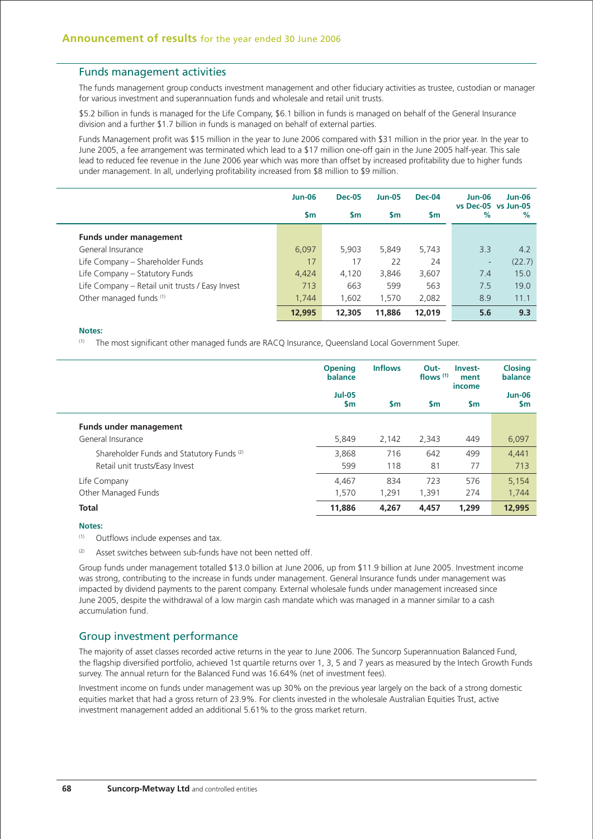### Funds management activities

The funds management group conducts investment management and other fiduciary activities as trustee, custodian or manager for various investment and superannuation funds and wholesale and retail unit trusts.

\$5.2 billion in funds is managed for the Life Company, \$6.1 billion in funds is managed on behalf of the General Insurance division and a further \$1.7 billion in funds is managed on behalf of external parties.

Funds Management profit was \$15 million in the year to June 2006 compared with \$31 million in the prior year. In the year to June 2005, a fee arrangement was terminated which lead to a \$17 million one-off gain in the June 2005 half-year. This sale lead to reduced fee revenue in the June 2006 year which was more than offset by increased profitability due to higher funds under management. In all, underlying profitability increased from \$8 million to \$9 million.

|                                                 | <b>Jun-06</b> | <b>Dec-05</b> | <b>Jun-05</b> | Dec-04    | <b>Jun-06</b><br>vs Dec-05 vs Jun-05 | <b>Jun-06</b> |
|-------------------------------------------------|---------------|---------------|---------------|-----------|--------------------------------------|---------------|
|                                                 | <b>Sm</b>     | <b>Sm</b>     | <b>Sm</b>     | <b>Sm</b> | %                                    | $\%$          |
| <b>Funds under management</b>                   |               |               |               |           |                                      |               |
| General Insurance                               | 6,097         | 5,903         | 5,849         | 5,743     | 3.3                                  | 4.2           |
| Life Company – Shareholder Funds                | 17            | 17            | 22            | 24        | ۰                                    | (22.7)        |
| Life Company – Statutory Funds                  | 4,424         | 4,120         | 3,846         | 3,607     | 7.4                                  | 15.0          |
| Life Company – Retail unit trusts / Easy Invest | 713           | 663           | 599           | 563       | 7.5                                  | 19.0          |
| Other managed funds (1)                         | 1.744         | 1,602         | 1.570         | 2,082     | 8.9                                  | 11.1          |
|                                                 | 12,995        | 12,305        | 11,886        | 12,019    | 5.6                                  | 9.3           |

### **Notes:**

(1) The most significant other managed funds are RACQ Insurance, Queensland Local Government Super.

|                                                      | <b>Inflows</b><br><b>Opening</b><br>balance |           | Out-<br>flows $(1)$ | Invest-<br>ment<br>income | <b>Closing</b><br>balance |  |
|------------------------------------------------------|---------------------------------------------|-----------|---------------------|---------------------------|---------------------------|--|
|                                                      | <b>Jul-05</b><br>\$m                        | <b>Sm</b> | $\mathsf{sm}$       | <b>Sm</b>                 | <b>Jun-06</b><br>\$m      |  |
| <b>Funds under management</b>                        |                                             |           |                     |                           |                           |  |
| General Insurance                                    | 5.849                                       | 2.142     | 2,343               | 449                       | 6,097                     |  |
| Shareholder Funds and Statutory Funds <sup>(2)</sup> | 3.868                                       | 716       | 642                 | 499                       | 4,441                     |  |
| Retail unit trusts/Easy Invest                       | 599                                         | 118       | 81                  | 77                        | 713                       |  |
| Life Company                                         | 4,467                                       | 834       | 723                 | 576                       | 5,154                     |  |
| Other Managed Funds                                  | 1.570                                       | 1.291     | 1.391               | 274                       | 1,744                     |  |
| <b>Total</b>                                         | 11,886                                      | 4,267     | 4,457               | 1,299                     | 12,995                    |  |

#### **Notes:**

(1) Outflows include expenses and tax.

(2) Asset switches between sub-funds have not been netted off.

Group funds under management totalled \$13.0 billion at June 2006, up from \$11.9 billion at June 2005. Investment income was strong, contributing to the increase in funds under management. General Insurance funds under management was impacted by dividend payments to the parent company. External wholesale funds under management increased since June 2005, despite the withdrawal of a low margin cash mandate which was managed in a manner similar to a cash accumulation fund.

## Group investment performance

The majority of asset classes recorded active returns in the year to June 2006. The Suncorp Superannuation Balanced Fund, the flagship diversified portfolio, achieved 1st quartile returns over 1, 3, 5 and 7 years as measured by the Intech Growth Funds survey. The annual return for the Balanced Fund was 16.64% (net of investment fees).

Investment income on funds under management was up 30% on the previous year largely on the back of a strong domestic equities market that had a gross return of 23.9%. For clients invested in the wholesale Australian Equities Trust, active investment management added an additional 5.61% to the gross market return.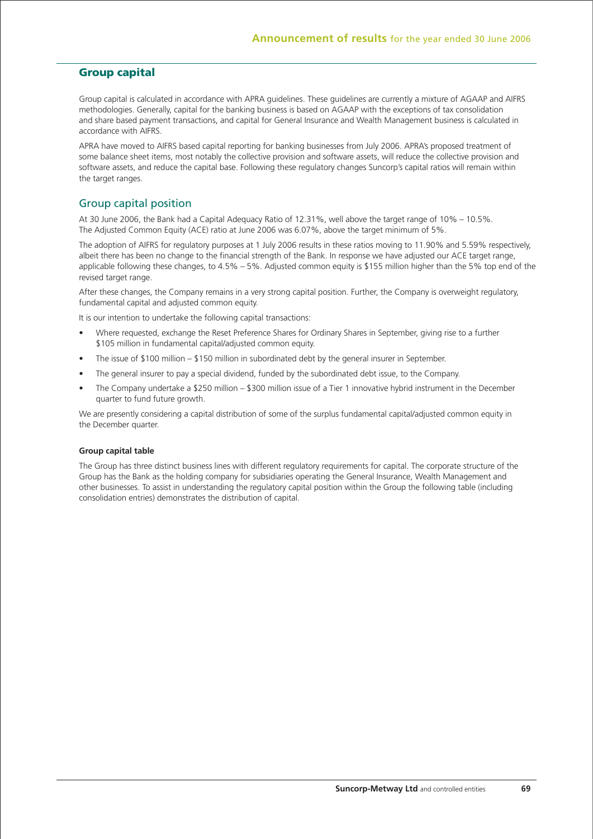## **Group capital**

Group capital is calculated in accordance with APRA guidelines. These guidelines are currently a mixture of AGAAP and AIFRS methodologies. Generally, capital for the banking business is based on AGAAP with the exceptions of tax consolidation and share based payment transactions, and capital for General Insurance and Wealth Management business is calculated in accordance with AIFRS.

APRA have moved to AIFRS based capital reporting for banking businesses from July 2006. APRA's proposed treatment of some balance sheet items, most notably the collective provision and software assets, will reduce the collective provision and software assets, and reduce the capital base. Following these regulatory changes Suncorp's capital ratios will remain within the target ranges.

## Group capital position

At 30 June 2006, the Bank had a Capital Adequacy Ratio of 12.31%, well above the target range of 10% – 10.5%. The Adjusted Common Equity (ACE) ratio at June 2006 was 6.07%, above the target minimum of 5%.

The adoption of AIFRS for regulatory purposes at 1 July 2006 results in these ratios moving to 11.90% and 5.59% respectively, albeit there has been no change to the financial strength of the Bank. In response we have adjusted our ACE target range, applicable following these changes, to 4.5% – 5%. Adjusted common equity is \$155 million higher than the 5% top end of the revised target range.

After these changes, the Company remains in a very strong capital position. Further, the Company is overweight regulatory, fundamental capital and adjusted common equity.

It is our intention to undertake the following capital transactions:

- Where requested, exchange the Reset Preference Shares for Ordinary Shares in September, giving rise to a further \$105 million in fundamental capital/adjusted common equity.
- The issue of \$100 million \$150 million in subordinated debt by the general insurer in September.
- The general insurer to pay a special dividend, funded by the subordinated debt issue, to the Company.
- The Company undertake a \$250 million \$300 million issue of a Tier 1 innovative hybrid instrument in the December quarter to fund future growth.

We are presently considering a capital distribution of some of the surplus fundamental capital/adjusted common equity in the December quarter.

### **Group capital table**

The Group has three distinct business lines with different regulatory requirements for capital. The corporate structure of the Group has the Bank as the holding company for subsidiaries operating the General Insurance, Wealth Management and other businesses. To assist in understanding the regulatory capital position within the Group the following table (including consolidation entries) demonstrates the distribution of capital.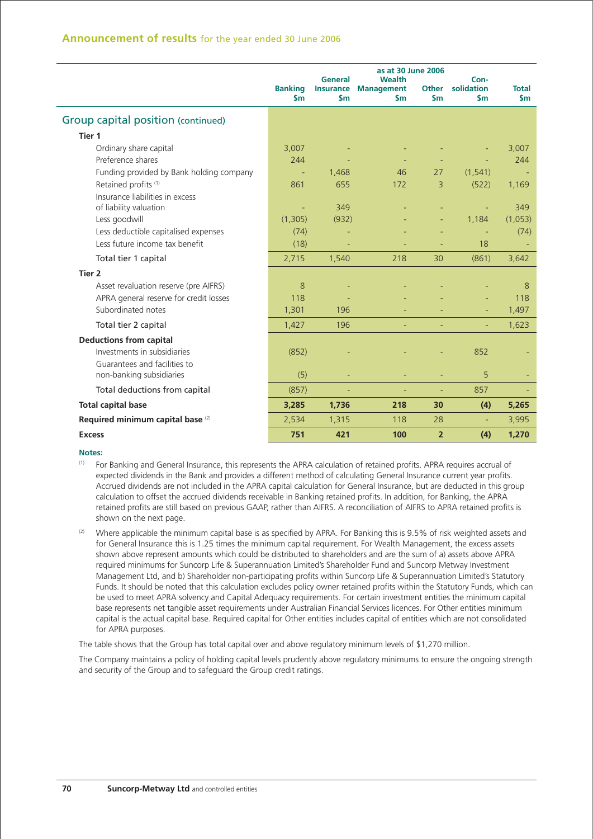## **Announcement of results** for the year ended 30 June 2006

|                                                           | as at 30 June 2006<br><b>General</b><br><b>Wealth</b> |                                   |                                    | Con-                          |                             |                     |
|-----------------------------------------------------------|-------------------------------------------------------|-----------------------------------|------------------------------------|-------------------------------|-----------------------------|---------------------|
|                                                           | <b>Banking</b><br>$\mathsf{sm}$                       | <b>Insurance</b><br>$\mathsf{sm}$ | <b>Management</b><br>$\mathsf{sm}$ | <b>Other</b><br>$\mathsf{sm}$ | solidation<br>$\mathsf{sm}$ | <b>Total</b><br>\$m |
| Group capital position (continued)                        |                                                       |                                   |                                    |                               |                             |                     |
| Tier 1                                                    |                                                       |                                   |                                    |                               |                             |                     |
| Ordinary share capital                                    | 3,007                                                 |                                   |                                    |                               |                             | 3,007               |
| Preference shares                                         | 244                                                   |                                   |                                    |                               |                             | 244                 |
| Funding provided by Bank holding company                  |                                                       | 1,468                             | 46                                 | 27                            | (1, 541)                    |                     |
| Retained profits (1)                                      | 861                                                   | 655                               | 172                                | 3                             | (522)                       | 1,169               |
| Insurance liabilities in excess<br>of liability valuation |                                                       | 349                               |                                    |                               |                             | 349                 |
| Less goodwill                                             | (1,305)                                               | (932)                             |                                    |                               | 1,184                       | (1,053)             |
| Less deductible capitalised expenses                      | (74)                                                  |                                   |                                    |                               |                             | (74)                |
| Less future income tax benefit                            | (18)                                                  |                                   |                                    |                               | 18                          |                     |
| Total tier 1 capital                                      | 2,715                                                 | 1,540                             | 218                                | 30                            | (861)                       | 3,642               |
| Tier 2                                                    |                                                       |                                   |                                    |                               |                             |                     |
| Asset revaluation reserve (pre AIFRS)                     | 8                                                     |                                   |                                    |                               |                             | 8                   |
| APRA general reserve for credit losses                    | 118                                                   |                                   |                                    |                               |                             | 118                 |
| Subordinated notes                                        | 1,301                                                 | 196                               |                                    |                               |                             | 1,497               |
| Total tier 2 capital                                      | 1,427                                                 | 196                               |                                    |                               |                             | 1,623               |
| <b>Deductions from capital</b>                            |                                                       |                                   |                                    |                               |                             |                     |
| Investments in subsidiaries                               | (852)                                                 |                                   |                                    |                               | 852                         |                     |
| Guarantees and facilities to                              |                                                       |                                   |                                    |                               |                             |                     |
| non-banking subsidiaries                                  | (5)                                                   |                                   |                                    |                               | 5                           |                     |
| Total deductions from capital                             | (857)                                                 |                                   |                                    |                               | 857                         |                     |
| <b>Total capital base</b>                                 | 3,285                                                 | 1,736                             | 218                                | 30                            | (4)                         | 5,265               |
| Required minimum capital base <sup>(2)</sup>              | 2,534                                                 | 1,315                             | 118                                | 28                            |                             | 3,995               |
| <b>Excess</b>                                             | 751                                                   | 421                               | 100                                | $\overline{2}$                | (4)                         | 1.270               |

### **Notes:**

- (1) For Banking and General Insurance, this represents the APRA calculation of retained profits. APRA requires accrual of expected dividends in the Bank and provides a different method of calculating General Insurance current year profits. Accrued dividends are not included in the APRA capital calculation for General Insurance, but are deducted in this group calculation to offset the accrued dividends receivable in Banking retained profits. In addition, for Banking, the APRA retained profits are still based on previous GAAP, rather than AIFRS. A reconciliation of AIFRS to APRA retained profits is shown on the next page.
- $(2)$  Where applicable the minimum capital base is as specified by APRA. For Banking this is 9.5% of risk weighted assets and for General Insurance this is 1.25 times the minimum capital requirement. For Wealth Management, the excess assets shown above represent amounts which could be distributed to shareholders and are the sum of a) assets above APRA required minimums for Suncorp Life & Superannuation Limited's Shareholder Fund and Suncorp Metway Investment Management Ltd, and b) Shareholder non-participating profits within Suncorp Life & Superannuation Limited's Statutory Funds. It should be noted that this calculation excludes policy owner retained profits within the Statutory Funds, which can be used to meet APRA solvency and Capital Adequacy requirements. For certain investment entities the minimum capital base represents net tangible asset requirements under Australian Financial Services licences. For Other entities minimum capital is the actual capital base. Required capital for Other entities includes capital of entities which are not consolidated for APRA purposes.

The table shows that the Group has total capital over and above regulatory minimum levels of \$1,270 million.

The Company maintains a policy of holding capital levels prudently above regulatory minimums to ensure the ongoing strength and security of the Group and to safeguard the Group credit ratings.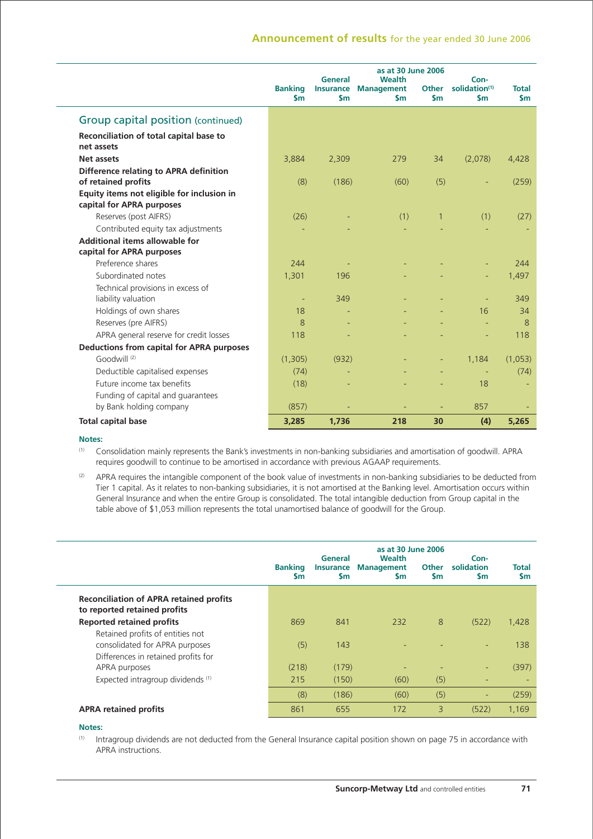# **Announcement of results** for the year ended 30 June 2006

|                                                                         |                                 | General                            | as at 30 June 2006<br>Wealth |                        | Con-                                       |                           |
|-------------------------------------------------------------------------|---------------------------------|------------------------------------|------------------------------|------------------------|--------------------------------------------|---------------------------|
|                                                                         | <b>Banking</b><br>$\mathsf{Sm}$ | <b>Insurance</b><br>$\mathsf{S}$ m | <b>Management</b><br>\$m     | Other<br>$\mathsf{sm}$ | solidation <sup>(1)</sup><br>$\mathsf{sm}$ | <b>Total</b><br><b>Sm</b> |
| Group capital position (continued)                                      |                                 |                                    |                              |                        |                                            |                           |
| Reconciliation of total capital base to<br>net assets                   |                                 |                                    |                              |                        |                                            |                           |
| Net assets                                                              | 3,884                           | 2,309                              | 279                          | 34                     | (2,078)                                    | 4,428                     |
| Difference relating to APRA definition<br>of retained profits           | (8)                             | (186)                              | (60)                         | (5)                    |                                            | (259)                     |
| Equity items not eligible for inclusion in<br>capital for APRA purposes |                                 |                                    |                              |                        |                                            |                           |
| Reserves (post AIFRS)                                                   | (26)                            |                                    | (1)                          | $\mathbf{1}$           | (1)                                        | (27)                      |
| Contributed equity tax adjustments                                      |                                 |                                    |                              |                        |                                            |                           |
| Additional items allowable for                                          |                                 |                                    |                              |                        |                                            |                           |
| capital for APRA purposes                                               |                                 |                                    |                              |                        |                                            |                           |
| Preference shares                                                       | 244                             |                                    |                              |                        |                                            | 244                       |
| Subordinated notes                                                      | 1,301                           | 196                                |                              |                        |                                            | 1,497                     |
| Technical provisions in excess of<br>liability valuation                | ٠                               | 349                                |                              |                        |                                            | 349                       |
| Holdings of own shares                                                  | 18                              |                                    |                              |                        | 16                                         | 34                        |
| Reserves (pre AIFRS)                                                    | 8                               |                                    |                              |                        |                                            | 8                         |
| APRA general reserve for credit losses                                  | 118                             |                                    |                              |                        |                                            | 118                       |
| <b>Deductions from capital for APRA purposes</b>                        |                                 |                                    |                              |                        |                                            |                           |
| Goodwill (2)                                                            | (1,305)                         | (932)                              |                              | ÷,                     | 1,184                                      | (1,053)                   |
| Deductible capitalised expenses                                         | (74)                            |                                    |                              |                        | $\overline{\phantom{a}}$                   | (74)                      |
| Future income tax benefits                                              | (18)                            |                                    |                              |                        | 18                                         |                           |
| Funding of capital and guarantees<br>by Bank holding company            | (857)                           |                                    |                              |                        | 857                                        |                           |
| <b>Total capital base</b>                                               | 3,285                           | 1,736                              | 218                          | 30                     | (4)                                        | 5,265                     |

### **Notes:**

(1) Consolidation mainly represents the Bank's investments in non-banking subsidiaries and amortisation of goodwill. APRA requires goodwill to continue to be amortised in accordance with previous AGAAP requirements.

 $(2)$  APRA requires the intangible component of the book value of investments in non-banking subsidiaries to be deducted from Tier 1 capital. As it relates to non-banking subsidiaries, it is not amortised at the Banking level. Amortisation occurs within General Insurance and when the entire Group is consolidated. The total intangible deduction from Group capital in the table above of \$1,053 million represents the total unamortised balance of goodwill for the Group.

|                                                                                                           | <b>Banking</b><br><b>Sm</b> | General<br><b>Insurance</b><br><b>Sm</b> | as at 30 June 2006<br><b>Wealth</b><br><b>Management</b><br><b>Sm</b> | <b>Other</b><br><b>Sm</b> | Con-<br>solidation<br><b>Sm</b> | <b>Total</b><br>$\mathsf{Sm}$ |
|-----------------------------------------------------------------------------------------------------------|-----------------------------|------------------------------------------|-----------------------------------------------------------------------|---------------------------|---------------------------------|-------------------------------|
| <b>Reconciliation of APRA retained profits</b><br>to reported retained profits                            |                             |                                          |                                                                       |                           |                                 |                               |
| <b>Reported retained profits</b>                                                                          | 869                         | 841                                      | 232                                                                   | 8                         | (522)                           | 1,428                         |
| Retained profits of entities not<br>consolidated for APRA purposes<br>Differences in retained profits for | (5)                         | 143                                      |                                                                       |                           |                                 | 138                           |
| APRA purposes                                                                                             | (218)                       | (179)                                    | ٠                                                                     |                           | ٠                               | (397)                         |
| Expected intragroup dividends (1)                                                                         | 215                         | (150)                                    | (60)                                                                  | (5)                       | ٠                               | $\overline{\phantom{a}}$      |
|                                                                                                           | (8)                         | (186)                                    | (60)                                                                  | (5)                       | ٠                               | (259)                         |
| <b>APRA retained profits</b>                                                                              | 861                         | 655                                      | 172                                                                   | 3                         | (522)                           | 1,169                         |

### **Notes:**

 $(1)$  Intragroup dividends are not deducted from the General Insurance capital position shown on page 75 in accordance with APRA instructions.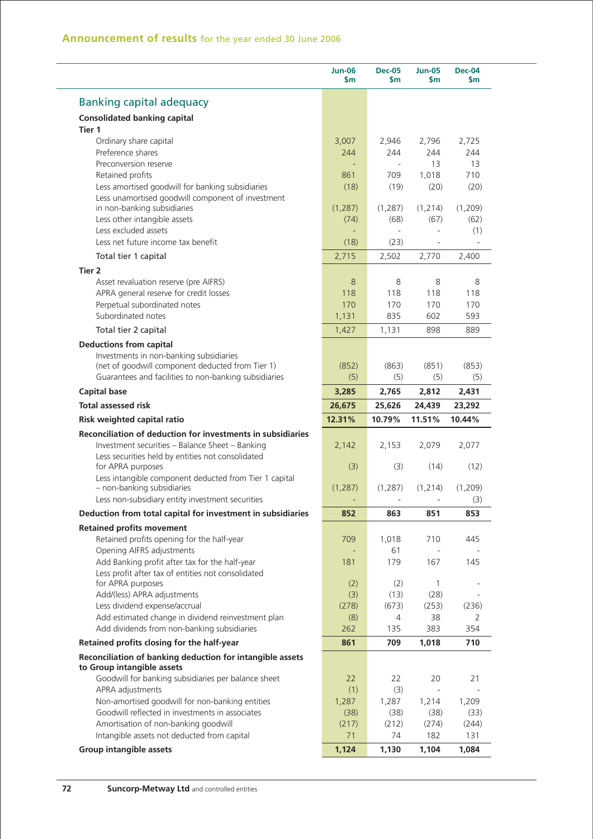|                                                                                                                                 | <b>Jun-06</b><br>$\mathsf{Sm}$ | <b>Dec-05</b><br>$\mathsf{Sm}$ | <b>Jun-05</b><br>Sm      | <b>Dec-04</b><br>\$m                                            |
|---------------------------------------------------------------------------------------------------------------------------------|--------------------------------|--------------------------------|--------------------------|-----------------------------------------------------------------|
| <b>Banking capital adequacy</b>                                                                                                 |                                |                                |                          |                                                                 |
| <b>Consolidated banking capital</b>                                                                                             |                                |                                |                          |                                                                 |
| Tier 1                                                                                                                          |                                |                                |                          |                                                                 |
| Ordinary share capital                                                                                                          | 3,007                          | 2,946                          | 2,796                    | 2,725                                                           |
| Preference shares                                                                                                               | 244                            | 244                            | 244                      | 244                                                             |
| Preconversion reserve                                                                                                           |                                |                                | 13                       | 13                                                              |
| Retained profits                                                                                                                | 861                            | 709                            | 1,018                    | 710                                                             |
| Less amortised goodwill for banking subsidiaries                                                                                | (18)                           | (19)                           | (20)                     | (20)                                                            |
| Less unamortised goodwill component of investment                                                                               |                                |                                |                          |                                                                 |
| in non-banking subsidiaries                                                                                                     | (1, 287)                       | (1, 287)                       | (1, 214)                 | (1,209)                                                         |
| Less other intangible assets                                                                                                    | (74)                           | (68)                           | (67)                     | (62)                                                            |
| Less excluded assets                                                                                                            |                                |                                |                          | (1)                                                             |
| Less net future income tax benefit                                                                                              | (18)                           | (23)                           |                          |                                                                 |
| Total tier 1 capital                                                                                                            | 2,715                          | 2,502                          | 2,770                    | 2,400                                                           |
| Tier 2                                                                                                                          |                                |                                |                          |                                                                 |
| Asset revaluation reserve (pre AIFRS)                                                                                           | 8                              | 8                              | 8                        | 8                                                               |
| APRA general reserve for credit losses                                                                                          | 118                            | 118                            | 118                      | 118                                                             |
| Perpetual subordinated notes                                                                                                    | 170                            | 170                            | 170                      | 170                                                             |
| Subordinated notes                                                                                                              | 1,131                          | 835                            | 602                      | 593                                                             |
| Total tier 2 capital                                                                                                            | 1,427                          | 1,131                          | 898                      | 889                                                             |
| <b>Deductions from capital</b>                                                                                                  |                                |                                |                          |                                                                 |
| Investments in non-banking subsidiaries                                                                                         |                                |                                |                          |                                                                 |
| (net of goodwill component deducted from Tier 1)                                                                                | (852)                          | (863)                          | (851)                    | (853)                                                           |
| Guarantees and facilities to non-banking subsidiaries                                                                           | (5)                            | (5)                            | (5)                      | (5)                                                             |
| <b>Capital base</b>                                                                                                             | 3,285                          | 2,765                          | 2,812                    | 2,431                                                           |
| <b>Total assessed risk</b>                                                                                                      | 26,675                         | 25,626                         | 24,439                   | 23,292                                                          |
| Risk weighted capital ratio                                                                                                     | 12.31%                         | 10.79%                         | 11.51%                   | 10.44%                                                          |
| Reconciliation of deduction for investments in subsidiaries                                                                     |                                |                                |                          |                                                                 |
| Investment securities - Balance Sheet - Banking                                                                                 | 2,142                          | 2,153                          | 2,079                    | 2,077                                                           |
| Less securities held by entities not consolidated                                                                               |                                |                                |                          |                                                                 |
| for APRA purposes                                                                                                               | (3)                            | (3)                            | (14)                     | (12)                                                            |
| Less intangible component deducted from Tier 1 capital                                                                          |                                |                                |                          |                                                                 |
| - non-banking subsidiaries                                                                                                      | (1, 287)                       | (1, 287)                       | (1, 214)                 | (1,209)                                                         |
| Less non-subsidiary entity investment securities                                                                                |                                |                                |                          | (3)                                                             |
| Deduction from total capital for investment in subsidiaries                                                                     | 852                            | 863                            | 851                      | 853                                                             |
|                                                                                                                                 |                                |                                |                          |                                                                 |
|                                                                                                                                 |                                |                                |                          |                                                                 |
| Retained profits opening for the half-year                                                                                      | 709                            | 1,018                          | 710                      |                                                                 |
| Opening AIFRS adjustments                                                                                                       |                                | 61                             |                          |                                                                 |
| Add Banking profit after tax for the half-year                                                                                  | 181                            | 179                            | 167                      |                                                                 |
| Less profit after tax of entities not consolidated                                                                              |                                |                                |                          |                                                                 |
| for APRA purposes                                                                                                               | (2)                            | (2)                            | 1                        | 445<br>145                                                      |
| Add/(less) APRA adjustments                                                                                                     | (3)                            | (13)                           | (28)                     |                                                                 |
| Less dividend expense/accrual                                                                                                   | (278)                          | (673)                          | (253)                    |                                                                 |
| Add estimated change in dividend reinvestment plan                                                                              | (8)                            | 4                              | 38                       |                                                                 |
| Add dividends from non-banking subsidiaries                                                                                     | 262                            | 135                            | 383                      |                                                                 |
| <b>Retained profits movement</b><br>Retained profits closing for the half-year                                                  | 861                            | 709                            | 1,018                    |                                                                 |
|                                                                                                                                 |                                |                                |                          |                                                                 |
|                                                                                                                                 | 22                             | 22                             | 20                       |                                                                 |
| Goodwill for banking subsidiaries per balance sheet<br>APRA adjustments                                                         | (1)                            | (3)                            | $\overline{\phantom{a}}$ |                                                                 |
| Non-amortised goodwill for non-banking entities                                                                                 | 1,287                          | 1,287                          | 1,214                    |                                                                 |
| Goodwill reflected in investments in associates                                                                                 | (38)                           | (38)                           | (38)                     |                                                                 |
| Reconciliation of banking deduction for intangible assets<br>to Group intangible assets<br>Amortisation of non-banking goodwill | (217)                          | (212)                          | (274)                    |                                                                 |
| Intangible assets not deducted from capital                                                                                     | 71                             | 74                             | 182                      | (236)<br>2<br>354<br>710<br>21<br>1,209<br>(33)<br>(244)<br>131 |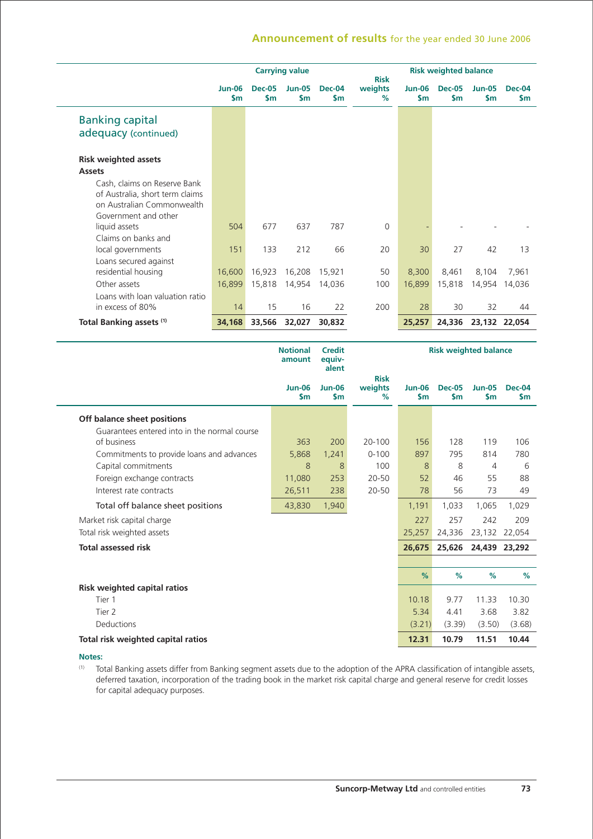### **Announcement of results** for the year ended 30 June 2006

|                                 | <b>Carrying value</b> |                      |                            |                                | <b>Risk weighted balance</b><br><b>Risk</b> |                      |                      |                            |                      |
|---------------------------------|-----------------------|----------------------|----------------------------|--------------------------------|---------------------------------------------|----------------------|----------------------|----------------------------|----------------------|
|                                 | <b>Jun-06</b><br>\$m  | <b>Dec-05</b><br>\$m | <b>Jun-05</b><br><b>Sm</b> | <b>Dec-04</b><br>$\mathsf{Sm}$ | weights<br>%                                | <b>Jun-06</b><br>\$m | <b>Dec-05</b><br>\$m | <b>Jun-05</b><br><b>Sm</b> | <b>Dec-04</b><br>\$m |
| <b>Banking capital</b>          |                       |                      |                            |                                |                                             |                      |                      |                            |                      |
| adequacy (continued)            |                       |                      |                            |                                |                                             |                      |                      |                            |                      |
| <b>Risk weighted assets</b>     |                       |                      |                            |                                |                                             |                      |                      |                            |                      |
| <b>Assets</b>                   |                       |                      |                            |                                |                                             |                      |                      |                            |                      |
| Cash, claims on Reserve Bank    |                       |                      |                            |                                |                                             |                      |                      |                            |                      |
| of Australia, short term claims |                       |                      |                            |                                |                                             |                      |                      |                            |                      |
| on Australian Commonwealth      |                       |                      |                            |                                |                                             |                      |                      |                            |                      |
| Government and other            |                       |                      |                            |                                |                                             |                      |                      |                            |                      |
| liquid assets                   | 504                   | 677                  | 637                        | 787                            | $\Omega$                                    |                      |                      |                            |                      |
| Claims on banks and             |                       |                      |                            |                                |                                             |                      |                      |                            |                      |
| local governments               | 151                   | 133                  | 212                        | 66                             | 20                                          | 30                   | 27                   | 42                         | 13                   |
| Loans secured against           |                       |                      |                            |                                |                                             |                      |                      |                            |                      |
| residential housing             | 16,600                | 16,923               | 16,208                     | 15,921                         | 50                                          | 8,300                | 8,461                | 8,104                      | 7,961                |
| Other assets                    | 16,899                | 15,818               | 14,954                     | 14,036                         | 100                                         | 16,899               | 15,818               | 14,954                     | 14,036               |
| Loans with loan valuation ratio |                       |                      |                            |                                |                                             |                      |                      |                            |                      |
| in excess of 80%                | 14                    | 15                   | 16                         | 22                             | 200                                         | 28                   | 30                   | 32                         | 44                   |
| Total Banking assets (1)        | 34,168                | 33,566               | 32,027                     | 30,832                         |                                             | 25,257               | 24,336               | 23,132 22,054              |                      |

|                                              | <b>Notional</b><br>amount      | <b>Credit</b><br>equiv-<br>alent |                             |                                |                                | <b>Risk weighted balance</b>   |                                |  |
|----------------------------------------------|--------------------------------|----------------------------------|-----------------------------|--------------------------------|--------------------------------|--------------------------------|--------------------------------|--|
|                                              | <b>Jun-06</b><br>$\mathsf{sm}$ | <b>Jun-06</b><br>$\mathsf{sm}$   | <b>Risk</b><br>weights<br>% | <b>Jun-06</b><br>$\mathsf{sm}$ | <b>Dec-05</b><br>$\mathsf{sm}$ | <b>Jun-05</b><br>$\mathsf{sm}$ | <b>Dec-04</b><br>$\mathsf{Sm}$ |  |
| Off balance sheet positions                  |                                |                                  |                             |                                |                                |                                |                                |  |
| Guarantees entered into in the normal course |                                |                                  |                             |                                |                                |                                |                                |  |
| of business                                  | 363                            | 200                              | 20-100                      | 156                            | 128                            | 119                            | 106                            |  |
| Commitments to provide loans and advances    | 5,868                          | 1,241                            | $0 - 100$                   | 897                            | 795                            | 814                            | 780                            |  |
| Capital commitments                          | 8                              | 8                                | 100                         | 8                              | 8                              | 4                              | 6                              |  |
| Foreign exchange contracts                   | 11,080                         | 253                              | $20 - 50$                   | 52                             | 46                             | 55                             | 88                             |  |
| Interest rate contracts                      | 26,511                         | 238                              | 20-50                       | 78                             | 56                             | 73                             | 49                             |  |
| Total off balance sheet positions            | 43,830                         | 1,940                            |                             | 1,191                          | 1,033                          | 1,065                          | 1,029                          |  |
| Market risk capital charge                   |                                |                                  |                             | 227                            | 257                            | 242                            | 209                            |  |
| Total risk weighted assets                   |                                |                                  |                             | 25,257                         | 24,336                         | 23,132                         | 22,054                         |  |
| <b>Total assessed risk</b>                   |                                |                                  |                             | 26,675                         | 25,626                         | 24,439                         | 23,292                         |  |
|                                              |                                |                                  |                             |                                |                                |                                |                                |  |
|                                              |                                |                                  |                             | $\frac{9}{6}$                  | %                              | %                              | $\frac{9}{6}$                  |  |
| <b>Risk weighted capital ratios</b>          |                                |                                  |                             |                                |                                |                                |                                |  |
| Tier 1                                       |                                |                                  |                             | 10.18                          | 9.77                           | 11.33                          | 10.30                          |  |
| Tier <sub>2</sub>                            |                                |                                  |                             | 5.34                           | 4.41                           | 3.68                           | 3.82                           |  |
| Deductions                                   |                                |                                  |                             | (3.21)                         | (3.39)                         | (3.50)                         | (3.68)                         |  |
| Total risk weighted capital ratios           |                                |                                  |                             | 12.31                          | 10.79                          | 11.51                          | 10.44                          |  |

#### **Notes:**

(1) Total Banking assets differ from Banking segment assets due to the adoption of the APRA classification of intangible assets, deferred taxation, incorporation of the trading book in the market risk capital charge and general reserve for credit losses for capital adequacy purposes.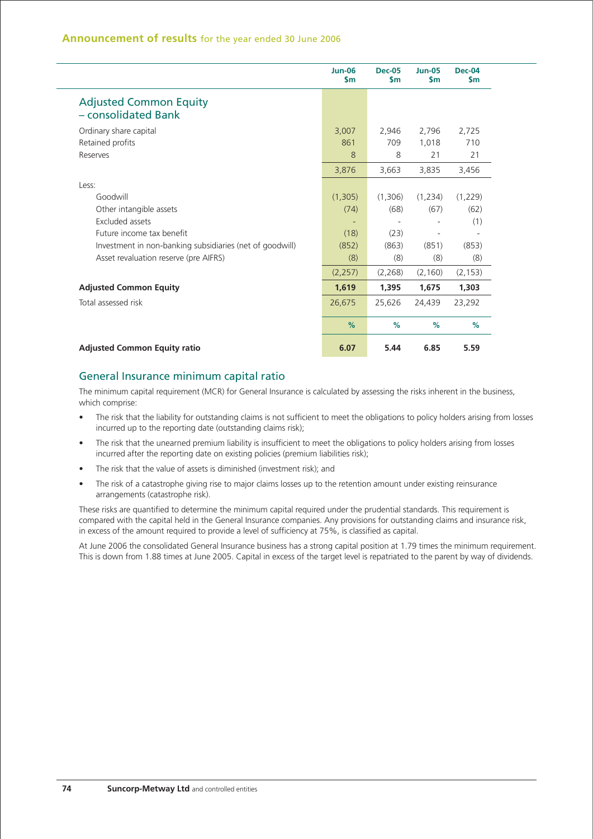|                                                          | <b>Jun-06</b><br>$\mathsf{Sm}$ | <b>Dec-05</b><br>$\mathsf{Sm}$ | <b>Jun-05</b><br>$\mathsf{sm}$ | <b>Dec-04</b><br><b>Sm</b> |
|----------------------------------------------------------|--------------------------------|--------------------------------|--------------------------------|----------------------------|
| <b>Adjusted Common Equity</b><br>- consolidated Bank     |                                |                                |                                |                            |
| Ordinary share capital                                   | 3,007                          | 2,946                          | 2,796                          | 2,725                      |
| Retained profits                                         | 861                            | 709                            | 1,018                          | 710                        |
| Reserves                                                 | 8                              | 8                              | 21                             | 21                         |
|                                                          | 3,876                          | 3,663                          | 3,835                          | 3,456                      |
| Less:                                                    |                                |                                |                                |                            |
| Goodwill                                                 | (1,305)                        | (1,306)                        | (1,234)                        | (1,229)                    |
| Other intangible assets                                  | (74)                           | (68)                           | (67)                           | (62)                       |
| Excluded assets                                          | ۰                              |                                |                                | (1)                        |
| Future income tax benefit                                | (18)                           | (23)                           |                                |                            |
| Investment in non-banking subsidiaries (net of goodwill) | (852)                          | (863)                          | (851)                          | (853)                      |
| Asset revaluation reserve (pre AIFRS)                    | (8)                            | (8)                            | (8)                            | (8)                        |
|                                                          | (2,257)                        | (2,268)                        | (2, 160)                       | (2, 153)                   |
| <b>Adjusted Common Equity</b>                            | 1,619                          | 1,395                          | 1,675                          | 1,303                      |
| Total assessed risk                                      | 26,675                         | 25,626                         | 24,439                         | 23,292                     |
|                                                          | $\%$                           | $\%$                           | $\%$                           | $\%$                       |
| <b>Adjusted Common Equity ratio</b>                      | 6.07                           | 5.44                           | 6.85                           | 5.59                       |

### General Insurance minimum capital ratio

The minimum capital requirement (MCR) for General Insurance is calculated by assessing the risks inherent in the business, which comprise:

- The risk that the liability for outstanding claims is not sufficient to meet the obligations to policy holders arising from losses incurred up to the reporting date (outstanding claims risk);
- The risk that the unearned premium liability is insufficient to meet the obligations to policy holders arising from losses incurred after the reporting date on existing policies (premium liabilities risk);
- The risk that the value of assets is diminished (investment risk); and
- The risk of a catastrophe giving rise to major claims losses up to the retention amount under existing reinsurance arrangements (catastrophe risk).

These risks are quantified to determine the minimum capital required under the prudential standards. This requirement is compared with the capital held in the General Insurance companies. Any provisions for outstanding claims and insurance risk, in excess of the amount required to provide a level of sufficiency at 75%, is classified as capital.

At June 2006 the consolidated General Insurance business has a strong capital position at 1.79 times the minimum requirement. This is down from 1.88 times at June 2005. Capital in excess of the target level is repatriated to the parent by way of dividends.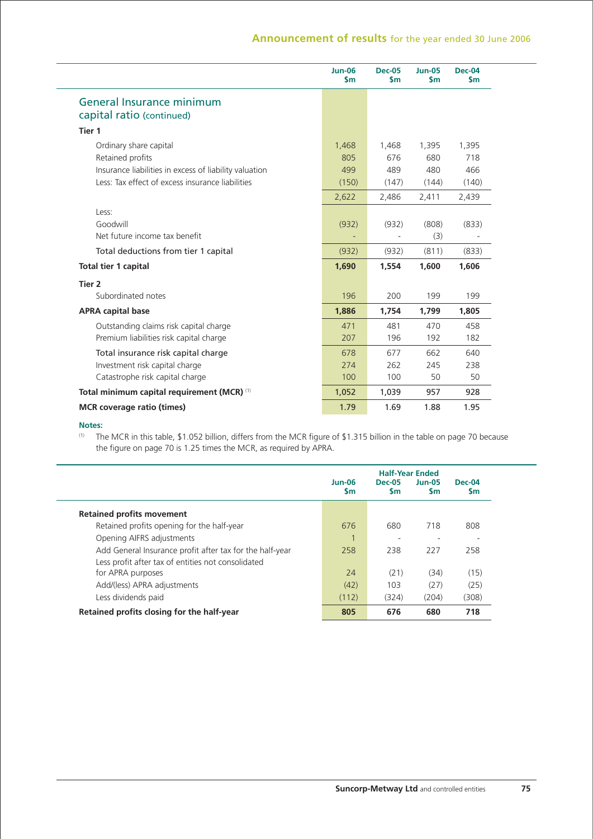### **Announcement of results** for the year ended 30 June 2006

|                                                        | <b>Jun-06</b><br>$\mathsf{sm}$ | <b>Dec-05</b><br>\$m | <b>Jun-05</b><br>$\mathsf{sm}$ | <b>Dec-04</b><br>\$m |
|--------------------------------------------------------|--------------------------------|----------------------|--------------------------------|----------------------|
| General Insurance minimum                              |                                |                      |                                |                      |
| capital ratio (continued)                              |                                |                      |                                |                      |
| Tier 1                                                 |                                |                      |                                |                      |
| Ordinary share capital                                 | 1,468                          | 1,468                | 1,395                          | 1,395                |
| Retained profits                                       | 805                            | 676                  | 680                            | 718                  |
| Insurance liabilities in excess of liability valuation | 499                            | 489                  | 480                            | 466                  |
| Less: Tax effect of excess insurance liabilities       | (150)                          | (147)                | (144)                          | (140)                |
|                                                        | 2,622                          | 2,486                | 2,411                          | 2,439                |
| Less:                                                  |                                |                      |                                |                      |
| Goodwill                                               | (932)                          | (932)                | (808)                          | (833)                |
| Net future income tax benefit                          |                                |                      | (3)                            |                      |
| Total deductions from tier 1 capital                   | (932)                          | (932)                | (811)                          | (833)                |
| Total tier 1 capital                                   | 1,690                          | 1,554                | 1,600                          | 1,606                |
| Tier <sub>2</sub>                                      |                                |                      |                                |                      |
| Subordinated notes                                     | 196                            | 200                  | 199                            | 199                  |
| <b>APRA capital base</b>                               | 1,886                          | 1,754                | 1,799                          | 1,805                |
| Outstanding claims risk capital charge                 | 471                            | 481                  | 470                            | 458                  |
| Premium liabilities risk capital charge                | 207                            | 196                  | 192                            | 182                  |
| Total insurance risk capital charge                    | 678                            | 677                  | 662                            | 640                  |
| Investment risk capital charge                         | 274                            | 262                  | 245                            | 238                  |
| Catastrophe risk capital charge                        | 100                            | 100                  | 50                             | 50                   |
| Total minimum capital requirement (MCR) (1)            | 1,052                          | 1,039                | 957                            | 928                  |
| <b>MCR</b> coverage ratio (times)                      | 1.79                           | 1.69                 | 1.88                           | 1.95                 |
|                                                        |                                |                      |                                |                      |

#### **Notes:**

<sup>(1)</sup> The MCR in this table, \$1.052 billion, differs from the MCR figure of \$1.315 billion in the table on page 70 because the figure on page 70 is 1.25 times the MCR, as required by APRA.

|                                                          | $Jun-06$<br><b>S</b> m | <b>Half-Year Ended</b><br><b>Dec-05</b><br><b>Sm</b> | $Jun-05$<br>$\mathsf{Sm}$ | <b>Dec-04</b><br><b>Sm</b> |
|----------------------------------------------------------|------------------------|------------------------------------------------------|---------------------------|----------------------------|
| <b>Retained profits movement</b>                         |                        |                                                      |                           |                            |
| Retained profits opening for the half-year               | 676                    | 680                                                  | 718                       | 808                        |
| Opening AIFRS adjustments                                |                        | ٠                                                    |                           | -                          |
| Add General Insurance profit after tax for the half-year | 258                    | 238                                                  | 227                       | 258                        |
| Less profit after tax of entities not consolidated       |                        |                                                      |                           |                            |
| for APRA purposes                                        | 24                     | (21)                                                 | (34)                      | (15)                       |
| Add/(less) APRA adjustments                              | (42)                   | 103                                                  | (27)                      | (25)                       |
| Less dividends paid                                      | (112)                  | (324)                                                | (204)                     | (308)                      |
| Retained profits closing for the half-year               | 805                    | 676                                                  | 680                       | 718                        |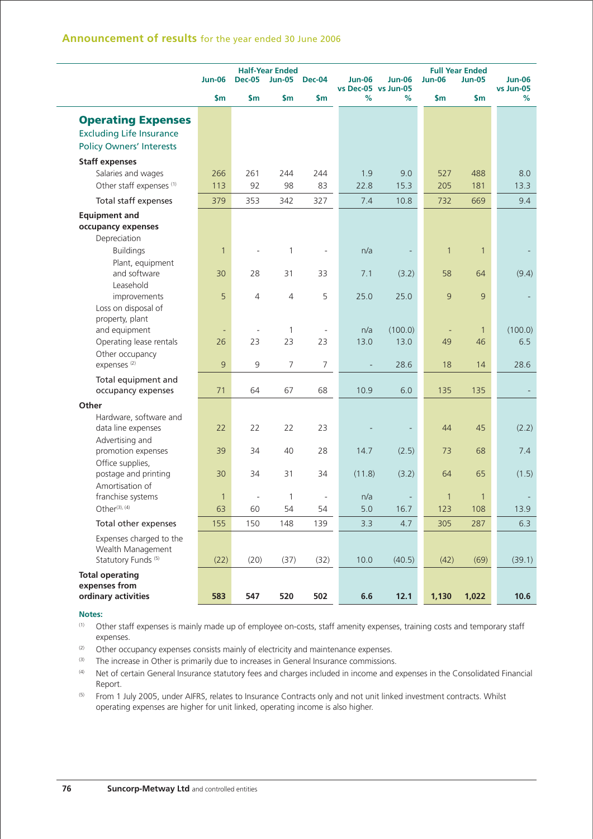|                                            | <b>Half-Year Ended</b> |                          |                |                |               | <b>Full Year Ended</b>               |               |              |               |                            |
|--------------------------------------------|------------------------|--------------------------|----------------|----------------|---------------|--------------------------------------|---------------|--------------|---------------|----------------------------|
|                                            | <b>Jun-06</b>          | <b>Dec-05</b>            | <b>Jun-05</b>  | <b>Dec-04</b>  | <b>Jun-06</b> | <b>Jun-06</b><br>vs Dec-05 vs Jun-05 | <b>Jun-06</b> |              | <b>Jun-05</b> | <b>Jun-06</b><br>vs Jun-05 |
|                                            | $\mathsf{Sm}$          | \$m\$                    | \$m            | \$m\$          | %             | ℅                                    | \$m           |              | \$m           | %                          |
| <b>Operating Expenses</b>                  |                        |                          |                |                |               |                                      |               |              |               |                            |
| <b>Excluding Life Insurance</b>            |                        |                          |                |                |               |                                      |               |              |               |                            |
| <b>Policy Owners' Interests</b>            |                        |                          |                |                |               |                                      |               |              |               |                            |
| <b>Staff expenses</b>                      |                        |                          |                |                |               |                                      |               |              |               |                            |
| Salaries and wages                         | 266                    | 261                      | 244            | 244            | 1.9           | 9.0                                  |               | 527          | 488           | 8.0                        |
| Other staff expenses <sup>(1)</sup>        | 113                    | 92                       | 98             | 83             | 22.8          | 15.3                                 |               | 205          | 181           | 13.3                       |
| Total staff expenses                       | 379                    | 353                      | 342            | 327            | 7.4           | 10.8                                 |               | 732          | 669           | 9.4                        |
| <b>Equipment and</b>                       |                        |                          |                |                |               |                                      |               |              |               |                            |
| occupancy expenses                         |                        |                          |                |                |               |                                      |               |              |               |                            |
| Depreciation                               |                        |                          |                |                |               |                                      |               |              |               |                            |
| <b>Buildings</b>                           | $\mathbf{1}$           |                          | $\mathbf{1}$   |                | n/a           |                                      |               | $\mathbf{1}$ | $\mathbf{1}$  |                            |
| Plant, equipment                           |                        |                          |                |                |               |                                      |               |              |               |                            |
| and software                               | 30                     | 28                       | 31             | 33             | 7.1           | (3.2)                                |               | 58           | 64            | (9.4)                      |
| Leasehold                                  |                        |                          |                |                |               |                                      |               |              |               |                            |
| improvements                               | 5                      | $\overline{4}$           | $\overline{4}$ | 5              | 25.0          | 25.0                                 |               | 9            | 9             |                            |
| Loss on disposal of                        |                        |                          |                |                |               |                                      |               |              |               |                            |
| property, plant                            |                        |                          |                |                |               |                                      |               |              |               |                            |
| and equipment                              |                        | $\blacksquare$           | 1              |                | n/a           | (100.0)                              |               | ٠            | $\mathbf{1}$  | (100.0)                    |
| Operating lease rentals                    | 26                     | 23                       | 23             | 23             | 13.0          | 13.0                                 |               | 49           | 46            | 6.5                        |
| Other occupancy<br>expenses <sup>(2)</sup> | 9                      | 9                        | 7              | $\overline{7}$ |               | 28.6                                 |               | 18           | 14            | 28.6                       |
|                                            |                        |                          |                |                |               |                                      |               |              |               |                            |
| Total equipment and                        |                        | 64                       |                |                |               |                                      |               |              |               |                            |
| occupancy expenses                         | 71                     |                          | 67             | 68             | 10.9          | 6.0                                  |               | 135          | 135           |                            |
| Other                                      |                        |                          |                |                |               |                                      |               |              |               |                            |
| Hardware, software and                     |                        |                          |                |                |               |                                      |               |              |               |                            |
| data line expenses                         | 22                     | 22                       | 22             | 23             |               |                                      |               | 44           | 45            | (2.2)                      |
| Advertising and                            |                        |                          |                |                |               |                                      |               |              |               |                            |
| promotion expenses                         | 39                     | 34                       | 40             | 28             | 14.7          | (2.5)                                |               | 73           | 68            | 7.4                        |
| Office supplies,<br>postage and printing   | 30                     | 34                       | 31             | 34             | (11.8)        | (3.2)                                |               | 64           | 65            | (1.5)                      |
| Amortisation of                            |                        |                          |                |                |               |                                      |               |              |               |                            |
| franchise systems                          | $\mathbf{1}$           | $\overline{\phantom{a}}$ | 1              |                | n/a           |                                      |               | $\mathbf{1}$ | $\mathbf{1}$  |                            |
| Other <sup>(3), (4)</sup>                  | 63                     | 60                       | 54             | 54             | 5.0           | 16.7                                 |               | 123          | 108           | 13.9                       |
| Total other expenses                       | 155                    | 150                      | 148            | 139            | 3.3           | 4.7                                  |               | 305          | 287           | 6.3                        |
| Expenses charged to the                    |                        |                          |                |                |               |                                      |               |              |               |                            |
| Wealth Management                          |                        |                          |                |                |               |                                      |               |              |               |                            |
| Statutory Funds <sup>(5)</sup>             | (22)                   | (20)                     | (37)           | (32)           | 10.0          | (40.5)                               |               | (42)         | (69)          | (39.1)                     |
| <b>Total operating</b>                     |                        |                          |                |                |               |                                      |               |              |               |                            |
| expenses from                              |                        |                          |                |                |               |                                      |               |              |               |                            |
| ordinary activities                        | 583                    | 547                      | 520            | 502            | 6.6           | 12.1                                 | 1,130         |              | 1,022         | 10.6                       |

#### **Notes:**

- (1) Other staff expenses is mainly made up of employee on-costs, staff amenity expenses, training costs and temporary staff expenses.
- $(2)$  Other occupancy expenses consists mainly of electricity and maintenance expenses.
- <sup>(3)</sup> The increase in Other is primarily due to increases in General Insurance commissions.
- (4) Net of certain General Insurance statutory fees and charges included in income and expenses in the Consolidated Financial Report.
- (5) From 1 July 2005, under AIFRS, relates to Insurance Contracts only and not unit linked investment contracts. Whilst operating expenses are higher for unit linked, operating income is also higher.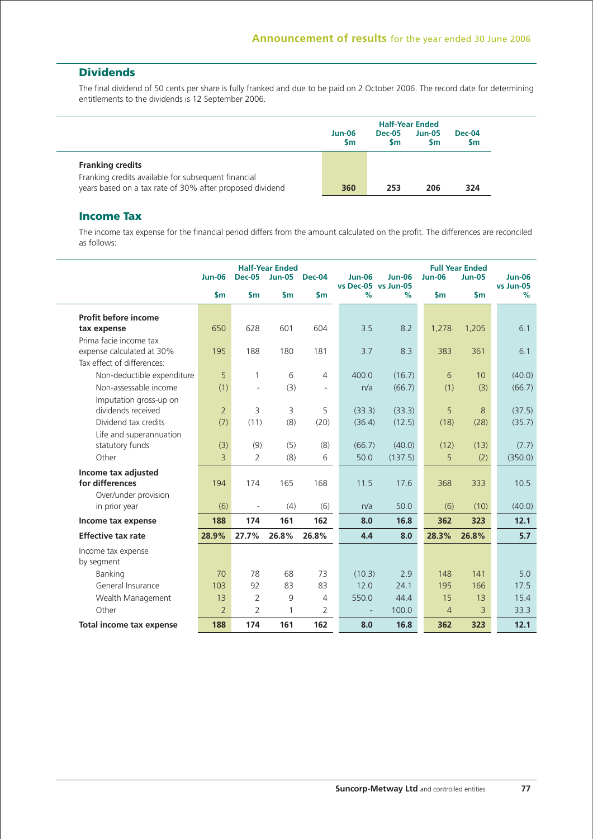## **Dividends**

The final dividend of 50 cents per share is fully franked and due to be paid on 2 October 2006. The record date for determining entitlements to the dividends is 12 September 2006.

|                                                                                                                 | <b>Half-Year Ended</b> |                            |                       |                            |  |  |  |  |
|-----------------------------------------------------------------------------------------------------------------|------------------------|----------------------------|-----------------------|----------------------------|--|--|--|--|
|                                                                                                                 | $Jun-06$<br><b>Sm</b>  | <b>Dec-05</b><br><b>Sm</b> | $Jun-05$<br><b>Sm</b> | <b>Dec-04</b><br><b>Sm</b> |  |  |  |  |
| <b>Franking credits</b>                                                                                         |                        |                            |                       |                            |  |  |  |  |
| Franking credits available for subsequent financial<br>years based on a tax rate of 30% after proposed dividend | 360                    | 253                        | 206                   | 324                        |  |  |  |  |

### **Income Tax**

The income tax expense for the financial period differs from the amount calculated on the profit. The differences are reconciled as follows:

|                            | <b>Jun-06</b>  | <b>Dec-05</b>  | <b>Half-Year Ended</b><br>$Jun-05$ | <b>Dec-04</b>            | <b>Jun-06</b>            | <b>Jun-06</b> | <b>Jun-06</b>  | <b>Full Year Ended</b><br><b>Jun-05</b> | <b>Jun-06</b>  |
|----------------------------|----------------|----------------|------------------------------------|--------------------------|--------------------------|---------------|----------------|-----------------------------------------|----------------|
|                            | \$m\$          | $\mathsf{Sm}$  | $\mathsf{sm}$                      | $\mathsf{sm}$            | vs Dec-05 vs Jun-05<br>% | %             | $\mathsf{sm}$  | $\mathsf{S}$ m                          | vs Jun-05<br>% |
| Profit before income       |                |                |                                    |                          |                          |               |                |                                         |                |
| tax expense                | 650            | 628            | 601                                | 604                      | 3.5                      | 8.2           | 1,278          | 1,205                                   | 6.1            |
| Prima facie income tax     |                |                |                                    |                          |                          |               |                |                                         |                |
| expense calculated at 30%  | 195            | 188            | 180                                | 181                      | 3.7                      | 8.3           | 383            | 361                                     | 6.1            |
| Tax effect of differences: |                |                |                                    |                          |                          |               |                |                                         |                |
| Non-deductible expenditure | 5              | 1              | 6                                  | 4                        | 400.0                    | (16.7)        | 6              | 10                                      | (40.0)         |
| Non-assessable income      | (1)            | ä,             | (3)                                | $\overline{\phantom{m}}$ | n/a                      | (66.7)        | (1)            | (3)                                     | (66.7)         |
| Imputation gross-up on     |                |                |                                    |                          |                          |               |                |                                         |                |
| dividends received         | $\overline{2}$ | 3              | 3                                  | 5                        | (33.3)                   | (33.3)        | 5              | 8                                       | (37.5)         |
| Dividend tax credits       | (7)            | (11)           | (8)                                | (20)                     | (36.4)                   | (12.5)        | (18)           | (28)                                    | (35.7)         |
| Life and superannuation    |                |                |                                    |                          |                          |               |                |                                         |                |
| statutory funds            | (3)            | (9)            | (5)                                | (8)                      | (66.7)                   | (40.0)        | (12)           | (13)                                    | (7.7)          |
| Other                      | 3              | $\overline{2}$ | (8)                                | 6                        | 50.0                     | (137.5)       | 5              | (2)                                     | (350.0)        |
| Income tax adjusted        |                |                |                                    |                          |                          |               |                |                                         |                |
| for differences            | 194            | 174            | 165                                | 168                      | 11.5                     | 17.6          | 368            | 333                                     | 10.5           |
| Over/under provision       |                |                |                                    |                          |                          |               |                |                                         |                |
| in prior year              | (6)            | ÷,             | (4)                                | (6)                      | n/a                      | 50.0          | (6)            | (10)                                    | (40.0)         |
| Income tax expense         | 188            | 174            | 161                                | 162                      | 8.0                      | 16.8          | 362            | 323                                     | 12.1           |
| <b>Effective tax rate</b>  | 28.9%          | 27.7%          | 26.8%                              | 26.8%                    | 4.4                      | 8.0           | 28.3%          | 26.8%                                   | 5.7            |
| Income tax expense         |                |                |                                    |                          |                          |               |                |                                         |                |
| by segment                 |                |                |                                    |                          |                          |               |                |                                         |                |
| Banking                    | 70             | 78             | 68                                 | 73                       | (10.3)                   | 2.9           | 148            | 141                                     | 5.0            |
| General Insurance          | 103            | 92             | 83                                 | 83                       | 12.0                     | 24.1          | 195            | 166                                     | 17.5           |
| Wealth Management          | 13             | $\overline{2}$ | 9                                  | 4                        | 550.0                    | 44.4          | 15             | 13                                      | 15.4           |
| Other                      | $\overline{2}$ | $\overline{2}$ | 1                                  | 2                        | $\overline{a}$           | 100.0         | $\overline{4}$ | 3                                       | 33.3           |
| Total income tax expense   | 188            | 174            | 161                                | 162                      | 8.0                      | 16.8          | 362            | 323                                     | 12.1           |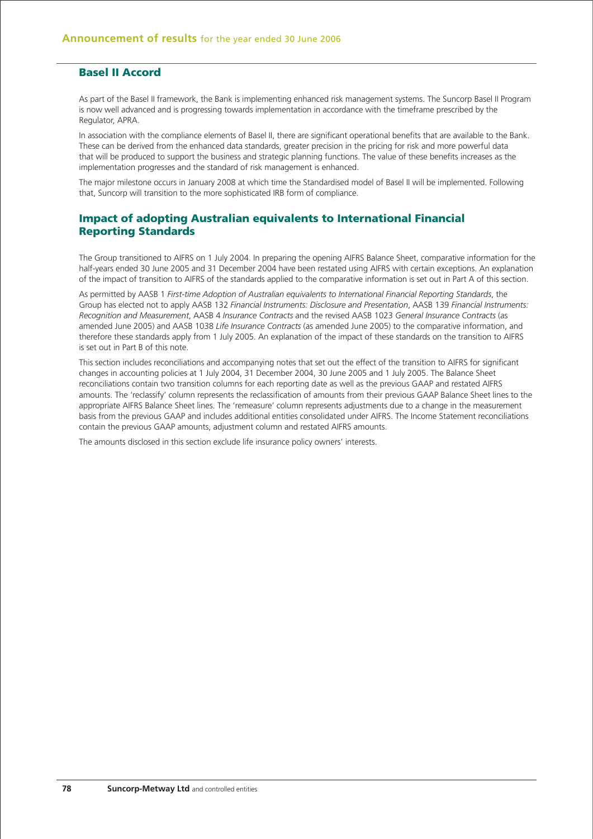### **Basel II Accord**

As part of the Basel II framework, the Bank is implementing enhanced risk management systems. The Suncorp Basel II Program is now well advanced and is progressing towards implementation in accordance with the timeframe prescribed by the Regulator, APRA.

In association with the compliance elements of Basel II, there are significant operational benefits that are available to the Bank. These can be derived from the enhanced data standards, greater precision in the pricing for risk and more powerful data that will be produced to support the business and strategic planning functions. The value of these benefits increases as the implementation progresses and the standard of risk management is enhanced.

The major milestone occurs in January 2008 at which time the Standardised model of Basel II will be implemented. Following that, Suncorp will transition to the more sophisticated IRB form of compliance.

### **Impact of adopting Australian equivalents to International Financial Reporting Standards**

The Group transitioned to AIFRS on 1 July 2004. In preparing the opening AIFRS Balance Sheet, comparative information for the half-years ended 30 June 2005 and 31 December 2004 have been restated using AIFRS with certain exceptions. An explanation of the impact of transition to AIFRS of the standards applied to the comparative information is set out in Part A of this section.

As permitted by AASB 1 *First-time Adoption of Australian equivalents to International Financial Reporting Standards*, the Group has elected not to apply AASB 132 *Financial Instruments: Disclosure and Presentation*, AASB 139 *Financial Instruments: Recognition and Measurement*, AASB 4 *Insurance Contracts* and the revised AASB 1023 *General Insurance Contracts* (as amended June 2005) and AASB 1038 *Life Insurance Contracts* (as amended June 2005) to the comparative information, and therefore these standards apply from 1 July 2005. An explanation of the impact of these standards on the transition to AIFRS is set out in Part B of this note.

This section includes reconciliations and accompanying notes that set out the effect of the transition to AIFRS for significant changes in accounting policies at 1 July 2004, 31 December 2004, 30 June 2005 and 1 July 2005. The Balance Sheet reconciliations contain two transition columns for each reporting date as well as the previous GAAP and restated AIFRS amounts. The 'reclassify' column represents the reclassification of amounts from their previous GAAP Balance Sheet lines to the appropriate AIFRS Balance Sheet lines. The 'remeasure' column represents adjustments due to a change in the measurement basis from the previous GAAP and includes additional entities consolidated under AIFRS. The Income Statement reconciliations contain the previous GAAP amounts, adjustment column and restated AIFRS amounts.

The amounts disclosed in this section exclude life insurance policy owners' interests.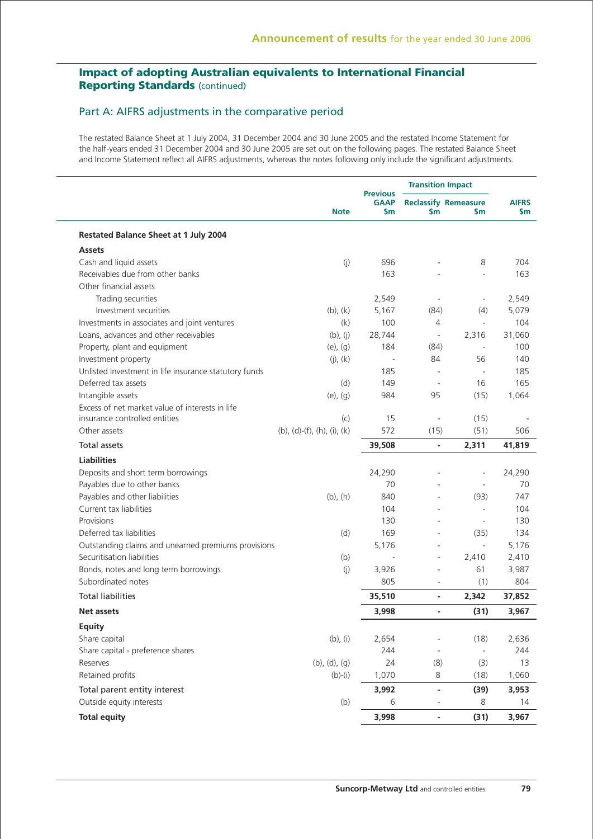### Part A: AIFRS adjustments in the comparative period

The restated Balance Sheet at 1 July 2004, 31 December 2004 and 30 June 2005 and the restated Income Statement for the half-years ended 31 December 2004 and 30 June 2005 are set out on the following pages. The restated Balance Sheet and Income Statement reflect all AIFRS adjustments, whereas the notes following only include the significant adjustments.

|                                                       |                             |                                       | <b>Transition Impact</b>     |                                    |                           |
|-------------------------------------------------------|-----------------------------|---------------------------------------|------------------------------|------------------------------------|---------------------------|
|                                                       | <b>Note</b>                 | <b>Previous</b><br><b>GAAP</b><br>\$m | \$m                          | <b>Reclassify Remeasure</b><br>\$m | <b>AIFRS</b><br><b>Sm</b> |
| <b>Restated Balance Sheet at 1 July 2004</b>          |                             |                                       |                              |                                    |                           |
| <b>Assets</b>                                         |                             |                                       |                              |                                    |                           |
| Cash and liquid assets                                | (j)                         | 696                                   |                              | 8                                  | 704                       |
| Receivables due from other banks                      |                             | 163                                   |                              |                                    | 163                       |
| Other financial assets                                |                             |                                       |                              |                                    |                           |
| Trading securities                                    |                             | 2,549                                 | ÷,                           |                                    | 2,549                     |
| Investment securities                                 | $(b)$ , $(k)$               | 5,167                                 | (84)                         | (4)                                | 5,079                     |
| Investments in associates and joint ventures          | (k)                         | 100                                   | 4                            | $\overline{\phantom{a}}$           | 104                       |
| Loans, advances and other receivables                 | (b), (j)                    | 28,744                                | $\blacksquare$               | 2,316                              | 31,060                    |
| Property, plant and equipment                         | $(e)$ , $(g)$               | 184                                   | (84)                         | $\overline{\phantom{a}}$           | 100                       |
| Investment property                                   | $(j)$ , $(k)$               |                                       | 84                           | 56                                 | 140                       |
| Unlisted investment in life insurance statutory funds |                             | 185                                   | $\overline{\phantom{a}}$     | $\overline{\phantom{a}}$           | 185                       |
| Deferred tax assets                                   | (d)                         | 149                                   | $\overline{\phantom{a}}$     | 16                                 | 165                       |
| Intangible assets                                     | $(e)$ , $(g)$               | 984                                   | 95                           | (15)                               | 1,064                     |
| Excess of net market value of interests in life       |                             |                                       |                              |                                    |                           |
| insurance controlled entities                         | (c)                         | 15                                    | $\qquad \qquad \blacksquare$ | (15)                               |                           |
| Other assets                                          | (b), (d)-(f), (h), (i), (k) | 572                                   | (15)                         | (51)                               | 506                       |
| <b>Total assets</b>                                   |                             | 39,508                                | $\overline{a}$               | 2,311                              | 41,819                    |
| <b>Liabilities</b>                                    |                             |                                       |                              |                                    |                           |
| Deposits and short term borrowings                    |                             | 24,290                                |                              | $\overline{\phantom{a}}$           | 24,290                    |
| Payables due to other banks                           |                             | 70                                    |                              | $\bar{a}$                          | 70                        |
| Payables and other liabilities                        | $(b)$ , $(h)$               | 840                                   |                              | (93)                               | 747                       |
| Current tax liabilities                               |                             | 104                                   |                              | $\bar{a}$                          | 104                       |
| Provisions                                            |                             | 130                                   |                              | $\overline{\phantom{a}}$           | 130                       |
| Deferred tax liabilities                              | (d)                         | 169                                   |                              | (35)                               | 134                       |
| Outstanding claims and unearned premiums provisions   |                             | 5,176                                 |                              | $\overline{\phantom{a}}$           | 5,176                     |
| Securitisation liabilities                            | (b)                         | $\overline{\phantom{a}}$              | $\overline{a}$               | 2,410                              | 2,410                     |
| Bonds, notes and long term borrowings                 | (j)                         | 3,926                                 | $\overline{a}$               | 61                                 | 3,987                     |
| Subordinated notes                                    |                             | 805                                   | ÷,                           | (1)                                | 804                       |
| <b>Total liabilities</b>                              |                             | 35,510                                | $\overline{\phantom{0}}$     | 2,342                              | 37,852                    |
| Net assets                                            |                             | 3,998                                 | $\overline{\phantom{0}}$     | (31)                               | 3,967                     |
| <b>Equity</b>                                         |                             |                                       |                              |                                    |                           |
| Share capital                                         | $(b)$ , $(i)$               | 2,654                                 |                              | (18)                               | 2,636                     |
| Share capital - preference shares                     |                             | 244                                   | ÷,                           | $\overline{\phantom{a}}$           | 244                       |
| Reserves                                              | $(b)$ , $(d)$ , $(g)$       | 24                                    | (8)                          | (3)                                | 13                        |
| Retained profits                                      | $(b)-(i)$                   | 1,070                                 | 8                            | (18)                               | 1,060                     |
| Total parent entity interest                          |                             | 3,992                                 | $\overline{\phantom{0}}$     | (39)                               | 3,953                     |
| Outside equity interests                              | (b)                         | 6                                     | ÷,                           | 8                                  | 14                        |
| <b>Total equity</b>                                   |                             | 3,998                                 | $\overline{\phantom{0}}$     | (31)                               | 3,967                     |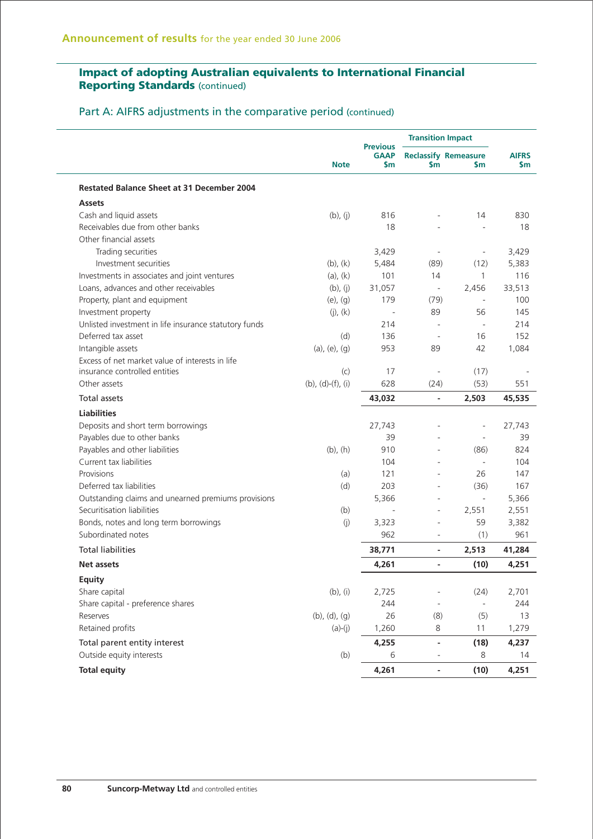Part A: AIFRS adjustments in the comparative period (continued)

|                                                       |                           | <b>Previous</b>    | <b>Transition Impact</b><br><b>Reclassify Remeasure</b><br>\$m<br><b>Sm</b> |                          |                           |
|-------------------------------------------------------|---------------------------|--------------------|-----------------------------------------------------------------------------|--------------------------|---------------------------|
|                                                       | <b>Note</b>               | <b>GAAP</b><br>\$m |                                                                             |                          | <b>AIFRS</b><br><b>Sm</b> |
| <b>Restated Balance Sheet at 31 December 2004</b>     |                           |                    |                                                                             |                          |                           |
| <b>Assets</b>                                         |                           |                    |                                                                             |                          |                           |
| Cash and liquid assets                                | $(b)$ , $(j)$             | 816                |                                                                             | 14                       | 830                       |
| Receivables due from other banks                      |                           | 18                 |                                                                             |                          | 18                        |
| Other financial assets                                |                           |                    |                                                                             |                          |                           |
| Trading securities                                    |                           | 3,429              | $\overline{\phantom{a}}$                                                    | $\blacksquare$           | 3,429                     |
| Investment securities                                 | $(b)$ , $(k)$             | 5,484              | (89)                                                                        | (12)                     | 5,383                     |
| Investments in associates and joint ventures          | $(a)$ , $(k)$             | 101                | 14                                                                          | 1                        | 116                       |
| Loans, advances and other receivables                 | $(b)$ , $(i)$             | 31,057             | $\overline{\phantom{a}}$                                                    | 2,456                    | 33,513                    |
| Property, plant and equipment                         | $(e)$ , $(g)$             | 179                | (79)                                                                        | $\overline{\phantom{a}}$ | 100                       |
| Investment property                                   | $(j)$ , $(k)$             |                    | 89                                                                          | 56                       | 145                       |
| Unlisted investment in life insurance statutory funds |                           | 214                |                                                                             |                          | 214                       |
| Deferred tax asset                                    | (d)                       | 136                | $\sim$                                                                      | 16                       | 152                       |
| Intangible assets                                     | $(a)$ , $(e)$ , $(q)$     | 953                | 89                                                                          | 42                       | 1,084                     |
| Excess of net market value of interests in life       |                           |                    |                                                                             |                          |                           |
| insurance controlled entities                         | (c)                       | 17                 | $\overline{\phantom{a}}$                                                    | (17)                     |                           |
| Other assets                                          | $(b)$ , $(d)-(f)$ , $(i)$ | 628                | (24)                                                                        | (53)                     | 551                       |
| <b>Total assets</b>                                   |                           | 43,032             | $\overline{\phantom{a}}$                                                    | 2,503                    | 45,535                    |
| <b>Liabilities</b>                                    |                           |                    |                                                                             |                          |                           |
| Deposits and short term borrowings                    |                           | 27,743             |                                                                             |                          | 27,743                    |
| Payables due to other banks                           |                           | 39                 |                                                                             |                          | 39                        |
| Payables and other liabilities                        | $(b)$ , $(h)$             | 910                |                                                                             | (86)                     | 824                       |
| Current tax liabilities                               |                           | 104                |                                                                             | L.                       | 104                       |
| Provisions                                            | (a)                       | 121                | ÷                                                                           | 26                       | 147                       |
| Deferred tax liabilities                              | (d)                       | 203                | ÷.                                                                          | (36)                     | 167                       |
| Outstanding claims and unearned premiums provisions   |                           | 5,366              | ä,                                                                          | $\overline{\phantom{a}}$ | 5,366                     |
| Securitisation liabilities                            | (b)                       |                    | $\overline{\phantom{a}}$                                                    | 2,551                    | 2,551                     |
| Bonds, notes and long term borrowings                 | (i)                       | 3,323              | ä,                                                                          | 59                       | 3,382                     |
| Subordinated notes                                    |                           | 962                | ä,                                                                          | (1)                      | 961                       |
| <b>Total liabilities</b>                              |                           | 38,771             | $\overline{\phantom{0}}$                                                    | 2,513                    | 41,284                    |
| <b>Net assets</b>                                     |                           | 4,261              | $\overline{\phantom{0}}$                                                    | (10)                     | 4,251                     |
| <b>Equity</b>                                         |                           |                    |                                                                             |                          |                           |
| Share capital                                         | $(b)$ , $(i)$             | 2,725              |                                                                             | (24)                     | 2,701                     |
| Share capital - preference shares                     |                           | 244                | $\overline{\phantom{a}}$                                                    | $\overline{\phantom{a}}$ | 244                       |
| Reserves                                              | (b), (d), (g)             | 26                 | (8)                                                                         | (5)                      | 13                        |
| Retained profits                                      | $(a)-(j)$                 | 1,260              | 8                                                                           | 11                       | 1,279                     |
| Total parent entity interest                          |                           | 4,255              | $\overline{\phantom{a}}$                                                    | (18)                     | 4,237                     |
| Outside equity interests                              | (b)                       | 6                  | $\overline{\phantom{a}}$                                                    | 8                        | 14                        |
| <b>Total equity</b>                                   |                           | 4,261              | $\overline{\phantom{a}}$                                                    | (10)                     | 4,251                     |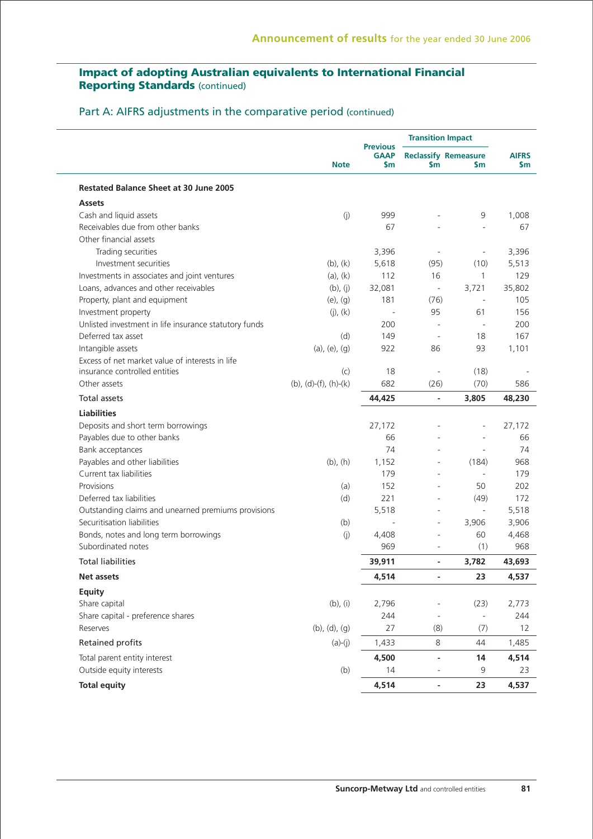## Part A: AIFRS adjustments in the comparative period (continued)

|                                                       |                          |                                       | <b>Transition Impact</b>     |                                    |                     |
|-------------------------------------------------------|--------------------------|---------------------------------------|------------------------------|------------------------------------|---------------------|
|                                                       | <b>Note</b>              | <b>Previous</b><br><b>GAAP</b><br>\$m | \$m                          | <b>Reclassify Remeasure</b><br>\$m | <b>AIFRS</b><br>\$m |
| <b>Restated Balance Sheet at 30 June 2005</b>         |                          |                                       |                              |                                    |                     |
| <b>Assets</b>                                         |                          |                                       |                              |                                    |                     |
| Cash and liquid assets                                | (j)                      | 999                                   |                              | 9                                  | 1,008               |
| Receivables due from other banks                      |                          | 67                                    |                              |                                    | 67                  |
| Other financial assets                                |                          |                                       |                              |                                    |                     |
| Trading securities                                    |                          | 3,396                                 | $\overline{\phantom{a}}$     | $\qquad \qquad \blacksquare$       | 3,396               |
| Investment securities                                 | $(b)$ , $(k)$            | 5,618                                 | (95)                         | (10)                               | 5,513               |
| Investments in associates and joint ventures          | $(a)$ , $(k)$            | 112                                   | 16                           | 1                                  | 129                 |
| Loans, advances and other receivables                 | $(b)$ , $(j)$            | 32,081                                | $\overline{\phantom{a}}$     | 3,721                              | 35,802              |
| Property, plant and equipment                         | $(e)$ , $(g)$            | 181                                   | (76)                         | $\overline{\phantom{a}}$           | 105                 |
| Investment property                                   | $(j)$ , $(k)$            |                                       | 95                           | 61                                 | 156                 |
| Unlisted investment in life insurance statutory funds |                          | 200                                   | L,                           |                                    | 200                 |
| Deferred tax asset                                    | (d)                      | 149                                   | $\bar{a}$                    | 18                                 | 167                 |
| Intangible assets                                     | $(a)$ , $(e)$ , $(g)$    | 922                                   | 86                           | 93                                 | 1,101               |
| Excess of net market value of interests in life       |                          |                                       |                              |                                    |                     |
| insurance controlled entities                         | (c)                      | 18                                    | $\overline{a}$               | (18)                               |                     |
| Other assets                                          | $(b)$ , (d)-(f), (h)-(k) | 682                                   | (26)                         | (70)                               | 586                 |
| <b>Total assets</b>                                   |                          | 44,425                                | $\overline{\phantom{a}}$     | 3,805                              | 48,230              |
| <b>Liabilities</b>                                    |                          |                                       |                              |                                    |                     |
| Deposits and short term borrowings                    |                          | 27,172                                |                              |                                    | 27,172              |
| Payables due to other banks                           |                          | 66                                    |                              |                                    | 66                  |
| Bank acceptances                                      |                          | 74                                    |                              | $\sim$                             | 74                  |
| Payables and other liabilities                        | $(b)$ , $(h)$            | 1,152                                 | ä,                           | (184)                              | 968                 |
| Current tax liabilities                               |                          | 179                                   |                              | $\bar{a}$                          | 179                 |
| Provisions                                            | (a)                      | 152                                   |                              | 50                                 | 202                 |
| Deferred tax liabilities                              | (d)                      | 221                                   |                              | (49)                               | 172                 |
| Outstanding claims and unearned premiums provisions   |                          | 5,518                                 | ÷,                           | ÷,                                 | 5,518               |
| Securitisation liabilities                            | (b)                      |                                       |                              | 3,906                              | 3,906               |
| Bonds, notes and long term borrowings                 | (j)                      | 4,408                                 |                              | 60                                 | 4,468               |
| Subordinated notes                                    |                          | 969                                   |                              | (1)                                | 968                 |
| <b>Total liabilities</b>                              |                          | 39,911                                | $\qquad \qquad \blacksquare$ | 3,782                              | 43,693              |
| Net assets                                            |                          | 4,514                                 |                              | 23                                 | 4,537               |
| Equity                                                |                          |                                       |                              |                                    |                     |
| Share capital                                         | $(b)$ , $(i)$            | 2,796                                 |                              | (23)                               | 2,773               |
| Share capital - preference shares                     |                          | 244                                   | $\overline{\phantom{a}}$     | $\frac{1}{2}$                      | 244                 |
| Reserves                                              | (b), (d), (g)            | 27                                    | (8)                          | (7)                                | 12                  |
| Retained profits                                      | $(a)-(j)$                | 1,433                                 | 8                            | 44                                 | 1,485               |
| Total parent entity interest                          |                          | 4,500                                 | $\overline{\phantom{a}}$     | 14                                 | 4,514               |
| Outside equity interests                              | (b)                      | 14                                    |                              | 9                                  | 23                  |
| <b>Total equity</b>                                   |                          | 4,514                                 | $\overline{\phantom{a}}$     | 23                                 | 4,537               |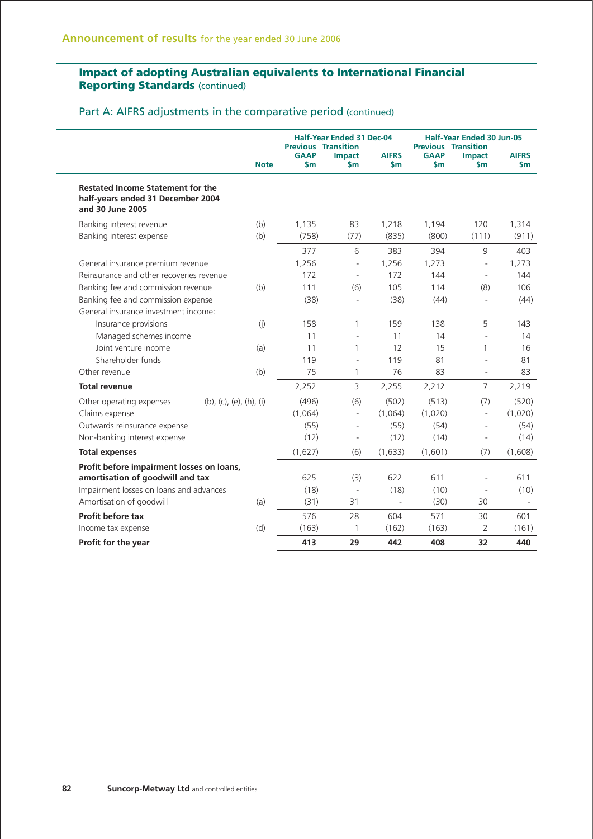Part A: AIFRS adjustments in the comparative period (continued)

|                                                                                                   |                         |                              | <b>Half-Year Ended 31 Dec-04</b><br><b>Previous Transition</b> |                                |                              | <b>Half-Year Ended 30 Jun-05</b><br><b>Previous Transition</b> |                               |  |
|---------------------------------------------------------------------------------------------------|-------------------------|------------------------------|----------------------------------------------------------------|--------------------------------|------------------------------|----------------------------------------------------------------|-------------------------------|--|
|                                                                                                   | <b>Note</b>             | <b>GAAP</b><br>$\mathsf{sm}$ | <b>Impact</b><br>$\mathsf{sm}$                                 | <b>AIFRS</b><br>$\mathsf{S}$ m | <b>GAAP</b><br>$\mathsf{Sm}$ | <b>Impact</b><br>$\mathsf{S}$ m                                | <b>AIFRS</b><br>$\mathsf{Sm}$ |  |
| <b>Restated Income Statement for the</b><br>half-years ended 31 December 2004<br>and 30 June 2005 |                         |                              |                                                                |                                |                              |                                                                |                               |  |
| Banking interest revenue<br>Banking interest expense                                              | (b)<br>(b)              | 1,135<br>(758)               | 83<br>(77)                                                     | 1,218<br>(835)                 | 1,194<br>(800)               | 120<br>(111)                                                   | 1,314<br>(911)                |  |
|                                                                                                   |                         | 377                          | 6                                                              | 383                            | 394                          | 9                                                              | 403                           |  |
| General insurance premium revenue                                                                 |                         | 1,256                        | ÷,                                                             | 1,256                          | 1,273                        | $\overline{\phantom{a}}$                                       | 1,273                         |  |
| Reinsurance and other recoveries revenue                                                          |                         | 172                          | $\bar{a}$                                                      | 172                            | 144                          | $\overline{\phantom{a}}$                                       | 144                           |  |
| Banking fee and commission revenue                                                                | (b)                     | 111                          | (6)                                                            | 105                            | 114                          | (8)                                                            | 106                           |  |
| Banking fee and commission expense                                                                |                         | (38)                         | ÷,                                                             | (38)                           | (44)                         | $\overline{\phantom{a}}$                                       | (44)                          |  |
| General insurance investment income:                                                              |                         |                              |                                                                |                                |                              |                                                                |                               |  |
| Insurance provisions                                                                              | (j)                     | 158                          | 1                                                              | 159                            | 138                          | 5                                                              | 143                           |  |
| Managed schemes income                                                                            |                         | 11                           | ÷,                                                             | 11                             | 14                           | L.                                                             | 14                            |  |
| Joint venture income                                                                              | (a)                     | 11                           | $\mathbf{1}$                                                   | 12                             | 15                           | 1                                                              | 16                            |  |
| Shareholder funds                                                                                 |                         | 119                          | ÷,                                                             | 119                            | 81                           |                                                                | 81                            |  |
| Other revenue                                                                                     | (b)                     | 75                           | 1                                                              | 76                             | 83                           | $\overline{\phantom{a}}$                                       | 83                            |  |
| <b>Total revenue</b>                                                                              |                         | 2,252                        | 3                                                              | 2,255                          | 2,212                        | $\overline{7}$                                                 | 2,219                         |  |
| Other operating expenses                                                                          | (b), (c), (e), (h), (i) | (496)                        | (6)                                                            | (502)                          | (513)                        | (7)                                                            | (520)                         |  |
| Claims expense                                                                                    |                         | (1,064)                      | $\bar{\phantom{a}}$                                            | (1,064)                        | (1,020)                      | $\bar{a}$                                                      | (1,020)                       |  |
| Outwards reinsurance expense                                                                      |                         | (55)                         | ä,                                                             | (55)                           | (54)                         | $\overline{a}$                                                 | (54)                          |  |
| Non-banking interest expense                                                                      |                         | (12)                         |                                                                | (12)                           | (14)                         |                                                                | (14)                          |  |
| <b>Total expenses</b>                                                                             |                         | (1,627)                      | (6)                                                            | (1,633)                        | (1,601)                      | (7)                                                            | (1,608)                       |  |
| Profit before impairment losses on loans,                                                         |                         |                              |                                                                |                                |                              |                                                                |                               |  |
| amortisation of goodwill and tax                                                                  |                         | 625                          | (3)                                                            | 622                            | 611                          |                                                                | 611                           |  |
| Impairment losses on loans and advances                                                           |                         | (18)                         | $\overline{\phantom{a}}$                                       | (18)                           | (10)                         |                                                                | (10)                          |  |
| Amortisation of goodwill                                                                          | (a)                     | (31)                         | 31                                                             | $\bar{a}$                      | (30)                         | 30                                                             |                               |  |
| Profit before tax                                                                                 |                         | 576                          | 28                                                             | 604                            | 571                          | 30                                                             | 601                           |  |
| Income tax expense                                                                                | (d)                     | (163)                        | 1                                                              | (162)                          | (163)                        | 2                                                              | (161)                         |  |
| Profit for the year                                                                               |                         | 413                          | 29                                                             | 442                            | 408                          | 32                                                             | 440                           |  |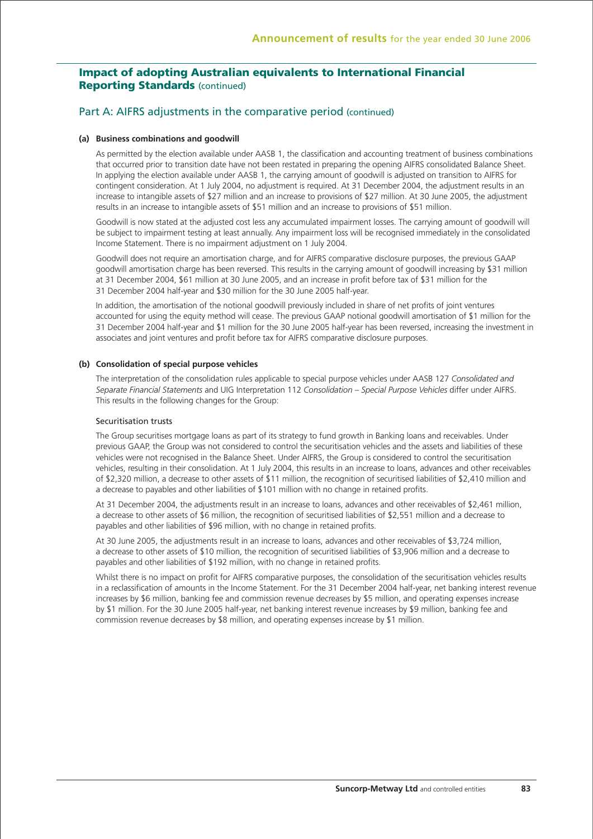### Part A: AIFRS adjustments in the comparative period (continued)

#### **(a) Business combinations and goodwill**

 As permitted by the election available under AASB 1, the classification and accounting treatment of business combinations that occurred prior to transition date have not been restated in preparing the opening AIFRS consolidated Balance Sheet. In applying the election available under AASB 1, the carrying amount of goodwill is adjusted on transition to AIFRS for contingent consideration. At 1 July 2004, no adjustment is required. At 31 December 2004, the adjustment results in an increase to intangible assets of \$27 million and an increase to provisions of \$27 million. At 30 June 2005, the adjustment results in an increase to intangible assets of \$51 million and an increase to provisions of \$51 million.

 Goodwill is now stated at the adjusted cost less any accumulated impairment losses. The carrying amount of goodwill will be subject to impairment testing at least annually. Any impairment loss will be recognised immediately in the consolidated Income Statement. There is no impairment adjustment on 1 July 2004.

 Goodwill does not require an amortisation charge, and for AIFRS comparative disclosure purposes, the previous GAAP goodwill amortisation charge has been reversed. This results in the carrying amount of goodwill increasing by \$31 million at 31 December 2004, \$61 million at 30 June 2005, and an increase in profit before tax of \$31 million for the 31 December 2004 half-year and \$30 million for the 30 June 2005 half-year.

 In addition, the amortisation of the notional goodwill previously included in share of net profits of joint ventures accounted for using the equity method will cease. The previous GAAP notional goodwill amortisation of \$1 million for the 31 December 2004 half-year and \$1 million for the 30 June 2005 half-year has been reversed, increasing the investment in associates and joint ventures and profit before tax for AIFRS comparative disclosure purposes.

#### **(b) Consolidation of special purpose vehicles**

 The interpretation of the consolidation rules applicable to special purpose vehicles under AASB 127 *Consolidated and Separate Financial Statements* and UIG Interpretation 112 *Consolidation – Special Purpose Vehicles* differ under AIFRS. This results in the following changes for the Group:

#### Securitisation trusts

 The Group securitises mortgage loans as part of its strategy to fund growth in Banking loans and receivables. Under previous GAAP, the Group was not considered to control the securitisation vehicles and the assets and liabilities of these vehicles were not recognised in the Balance Sheet. Under AIFRS, the Group is considered to control the securitisation vehicles, resulting in their consolidation. At 1 July 2004, this results in an increase to loans, advances and other receivables of \$2,320 million, a decrease to other assets of \$11 million, the recognition of securitised liabilities of \$2,410 million and a decrease to payables and other liabilities of \$101 million with no change in retained profits.

 At 31 December 2004, the adjustments result in an increase to loans, advances and other receivables of \$2,461 million, a decrease to other assets of \$6 million, the recognition of securitised liabilities of \$2,551 million and a decrease to payables and other liabilities of \$96 million, with no change in retained profits.

 At 30 June 2005, the adjustments result in an increase to loans, advances and other receivables of \$3,724 million, a decrease to other assets of \$10 million, the recognition of securitised liabilities of \$3,906 million and a decrease to payables and other liabilities of \$192 million, with no change in retained profits.

 Whilst there is no impact on profit for AIFRS comparative purposes, the consolidation of the securitisation vehicles results in a reclassification of amounts in the Income Statement. For the 31 December 2004 half-year, net banking interest revenue increases by \$6 million, banking fee and commission revenue decreases by \$5 million, and operating expenses increase by \$1 million. For the 30 June 2005 half-year, net banking interest revenue increases by \$9 million, banking fee and commission revenue decreases by \$8 million, and operating expenses increase by \$1 million.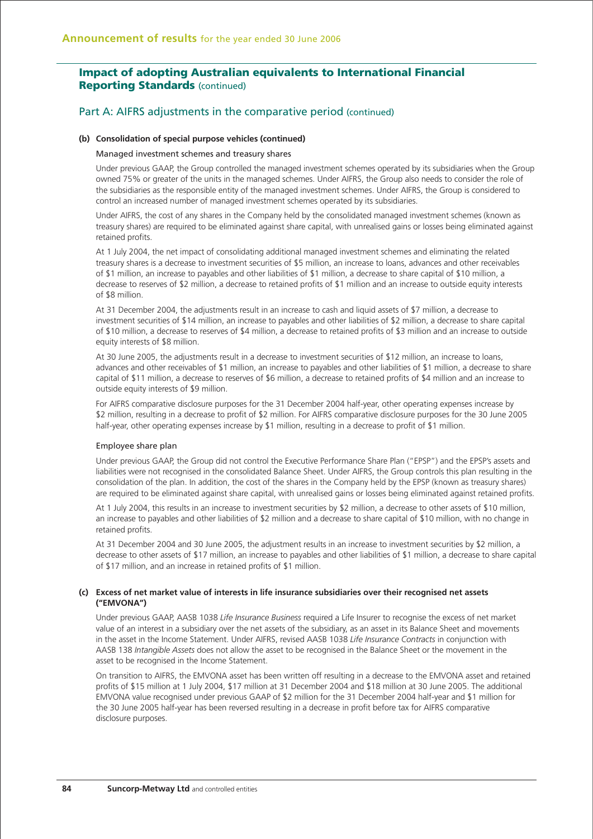### Part A: AIFRS adjustments in the comparative period (continued)

#### **(b) Consolidation of special purpose vehicles (continued)**

#### Managed investment schemes and treasury shares

 Under previous GAAP, the Group controlled the managed investment schemes operated by its subsidiaries when the Group owned 75% or greater of the units in the managed schemes. Under AIFRS, the Group also needs to consider the role of the subsidiaries as the responsible entity of the managed investment schemes. Under AIFRS, the Group is considered to control an increased number of managed investment schemes operated by its subsidiaries.

 Under AIFRS, the cost of any shares in the Company held by the consolidated managed investment schemes (known as treasury shares) are required to be eliminated against share capital, with unrealised gains or losses being eliminated against retained profits.

 At 1 July 2004, the net impact of consolidating additional managed investment schemes and eliminating the related treasury shares is a decrease to investment securities of \$5 million, an increase to loans, advances and other receivables of \$1 million, an increase to payables and other liabilities of \$1 million, a decrease to share capital of \$10 million, a decrease to reserves of \$2 million, a decrease to retained profits of \$1 million and an increase to outside equity interests of \$8 million.

 At 31 December 2004, the adjustments result in an increase to cash and liquid assets of \$7 million, a decrease to investment securities of \$14 million, an increase to payables and other liabilities of \$2 million, a decrease to share capital of \$10 million, a decrease to reserves of \$4 million, a decrease to retained profits of \$3 million and an increase to outside equity interests of \$8 million.

 At 30 June 2005, the adjustments result in a decrease to investment securities of \$12 million, an increase to loans, advances and other receivables of \$1 million, an increase to payables and other liabilities of \$1 million, a decrease to share capital of \$11 million, a decrease to reserves of \$6 million, a decrease to retained profits of \$4 million and an increase to outside equity interests of \$9 million.

 For AIFRS comparative disclosure purposes for the 31 December 2004 half-year, other operating expenses increase by \$2 million, resulting in a decrease to profit of \$2 million. For AIFRS comparative disclosure purposes for the 30 June 2005 half-year, other operating expenses increase by \$1 million, resulting in a decrease to profit of \$1 million.

#### Employee share plan

 Under previous GAAP, the Group did not control the Executive Performance Share Plan ("EPSP") and the EPSP's assets and liabilities were not recognised in the consolidated Balance Sheet. Under AIFRS, the Group controls this plan resulting in the consolidation of the plan. In addition, the cost of the shares in the Company held by the EPSP (known as treasury shares) are required to be eliminated against share capital, with unrealised gains or losses being eliminated against retained profits.

 At 1 July 2004, this results in an increase to investment securities by \$2 million, a decrease to other assets of \$10 million, an increase to payables and other liabilities of \$2 million and a decrease to share capital of \$10 million, with no change in retained profits.

 At 31 December 2004 and 30 June 2005, the adjustment results in an increase to investment securities by \$2 million, a decrease to other assets of \$17 million, an increase to payables and other liabilities of \$1 million, a decrease to share capital of \$17 million, and an increase in retained profits of \$1 million.

#### **(c) Excess of net market value of interests in life insurance subsidiaries over their recognised net assets ("EMVONA")**

 Under previous GAAP, AASB 1038 *Life Insurance Business* required a Life Insurer to recognise the excess of net market value of an interest in a subsidiary over the net assets of the subsidiary, as an asset in its Balance Sheet and movements in the asset in the Income Statement. Under AIFRS, revised AASB 1038 *Life Insurance Contracts* in conjunction with AASB 138 *Intangible Assets* does not allow the asset to be recognised in the Balance Sheet or the movement in the asset to be recognised in the Income Statement.

 On transition to AIFRS, the EMVONA asset has been written off resulting in a decrease to the EMVONA asset and retained profits of \$15 million at 1 July 2004, \$17 million at 31 December 2004 and \$18 million at 30 June 2005. The additional EMVONA value recognised under previous GAAP of \$2 million for the 31 December 2004 half-year and \$1 million for the 30 June 2005 half-year has been reversed resulting in a decrease in profit before tax for AIFRS comparative disclosure purposes.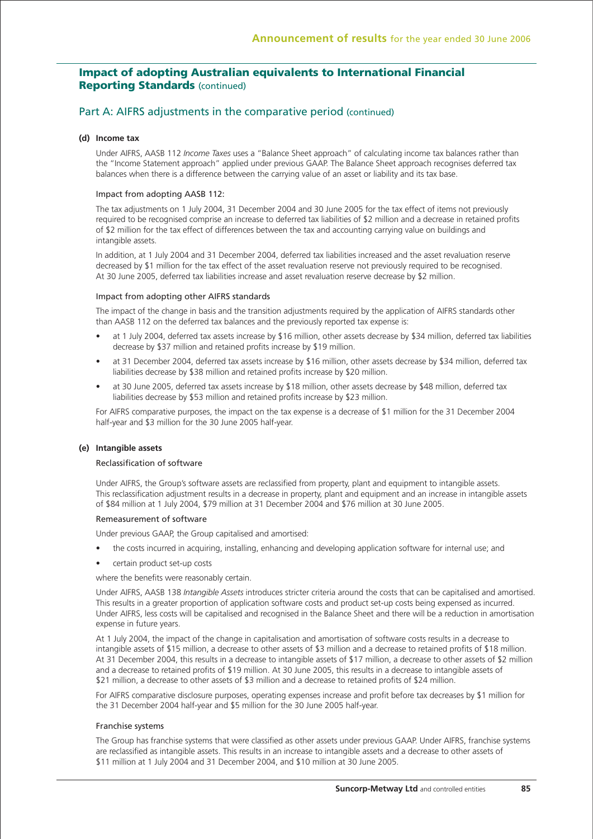### Part A: AIFRS adjustments in the comparative period (continued)

#### **(d) Income tax**

 Under AIFRS, AASB 112 *Income Taxes* uses a "Balance Sheet approach" of calculating income tax balances rather than the "Income Statement approach" applied under previous GAAP. The Balance Sheet approach recognises deferred tax balances when there is a difference between the carrying value of an asset or liability and its tax base.

#### Impact from adopting AASB 112:

 The tax adjustments on 1 July 2004, 31 December 2004 and 30 June 2005 for the tax effect of items not previously required to be recognised comprise an increase to deferred tax liabilities of \$2 million and a decrease in retained profits of \$2 million for the tax effect of differences between the tax and accounting carrying value on buildings and intangible assets.

 In addition, at 1 July 2004 and 31 December 2004, deferred tax liabilities increased and the asset revaluation reserve decreased by \$1 million for the tax effect of the asset revaluation reserve not previously required to be recognised. At 30 June 2005, deferred tax liabilities increase and asset revaluation reserve decrease by \$2 million.

#### Impact from adopting other AIFRS standards

 The impact of the change in basis and the transition adjustments required by the application of AIFRS standards other than AASB 112 on the deferred tax balances and the previously reported tax expense is:

- at 1 July 2004, deferred tax assets increase by \$16 million, other assets decrease by \$34 million, deferred tax liabilities decrease by \$37 million and retained profits increase by \$19 million.
- at 31 December 2004, deferred tax assets increase by \$16 million, other assets decrease by \$34 million, deferred tax liabilities decrease by \$38 million and retained profits increase by \$20 million.
- at 30 June 2005, deferred tax assets increase by \$18 million, other assets decrease by \$48 million, deferred tax liabilities decrease by \$53 million and retained profits increase by \$23 million.

 For AIFRS comparative purposes, the impact on the tax expense is a decrease of \$1 million for the 31 December 2004 half-year and \$3 million for the 30 June 2005 half-year.

#### **(e) Intangible assets**

#### Reclassification of software

 Under AIFRS, the Group's software assets are reclassified from property, plant and equipment to intangible assets. This reclassification adjustment results in a decrease in property, plant and equipment and an increase in intangible assets of \$84 million at 1 July 2004, \$79 million at 31 December 2004 and \$76 million at 30 June 2005.

#### Remeasurement of software

Under previous GAAP, the Group capitalised and amortised:

- the costs incurred in acquiring, installing, enhancing and developing application software for internal use; and
- certain product set-up costs

where the benefits were reasonably certain.

 Under AIFRS, AASB 138 *Intangible Assets* introduces stricter criteria around the costs that can be capitalised and amortised. This results in a greater proportion of application software costs and product set-up costs being expensed as incurred. Under AIFRS, less costs will be capitalised and recognised in the Balance Sheet and there will be a reduction in amortisation expense in future years.

 At 1 July 2004, the impact of the change in capitalisation and amortisation of software costs results in a decrease to intangible assets of \$15 million, a decrease to other assets of \$3 million and a decrease to retained profits of \$18 million. At 31 December 2004, this results in a decrease to intangible assets of \$17 million, a decrease to other assets of \$2 million and a decrease to retained profits of \$19 million. At 30 June 2005, this results in a decrease to intangible assets of \$21 million, a decrease to other assets of \$3 million and a decrease to retained profits of \$24 million.

 For AIFRS comparative disclosure purposes, operating expenses increase and profit before tax decreases by \$1 million for the 31 December 2004 half-year and \$5 million for the 30 June 2005 half-year.

#### Franchise systems

 The Group has franchise systems that were classified as other assets under previous GAAP. Under AIFRS, franchise systems are reclassified as intangible assets. This results in an increase to intangible assets and a decrease to other assets of \$11 million at 1 July 2004 and 31 December 2004, and \$10 million at 30 June 2005.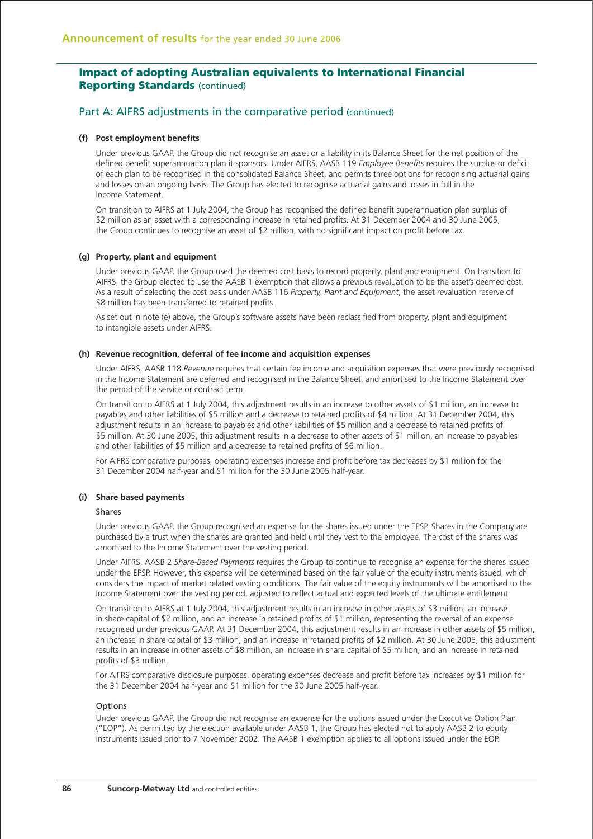### Part A: AIFRS adjustments in the comparative period (continued)

#### **(f) Post employment benefits**

 Under previous GAAP, the Group did not recognise an asset or a liability in its Balance Sheet for the net position of the defined benefit superannuation plan it sponsors. Under AIFRS, AASB 119 *Employee Benefits* requires the surplus or deficit of each plan to be recognised in the consolidated Balance Sheet, and permits three options for recognising actuarial gains and losses on an ongoing basis. The Group has elected to recognise actuarial gains and losses in full in the Income Statement.

 On transition to AIFRS at 1 July 2004, the Group has recognised the defined benefit superannuation plan surplus of \$2 million as an asset with a corresponding increase in retained profits. At 31 December 2004 and 30 June 2005, the Group continues to recognise an asset of \$2 million, with no significant impact on profit before tax.

#### **(g) Property, plant and equipment**

 Under previous GAAP, the Group used the deemed cost basis to record property, plant and equipment. On transition to AIFRS, the Group elected to use the AASB 1 exemption that allows a previous revaluation to be the asset's deemed cost. As a result of selecting the cost basis under AASB 116 *Property, Plant and Equipment*, the asset revaluation reserve of \$8 million has been transferred to retained profits.

 As set out in note (e) above, the Group's software assets have been reclassified from property, plant and equipment to intangible assets under AIFRS.

#### **(h) Revenue recognition, deferral of fee income and acquisition expenses**

 Under AIFRS, AASB 118 *Revenue* requires that certain fee income and acquisition expenses that were previously recognised in the Income Statement are deferred and recognised in the Balance Sheet, and amortised to the Income Statement over the period of the service or contract term.

 On transition to AIFRS at 1 July 2004, this adjustment results in an increase to other assets of \$1 million, an increase to payables and other liabilities of \$5 million and a decrease to retained profits of \$4 million. At 31 December 2004, this adjustment results in an increase to payables and other liabilities of \$5 million and a decrease to retained profits of \$5 million. At 30 June 2005, this adjustment results in a decrease to other assets of \$1 million, an increase to payables and other liabilities of \$5 million and a decrease to retained profits of \$6 million.

 For AIFRS comparative purposes, operating expenses increase and profit before tax decreases by \$1 million for the 31 December 2004 half-year and \$1 million for the 30 June 2005 half-year.

### **(i) Share based payments**

#### Shares

 Under previous GAAP, the Group recognised an expense for the shares issued under the EPSP. Shares in the Company are purchased by a trust when the shares are granted and held until they vest to the employee. The cost of the shares was amortised to the Income Statement over the vesting period.

 Under AIFRS, AASB 2 *Share-Based Payments* requires the Group to continue to recognise an expense for the shares issued under the EPSP. However, this expense will be determined based on the fair value of the equity instruments issued, which considers the impact of market related vesting conditions. The fair value of the equity instruments will be amortised to the Income Statement over the vesting period, adjusted to reflect actual and expected levels of the ultimate entitlement.

 On transition to AIFRS at 1 July 2004, this adjustment results in an increase in other assets of \$3 million, an increase in share capital of \$2 million, and an increase in retained profits of \$1 million, representing the reversal of an expense recognised under previous GAAP. At 31 December 2004, this adjustment results in an increase in other assets of \$5 million, an increase in share capital of \$3 million, and an increase in retained profits of \$2 million. At 30 June 2005, this adjustment results in an increase in other assets of \$8 million, an increase in share capital of \$5 million, and an increase in retained profits of \$3 million.

 For AIFRS comparative disclosure purposes, operating expenses decrease and profit before tax increases by \$1 million for the 31 December 2004 half-year and \$1 million for the 30 June 2005 half-year.

#### Options

 Under previous GAAP, the Group did not recognise an expense for the options issued under the Executive Option Plan ("EOP"). As permitted by the election available under AASB 1, the Group has elected not to apply AASB 2 to equity instruments issued prior to 7 November 2002. The AASB 1 exemption applies to all options issued under the EOP.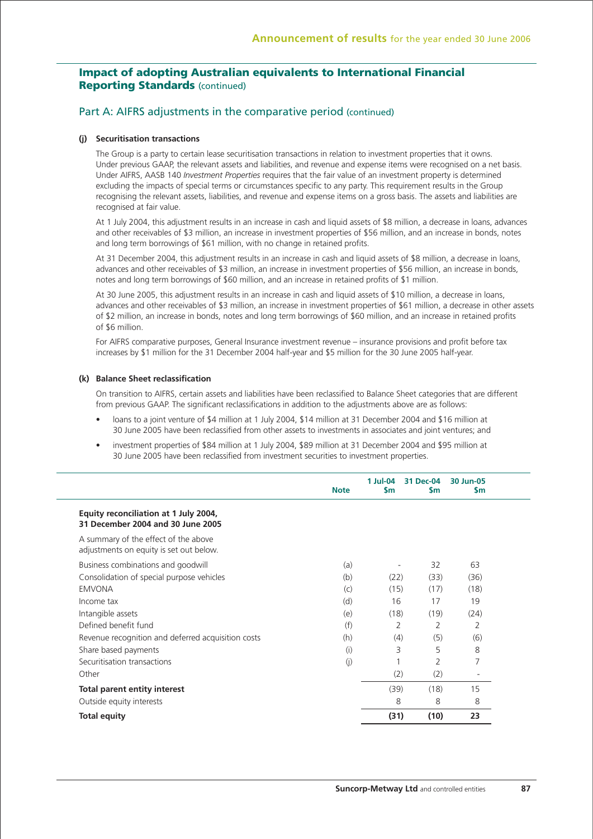### Part A: AIFRS adjustments in the comparative period (continued)

#### **(j) Securitisation transactions**

 The Group is a party to certain lease securitisation transactions in relation to investment properties that it owns. Under previous GAAP, the relevant assets and liabilities, and revenue and expense items were recognised on a net basis. Under AIFRS, AASB 140 *Investment Properties* requires that the fair value of an investment property is determined excluding the impacts of special terms or circumstances specific to any party. This requirement results in the Group recognising the relevant assets, liabilities, and revenue and expense items on a gross basis. The assets and liabilities are recognised at fair value.

 At 1 July 2004, this adjustment results in an increase in cash and liquid assets of \$8 million, a decrease in loans, advances and other receivables of \$3 million, an increase in investment properties of \$56 million, and an increase in bonds, notes and long term borrowings of \$61 million, with no change in retained profits.

 At 31 December 2004, this adjustment results in an increase in cash and liquid assets of \$8 million, a decrease in loans, advances and other receivables of \$3 million, an increase in investment properties of \$56 million, an increase in bonds notes and long term borrowings of \$60 million, and an increase in retained profits of \$1 million.

 At 30 June 2005, this adjustment results in an increase in cash and liquid assets of \$10 million, a decrease in loans, advances and other receivables of \$3 million, an increase in investment properties of \$61 million, a decrease in other assets of \$2 million, an increase in bonds, notes and long term borrowings of \$60 million, and an increase in retained profits of \$6 million.

 For AIFRS comparative purposes, General Insurance investment revenue – insurance provisions and profit before tax increases by \$1 million for the 31 December 2004 half-year and \$5 million for the 30 June 2005 half-year.

#### **(k) Balance Sheet reclassification**

 On transition to AIFRS, certain assets and liabilities have been reclassified to Balance Sheet categories that are different from previous GAAP. The significant reclassifications in addition to the adjustments above are as follows:

- loans to a joint venture of \$4 million at 1 July 2004, \$14 million at 31 December 2004 and \$16 million at 30 June 2005 have been reclassified from other assets to investments in associates and joint ventures; and
- investment properties of \$84 million at 1 July 2004, \$89 million at 31 December 2004 and \$95 million at 30 June 2005 have been reclassified from investment securities to investment properties.

|                                                                                 | <b>Note</b> | 1 Jul-04<br>$\mathsf{Sm}$ | 31 Dec-04<br>\$m | 30 Jun-05<br><b>Sm</b> |
|---------------------------------------------------------------------------------|-------------|---------------------------|------------------|------------------------|
| Equity reconciliation at 1 July 2004,<br>31 December 2004 and 30 June 2005      |             |                           |                  |                        |
| A summary of the effect of the above<br>adjustments on equity is set out below. |             |                           |                  |                        |
| Business combinations and goodwill                                              | (a)         |                           | 32               | 63                     |
| Consolidation of special purpose vehicles                                       | (b)         | (22)                      | (33)             | (36)                   |
| <b>EMVONA</b>                                                                   | (c)         | (15)                      | (17)             | (18)                   |
| Income tax                                                                      | (d)         | 16                        | 17               | 19                     |
| Intangible assets                                                               | (e)         | (18)                      | (19)             | (24)                   |
| Defined benefit fund                                                            | (f)         | $\overline{2}$            | 2                | 2                      |
| Revenue recognition and deferred acquisition costs                              | (h)         | (4)                       | (5)              | (6)                    |
| Share based payments                                                            | (i)         | 3                         | 5                | 8                      |
| Securitisation transactions                                                     | (j)         |                           | 2                | 7                      |
| Other                                                                           |             | (2)                       | (2)              |                        |
| <b>Total parent entity interest</b>                                             |             | (39)                      | (18)             | 15                     |
| Outside equity interests                                                        |             | 8                         | 8                | 8                      |
| <b>Total equity</b>                                                             |             | (31)                      | (10)             | 23                     |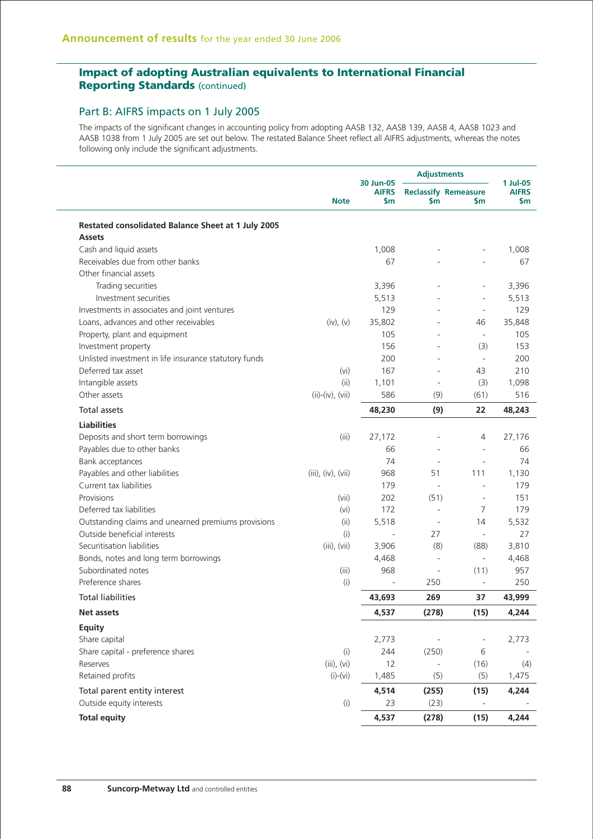### Part B: AIFRS impacts on 1 July 2005

The impacts of the significant changes in accounting policy from adopting AASB 132, AASB 139, AASB 4, AASB 1023 and AASB 1038 from 1 July 2005 are set out below. The restated Balance Sheet reflect all AIFRS adjustments, whereas the notes following only include the significant adjustments.

|                                                                     |                    | 30 Jun-05           | <b>Adjustments</b>       | 1 Jul-05                                      |                     |
|---------------------------------------------------------------------|--------------------|---------------------|--------------------------|-----------------------------------------------|---------------------|
|                                                                     | <b>Note</b>        | <b>AIFRS</b><br>\$m | \$m                      | <b>Reclassify Remeasure</b><br>$\mathsf{S}$ m | <b>AIFRS</b><br>\$m |
| Restated consolidated Balance Sheet at 1 July 2005<br><b>Assets</b> |                    |                     |                          |                                               |                     |
| Cash and liquid assets                                              |                    | 1,008               |                          | $\overline{a}$                                | 1,008               |
| Receivables due from other banks                                    |                    | 67                  |                          |                                               | 67                  |
| Other financial assets                                              |                    |                     |                          |                                               |                     |
| Trading securities                                                  |                    | 3,396               |                          |                                               | 3,396               |
| Investment securities                                               |                    | 5,513               |                          | ÷,                                            | 5,513               |
| Investments in associates and joint ventures                        |                    | 129                 |                          | $\overline{\phantom{a}}$                      | 129                 |
| Loans, advances and other receivables                               | (iv), (v)          | 35,802              |                          | 46                                            | 35,848              |
| Property, plant and equipment                                       |                    | 105                 |                          | $\overline{\phantom{a}}$                      | 105                 |
| Investment property                                                 |                    | 156                 | ä,                       | (3)                                           | 153                 |
| Unlisted investment in life insurance statutory funds               |                    | 200                 | $\overline{a}$           | $\overline{\phantom{a}}$                      | 200                 |
| Deferred tax asset                                                  | (vi)               | 167                 |                          | 43                                            | 210                 |
| Intangible assets                                                   | (ii)               | 1,101               | $\overline{a}$           | (3)                                           | 1,098               |
| Other assets                                                        | $(ii)-(iv), (vii)$ | 586                 | (9)                      | (61)                                          | 516                 |
| <b>Total assets</b>                                                 |                    | 48,230              | (9)                      | 22                                            | 48,243              |
| <b>Liabilities</b>                                                  |                    |                     |                          |                                               |                     |
| Deposits and short term borrowings                                  | (iii)              | 27,172              |                          | 4                                             | 27,176              |
| Payables due to other banks                                         |                    | 66                  | ٠                        | $\bar{a}$                                     | 66                  |
| Bank acceptances                                                    |                    | 74                  | $\sim$                   | $\bar{a}$                                     | 74                  |
| Payables and other liabilities                                      | (iii), (iv), (vii) | 968                 | 51                       | 111                                           | 1,130               |
| Current tax liabilities                                             |                    | 179                 | ÷,                       | $\overline{\phantom{a}}$                      | 179                 |
| Provisions                                                          | (vii)              | 202                 | (51)                     | $\overline{\phantom{a}}$                      | 151                 |
| Deferred tax liabilities                                            | (v <sub>i</sub> )  | 172                 | ÷,                       | 7                                             | 179                 |
| Outstanding claims and unearned premiums provisions                 | (ii)               | 5,518               | $\overline{\phantom{a}}$ | 14                                            | 5,532               |
| Outside beneficial interests                                        | (i)                |                     | 27                       | $\overline{\phantom{a}}$                      | 27                  |
| Securitisation liabilities                                          | $(iii)$ , $(vii)$  | 3,906               | (8)                      | (88)                                          | 3,810               |
| Bonds, notes and long term borrowings                               |                    | 4,468               | ÷,                       | $\overline{\phantom{a}}$                      | 4,468               |
| Subordinated notes                                                  | (iii)              | 968                 |                          | (11)                                          | 957                 |
| Preference shares                                                   | (i)                |                     | 250                      | $\overline{\phantom{a}}$                      | 250                 |
| <b>Total liabilities</b>                                            |                    | 43,693              | 269                      | 37                                            | 43,999              |
| Net assets                                                          |                    | 4,537               | (278)                    | (15)                                          | 4,244               |
| Equity                                                              |                    |                     |                          |                                               |                     |
| Share capital                                                       |                    | 2,773               |                          | $\overline{\phantom{m}}$                      | 2,773               |
| Share capital - preference shares                                   | (i)                | 244                 | (250)                    | 6                                             |                     |
| Reserves                                                            | $(iii)$ , $(vi)$   | 12                  |                          | (16)                                          | (4)                 |
| Retained profits                                                    | $(i)-(vi)$         | 1,485               | (5)                      | (5)                                           | 1,475               |
| Total parent entity interest                                        |                    | 4,514               | (255)                    | (15)                                          | 4,244               |
| Outside equity interests                                            | (i)                | 23                  | (23)                     |                                               |                     |
| <b>Total equity</b>                                                 |                    | 4,537               | (278)                    | (15)                                          | 4,244               |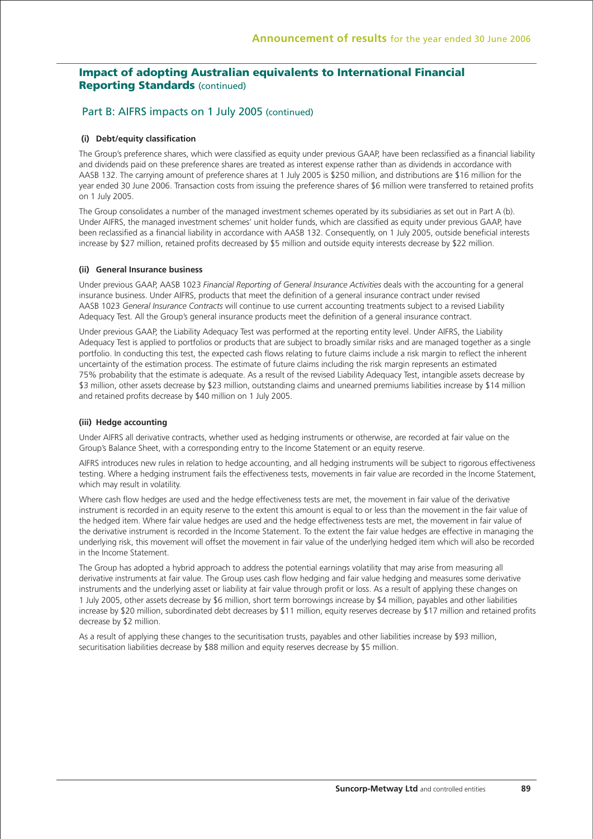### Part B: AIFRS impacts on 1 July 2005 (continued)

#### **(i) Debt/equity classification**

The Group's preference shares, which were classified as equity under previous GAAP, have been reclassified as a financial liability and dividends paid on these preference shares are treated as interest expense rather than as dividends in accordance with AASB 132. The carrying amount of preference shares at 1 July 2005 is \$250 million, and distributions are \$16 million for the year ended 30 June 2006. Transaction costs from issuing the preference shares of \$6 million were transferred to retained profits on 1 July 2005.

The Group consolidates a number of the managed investment schemes operated by its subsidiaries as set out in Part A (b). Under AIFRS, the managed investment schemes' unit holder funds, which are classified as equity under previous GAAP, have been reclassified as a financial liability in accordance with AASB 132. Consequently, on 1 July 2005, outside beneficial interests increase by \$27 million, retained profits decreased by \$5 million and outside equity interests decrease by \$22 million.

#### **(ii) General Insurance business**

Under previous GAAP, AASB 1023 *Financial Reporting of General Insurance Activities* deals with the accounting for a general insurance business. Under AIFRS, products that meet the definition of a general insurance contract under revised AASB 1023 *General Insurance Contracts* will continue to use current accounting treatments subject to a revised Liability Adequacy Test. All the Group's general insurance products meet the definition of a general insurance contract.

Under previous GAAP, the Liability Adequacy Test was performed at the reporting entity level. Under AIFRS, the Liability Adequacy Test is applied to portfolios or products that are subject to broadly similar risks and are managed together as a single portfolio. In conducting this test, the expected cash flows relating to future claims include a risk margin to reflect the inherent uncertainty of the estimation process. The estimate of future claims including the risk margin represents an estimated 75% probability that the estimate is adequate. As a result of the revised Liability Adequacy Test, intangible assets decrease by \$3 million, other assets decrease by \$23 million, outstanding claims and unearned premiums liabilities increase by \$14 million and retained profits decrease by \$40 million on 1 July 2005.

#### **(iii) Hedge accounting**

Under AIFRS all derivative contracts, whether used as hedging instruments or otherwise, are recorded at fair value on the Group's Balance Sheet, with a corresponding entry to the Income Statement or an equity reserve.

AIFRS introduces new rules in relation to hedge accounting, and all hedging instruments will be subject to rigorous effectiveness testing. Where a hedging instrument fails the effectiveness tests, movements in fair value are recorded in the Income Statement, which may result in volatility.

Where cash flow hedges are used and the hedge effectiveness tests are met, the movement in fair value of the derivative instrument is recorded in an equity reserve to the extent this amount is equal to or less than the movement in the fair value of the hedged item. Where fair value hedges are used and the hedge effectiveness tests are met, the movement in fair value of the derivative instrument is recorded in the Income Statement. To the extent the fair value hedges are effective in managing the underlying risk, this movement will offset the movement in fair value of the underlying hedged item which will also be recorded in the Income Statement.

The Group has adopted a hybrid approach to address the potential earnings volatility that may arise from measuring all derivative instruments at fair value. The Group uses cash flow hedging and fair value hedging and measures some derivative instruments and the underlying asset or liability at fair value through profit or loss. As a result of applying these changes on 1 July 2005, other assets decrease by \$6 million, short term borrowings increase by \$4 million, payables and other liabilities increase by \$20 million, subordinated debt decreases by \$11 million, equity reserves decrease by \$17 million and retained profits decrease by \$2 million.

As a result of applying these changes to the securitisation trusts, payables and other liabilities increase by \$93 million, securitisation liabilities decrease by \$88 million and equity reserves decrease by \$5 million.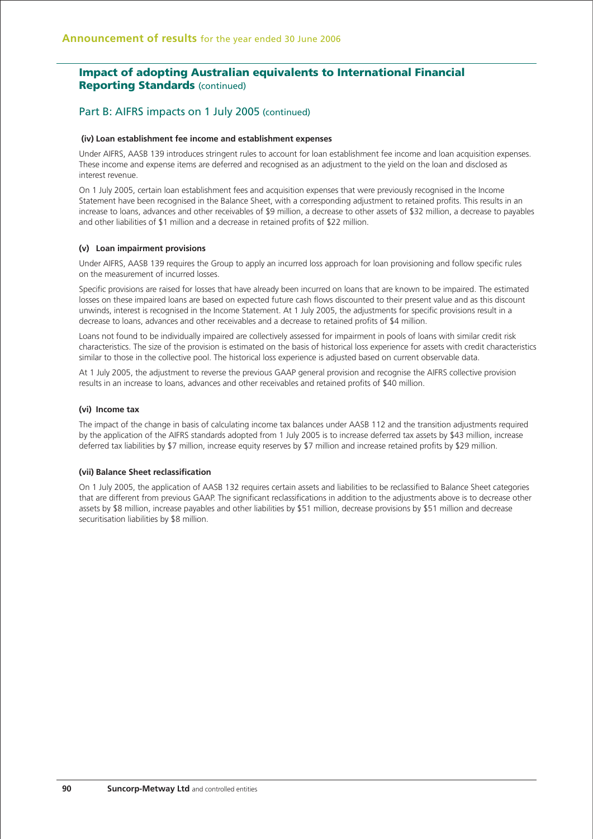### Part B: AIFRS impacts on 1 July 2005 (continued)

#### **(iv) Loan establishment fee income and establishment expenses**

Under AIFRS, AASB 139 introduces stringent rules to account for loan establishment fee income and loan acquisition expenses. These income and expense items are deferred and recognised as an adjustment to the yield on the loan and disclosed as interest revenue.

On 1 July 2005, certain loan establishment fees and acquisition expenses that were previously recognised in the Income Statement have been recognised in the Balance Sheet, with a corresponding adjustment to retained profits. This results in an increase to loans, advances and other receivables of \$9 million, a decrease to other assets of \$32 million, a decrease to payables and other liabilities of \$1 million and a decrease in retained profits of \$22 million.

#### **(v) Loan impairment provisions**

Under AIFRS, AASB 139 requires the Group to apply an incurred loss approach for loan provisioning and follow specific rules on the measurement of incurred losses.

Specific provisions are raised for losses that have already been incurred on loans that are known to be impaired. The estimated losses on these impaired loans are based on expected future cash flows discounted to their present value and as this discount unwinds, interest is recognised in the Income Statement. At 1 July 2005, the adjustments for specific provisions result in a decrease to loans, advances and other receivables and a decrease to retained profits of \$4 million.

Loans not found to be individually impaired are collectively assessed for impairment in pools of loans with similar credit risk characteristics. The size of the provision is estimated on the basis of historical loss experience for assets with credit characteristics similar to those in the collective pool. The historical loss experience is adjusted based on current observable data.

At 1 July 2005, the adjustment to reverse the previous GAAP general provision and recognise the AIFRS collective provision results in an increase to loans, advances and other receivables and retained profits of \$40 million.

#### **(vi) Income tax**

The impact of the change in basis of calculating income tax balances under AASB 112 and the transition adjustments required by the application of the AIFRS standards adopted from 1 July 2005 is to increase deferred tax assets by \$43 million, increase deferred tax liabilities by \$7 million, increase equity reserves by \$7 million and increase retained profits by \$29 million.

### **(vii) Balance Sheet reclassification**

On 1 July 2005, the application of AASB 132 requires certain assets and liabilities to be reclassified to Balance Sheet categories that are different from previous GAAP. The significant reclassifications in addition to the adjustments above is to decrease other assets by \$8 million, increase payables and other liabilities by \$51 million, decrease provisions by \$51 million and decrease securitisation liabilities by \$8 million.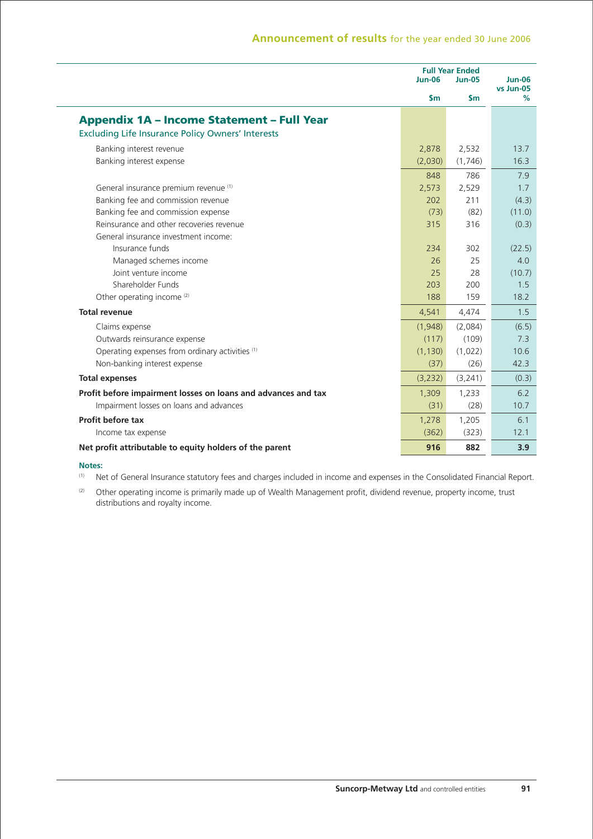|                                                               | $Jun-06$      | <b>Full Year Ended</b><br><b>Jun-05</b> |                |  |
|---------------------------------------------------------------|---------------|-----------------------------------------|----------------|--|
|                                                               | $\mathsf{sm}$ | \$m                                     | vs Jun-05<br>% |  |
| <b>Appendix 1A - Income Statement - Full Year</b>             |               |                                         |                |  |
| <b>Excluding Life Insurance Policy Owners' Interests</b>      |               |                                         |                |  |
| Banking interest revenue                                      | 2,878         | 2,532                                   | 13.7           |  |
| Banking interest expense                                      | (2,030)       | (1,746)                                 | 16.3           |  |
|                                                               | 848           | 786                                     | 7.9            |  |
| General insurance premium revenue (1)                         | 2,573         | 2,529                                   | 1.7            |  |
| Banking fee and commission revenue                            | 202           | 211                                     | (4.3)          |  |
| Banking fee and commission expense                            | (73)          | (82)                                    | (11.0)         |  |
| Reinsurance and other recoveries revenue                      | 315           | 316                                     | (0.3)          |  |
| General insurance investment income:                          |               |                                         |                |  |
| Insurance funds                                               | 234           | 302                                     | (22.5)         |  |
| Managed schemes income                                        | 26            | 25                                      | 4.0            |  |
| Joint venture income                                          | 25            | 28                                      | (10.7)         |  |
| Shareholder Funds                                             | 203           | 200                                     | 1.5            |  |
| Other operating income (2)                                    | 188           | 159                                     | 18.2           |  |
| <b>Total revenue</b>                                          | 4,541         | 4,474                                   | 1.5            |  |
| Claims expense                                                | (1,948)       | (2,084)                                 | (6.5)          |  |
| Outwards reinsurance expense                                  | (117)         | (109)                                   | 7.3            |  |
| Operating expenses from ordinary activities (1)               | (1, 130)      | (1,022)                                 | 10.6           |  |
| Non-banking interest expense                                  | (37)          | (26)                                    | 42.3           |  |
| <b>Total expenses</b>                                         | (3, 232)      | (3,241)                                 | (0.3)          |  |
| Profit before impairment losses on loans and advances and tax | 1,309         | 1,233                                   | 6.2            |  |
| Impairment losses on loans and advances                       | (31)          | (28)                                    | 10.7           |  |
| Profit before tax                                             | 1,278         | 1,205                                   | 6.1            |  |
| Income tax expense                                            | (362)         | (323)                                   | 12.1           |  |
| Net profit attributable to equity holders of the parent       | 916           | 882                                     | 3.9            |  |

# **Notes:**<br>(1) Ne

Net of General Insurance statutory fees and charges included in income and expenses in the Consolidated Financial Report.

(2) Other operating income is primarily made up of Wealth Management profit, dividend revenue, property income, trust distributions and royalty income.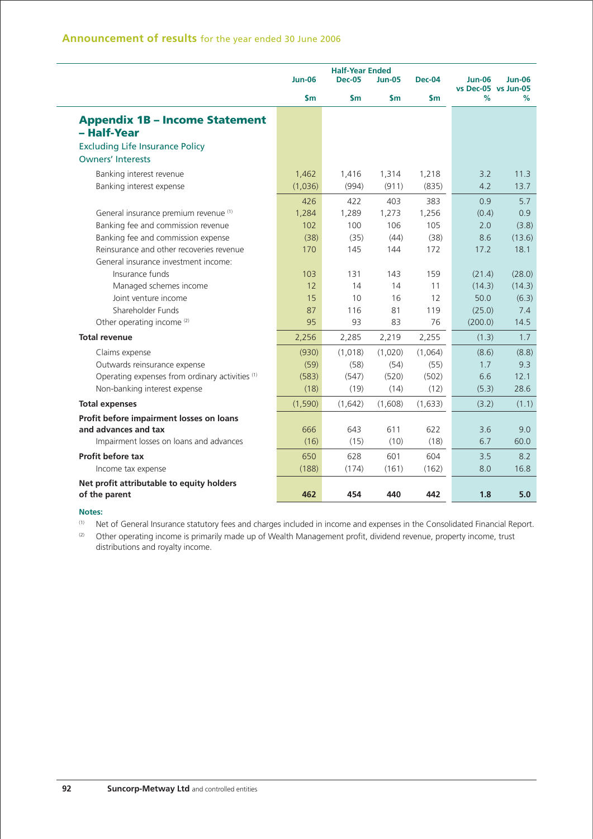|                                                 | <b>Half-Year Ended</b><br><b>Jun-06</b><br><b>Dec-05</b><br><b>Jun-05</b><br><b>Dec-04</b> |               |         |               | <b>Jun-06</b>            | <b>Jun-06</b> |
|-------------------------------------------------|--------------------------------------------------------------------------------------------|---------------|---------|---------------|--------------------------|---------------|
|                                                 | \$m                                                                                        | $\mathsf{sm}$ | \$m     | $\mathsf{sm}$ | vs Dec-05 vs Jun-05<br>% | %             |
| <b>Appendix 1B - Income Statement</b>           |                                                                                            |               |         |               |                          |               |
| - Half-Year                                     |                                                                                            |               |         |               |                          |               |
| <b>Excluding Life Insurance Policy</b>          |                                                                                            |               |         |               |                          |               |
| <b>Owners' Interests</b>                        |                                                                                            |               |         |               |                          |               |
| Banking interest revenue                        | 1,462                                                                                      | 1,416         | 1,314   | 1,218         | 3.2                      | 11.3          |
| Banking interest expense                        | (1,036)                                                                                    | (994)         | (911)   | (835)         | 4.2                      | 13.7          |
|                                                 | 426                                                                                        | 422           | 403     | 383           | 0.9                      | 5.7           |
| General insurance premium revenue (1)           | 1,284                                                                                      | 1,289         | 1,273   | 1,256         | (0.4)                    | 0.9           |
| Banking fee and commission revenue              | 102                                                                                        | 100           | 106     | 105           | 2.0                      | (3.8)         |
| Banking fee and commission expense              | (38)                                                                                       | (35)          | (44)    | (38)          | 8.6                      | (13.6)        |
| Reinsurance and other recoveries revenue        | 170                                                                                        | 145           | 144     | 172           | 17.2                     | 18.1          |
| General insurance investment income:            |                                                                                            |               |         |               |                          |               |
| Insurance funds                                 | 103                                                                                        | 131           | 143     | 159           | (21.4)                   | (28.0)        |
| Managed schemes income                          | 12                                                                                         | 14            | 14      | 11            | (14.3)                   | (14.3)        |
| Joint venture income                            | 15                                                                                         | 10            | 16      | 12            | 50.0                     | (6.3)         |
| Shareholder Funds                               | 87                                                                                         | 116           | 81      | 119           | (25.0)                   | 7.4           |
| Other operating income <sup>(2)</sup>           | 95                                                                                         | 93            | 83      | 76            | (200.0)                  | 14.5          |
| <b>Total revenue</b>                            | 2,256                                                                                      | 2,285         | 2,219   | 2,255         | (1.3)                    | 1.7           |
| Claims expense                                  | (930)                                                                                      | (1,018)       | (1,020) | (1,064)       | (8.6)                    | (8.8)         |
| Outwards reinsurance expense                    | (59)                                                                                       | (58)          | (54)    | (55)          | 1.7                      | 9.3           |
| Operating expenses from ordinary activities (1) | (583)                                                                                      | (547)         | (520)   | (502)         | 6.6                      | 12.1          |
| Non-banking interest expense                    | (18)                                                                                       | (19)          | (14)    | (12)          | (5.3)                    | 28.6          |
| <b>Total expenses</b>                           | (1,590)                                                                                    | (1,642)       | (1,608) | (1,633)       | (3.2)                    | (1.1)         |
| Profit before impairment losses on loans        |                                                                                            |               |         |               |                          |               |
| and advances and tax                            | 666                                                                                        | 643           | 611     | 622           | 3.6                      | 9.0           |
| Impairment losses on loans and advances         | (16)                                                                                       | (15)          | (10)    | (18)          | 6.7                      | 60.0          |
| Profit before tax                               | 650                                                                                        | 628           | 601     | 604           | 3.5                      | 8.2           |
| Income tax expense                              | (188)                                                                                      | (174)         | (161)   | (162)         | 8.0                      | 16.8          |
| Net profit attributable to equity holders       |                                                                                            |               |         |               |                          |               |
| of the parent                                   | 462                                                                                        | 454           | 440     | 442           | 1.8                      | 5.0           |

#### **Notes:**

L

(1) Net of General Insurance statutory fees and charges included in income and expenses in the Consolidated Financial Report.<br>(2) Other operating income is primarily made up of Wealth Management profit, dividend revenue,

Other operating income is primarily made up of Wealth Management profit, dividend revenue, property income, trust distributions and royalty income.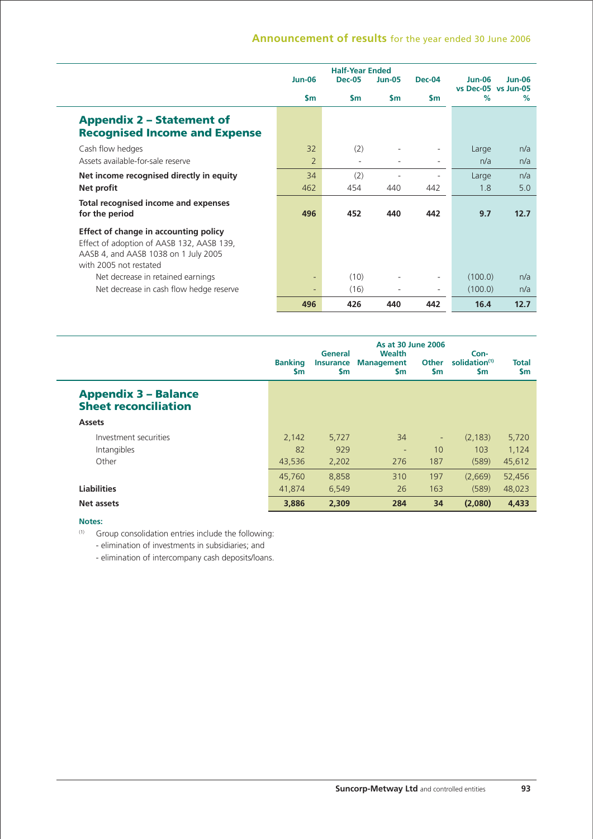### **Announcement of results** for the year ended 30 June 2006

|                                                                                                                                                      | <b>Jun-06</b>        | <b>Half-Year Ended</b><br><b>Dec-05</b> | <b>Jun-05</b> | <b>Dec-04</b> | $Jun-06$                    | $Jun-06$   |
|------------------------------------------------------------------------------------------------------------------------------------------------------|----------------------|-----------------------------------------|---------------|---------------|-----------------------------|------------|
|                                                                                                                                                      | \$m                  | \$m                                     | $\mathsf{Sm}$ | <b>Sm</b>     | vs Dec-05 vs Jun-05<br>$\%$ | $\%$       |
| <b>Appendix 2 - Statement of</b><br><b>Recognised Income and Expense</b>                                                                             |                      |                                         |               |               |                             |            |
| Cash flow hedges<br>Assets available-for-sale reserve                                                                                                | 32<br>$\overline{2}$ | (2)                                     |               | $\sim$        | Large<br>n/a                | n/a<br>n/a |
| Net income recognised directly in equity<br>Net profit                                                                                               | 34<br>462            | (2)<br>454                              | 440           | 442           | Large<br>1.8                | n/a<br>5.0 |
| Total recognised income and expenses<br>for the period                                                                                               | 496                  | 452                                     | 440           | 442           | 9.7                         | 12.7       |
| Effect of change in accounting policy<br>Effect of adoption of AASB 132, AASB 139,<br>AASB 4, and AASB 1038 on 1 July 2005<br>with 2005 not restated |                      |                                         |               |               |                             |            |
| Net decrease in retained earnings                                                                                                                    |                      | (10)                                    |               |               | (100.0)                     | n/a        |
| Net decrease in cash flow hedge reserve                                                                                                              |                      | (16)                                    |               | Ξ.            | (100.0)                     | n/a        |
|                                                                                                                                                      | 496                  | 426                                     | 440           | 442           | 16.4                        | 12.7       |

|                                                            | <b>Banking</b><br><b>Sm</b> | General<br><b>Insurance</b><br><b>Sm</b> | <b>As at 30 June 2006</b><br><b>Wealth</b><br><b>Management</b><br><b>Sm</b> | <b>Other</b><br><b>Sm</b> | Con-<br>solidation <sup>(1)</sup><br><b>Sm</b> | <b>Total</b><br><b>Sm</b> |
|------------------------------------------------------------|-----------------------------|------------------------------------------|------------------------------------------------------------------------------|---------------------------|------------------------------------------------|---------------------------|
| <b>Appendix 3 - Balance</b><br><b>Sheet reconciliation</b> |                             |                                          |                                                                              |                           |                                                |                           |
| <b>Assets</b>                                              |                             |                                          |                                                                              |                           |                                                |                           |
| Investment securities                                      | 2,142                       | 5,727                                    | 34                                                                           | $\overline{\phantom{a}}$  | (2.183)                                        | 5,720                     |
| Intangibles                                                | 82                          | 929                                      | ٠                                                                            | 10                        | 103                                            | 1,124                     |
| Other                                                      | 43,536                      | 2,202                                    | 276                                                                          | 187                       | (589)                                          | 45,612                    |
|                                                            | 45,760                      | 8,858                                    | 310                                                                          | 197                       | (2.669)                                        | 52,456                    |
| <b>Liabilities</b>                                         | 41.874                      | 6,549                                    | 26                                                                           | 163                       | (589)                                          | 48,023                    |
| Net assets                                                 | 3,886                       | 2,309                                    | 284                                                                          | 34                        | (2,080)                                        | 4,433                     |

### **Notes:**

(1) Group consolidation entries include the following:

- elimination of investments in subsidiaries; and

- elimination of intercompany cash deposits/loans.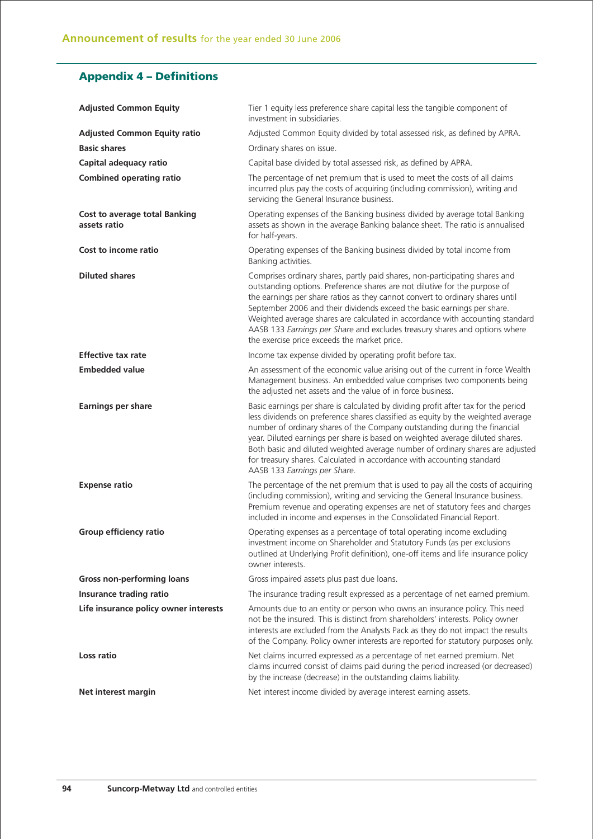## **Appendix 4 – Definitions**

| <b>Adjusted Common Equity</b>                        | Tier 1 equity less preference share capital less the tangible component of<br>investment in subsidiaries.                                                                                                                                                                                                                                                                                                                                                                                                                            |
|------------------------------------------------------|--------------------------------------------------------------------------------------------------------------------------------------------------------------------------------------------------------------------------------------------------------------------------------------------------------------------------------------------------------------------------------------------------------------------------------------------------------------------------------------------------------------------------------------|
| <b>Adjusted Common Equity ratio</b>                  | Adjusted Common Equity divided by total assessed risk, as defined by APRA.                                                                                                                                                                                                                                                                                                                                                                                                                                                           |
| <b>Basic shares</b>                                  | Ordinary shares on issue.                                                                                                                                                                                                                                                                                                                                                                                                                                                                                                            |
| Capital adequacy ratio                               | Capital base divided by total assessed risk, as defined by APRA.                                                                                                                                                                                                                                                                                                                                                                                                                                                                     |
| <b>Combined operating ratio</b>                      | The percentage of net premium that is used to meet the costs of all claims<br>incurred plus pay the costs of acquiring (including commission), writing and<br>servicing the General Insurance business.                                                                                                                                                                                                                                                                                                                              |
| <b>Cost to average total Banking</b><br>assets ratio | Operating expenses of the Banking business divided by average total Banking<br>assets as shown in the average Banking balance sheet. The ratio is annualised<br>for half-years.                                                                                                                                                                                                                                                                                                                                                      |
| Cost to income ratio                                 | Operating expenses of the Banking business divided by total income from<br>Banking activities.                                                                                                                                                                                                                                                                                                                                                                                                                                       |
| <b>Diluted shares</b>                                | Comprises ordinary shares, partly paid shares, non-participating shares and<br>outstanding options. Preference shares are not dilutive for the purpose of<br>the earnings per share ratios as they cannot convert to ordinary shares until<br>September 2006 and their dividends exceed the basic earnings per share.<br>Weighted average shares are calculated in accordance with accounting standard<br>AASB 133 Earnings per Share and excludes treasury shares and options where<br>the exercise price exceeds the market price. |
| <b>Effective tax rate</b>                            | Income tax expense divided by operating profit before tax.                                                                                                                                                                                                                                                                                                                                                                                                                                                                           |
| <b>Embedded value</b>                                | An assessment of the economic value arising out of the current in force Wealth<br>Management business. An embedded value comprises two components being<br>the adjusted net assets and the value of in force business.                                                                                                                                                                                                                                                                                                               |
|                                                      |                                                                                                                                                                                                                                                                                                                                                                                                                                                                                                                                      |
| <b>Earnings per share</b>                            | Basic earnings per share is calculated by dividing profit after tax for the period<br>less dividends on preference shares classified as equity by the weighted average<br>number of ordinary shares of the Company outstanding during the financial<br>year. Diluted earnings per share is based on weighted average diluted shares.<br>Both basic and diluted weighted average number of ordinary shares are adjusted<br>for treasury shares. Calculated in accordance with accounting standard<br>AASB 133 Earnings per Share.     |
| <b>Expense ratio</b>                                 | The percentage of the net premium that is used to pay all the costs of acquiring<br>(including commission), writing and servicing the General Insurance business.<br>Premium revenue and operating expenses are net of statutory fees and charges<br>included in income and expenses in the Consolidated Financial Report.                                                                                                                                                                                                           |
| Group efficiency ratio                               | Operating expenses as a percentage of total operating income excluding<br>investment income on Shareholder and Statutory Funds (as per exclusions<br>outlined at Underlying Profit definition), one-off items and life insurance policy<br>owner interests.                                                                                                                                                                                                                                                                          |
| <b>Gross non-performing loans</b>                    | Gross impaired assets plus past due loans.                                                                                                                                                                                                                                                                                                                                                                                                                                                                                           |
| Insurance trading ratio                              | The insurance trading result expressed as a percentage of net earned premium.                                                                                                                                                                                                                                                                                                                                                                                                                                                        |
| Life insurance policy owner interests                | Amounts due to an entity or person who owns an insurance policy. This need<br>not be the insured. This is distinct from shareholders' interests. Policy owner<br>interests are excluded from the Analysts Pack as they do not impact the results<br>of the Company. Policy owner interests are reported for statutory purposes only.                                                                                                                                                                                                 |
| Loss ratio                                           | Net claims incurred expressed as a percentage of net earned premium. Net<br>claims incurred consist of claims paid during the period increased (or decreased)<br>by the increase (decrease) in the outstanding claims liability.                                                                                                                                                                                                                                                                                                     |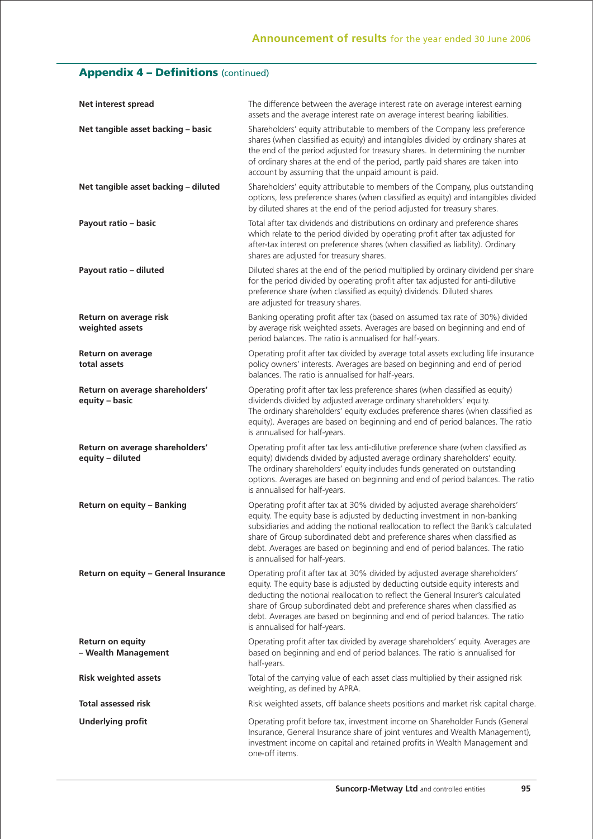## **Appendix 4 - Definitions (continued)**

| Net interest spread                                 | The difference between the average interest rate on average interest earning<br>assets and the average interest rate on average interest bearing liabilities.                                                                                                                                                                                                                                                                                |
|-----------------------------------------------------|----------------------------------------------------------------------------------------------------------------------------------------------------------------------------------------------------------------------------------------------------------------------------------------------------------------------------------------------------------------------------------------------------------------------------------------------|
| Net tangible asset backing - basic                  | Shareholders' equity attributable to members of the Company less preference<br>shares (when classified as equity) and intangibles divided by ordinary shares at<br>the end of the period adjusted for treasury shares. In determining the number<br>of ordinary shares at the end of the period, partly paid shares are taken into<br>account by assuming that the unpaid amount is paid.                                                    |
| Net tangible asset backing - diluted                | Shareholders' equity attributable to members of the Company, plus outstanding<br>options, less preference shares (when classified as equity) and intangibles divided<br>by diluted shares at the end of the period adjusted for treasury shares.                                                                                                                                                                                             |
| Payout ratio - basic                                | Total after tax dividends and distributions on ordinary and preference shares<br>which relate to the period divided by operating profit after tax adjusted for<br>after-tax interest on preference shares (when classified as liability). Ordinary<br>shares are adjusted for treasury shares.                                                                                                                                               |
| Payout ratio - diluted                              | Diluted shares at the end of the period multiplied by ordinary dividend per share<br>for the period divided by operating profit after tax adjusted for anti-dilutive<br>preference share (when classified as equity) dividends. Diluted shares<br>are adjusted for treasury shares.                                                                                                                                                          |
| Return on average risk<br>weighted assets           | Banking operating profit after tax (based on assumed tax rate of 30%) divided<br>by average risk weighted assets. Averages are based on beginning and end of<br>period balances. The ratio is annualised for half-years.                                                                                                                                                                                                                     |
| <b>Return on average</b><br>total assets            | Operating profit after tax divided by average total assets excluding life insurance<br>policy owners' interests. Averages are based on beginning and end of period<br>balances. The ratio is annualised for half-years.                                                                                                                                                                                                                      |
| Return on average shareholders'<br>equity - basic   | Operating profit after tax less preference shares (when classified as equity)<br>dividends divided by adjusted average ordinary shareholders' equity.<br>The ordinary shareholders' equity excludes preference shares (when classified as<br>equity). Averages are based on beginning and end of period balances. The ratio<br>is annualised for half-years.                                                                                 |
| Return on average shareholders'<br>equity - diluted | Operating profit after tax less anti-dilutive preference share (when classified as<br>equity) dividends divided by adjusted average ordinary shareholders' equity.<br>The ordinary shareholders' equity includes funds generated on outstanding<br>options. Averages are based on beginning and end of period balances. The ratio<br>is annualised for half-years.                                                                           |
| Return on equity - Banking                          | Operating profit after tax at 30% divided by adjusted average shareholders'<br>equity. The equity base is adjusted by deducting investment in non-banking<br>subsidiaries and adding the notional reallocation to reflect the Bank's calculated<br>share of Group subordinated debt and preference shares when classified as<br>debt. Averages are based on beginning and end of period balances. The ratio<br>is annualised for half-years. |
| Return on equity - General Insurance                | Operating profit after tax at 30% divided by adjusted average shareholders'<br>equity. The equity base is adjusted by deducting outside equity interests and<br>deducting the notional reallocation to reflect the General Insurer's calculated<br>share of Group subordinated debt and preference shares when classified as<br>debt. Averages are based on beginning and end of period balances. The ratio<br>is annualised for half-years. |
| <b>Return on equity</b><br>- Wealth Management      | Operating profit after tax divided by average shareholders' equity. Averages are<br>based on beginning and end of period balances. The ratio is annualised for<br>half-years.                                                                                                                                                                                                                                                                |
| <b>Risk weighted assets</b>                         | Total of the carrying value of each asset class multiplied by their assigned risk<br>weighting, as defined by APRA.                                                                                                                                                                                                                                                                                                                          |
| <b>Total assessed risk</b>                          | Risk weighted assets, off balance sheets positions and market risk capital charge.                                                                                                                                                                                                                                                                                                                                                           |
| <b>Underlying profit</b>                            | Operating profit before tax, investment income on Shareholder Funds (General<br>Insurance, General Insurance share of joint ventures and Wealth Management),<br>investment income on capital and retained profits in Wealth Management and<br>one-off items.                                                                                                                                                                                 |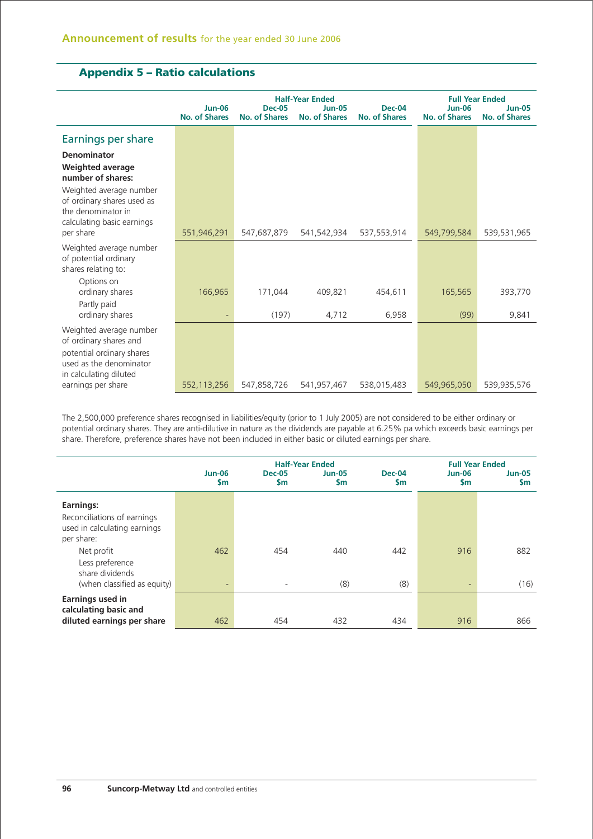## **Appendix 5 – Ratio calculations**

| <b>No. of Shares</b> | <b>Dec-05</b><br>No. of Shares | <b>Half-Year Ended</b><br><b>Jun-05</b><br><b>No. of Shares</b> | <b>Dec-04</b><br><b>No. of Shares</b> | <b>Jun-06</b><br><b>No. of Shares</b> | <b>Full Year Ended</b><br><b>Jun-05</b><br><b>No. of Shares</b> |
|----------------------|--------------------------------|-----------------------------------------------------------------|---------------------------------------|---------------------------------------|-----------------------------------------------------------------|
|                      |                                |                                                                 |                                       |                                       |                                                                 |
| 551,946,291          | 547,687,879                    | 541,542,934                                                     | 537,553,914                           | 549,799,584                           | 539,531,965                                                     |
|                      |                                |                                                                 |                                       |                                       |                                                                 |
| 166,965<br>٠         | 171.044<br>(197)               | 409.821<br>4,712                                                | 454,611<br>6,958                      | 165,565<br>(99)                       | 393,770<br>9,841                                                |
|                      |                                |                                                                 |                                       |                                       | 539,935,576                                                     |
|                      | 552,113,256                    | 547,858,726                                                     | 541,957,467                           | 538,015,483                           | 549,965,050                                                     |

The 2,500,000 preference shares recognised in liabilities/equity (prior to 1 July 2005) are not considered to be either ordinary or potential ordinary shares. They are anti-dilutive in nature as the dividends are payable at 6.25% pa which exceeds basic earnings per share. Therefore, preference shares have not been included in either basic or diluted earnings per share.

|                                                                                        | <b>Jun-06</b><br>\$m            | <b>Dec-05</b><br><b>Sm</b>      | <b>Half-Year Ended</b><br><b>Jun-05</b><br>\$m | <b>Dec-04</b><br><b>Sm</b> | $Jun-06$<br>$\mathsf{sm}$ | <b>Full Year Ended</b><br><b>Jun-05</b><br><b>Sm</b> |
|----------------------------------------------------------------------------------------|---------------------------------|---------------------------------|------------------------------------------------|----------------------------|---------------------------|------------------------------------------------------|
| Earnings:<br>Reconciliations of earnings<br>used in calculating earnings<br>per share: |                                 |                                 |                                                |                            |                           |                                                      |
| Net profit<br>Less preference<br>share dividends<br>(when classified as equity)        | 462<br>$\overline{\phantom{a}}$ | 454<br>$\overline{\phantom{0}}$ | 440<br>(8)                                     | 442<br>(8)                 | 916<br>٠                  | 882<br>(16)                                          |
| <b>Earnings used in</b><br>calculating basic and<br>diluted earnings per share         | 462                             | 454                             | 432                                            | 434                        | 916                       | 866                                                  |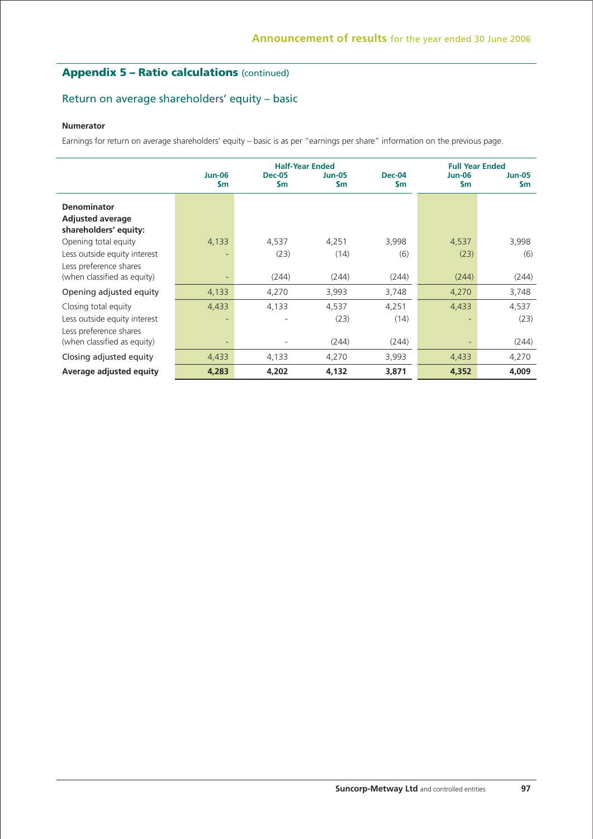## **Appendix 5 – Ratio calculations** (continued)

## Return on average shareholders' equity – basic

### **Numerator**

Earnings for return on average shareholders' equity – basic is as per "earnings per share" information on the previous page.

|                                                                        | <b>Half-Year Ended</b>     |                            |                      |                      |                                | <b>Full Year Ended</b>         |
|------------------------------------------------------------------------|----------------------------|----------------------------|----------------------|----------------------|--------------------------------|--------------------------------|
|                                                                        | <b>Jun-06</b><br><b>Sm</b> | <b>Dec-05</b><br><b>Sm</b> | <b>Jun-05</b><br>\$m | <b>Dec-04</b><br>\$m | <b>Jun-06</b><br>$\mathsf{sm}$ | <b>Jun-05</b><br>$\mathsf{Sm}$ |
| <b>Denominator</b><br><b>Adjusted average</b><br>shareholders' equity: |                            |                            |                      |                      |                                |                                |
| Opening total equity                                                   | 4,133                      | 4,537                      | 4,251                | 3,998                | 4,537                          | 3,998                          |
| Less outside equity interest                                           |                            | (23)                       | (14)                 | (6)                  | (23)                           | (6)                            |
| Less preference shares<br>(when classified as equity)                  | $\overline{\phantom{a}}$   | (244)                      | (244)                | (244)                | (244)                          | (244)                          |
| Opening adjusted equity                                                | 4,133                      | 4,270                      | 3,993                | 3,748                | 4,270                          | 3,748                          |
| Closing total equity                                                   | 4,433                      | 4,133                      | 4,537                | 4,251                | 4,433                          | 4,537                          |
| Less outside equity interest                                           | ٠                          |                            | (23)                 | (14)                 | ٠                              | (23)                           |
| Less preference shares<br>(when classified as equity)                  | $\overline{\phantom{a}}$   |                            | (244)                | (244)                | ٠                              | (244)                          |
| Closing adjusted equity                                                | 4,433                      | 4,133                      | 4,270                | 3,993                | 4,433                          | 4,270                          |
| Average adjusted equity                                                | 4,283                      | 4,202                      | 4,132                | 3,871                | 4,352                          | 4,009                          |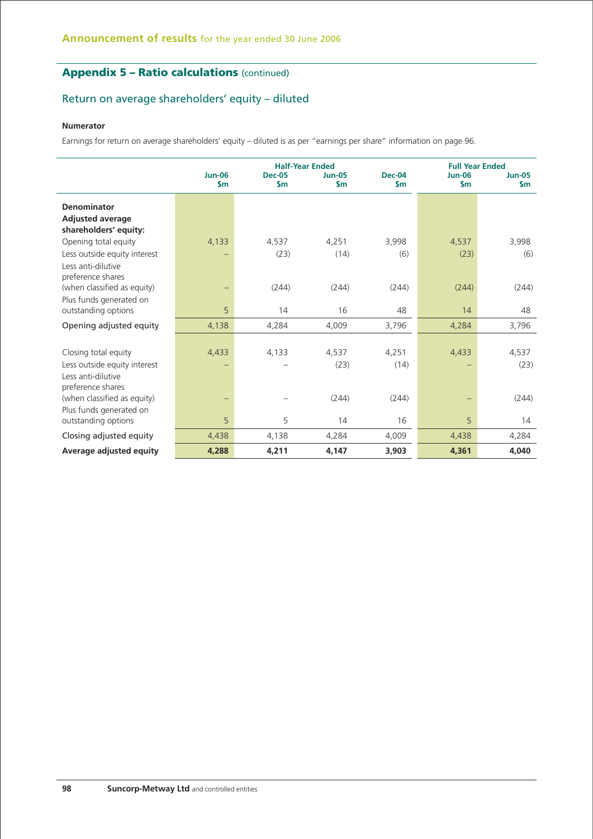## **Appendix 5 – Ratio calculations** (continued)

## Return on average shareholders' equity – diluted

### **Numerator**

Earnings for return on average shareholders' equity – diluted is as per "earnings per share" information on page 96.

|                                                  |                                | <b>Half-Year Ended</b>         | <b>Full Year Ended</b>         |                                |                                |                           |
|--------------------------------------------------|--------------------------------|--------------------------------|--------------------------------|--------------------------------|--------------------------------|---------------------------|
|                                                  | <b>Jun-06</b><br>$\mathsf{sm}$ | <b>Dec-05</b><br>$\mathsf{Sm}$ | <b>Jun-05</b><br>$\mathsf{sm}$ | <b>Dec-04</b><br>$\mathsf{Sm}$ | <b>Jun-06</b><br>$\mathsf{sm}$ | $Jun-05$<br>$\mathsf{Sm}$ |
| <b>Denominator</b>                               |                                |                                |                                |                                |                                |                           |
| <b>Adjusted average</b><br>shareholders' equity: |                                |                                |                                |                                |                                |                           |
| Opening total equity                             | 4,133                          | 4.537                          | 4.251                          | 3,998                          | 4,537                          | 3,998                     |
| Less outside equity interest                     |                                | (23)                           | (14)                           | (6)                            | (23)                           | (6)                       |
| Less anti-dilutive<br>preference shares          |                                |                                |                                |                                |                                |                           |
| (when classified as equity)                      | $\qquad \qquad -$              | (244)                          | (244)                          | (244)                          | (244)                          | (244)                     |
| Plus funds generated on                          |                                |                                |                                |                                |                                |                           |
| outstanding options                              | 5                              | 14                             | 16                             | 48                             | 14                             | 48                        |
| Opening adjusted equity                          | 4,138                          | 4,284                          | 4,009                          | 3,796                          | 4,284                          | 3,796                     |
|                                                  |                                |                                |                                |                                |                                |                           |
| Closing total equity                             | 4,433                          | 4,133                          | 4,537                          | 4,251                          | 4,433                          | 4,537                     |
| Less outside equity interest                     |                                |                                | (23)                           | (14)                           |                                | (23)                      |
| Less anti-dilutive                               |                                |                                |                                |                                |                                |                           |
| preference shares                                |                                |                                |                                |                                |                                |                           |
| (when classified as equity)                      | -                              |                                | (244)                          | (244)                          | $\qquad \qquad -$              | (244)                     |
| Plus funds generated on                          |                                |                                |                                |                                |                                |                           |
| outstanding options                              | 5                              | 5                              | 14                             | 16                             | 5                              | 14                        |
| Closing adjusted equity                          | 4,438                          | 4,138                          | 4,284                          | 4,009                          | 4,438                          | 4,284                     |
| Average adjusted equity                          | 4,288                          | 4,211                          | 4,147                          | 3,903                          | 4,361                          | 4,040                     |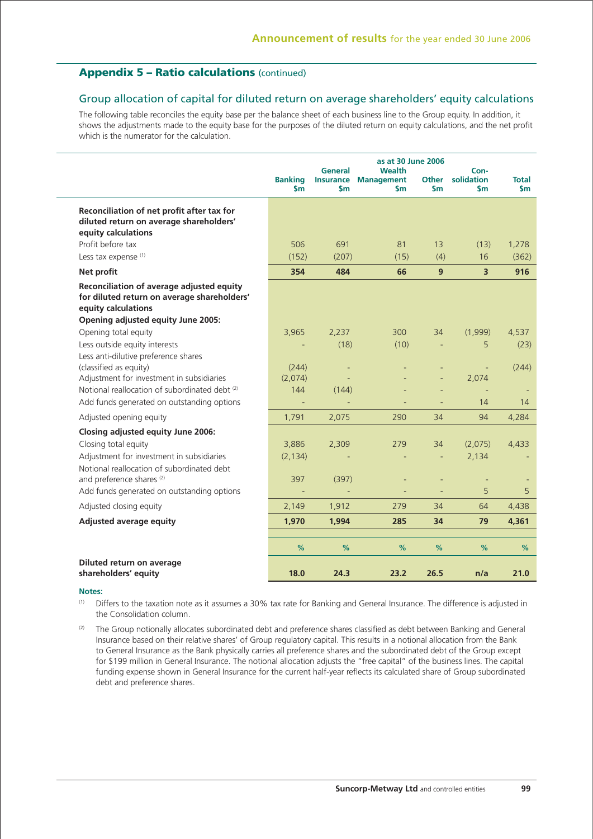## **Appendix 5 – Ratio calculations** (continued)

### Group allocation of capital for diluted return on average shareholders' equity calculations

The following table reconciles the equity base per the balance sheet of each business line to the Group equity. In addition, it shows the adjustments made to the equity base for the purposes of the diluted return on equity calculations, and the net profit which is the numerator for the calculation.

|                                                                                                                 | <b>Banking</b><br>$\mathsf{Sm}$ | General<br><b>Insurance</b><br>$\mathsf{sm}$ | as at 30 June 2006<br><b>Wealth</b><br><b>Management</b><br>\$m | <b>Other</b><br>\$m | Con-<br>solidation<br>\$m | <b>Total</b><br>\$m |
|-----------------------------------------------------------------------------------------------------------------|---------------------------------|----------------------------------------------|-----------------------------------------------------------------|---------------------|---------------------------|---------------------|
| Reconciliation of net profit after tax for<br>diluted return on average shareholders'<br>equity calculations    |                                 |                                              |                                                                 |                     |                           |                     |
| Profit before tax                                                                                               | 506                             | 691                                          | 81                                                              | 13                  | (13)                      | 1,278               |
| Less tax expense (1)                                                                                            | (152)                           | (207)                                        | (15)                                                            | (4)                 | 16                        | (362)               |
| Net profit                                                                                                      | 354                             | 484                                          | 66                                                              | 9                   | $\overline{3}$            | 916                 |
| Reconciliation of average adjusted equity<br>for diluted return on average shareholders'<br>equity calculations |                                 |                                              |                                                                 |                     |                           |                     |
| Opening adjusted equity June 2005:                                                                              |                                 |                                              |                                                                 |                     |                           |                     |
| Opening total equity                                                                                            | 3,965                           | 2,237                                        | 300                                                             | 34                  | (1,999)                   | 4,537               |
| Less outside equity interests                                                                                   |                                 | (18)                                         | (10)                                                            |                     | 5                         | (23)                |
| Less anti-dilutive preference shares<br>(classified as equity)<br>Adjustment for investment in subsidiaries     | (244)<br>(2,074)                | $\equiv$                                     |                                                                 |                     | ÷,<br>2,074               | (244)               |
| Notional reallocation of subordinated debt (2)                                                                  | 144                             | (144)                                        |                                                                 |                     |                           |                     |
| Add funds generated on outstanding options                                                                      |                                 |                                              |                                                                 |                     | 14                        | 14                  |
| Adjusted opening equity                                                                                         | 1,791                           | 2,075                                        | 290                                                             | 34                  | 94                        | 4,284               |
|                                                                                                                 |                                 |                                              |                                                                 |                     |                           |                     |
| <b>Closing adjusted equity June 2006:</b><br>Closing total equity                                               | 3,886                           | 2,309                                        | 279                                                             | 34                  | (2,075)                   | 4.433               |
| Adjustment for investment in subsidiaries                                                                       | (2, 134)                        |                                              |                                                                 |                     | 2,134                     |                     |
| Notional reallocation of subordinated debt                                                                      |                                 |                                              |                                                                 |                     |                           |                     |
| and preference shares <sup>(2)</sup>                                                                            | 397                             | (397)                                        |                                                                 |                     | ÷,                        |                     |
| Add funds generated on outstanding options                                                                      |                                 |                                              |                                                                 |                     | 5                         | 5                   |
| Adjusted closing equity                                                                                         | 2,149                           | 1,912                                        | 279                                                             | 34                  | 64                        | 4,438               |
| <b>Adjusted average equity</b>                                                                                  | 1,970                           | 1,994                                        | 285                                                             | 34                  | 79                        | 4,361               |
|                                                                                                                 |                                 |                                              |                                                                 |                     |                           |                     |
|                                                                                                                 | %                               | %                                            | %                                                               | %                   | $\%$                      | %                   |
| Diluted return on average                                                                                       |                                 |                                              |                                                                 |                     |                           |                     |
| shareholders' equity                                                                                            | 18.0                            | 24.3                                         | 23.2                                                            | 26.5                | n/a                       | 21.0                |

### **Notes:**

(1) Differs to the taxation note as it assumes a 30% tax rate for Banking and General Insurance. The difference is adjusted in the Consolidation column.

(2) The Group notionally allocates subordinated debt and preference shares classified as debt between Banking and General Insurance based on their relative shares' of Group regulatory capital. This results in a notional allocation from the Bank to General Insurance as the Bank physically carries all preference shares and the subordinated debt of the Group except for \$199 million in General Insurance. The notional allocation adjusts the "free capital" of the business lines. The capital funding expense shown in General Insurance for the current half-year reflects its calculated share of Group subordinated debt and preference shares.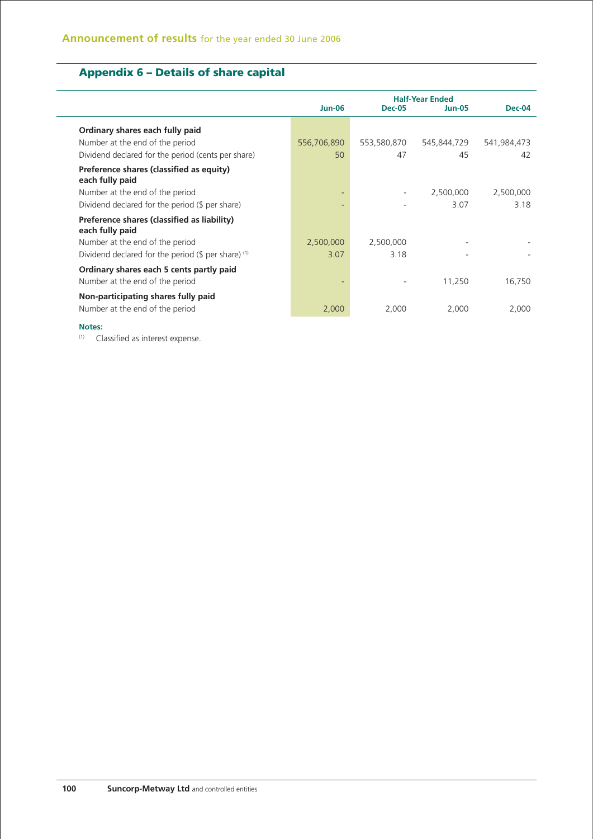## **Appendix 6 – Details of share capital**

|                                                                             | <b>Jun-06</b> | <b>Dec-05</b> | <b>Half-Year Ended</b><br><b>Jun-05</b> | Dec-04      |
|-----------------------------------------------------------------------------|---------------|---------------|-----------------------------------------|-------------|
| Ordinary shares each fully paid                                             |               |               |                                         |             |
| Number at the end of the period                                             | 556,706,890   | 553,580,870   | 545,844,729                             | 541,984,473 |
| Dividend declared for the period (cents per share)                          | 50            | 47            | 45                                      | 42          |
| Preference shares (classified as equity)<br>each fully paid                 |               |               |                                         |             |
| Number at the end of the period                                             |               |               | 2,500,000                               | 2,500,000   |
| Dividend declared for the period (\$ per share)                             |               |               | 3.07                                    | 3.18        |
| Preference shares (classified as liability)<br>each fully paid              |               |               |                                         |             |
| Number at the end of the period                                             | 2,500,000     | 2,500,000     |                                         |             |
| Dividend declared for the period (\$ per share) (1)                         | 3.07          | 3.18          |                                         |             |
| Ordinary shares each 5 cents partly paid<br>Number at the end of the period |               |               | 11,250                                  | 16,750      |
| Non-participating shares fully paid                                         |               |               |                                         |             |
| Number at the end of the period                                             | 2,000         | 2,000         | 2,000                                   | 2,000       |
|                                                                             |               |               |                                         |             |

#### **Notes:**

(1) Classified as interest expense.